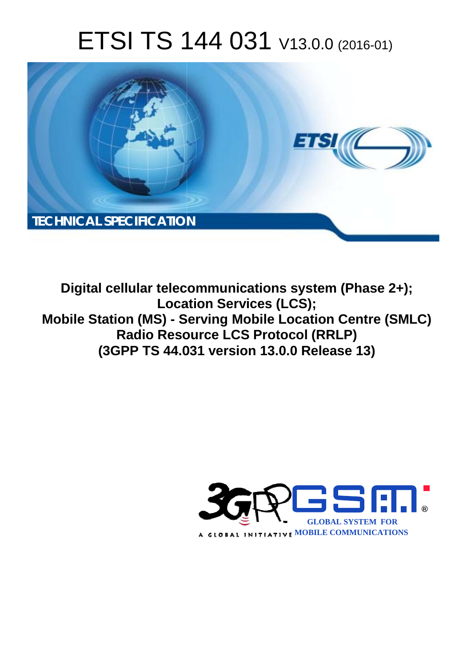# ETSI TS 144 031 V13.0.0 (2016-01)



**Digital cellular telecommunications system (Phase 2+); Locat cation Services (LCS); Mobile Station (MS) - Serving Mobile Location Centre (SMLC) Radio Resource LCS Protocol (RRLP) (3GPP TS 44.0 .031 version 13.0.0 Release 13 13)** 

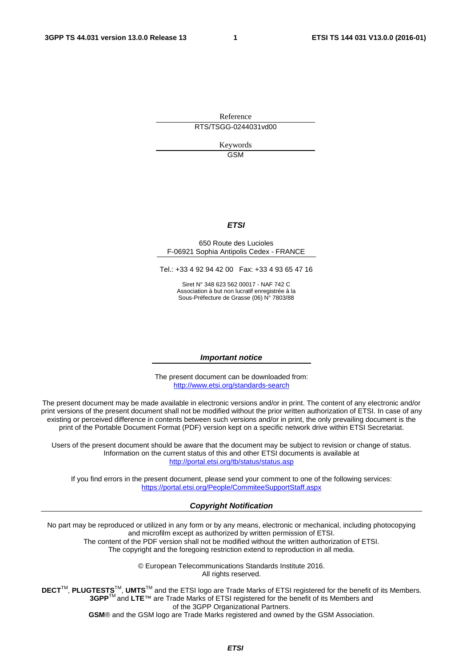Reference RTS/TSGG-0244031vd00

> Keywords GSM

#### *ETSI*

#### 650 Route des Lucioles F-06921 Sophia Antipolis Cedex - FRANCE

Tel.: +33 4 92 94 42 00 Fax: +33 4 93 65 47 16

Siret N° 348 623 562 00017 - NAF 742 C Association à but non lucratif enregistrée à la Sous-Préfecture de Grasse (06) N° 7803/88

#### *Important notice*

The present document can be downloaded from: <http://www.etsi.org/standards-search>

The present document may be made available in electronic versions and/or in print. The content of any electronic and/or print versions of the present document shall not be modified without the prior written authorization of ETSI. In case of any existing or perceived difference in contents between such versions and/or in print, the only prevailing document is the print of the Portable Document Format (PDF) version kept on a specific network drive within ETSI Secretariat.

Users of the present document should be aware that the document may be subject to revision or change of status. Information on the current status of this and other ETSI documents is available at <http://portal.etsi.org/tb/status/status.asp>

If you find errors in the present document, please send your comment to one of the following services: <https://portal.etsi.org/People/CommiteeSupportStaff.aspx>

#### *Copyright Notification*

No part may be reproduced or utilized in any form or by any means, electronic or mechanical, including photocopying and microfilm except as authorized by written permission of ETSI.

The content of the PDF version shall not be modified without the written authorization of ETSI. The copyright and the foregoing restriction extend to reproduction in all media.

> © European Telecommunications Standards Institute 2016. All rights reserved.

**DECT**TM, **PLUGTESTS**TM, **UMTS**TM and the ETSI logo are Trade Marks of ETSI registered for the benefit of its Members. **3GPP**TM and **LTE**™ are Trade Marks of ETSI registered for the benefit of its Members and of the 3GPP Organizational Partners.

**GSM**® and the GSM logo are Trade Marks registered and owned by the GSM Association.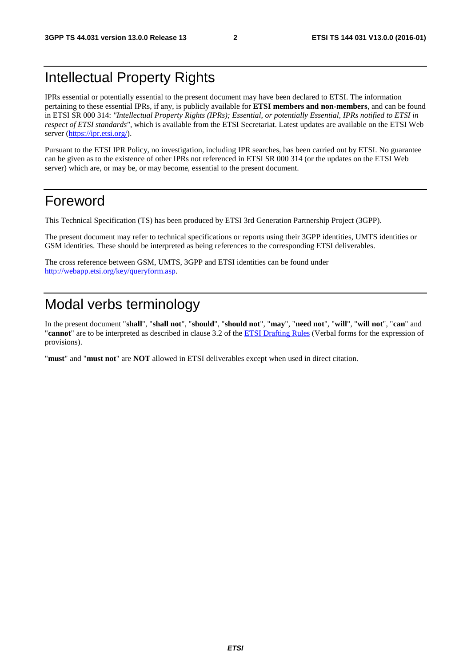# Intellectual Property Rights

IPRs essential or potentially essential to the present document may have been declared to ETSI. The information pertaining to these essential IPRs, if any, is publicly available for **ETSI members and non-members**, and can be found in ETSI SR 000 314: *"Intellectual Property Rights (IPRs); Essential, or potentially Essential, IPRs notified to ETSI in respect of ETSI standards"*, which is available from the ETSI Secretariat. Latest updates are available on the ETSI Web server [\(https://ipr.etsi.org/](https://ipr.etsi.org/)).

Pursuant to the ETSI IPR Policy, no investigation, including IPR searches, has been carried out by ETSI. No guarantee can be given as to the existence of other IPRs not referenced in ETSI SR 000 314 (or the updates on the ETSI Web server) which are, or may be, or may become, essential to the present document.

# Foreword

This Technical Specification (TS) has been produced by ETSI 3rd Generation Partnership Project (3GPP).

The present document may refer to technical specifications or reports using their 3GPP identities, UMTS identities or GSM identities. These should be interpreted as being references to the corresponding ETSI deliverables.

The cross reference between GSM, UMTS, 3GPP and ETSI identities can be found under [http://webapp.etsi.org/key/queryform.asp.](http://webapp.etsi.org/key/queryform.asp)

# Modal verbs terminology

In the present document "**shall**", "**shall not**", "**should**", "**should not**", "**may**", "**need not**", "**will**", "**will not**", "**can**" and "**cannot**" are to be interpreted as described in clause 3.2 of the [ETSI Drafting Rules](http://portal.etsi.org/Help/editHelp!/Howtostart/ETSIDraftingRules.aspx) (Verbal forms for the expression of provisions).

"**must**" and "**must not**" are **NOT** allowed in ETSI deliverables except when used in direct citation.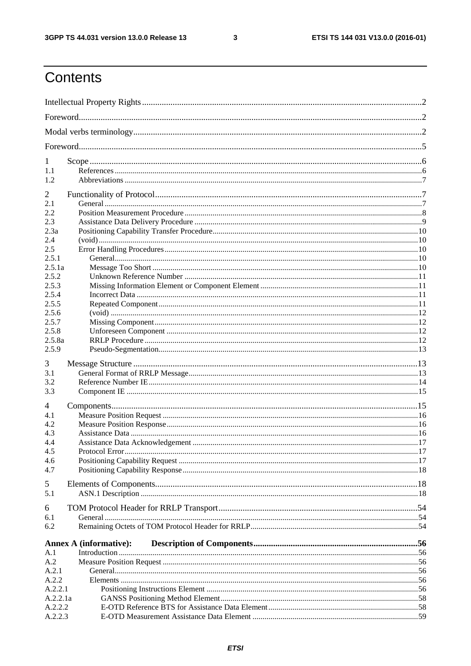$\mathbf{3}$ 

# Contents

| 1           |                               |  |  |
|-------------|-------------------------------|--|--|
| 1.1         |                               |  |  |
| 1.2         |                               |  |  |
| 2           |                               |  |  |
| 2.1         |                               |  |  |
| 2.2         |                               |  |  |
| 2.3         |                               |  |  |
| 2.3a<br>2.4 |                               |  |  |
| 2.5         |                               |  |  |
| 2.5.1       |                               |  |  |
| 2.5.1a      |                               |  |  |
| 2.5.2       |                               |  |  |
| 2.5.3       |                               |  |  |
| 2.5.4       |                               |  |  |
| 2.5.5       |                               |  |  |
| 2.5.6       |                               |  |  |
| 2.5.7       |                               |  |  |
| 2.5.8       |                               |  |  |
| 2.5.8a      |                               |  |  |
| 2.5.9       |                               |  |  |
| 3           |                               |  |  |
| 3.1         |                               |  |  |
| 3.2         |                               |  |  |
| 3.3         |                               |  |  |
| 4           |                               |  |  |
| 4.1         |                               |  |  |
| 4.2         |                               |  |  |
| 4.3         |                               |  |  |
| 4.4         |                               |  |  |
| 4.5         |                               |  |  |
| 4.6<br>4.7  |                               |  |  |
|             |                               |  |  |
| 5           |                               |  |  |
| 5.1         |                               |  |  |
| 6           |                               |  |  |
| 6.1         |                               |  |  |
| 6.2         |                               |  |  |
|             | <b>Annex A (informative):</b> |  |  |
| A.1         |                               |  |  |
| A.2         |                               |  |  |
| A.2.1       |                               |  |  |
| A.2.2       |                               |  |  |
| A.2.2.1     |                               |  |  |
| A.2.2.1a    |                               |  |  |
| A.2.2.2     |                               |  |  |
| A.2.2.3     |                               |  |  |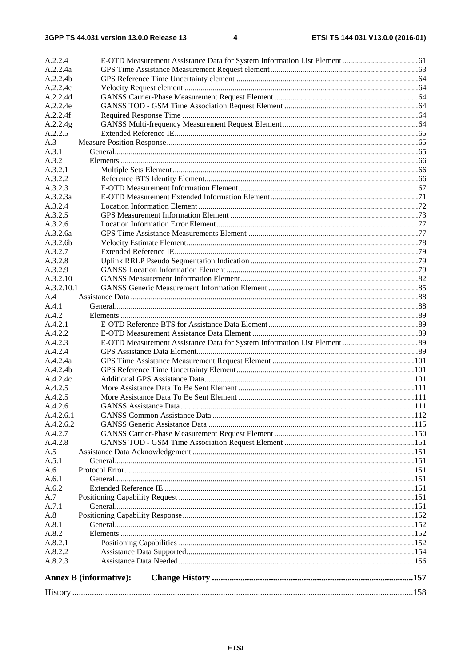| A.2.2.4            |                               |  |
|--------------------|-------------------------------|--|
| A.2.2.4a           |                               |  |
| A.2.2.4b           |                               |  |
| A.2.2.4c           |                               |  |
| A.2.2.4d           |                               |  |
| A.2.2.4e           |                               |  |
| A.2.2.4f           |                               |  |
| A.2.2.4g           |                               |  |
| A.2.2.5            |                               |  |
| A.3                |                               |  |
| A.3.1              |                               |  |
| A.3.2              |                               |  |
| A.3.2.1            |                               |  |
| A.3.2.2            |                               |  |
| A.3.2.3            |                               |  |
| A.3.2.3a           |                               |  |
| A.3.2.4            |                               |  |
| A.3.2.5            |                               |  |
| A.3.2.6            |                               |  |
| A.3.2.6a           |                               |  |
| A.3.2.6b           |                               |  |
| A.3.2.7            |                               |  |
| A.3.2.8            |                               |  |
| A.3.2.9            |                               |  |
| A.3.2.10           |                               |  |
| A.3.2.10.1         |                               |  |
| A.4                |                               |  |
| A.4.1              |                               |  |
| A.4.2              |                               |  |
| A.4.2.1            |                               |  |
| A.4.2.2            |                               |  |
| A.4.2.3            |                               |  |
| A.4.2.4            |                               |  |
| A.4.2.4a           |                               |  |
| A.4.2.4b           |                               |  |
| A.4.2.4c           |                               |  |
| A.4.2.5            |                               |  |
| A.4.2.5            |                               |  |
| A.4.2.6            |                               |  |
| A.4.2.6.1          |                               |  |
| A.4.2.6.2          |                               |  |
| A.4.2.7<br>A.4.2.8 |                               |  |
|                    |                               |  |
| A.5<br>A.5.1       |                               |  |
| A.6                |                               |  |
| A.6.1              |                               |  |
| A.6.2              |                               |  |
| A.7                |                               |  |
| A.7.1              |                               |  |
| A.8                |                               |  |
| A.8.1              |                               |  |
| A.8.2              |                               |  |
| A.8.2.1            |                               |  |
| A.8.2.2            |                               |  |
| A.8.2.3            |                               |  |
|                    | <b>Annex B (informative):</b> |  |
|                    |                               |  |
|                    |                               |  |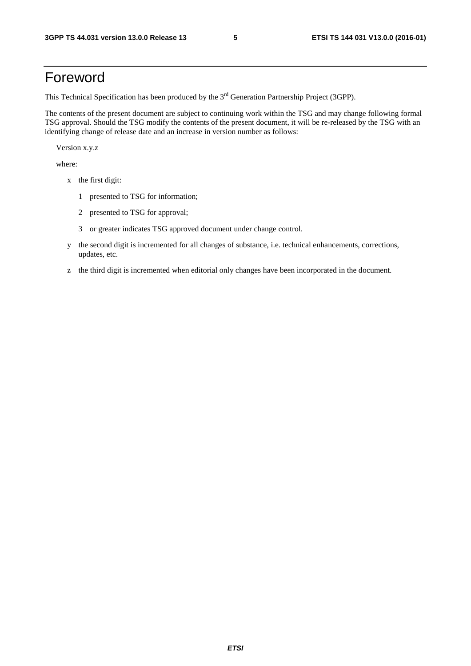# Foreword

This Technical Specification has been produced by the 3<sup>rd</sup> Generation Partnership Project (3GPP).

The contents of the present document are subject to continuing work within the TSG and may change following formal TSG approval. Should the TSG modify the contents of the present document, it will be re-released by the TSG with an identifying change of release date and an increase in version number as follows:

Version x.y.z

where:

- x the first digit:
	- 1 presented to TSG for information;
	- 2 presented to TSG for approval;
	- 3 or greater indicates TSG approved document under change control.
- y the second digit is incremented for all changes of substance, i.e. technical enhancements, corrections, updates, etc.
- z the third digit is incremented when editorial only changes have been incorporated in the document.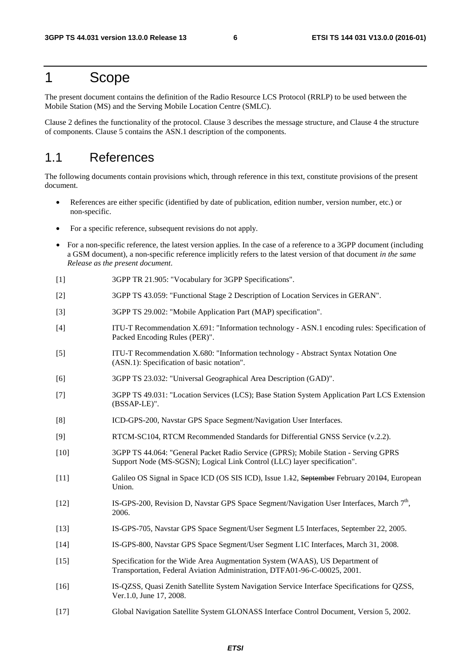## 1 Scope

The present document contains the definition of the Radio Resource LCS Protocol (RRLP) to be used between the Mobile Station (MS) and the Serving Mobile Location Centre (SMLC).

Clause 2 defines the functionality of the protocol. Clause 3 describes the message structure, and Clause 4 the structure of components. Clause 5 contains the ASN.1 description of the components.

#### 1.1 References

The following documents contain provisions which, through reference in this text, constitute provisions of the present document.

- References are either specific (identified by date of publication, edition number, version number, etc.) or non-specific.
- For a specific reference, subsequent revisions do not apply.
- For a non-specific reference, the latest version applies. In the case of a reference to a 3GPP document (including a GSM document), a non-specific reference implicitly refers to the latest version of that document *in the same Release as the present document*.
- [1] 3GPP TR 21.905: "Vocabulary for 3GPP Specifications".
- [2] 3GPP TS 43.059: "Functional Stage 2 Description of Location Services in GERAN".
- [3] 3GPP TS 29.002: "Mobile Application Part (MAP) specification".
- [4] ITU-T Recommendation X.691: "Information technology ASN.1 encoding rules: Specification of Packed Encoding Rules (PER)".
- [5] ITU-T Recommendation X.680: "Information technology Abstract Syntax Notation One (ASN.1): Specification of basic notation".
- [6] 3GPP TS 23.032: "Universal Geographical Area Description (GAD)".
- [7] 3GPP TS 49.031: "Location Services (LCS); Base Station System Application Part LCS Extension (BSSAP-LE)".
- [8] ICD-GPS-200, Navstar GPS Space Segment/Navigation User Interfaces.
- [9] RTCM-SC104, RTCM Recommended Standards for Differential GNSS Service (v.2.2).
- [10] 3GPP TS 44.064: "General Packet Radio Service (GPRS); Mobile Station Serving GPRS Support Node (MS-SGSN); Logical Link Control (LLC) layer specification".
- [11] Galileo OS Signal in Space ICD (OS SIS ICD), Issue 1.12, September February 20104, European Union.
- [12] IS-GPS-200, Revision D, Navstar GPS Space Segment/Navigation User Interfaces, March 7<sup>th</sup>, 2006.
- [13] IS-GPS-705, Navstar GPS Space Segment/User Segment L5 Interfaces, September 22, 2005.
- [14] IS-GPS-800, Navstar GPS Space Segment/User Segment L1C Interfaces, March 31, 2008.
- [15] Specification for the Wide Area Augmentation System (WAAS), US Department of Transportation, Federal Aviation Administration, DTFA01-96-C-00025, 2001.
- [16] IS-QZSS, Quasi Zenith Satellite System Navigation Service Interface Specifications for QZSS, Ver.1.0, June 17, 2008.
- [17] Global Navigation Satellite System GLONASS Interface Control Document, Version 5, 2002.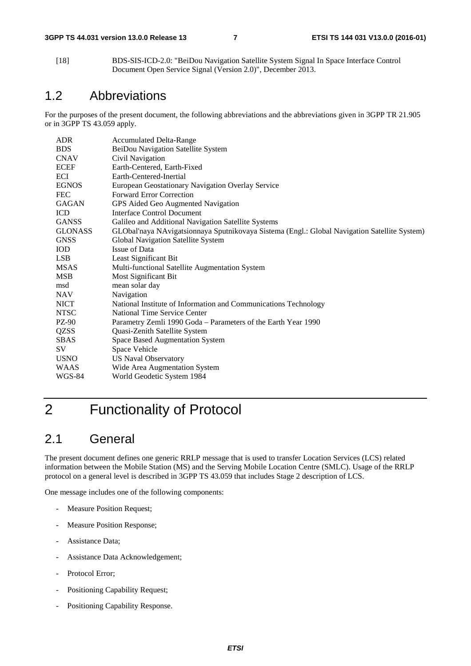[18] BDS-SIS-ICD-2.0: "BeiDou Navigation Satellite System Signal In Space Interface Control Document Open Service Signal (Version 2.0)", December 2013.

## 1.2 Abbreviations

For the purposes of the present document, the following abbreviations and the abbreviations given in 3GPP TR 21.905 or in 3GPP TS 43.059 apply.

| <b>ADR</b>     | <b>Accumulated Delta-Range</b>                                                               |
|----------------|----------------------------------------------------------------------------------------------|
| <b>BDS</b>     | BeiDou Navigation Satellite System                                                           |
| <b>CNAV</b>    | Civil Navigation                                                                             |
| <b>ECEF</b>    | Earth-Centered, Earth-Fixed                                                                  |
| ECI            | Earth-Centered-Inertial                                                                      |
| <b>EGNOS</b>   | European Geostationary Navigation Overlay Service                                            |
| <b>FEC</b>     | <b>Forward Error Correction</b>                                                              |
| <b>GAGAN</b>   | GPS Aided Geo Augmented Navigation                                                           |
| <b>ICD</b>     | Interface Control Document                                                                   |
| <b>GANSS</b>   | Galileo and Additional Navigation Satellite Systems                                          |
| <b>GLONASS</b> | GLObal'naya NAvigatsionnaya Sputnikovaya Sistema (Engl.: Global Navigation Satellite System) |
| <b>GNSS</b>    | Global Navigation Satellite System                                                           |
| <b>IOD</b>     | <b>Issue of Data</b>                                                                         |
| <b>LSB</b>     | Least Significant Bit                                                                        |
| <b>MSAS</b>    | Multi-functional Satellite Augmentation System                                               |
| <b>MSB</b>     | Most Significant Bit                                                                         |
| msd            | mean solar day                                                                               |
| <b>NAV</b>     | Navigation                                                                                   |
| <b>NICT</b>    | National Institute of Information and Communications Technology                              |
| <b>NTSC</b>    | National Time Service Center                                                                 |
| PZ-90          | Parametry Zemli 1990 Goda - Parameters of the Earth Year 1990                                |
| <b>QZSS</b>    | Quasi-Zenith Satellite System                                                                |
| <b>SBAS</b>    | Space Based Augmentation System                                                              |
| SV.            | Space Vehicle                                                                                |
| <b>USNO</b>    | <b>US Naval Observatory</b>                                                                  |
| <b>WAAS</b>    | Wide Area Augmentation System                                                                |
| <b>WGS-84</b>  | World Geodetic System 1984                                                                   |
|                |                                                                                              |

# 2 Functionality of Protocol

## 2.1 General

The present document defines one generic RRLP message that is used to transfer Location Services (LCS) related information between the Mobile Station (MS) and the Serving Mobile Location Centre (SMLC). Usage of the RRLP protocol on a general level is described in 3GPP TS 43.059 that includes Stage 2 description of LCS.

One message includes one of the following components:

- Measure Position Request;
- Measure Position Response;
- Assistance Data;
- Assistance Data Acknowledgement;
- Protocol Error;
- Positioning Capability Request;
- Positioning Capability Response.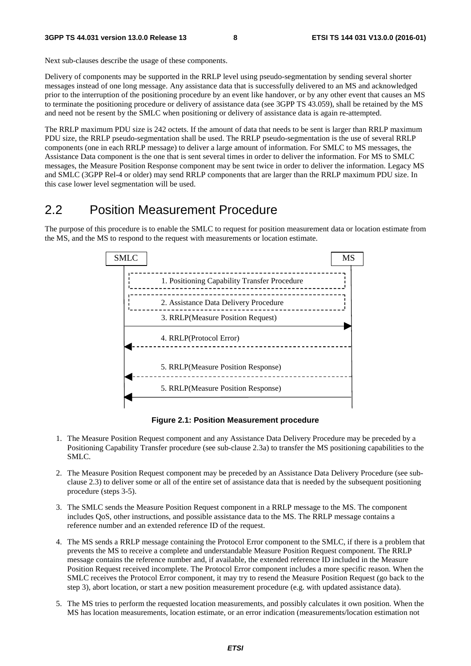Next sub-clauses describe the usage of these components.

Delivery of components may be supported in the RRLP level using pseudo-segmentation by sending several shorter messages instead of one long message. Any assistance data that is successfully delivered to an MS and acknowledged prior to the interruption of the positioning procedure by an event like handover, or by any other event that causes an MS to terminate the positioning procedure or delivery of assistance data (see 3GPP TS 43.059), shall be retained by the MS and need not be resent by the SMLC when positioning or delivery of assistance data is again re-attempted.

The RRLP maximum PDU size is 242 octets. If the amount of data that needs to be sent is larger than RRLP maximum PDU size, the RRLP pseudo-segmentation shall be used. The RRLP pseudo-segmentation is the use of several RRLP components (one in each RRLP message) to deliver a large amount of information. For SMLC to MS messages, the Assistance Data component is the one that is sent several times in order to deliver the information. For MS to SMLC messages, the Measure Position Response component may be sent twice in order to deliver the information. Legacy MS and SMLC (3GPP Rel-4 or older) may send RRLP components that are larger than the RRLP maximum PDU size. In this case lower level segmentation will be used.

#### 2.2 Position Measurement Procedure

The purpose of this procedure is to enable the SMLC to request for position measurement data or location estimate from the MS, and the MS to respond to the request with measurements or location estimate.



**Figure 2.1: Position Measurement procedure** 

- 1. The Measure Position Request component and any Assistance Data Delivery Procedure may be preceded by a Positioning Capability Transfer procedure (see sub-clause 2.3a) to transfer the MS positioning capabilities to the SMLC.
- 2. The Measure Position Request component may be preceded by an Assistance Data Delivery Procedure (see subclause 2.3) to deliver some or all of the entire set of assistance data that is needed by the subsequent positioning procedure (steps 3-5).
- 3. The SMLC sends the Measure Position Request component in a RRLP message to the MS. The component includes QoS, other instructions, and possible assistance data to the MS. The RRLP message contains a reference number and an extended reference ID of the request.
- 4. The MS sends a RRLP message containing the Protocol Error component to the SMLC, if there is a problem that prevents the MS to receive a complete and understandable Measure Position Request component. The RRLP message contains the reference number and, if available, the extended reference ID included in the Measure Position Request received incomplete. The Protocol Error component includes a more specific reason. When the SMLC receives the Protocol Error component, it may try to resend the Measure Position Request (go back to the step 3), abort location, or start a new position measurement procedure (e.g. with updated assistance data).
- 5. The MS tries to perform the requested location measurements, and possibly calculates it own position. When the MS has location measurements, location estimate, or an error indication (measurements/location estimation not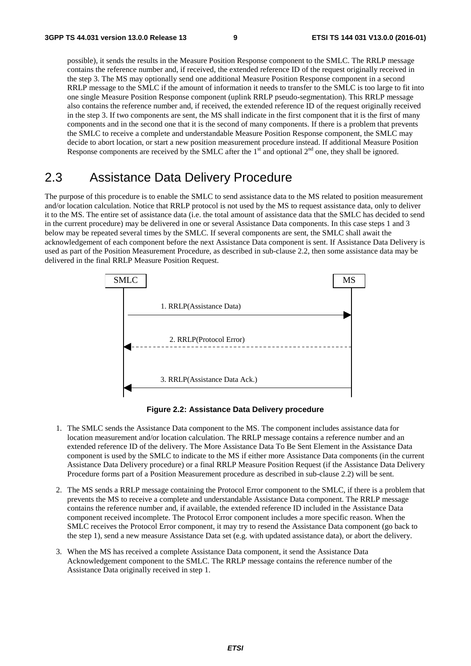possible), it sends the results in the Measure Position Response component to the SMLC. The RRLP message contains the reference number and, if received, the extended reference ID of the request originally received in the step 3. The MS may optionally send one additional Measure Position Response component in a second RRLP message to the SMLC if the amount of information it needs to transfer to the SMLC is too large to fit into one single Measure Position Response component (uplink RRLP pseudo-segmentation). This RRLP message also contains the reference number and, if received, the extended reference ID of the request originally received in the step 3. If two components are sent, the MS shall indicate in the first component that it is the first of many components and in the second one that it is the second of many components. If there is a problem that prevents the SMLC to receive a complete and understandable Measure Position Response component, the SMLC may decide to abort location, or start a new position measurement procedure instead. If additional Measure Position Response components are received by the SMLC after the  $1<sup>st</sup>$  and optional  $2<sup>nd</sup>$  one, they shall be ignored.

# 2.3 Assistance Data Delivery Procedure

The purpose of this procedure is to enable the SMLC to send assistance data to the MS related to position measurement and/or location calculation. Notice that RRLP protocol is not used by the MS to request assistance data, only to deliver it to the MS. The entire set of assistance data (i.e. the total amount of assistance data that the SMLC has decided to send in the current procedure) may be delivered in one or several Assistance Data components. In this case steps 1 and 3 below may be repeated several times by the SMLC. If several components are sent, the SMLC shall await the acknowledgement of each component before the next Assistance Data component is sent. If Assistance Data Delivery is used as part of the Position Measurement Procedure, as described in sub-clause 2.2, then some assistance data may be delivered in the final RRLP Measure Position Request.



**Figure 2.2: Assistance Data Delivery procedure** 

- 1. The SMLC sends the Assistance Data component to the MS. The component includes assistance data for location measurement and/or location calculation. The RRLP message contains a reference number and an extended reference ID of the delivery. The More Assistance Data To Be Sent Element in the Assistance Data component is used by the SMLC to indicate to the MS if either more Assistance Data components (in the current Assistance Data Delivery procedure) or a final RRLP Measure Position Request (if the Assistance Data Delivery Procedure forms part of a Position Measurement procedure as described in sub-clause 2.2) will be sent.
- 2. The MS sends a RRLP message containing the Protocol Error component to the SMLC, if there is a problem that prevents the MS to receive a complete and understandable Assistance Data component. The RRLP message contains the reference number and, if available, the extended reference ID included in the Assistance Data component received incomplete. The Protocol Error component includes a more specific reason. When the SMLC receives the Protocol Error component, it may try to resend the Assistance Data component (go back to the step 1), send a new measure Assistance Data set (e.g. with updated assistance data), or abort the delivery.
- 3. When the MS has received a complete Assistance Data component, it send the Assistance Data Acknowledgement component to the SMLC. The RRLP message contains the reference number of the Assistance Data originally received in step 1.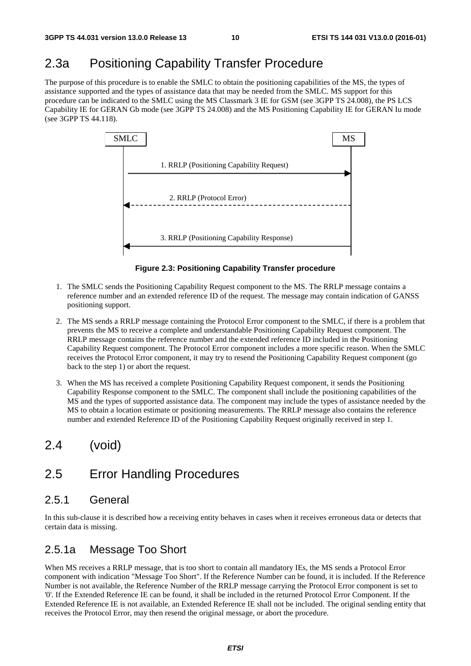## 2.3a Positioning Capability Transfer Procedure

The purpose of this procedure is to enable the SMLC to obtain the positioning capabilities of the MS, the types of assistance supported and the types of assistance data that may be needed from the SMLC. MS support for this procedure can be indicated to the SMLC using the MS Classmark 3 IE for GSM (see 3GPP TS 24.008), the PS LCS Capability IE for GERAN Gb mode (see 3GPP TS 24.008) and the MS Positioning Capability IE for GERAN Iu mode (see 3GPP TS 44.118).



**Figure 2.3: Positioning Capability Transfer procedure** 

- 1. The SMLC sends the Positioning Capability Request component to the MS. The RRLP message contains a reference number and an extended reference ID of the request. The message may contain indication of GANSS positioning support.
- 2. The MS sends a RRLP message containing the Protocol Error component to the SMLC, if there is a problem that prevents the MS to receive a complete and understandable Positioning Capability Request component. The RRLP message contains the reference number and the extended reference ID included in the Positioning Capability Request component. The Protocol Error component includes a more specific reason. When the SMLC receives the Protocol Error component, it may try to resend the Positioning Capability Request component (go back to the step 1) or abort the request.
- 3. When the MS has received a complete Positioning Capability Request component, it sends the Positioning Capability Response component to the SMLC. The component shall include the positioning capabilities of the MS and the types of supported assistance data. The component may include the types of assistance needed by the MS to obtain a location estimate or positioning measurements. The RRLP message also contains the reference number and extended Reference ID of the Positioning Capability Request originally received in step 1.

## 2.4 (void)

#### 2.5 Error Handling Procedures

#### 2.5.1 General

In this sub-clause it is described how a receiving entity behaves in cases when it receives erroneous data or detects that certain data is missing.

#### 2.5.1a Message Too Short

When MS receives a RRLP message, that is too short to contain all mandatory IEs, the MS sends a Protocol Error component with indication "Message Too Short". If the Reference Number can be found, it is included. If the Reference Number is not available, the Reference Number of the RRLP message carrying the Protocol Error component is set to '0'. If the Extended Reference IE can be found, it shall be included in the returned Protocol Error Component. If the Extended Reference IE is not available, an Extended Reference IE shall not be included. The original sending entity that receives the Protocol Error, may then resend the original message, or abort the procedure.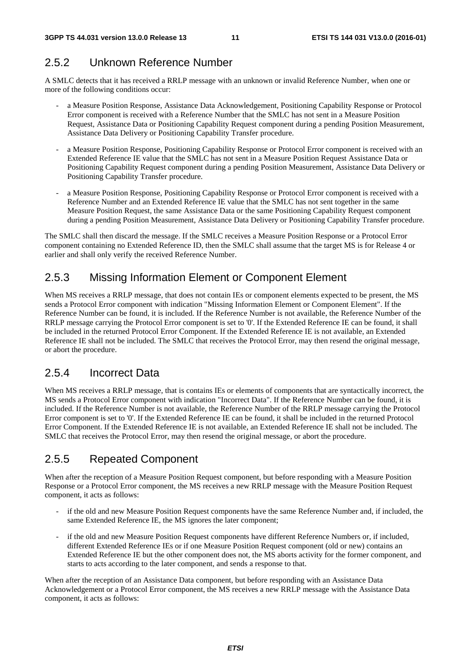## 2.5.2 Unknown Reference Number

A SMLC detects that it has received a RRLP message with an unknown or invalid Reference Number, when one or more of the following conditions occur:

- a Measure Position Response, Assistance Data Acknowledgement, Positioning Capability Response or Protocol Error component is received with a Reference Number that the SMLC has not sent in a Measure Position Request, Assistance Data or Positioning Capability Request component during a pending Position Measurement, Assistance Data Delivery or Positioning Capability Transfer procedure.
- a Measure Position Response, Positioning Capability Response or Protocol Error component is received with an Extended Reference IE value that the SMLC has not sent in a Measure Position Request Assistance Data or Positioning Capability Request component during a pending Position Measurement, Assistance Data Delivery or Positioning Capability Transfer procedure.
- a Measure Position Response, Positioning Capability Response or Protocol Error component is received with a Reference Number and an Extended Reference IE value that the SMLC has not sent together in the same Measure Position Request, the same Assistance Data or the same Positioning Capability Request component during a pending Position Measurement, Assistance Data Delivery or Positioning Capability Transfer procedure.

The SMLC shall then discard the message. If the SMLC receives a Measure Position Response or a Protocol Error component containing no Extended Reference ID, then the SMLC shall assume that the target MS is for Release 4 or earlier and shall only verify the received Reference Number.

#### 2.5.3 Missing Information Element or Component Element

When MS receives a RRLP message, that does not contain IEs or component elements expected to be present, the MS sends a Protocol Error component with indication "Missing Information Element or Component Element". If the Reference Number can be found, it is included. If the Reference Number is not available, the Reference Number of the RRLP message carrying the Protocol Error component is set to '0'. If the Extended Reference IE can be found, it shall be included in the returned Protocol Error Component. If the Extended Reference IE is not available, an Extended Reference IE shall not be included. The SMLC that receives the Protocol Error, may then resend the original message, or abort the procedure.

#### 2.5.4 Incorrect Data

When MS receives a RRLP message, that is contains IEs or elements of components that are syntactically incorrect, the MS sends a Protocol Error component with indication "Incorrect Data". If the Reference Number can be found, it is included. If the Reference Number is not available, the Reference Number of the RRLP message carrying the Protocol Error component is set to '0'. If the Extended Reference IE can be found, it shall be included in the returned Protocol Error Component. If the Extended Reference IE is not available, an Extended Reference IE shall not be included. The SMLC that receives the Protocol Error, may then resend the original message, or abort the procedure.

#### 2.5.5 Repeated Component

When after the reception of a Measure Position Request component, but before responding with a Measure Position Response or a Protocol Error component, the MS receives a new RRLP message with the Measure Position Request component, it acts as follows:

- if the old and new Measure Position Request components have the same Reference Number and, if included, the same Extended Reference IE, the MS ignores the later component;
- if the old and new Measure Position Request components have different Reference Numbers or, if included, different Extended Reference IEs or if one Measure Position Request component (old or new) contains an Extended Reference IE but the other component does not, the MS aborts activity for the former component, and starts to acts according to the later component, and sends a response to that.

When after the reception of an Assistance Data component, but before responding with an Assistance Data Acknowledgement or a Protocol Error component, the MS receives a new RRLP message with the Assistance Data component, it acts as follows: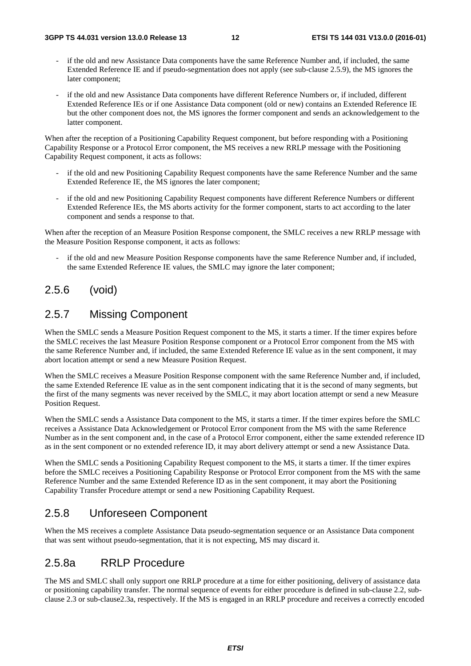- if the old and new Assistance Data components have the same Reference Number and, if included, the same Extended Reference IE and if pseudo-segmentation does not apply (see sub-clause 2.5.9), the MS ignores the later component;
- if the old and new Assistance Data components have different Reference Numbers or, if included, different Extended Reference IEs or if one Assistance Data component (old or new) contains an Extended Reference IE but the other component does not, the MS ignores the former component and sends an acknowledgement to the latter component.

When after the reception of a Positioning Capability Request component, but before responding with a Positioning Capability Response or a Protocol Error component, the MS receives a new RRLP message with the Positioning Capability Request component, it acts as follows:

- if the old and new Positioning Capability Request components have the same Reference Number and the same Extended Reference IE, the MS ignores the later component;
- if the old and new Positioning Capability Request components have different Reference Numbers or different Extended Reference IEs, the MS aborts activity for the former component, starts to act according to the later component and sends a response to that.

When after the reception of an Measure Position Response component, the SMLC receives a new RRLP message with the Measure Position Response component, it acts as follows:

if the old and new Measure Position Response components have the same Reference Number and, if included, the same Extended Reference IE values, the SMLC may ignore the later component;

#### 2.5.6 (void)

#### 2.5.7 Missing Component

When the SMLC sends a Measure Position Request component to the MS, it starts a timer. If the timer expires before the SMLC receives the last Measure Position Response component or a Protocol Error component from the MS with the same Reference Number and, if included, the same Extended Reference IE value as in the sent component, it may abort location attempt or send a new Measure Position Request.

When the SMLC receives a Measure Position Response component with the same Reference Number and, if included, the same Extended Reference IE value as in the sent component indicating that it is the second of many segments, but the first of the many segments was never received by the SMLC, it may abort location attempt or send a new Measure Position Request.

When the SMLC sends a Assistance Data component to the MS, it starts a timer. If the timer expires before the SMLC receives a Assistance Data Acknowledgement or Protocol Error component from the MS with the same Reference Number as in the sent component and, in the case of a Protocol Error component, either the same extended reference ID as in the sent component or no extended reference ID, it may abort delivery attempt or send a new Assistance Data.

When the SMLC sends a Positioning Capability Request component to the MS, it starts a timer. If the timer expires before the SMLC receives a Positioning Capability Response or Protocol Error component from the MS with the same Reference Number and the same Extended Reference ID as in the sent component, it may abort the Positioning Capability Transfer Procedure attempt or send a new Positioning Capability Request.

#### 2.5.8 Unforeseen Component

When the MS receives a complete Assistance Data pseudo-segmentation sequence or an Assistance Data component that was sent without pseudo-segmentation, that it is not expecting, MS may discard it.

#### 2.5.8a RRLP Procedure

The MS and SMLC shall only support one RRLP procedure at a time for either positioning, delivery of assistance data or positioning capability transfer. The normal sequence of events for either procedure is defined in sub-clause 2.2, subclause 2.3 or sub-clause2.3a, respectively. If the MS is engaged in an RRLP procedure and receives a correctly encoded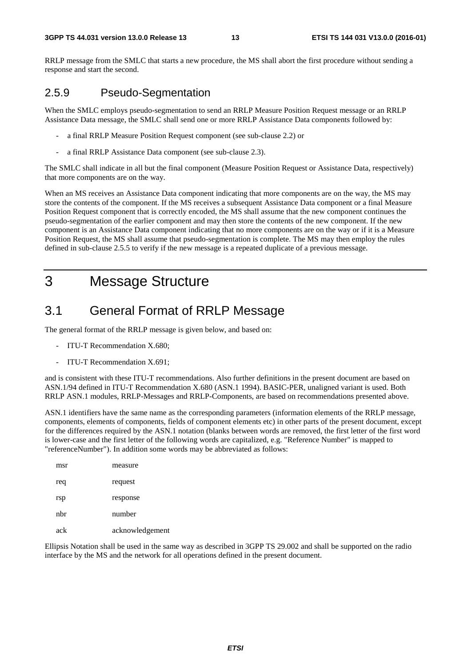RRLP message from the SMLC that starts a new procedure, the MS shall abort the first procedure without sending a response and start the second.

#### 2.5.9 Pseudo-Segmentation

When the SMLC employs pseudo-segmentation to send an RRLP Measure Position Request message or an RRLP Assistance Data message, the SMLC shall send one or more RRLP Assistance Data components followed by:

- a final RRLP Measure Position Request component (see sub-clause 2.2) or
- a final RRLP Assistance Data component (see sub-clause 2.3).

The SMLC shall indicate in all but the final component (Measure Position Request or Assistance Data, respectively) that more components are on the way.

When an MS receives an Assistance Data component indicating that more components are on the way, the MS may store the contents of the component. If the MS receives a subsequent Assistance Data component or a final Measure Position Request component that is correctly encoded, the MS shall assume that the new component continues the pseudo-segmentation of the earlier component and may then store the contents of the new component. If the new component is an Assistance Data component indicating that no more components are on the way or if it is a Measure Position Request, the MS shall assume that pseudo-segmentation is complete. The MS may then employ the rules defined in sub-clause 2.5.5 to verify if the new message is a repeated duplicate of a previous message.

# 3 Message Structure

## 3.1 General Format of RRLP Message

The general format of the RRLP message is given below, and based on:

- ITU-T Recommendation X.680;
- ITU-T Recommendation X.691:

and is consistent with these ITU-T recommendations. Also further definitions in the present document are based on ASN.1/94 defined in ITU-T Recommendation X.680 (ASN.1 1994). BASIC-PER, unaligned variant is used. Both RRLP ASN.1 modules, RRLP-Messages and RRLP-Components, are based on recommendations presented above.

ASN.1 identifiers have the same name as the corresponding parameters (information elements of the RRLP message, components, elements of components, fields of component elements etc) in other parts of the present document, except for the differences required by the ASN.1 notation (blanks between words are removed, the first letter of the first word is lower-case and the first letter of the following words are capitalized, e.g. "Reference Number" is mapped to "referenceNumber"). In addition some words may be abbreviated as follows:

| msr | measure         |
|-----|-----------------|
| req | request         |
| rsp | response        |
| nhr | number          |
| ack | acknowledgement |

Ellipsis Notation shall be used in the same way as described in 3GPP TS 29.002 and shall be supported on the radio interface by the MS and the network for all operations defined in the present document.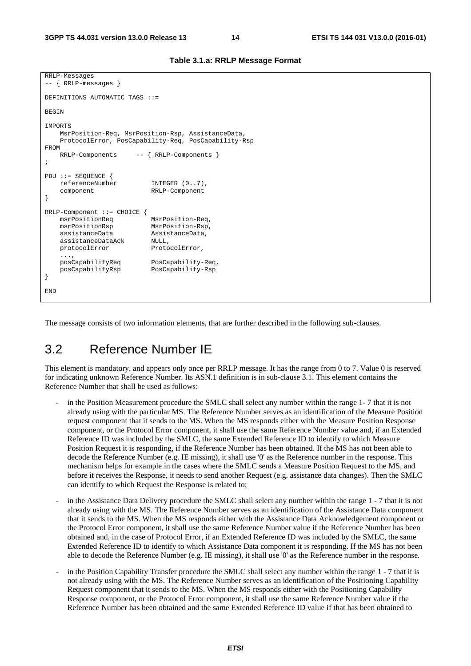```
RRLP-Messages 
-- { RRLP-messages } 
DEFINITIONS AUTOMATIC TAGS ::= 
BEGIN
IMPORTS 
    MsrPosition-Req, MsrPosition-Rsp, AssistanceData, 
     ProtocolError, PosCapability-Req, PosCapability-Rsp 
FROM 
     RRLP-Components -- { RRLP-Components } 
; 
PDU ::= SEQUENCE { 
     referenceNumber INTEGER (0..7), 
     component RRLP-Component 
} 
RRLP-Component ::= CHOICE {<br>msrPositionReq
                           MsrPosition-Req,
     msrPositionRsp MsrPosition-Rsp, 
    assistanceData AssistanceData, 
     assistanceDataAck NULL, 
    protocolError ProtocolError,
     ..., 
     posCapabilityReq PosCapability-Req, 
     posCapabilityRsp PosCapability-Rsp 
} 
END
```
**Table 3.1.a: RRLP Message Format** 

The message consists of two information elements, that are further described in the following sub-clauses.

#### 3.2 Reference Number IE

This element is mandatory, and appears only once per RRLP message. It has the range from 0 to 7. Value 0 is reserved for indicating unknown Reference Number. Its ASN.1 definition is in sub-clause 3.1. This element contains the Reference Number that shall be used as follows:

- in the Position Measurement procedure the SMLC shall select any number within the range 1-7 that it is not already using with the particular MS. The Reference Number serves as an identification of the Measure Position request component that it sends to the MS. When the MS responds either with the Measure Position Response component, or the Protocol Error component, it shall use the same Reference Number value and, if an Extended Reference ID was included by the SMLC, the same Extended Reference ID to identify to which Measure Position Request it is responding, if the Reference Number has been obtained. If the MS has not been able to decode the Reference Number (e.g. IE missing), it shall use '0' as the Reference number in the response. This mechanism helps for example in the cases where the SMLC sends a Measure Position Request to the MS, and before it receives the Response, it needs to send another Request (e.g. assistance data changes). Then the SMLC can identify to which Request the Response is related to;
- in the Assistance Data Delivery procedure the SMLC shall select any number within the range 1 7 that it is not already using with the MS. The Reference Number serves as an identification of the Assistance Data component that it sends to the MS. When the MS responds either with the Assistance Data Acknowledgement component or the Protocol Error component, it shall use the same Reference Number value if the Reference Number has been obtained and, in the case of Protocol Error, if an Extended Reference ID was included by the SMLC, the same Extended Reference ID to identify to which Assistance Data component it is responding. If the MS has not been able to decode the Reference Number (e.g. IE missing), it shall use '0' as the Reference number in the response.
- in the Position Capability Transfer procedure the SMLC shall select any number within the range 1 7 that it is not already using with the MS. The Reference Number serves as an identification of the Positioning Capability Request component that it sends to the MS. When the MS responds either with the Positioning Capability Response component, or the Protocol Error component, it shall use the same Reference Number value if the Reference Number has been obtained and the same Extended Reference ID value if that has been obtained to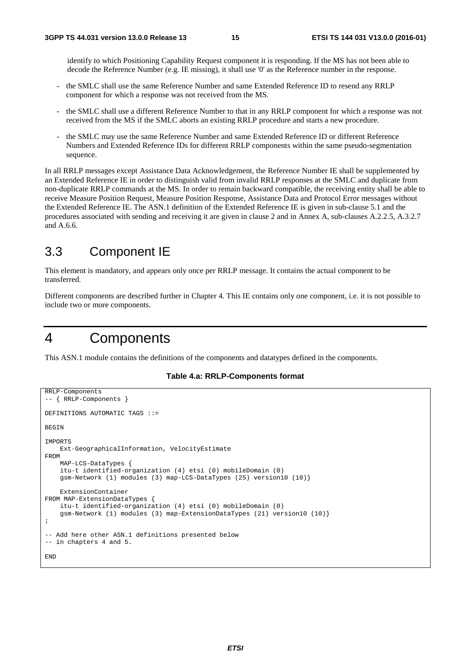identify to which Positioning Capability Request component it is responding. If the MS has not been able to decode the Reference Number (e.g. IE missing), it shall use '0' as the Reference number in the response.

- the SMLC shall use the same Reference Number and same Extended Reference ID to resend any RRLP component for which a response was not received from the MS.
- the SMLC shall use a different Reference Number to that in any RRLP component for which a response was not received from the MS if the SMLC aborts an existing RRLP procedure and starts a new procedure.
- the SMLC may use the same Reference Number and same Extended Reference ID or different Reference Numbers and Extended Reference IDs for different RRLP components within the same pseudo-segmentation sequence.

In all RRLP messages except Assistance Data Acknowledgement, the Reference Number IE shall be supplemented by an Extended Reference IE in order to distinguish valid from invalid RRLP responses at the SMLC and duplicate from non-duplicate RRLP commands at the MS. In order to remain backward compatible, the receiving entity shall be able to receive Measure Position Request, Measure Position Response, Assistance Data and Protocol Error messages without the Extended Reference IE. The ASN.1 definition of the Extended Reference IE is given in sub-clause 5.1 and the procedures associated with sending and receiving it are given in clause 2 and in Annex A, sub-clauses A.2.2.5, A.3.2.7 and A.6.6.

#### 3.3 Component IE

This element is mandatory, and appears only once per RRLP message. It contains the actual component to be transferred.

Different components are described further in Chapter 4. This IE contains only one component, i.e. it is not possible to include two or more components.

# 4 Components

This ASN.1 module contains the definitions of the components and datatypes defined in the components.

#### **Table 4.a: RRLP-Components format**

```
RRLP-Components 
-- { RRLP-Components } 
DEFINITIONS AUTOMATIC TAGS ::= 
BEGIN 
IMPORTS 
     Ext-GeographicalInformation, VelocityEstimate 
FROM 
     MAP-LCS-DataTypes { 
     itu-t identified-organization (4) etsi (0) mobileDomain (0) 
     gsm-Network (1) modules (3) map-LCS-DataTypes (25) version10 (10)} 
     ExtensionContainer 
FROM MAP-ExtensionDataTypes { 
     itu-t identified-organization (4) etsi (0) mobileDomain (0) 
     gsm-Network (1) modules (3) map-ExtensionDataTypes (21) version10 (10)} 
; 
-- Add here other ASN.1 definitions presented below 
-- in chapters 4 and 5. 
END
```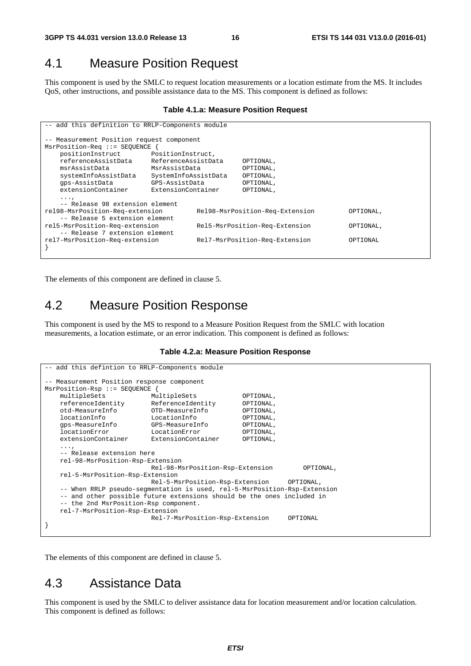#### 4.1 Measure Position Request

This component is used by the SMLC to request location measurements or a location estimate from the MS. It includes QoS, other instructions, and possible assistance data to the MS. This component is defined as follows:

#### **Table 4.1.a: Measure Position Request**

| -- add this definition to RRLP-Components module |                                 |                                |           |           |  |  |  |
|--------------------------------------------------|---------------------------------|--------------------------------|-----------|-----------|--|--|--|
| -- Measurement Position request component        |                                 |                                |           |           |  |  |  |
| MsrPosition-Req ::= SEOUENCE                     |                                 |                                |           |           |  |  |  |
| positionInstruct                                 | PositionInstruct,               |                                |           |           |  |  |  |
| referenceAssistData                              | ReferenceAssistData             |                                | OPTIONAL, |           |  |  |  |
| msrAssistData<br>MsrAssistData                   |                                 |                                | OPTIONAL, |           |  |  |  |
| systemInfoAssistData                             | SystemInfoAssistData            |                                | OPTIONAL, |           |  |  |  |
| qps-AssistData                                   | GPS-AssistData                  |                                | OPTIONAL, |           |  |  |  |
| extensionContainer                               | ExtensionContainer              |                                | OPTIONAL, |           |  |  |  |
| $\cdots$                                         |                                 |                                |           |           |  |  |  |
| -- Release 98 extension element                  |                                 |                                |           |           |  |  |  |
| rel98-MsrPosition-Req-extension                  | Rel98-MsrPosition-Req-Extension |                                | OPTIONAL, |           |  |  |  |
| -- Release 5 extension element                   |                                 |                                |           |           |  |  |  |
| rel5-MsrPosition-Req-extension                   |                                 | Rel5-MsrPosition-Req-Extension |           | OPTIONAL, |  |  |  |
| -- Release 7 extension element                   |                                 |                                |           |           |  |  |  |
| rel7-MsrPosition-Req-extension                   |                                 | Rel7-MsrPosition-Req-Extension |           | OPTIONAL  |  |  |  |
|                                                  |                                 |                                |           |           |  |  |  |

The elements of this component are defined in clause 5.

#### 4.2 Measure Position Response

This component is used by the MS to respond to a Measure Position Request from the SMLC with location measurements, a location estimate, or an error indication. This component is defined as follows:

#### **Table 4.2.a: Measure Position Response**

```
-- add this defintion to RRLP-Components module 
 -- Measurement Position response component 
MsrPosition-Rsp ::= SEQUENCE { 
    multipleSets MultipleSets OPTIONAL, 
    referenceIdentity ReferenceIdentity OPTIONAL, 
    otd-MeasureInfo OTD-MeasureInfo OPTIONAL, 
    locationInfo LocationInfo OPTIONAL, 
    gps-MeasureInfo GPS-MeasureInfo OPTIONAL, 
   locationError LocationError OPTIONAL,<br>extensionContainer ExtensionContainer OPTIONAL,
                           ExtensionContainer
    ..., 
     -- Release extension here 
    rel-98-MsrPosition-Rsp-Extension 
                            Rel-98-MsrPosition-Rsp-Extension OPTIONAL, 
    rel-5-MsrPosition-Rsp-Extension 
                            Rel-5-MsrPosition-Rsp-Extension OPTIONAL, 
    -- When RRLP pseudo-segmentation is used, rel-5-MsrPosition-Rsp-Extension 
    -- and other possible future extensions should be the ones included in 
     -- the 2nd MsrPosition-Rsp component. 
    rel-7-MsrPosition-Rsp-Extension 
                            Rel-7-MsrPosition-Rsp-Extension OPTIONAL 
}
```
The elements of this component are defined in clause 5.

#### 4.3 Assistance Data

This component is used by the SMLC to deliver assistance data for location measurement and/or location calculation. This component is defined as follows: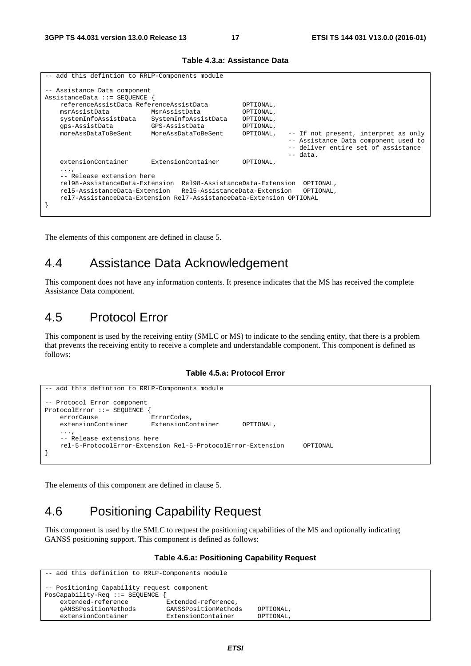| -- add this defintion to RRLP-Components module                                                                          |                                                                                              |                                                                                                                                                               |                                                  |            |                                                                                                                     |  |  |
|--------------------------------------------------------------------------------------------------------------------------|----------------------------------------------------------------------------------------------|---------------------------------------------------------------------------------------------------------------------------------------------------------------|--------------------------------------------------|------------|---------------------------------------------------------------------------------------------------------------------|--|--|
| -- Assistance Data component<br>AssistanceData ::= SEOUENCE {<br>msrAssistData<br>systemInfoAssistData<br>qps-AssistData | referenceAssistData ReferenceAssistData                                                      | MsrAssistData<br>SystemInfoAssistData<br>GPS-AssistData                                                                                                       | OPTIONAL,<br>OPTIONAL,<br>OPTIONAL,<br>OPTIONAL, |            |                                                                                                                     |  |  |
| moreAssDataToBeSent                                                                                                      |                                                                                              | MoreAssDataToBeSent                                                                                                                                           | OPTIONAL,                                        | $--$ data. | -- If not present, interpret as only<br>-- Assistance Data component used to<br>-- deliver entire set of assistance |  |  |
| extensionContainer<br>.                                                                                                  | -- Release extension here<br>rel98-AssistanceData-Extension<br>rel5-AssistanceData-Extension | ExtensionContainer<br>Rel98-AssistanceData-Extension<br>Rel5-AssistanceData-Extension<br>rel7-AssistanceData-Extension Rel7-AssistanceData-Extension OPTIONAL | OPTIONAL,                                        |            | OPTIONAL,<br>OPTIONAL,                                                                                              |  |  |

#### **Table 4.3.a: Assistance Data**

The elements of this component are defined in clause 5.

## 4.4 Assistance Data Acknowledgement

This component does not have any information contents. It presence indicates that the MS has received the complete Assistance Data component.

## 4.5 Protocol Error

This component is used by the receiving entity (SMLC or MS) to indicate to the sending entity, that there is a problem that prevents the receiving entity to receive a complete and understandable component. This component is defined as follows:

#### **Table 4.5.a: Protocol Error**

```
-- add this defintion to RRLP-Components module
-- Protocol Error component 
ProtocolError ::= SEQUENCE { 
   errorCause ErrorCodes,
    extensionContainer ExtensionContainer OPTIONAL, 
 ..., 
    -- Release extensions here 
    rel-5-ProtocolError-Extension Rel-5-ProtocolError-Extension OPTIONAL 
}
```
The elements of this component are defined in clause 5.

## 4.6 Positioning Capability Request

This component is used by the SMLC to request the positioning capabilities of the MS and optionally indicating GANSS positioning support. This component is defined as follows:

#### **Table 4.6.a: Positioning Capability Request**

```
-- add this definition to RRLP-Components module 
-- Positioning Capability request component 
PosCapability-Req ::= SEQUENCE { 
                              .<br>Extended-reference,
    gANSSPositionMethods GANSSPositionMethods OPTIONAL, 
    extensionContainer ExtensionContainer OPTIONAL,
```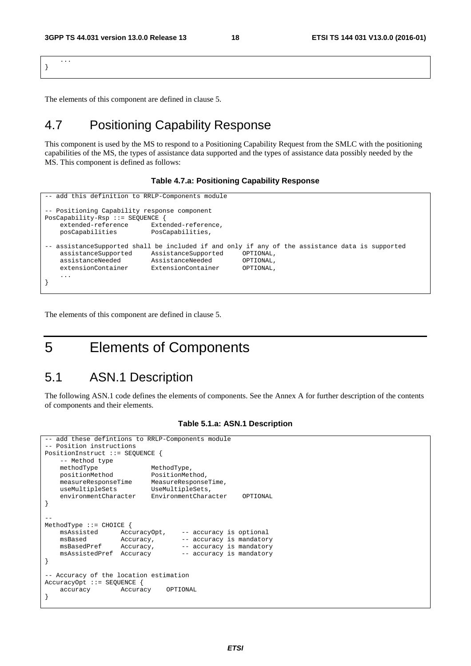... }

The elements of this component are defined in clause 5.

## 4.7 Positioning Capability Response

This component is used by the MS to respond to a Positioning Capability Request from the SMLC with the positioning capabilities of the MS, the types of assistance data supported and the types of assistance data possibly needed by the MS. This component is defined as follows:

#### **Table 4.7.a: Positioning Capability Response**

```
-- add this definition to RRLP-Components module 
 -- Positioning Capability response component 
PosCapability-Rsp ::= SEQUENCE { 
     extended-reference Extended-reference, 
     posCapabilities PosCapabilities, 
-- assistanceSupported shall be included if and only if any of the assistance data is supported<br>assistanceSupported assistanceSupported OPTIONAL.
   assistanceSupported AssistanceSupported assistanceNeeded AssistanceNeeded OPTIONAL, 
     extensionContainer ExtensionContainer OPTIONAL, 
 ... 
}
```
The elements of this component are defined in clause 5.

# 5 Elements of Components

#### 5.1 ASN.1 Description

The following ASN.1 code defines the elements of components. See the Annex A for further description of the contents of components and their elements.

```
add these defintions to RRLP-Components module
-- Position instructions 
PositionInstruct ::= SEQUENCE { 
     -- Method type 
    methodType MethodType,<br>positionMethod PositionMet
 positionMethod PositionMethod, 
 measureResponseTime MeasureResponseTime, 
     useMultipleSets UseMultipleSets, 
     environmentCharacter EnvironmentCharacter OPTIONAL 
} 
-- 
MethodType ::= CHOICE { 
    msAssisted AccuracyOpt, -- accuracy is optional<br>msBased Accuracy, -- accuracy is mandator
    msBased Accuracy, \overline{a} -- accuracy is mandatory<br>msBasedPref Accuracy, -- accuracy is mandatory
                       Accuracy, -- accuracy is mandatory<br>Accuracy -- accuracy is mandatory
     msAssistedPref Accuracy -- accuracy is mandatory 
} 
-- Accuracy of the location estimation 
AccuracyOpt ::= SEQUENCE { 
     accuracy Accuracy OPTIONAL 
}
```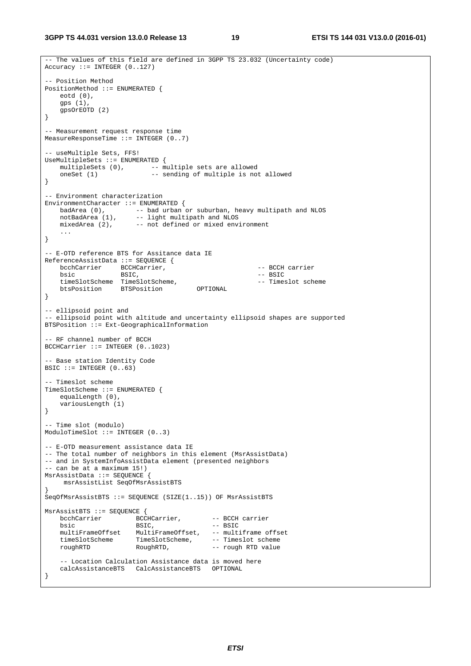**3GPP TS 44.031 version 13.0.0 Release 13 19 ETSI TS 144 031 V13.0.0 (2016-01)**

```
-- The values of this field are defined in 3GPP TS 23.032 (Uncertainty code) 
Accuracy ::= INTEGR (0.127)-- Position Method 
PositionMethod ::= ENUMERATED { 
    eotd (0), 
    gps (1), 
    gpsOrEOTD (2) 
} 
-- Measurement request response time 
MeasureResponseTime ::= INTEGER (0..7) 
-- useMultiple Sets, FFS! 
UseMultipleSets ::= ENUMERATED { 
   multipleSets (0), -- multiple sets are allowed
   oneSet (1) -- sending of multiple is not allowed
} 
-- Environment characterization 
EnvironmentCharacter ::= ENUMERATED { 
 badArea (0), -- bad urban or suburban, heavy multipath and NLOS 
notBadArea (1), -- light multipath and NLOS
 mixedArea (2), -- not defined or mixed environment 
    ... 
} 
-- E-OTD reference BTS for Assitance data IE 
ReferenceAssistData ::= SEQUENCE { 
   bcchCarrier BCCHCarrier, \overline{B} -- BCCH carrier<br>
bsic BSIC, \overline{B} -- BSIC
                                                       -- BSIC<br>-- Timeslot scheme
   timeSlotScheme TimeSlotScheme,<br>btsPosition BTSPosition OPTIONAL
   btsPosition BTSPosition
} 
-- ellipsoid point and 
-- ellipsoid point with altitude and uncertainty ellipsoid shapes are supported 
BTSPosition ::= Ext-GeographicalInformation 
-- RF channel number of BCCH 
BCCHCarrier ::= INTEGER (0..1023) 
-- Base station Identity Code 
BSIC ::= INTEGER (0..63)-- Timeslot scheme 
TimeSlotScheme ::= ENUMERATED { 
    equalLength (0), 
    variousLength (1) 
} 
 -- Time slot (modulo) 
ModuloTimeSlot ::= INTEGER (0..3) 
-- E-OTD measurement assistance data IE 
-- The total number of neighbors in this element (MsrAssistData) 
-- and in SystemInfoAssistData element (presented neighbors 
-- can be at a maximum 15!) 
MsrAssistData ::= SEQUENCE { 
     msrAssistList SeqOfMsrAssistBTS 
} 
SeqOfMsrAssistBTS ::= SEQUENCE (SIZE(1..15)) OF MsrAssistBTS 
MsrAssistBTS ::= SEQUENCE { 
bcchCarrier BCCHCarrier, -- BCCH carrier
bsic BSIC, - BSIC
 multiFrameOffset MultiFrameOffset, -- multiframe offset 
 timeSlotScheme TimeSlotScheme, -- Timeslot scheme 
 roughRTD RoughRTD, -- rough RTD value 
     -- Location Calculation Assistance data is moved here 
    calcAssistanceBTS CalcAssistanceBTS OPTIONAL 
}
```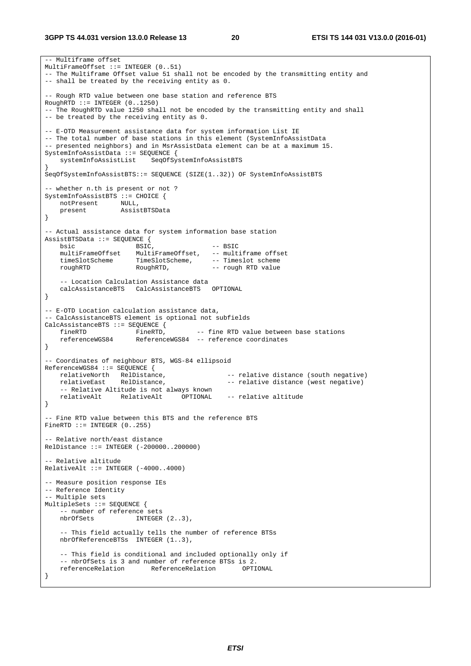-- Multiframe offset MultiFrameOffset ::= INTEGER (0..51) -- The Multiframe Offset value 51 shall not be encoded by the transmitting entity and -- shall be treated by the receiving entity as 0. -- Rough RTD value between one base station and reference BTS RoughRTD ::= INTEGER (0..1250) -- The RoughRTD value 1250 shall not be encoded by the transmitting entity and shall -- be treated by the receiving entity as 0. -- E-OTD Measurement assistance data for system information List IE -- The total number of base stations in this element (SystemInfoAssistData -- presented neighbors) and in MsrAssistData element can be at a maximum 15. SystemInfoAssistData ::= SEQUENCE { systemInfoAssistList SeqOfSystemInfoAssistBTS } SeqOfSystemInfoAssistBTS::= SEQUENCE (SIZE(1..32)) OF SystemInfoAssistBTS -- whether n.th is present or not ? SystemInfoAssistBTS ::= CHOICE { notPresent NULL, present AssistBTSData } -- Actual assistance data for system information base station AssistBTSData ::= SEQUENCE { bsic BSIC,  $-$ - BSIC multiFrameOffset MultiFrameOffset, -- multiframe offset<br>timeSlotScheme TimeSlotScheme, -- Timeslot scheme timeSlotScheme TimeSlotScheme, -- Timeslot scheme roughRTD RoughRTD, -- rough RTD value -- Location Calculation Assistance data<br>calcAssistanceBTS CalcAssistanceBTS OPTIONAL calcAssistanceBTS CalcAssistanceBTS } -- E-OTD Location calculation assistance data, -- CalcAssistanceBTS element is optional not subfields CalcAssistanceBTS ::= SEQUENCE { fineRTD FineRTD, -- fine RTD value between base stations referenceWGS84 ReferenceWGS84 -- reference coordinates } -- Coordinates of neighbour BTS, WGS-84 ellipsoid ReferenceWGS84 ::= SEQUENCE {<br>relativeNorth RelDistance, RelDistance, -- relative distance (south negative)<br>RelDistance, -- relative distance (west negative) relativeEast RelDistance, extending the relative distance (west negative) -- Relative Altitude is not always known relativeAlt RelativeAlt OPTIONAL -- relative altitude } -- Fine RTD value between this BTS and the reference BTS  $FinanceTD :: = INTERGEN (0..255)$ -- Relative north/east distance RelDistance ::= INTEGER (-200000..200000) - Relative altitude  $RelativeAlt ::= INTERER (-4000..4000)$ -- Measure position response IEs -- Reference Identity -- Multiple sets MultipleSets ::= SEQUENCE { -- number of reference sets nbrOfSets INTEGER (2..3), -- This field actually tells the number of reference BTSs nbrOfReferenceBTSs INTEGER (1..3), -- This field is conditional and included optionally only if -- nbrOfSets is 3 and number of reference BTSs is 2. referenceRelation ReferenceRelation OPTIONAL }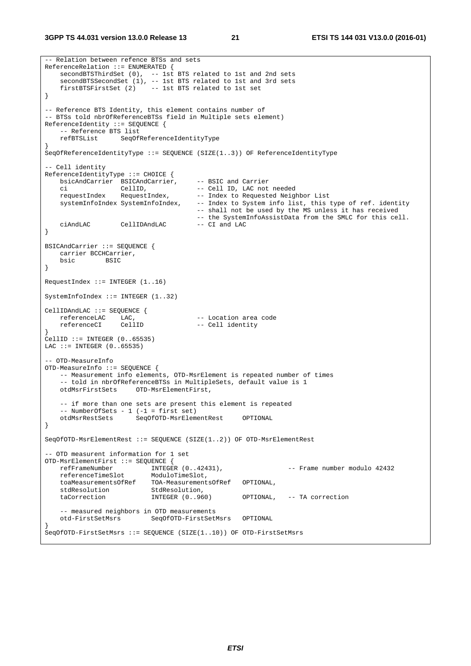```
-- Relation between refence BTSs and sets 
ReferenceRelation ::= ENUMERATED { 
    secondBTSThirdSet (0), -- 1st BTS related to 1st and 2nd sets 
    secondBTSSecondSet (1), -- 1st BTS related to 1st and 3rd sets
    firstBTSFirstSet (2) -- 1st BTS related to 1st set 
} 
-- Reference BTS Identity, this element contains number of 
-- BTSs told nbrOfReferenceBTSs field in Multiple sets element) 
ReferenceIdentity ::= SEQUENCE { 
    -- Reference BTS list 
    refBTSList SeqOfReferenceIdentityType 
} 
SeqOfReferenceIdentityType ::= SEQUENCE (SIZE(1..3)) OF ReferenceIdentityType 
-- Cell identity 
ReferenceIdentityType ::= CHOICE { 
 bsicAndCarrier BSICAndCarrier, -- BSIC and Carrier 
 ci CellID, -- Cell ID, LAC not needed 
   requestIndex RequestIndex, -- Index to Requested Neighbor List<br>systemInfoIndex SystemInfoIndex, -- Index to System info list, this t
                                       -- Index to System info list, this type of ref. identity
                                         -- shall not be used by the MS unless it has received 
                                       -- the SystemInfoAssistData from the SMLC for this cell.<br>-- CI and LAC
   ciAndLAC CellIDAndLAC -- CI and LAC 
} 
BSICAndCarrier ::= SEQUENCE { 
    carrier BCCHCarrier, 
    bsic BSIC 
} 
RequestIndex ::= INTEGER (1..16) 
SystemInfoIndex ::= INTEGER (1..32) 
CellIDAndLAC ::= SEQUENCE { 
   referenceLAC LAC, -- Location area code<br>referenceCI CellID -- Cell identity
                                       -- Cell identity
} 
CellID ::= INTEGER (0..65535) 
LAC ::= INTEGER (0..65535)-- OTD-MeasureInfo 
OTD-MeasureInfo ::= SEQUENCE { 
    -- Measurement info elements, OTD-MsrElement is repeated number of times 
     -- told in nbrOfReferenceBTSs in MultipleSets, default value is 1 
    otdMsrFirstSets OTD-MsrElementFirst, 
     -- if more than one sets are present this element is repeated 
   -- NumberOfSets - 1 (-1 = first set)
    otdMsrRestSets SeqOfOTD-MsrElementRest OPTIONAL 
} 
SeqOfOTD-MsrElementRest ::= SEQUENCE (SIZE(1..2)) OF OTD-MsrElementRest 
-- OTD measurent information for 1 set 
OTD-MsrElementFirst ::= SEQUENCE { 
    refFrameNumber INTEGER (0..42431), -- Frame number modulo 42432 
   referenceTimeSlot
    toaMeasurementsOfRef TOA-MeasurementsOfRef OPTIONAL, 
   stdResolution StdResolution,
   taCorrection INTEGER (0..960) OPTIONAL, -- TA correction
     -- measured neighbors in OTD measurements 
    otd-FirstSetMsrs SeqOfOTD-FirstSetMsrs OPTIONAL 
} 
SeqOfOTD-FirstSetMsrs ::= SEQUENCE (SIZE(1..10)) OF OTD-FirstSetMsrs
```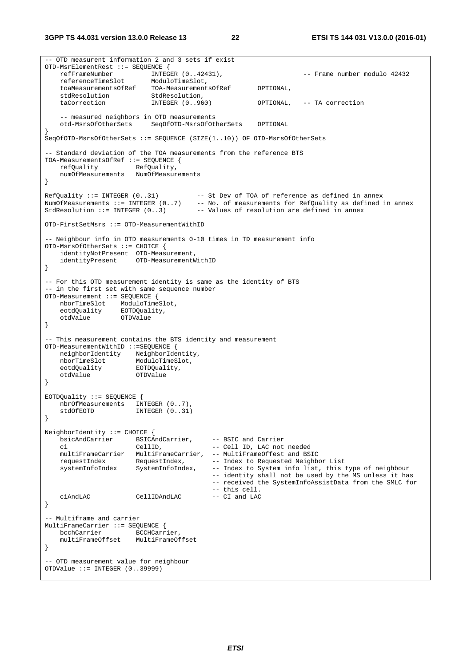**3GPP TS 44.031 version 13.0.0 Release 13 22 ETSI TS 144 031 V13.0.0 (2016-01)**

-- OTD measurent information 2 and 3 sets if exist OTD-MsrElementRest ::= SEQUENCE { refFrameNumber INTEGER (0..42431), -- Frame number modulo 42432 referenceTimeSlot ModuloTimeSlot, toaMeasurementsOfRef TOA-MeasurementsOfRef OPTIONAL,<br>stdResolution,<br> este<br>stdResolution taCorrection INTEGER (0...960) OPTIONAL, -- TA correction -- measured neighbors in OTD measurements otd-MsrsOfOtherSets SeqOfOTD-MsrsOfOtherSets OPTIONAL } SeqOfOTD-MsrsOfOtherSets ::= SEQUENCE (SIZE(1..10)) OF OTD-MsrsOfOtherSets -- Standard deviation of the TOA measurements from the reference BTS TOA-MeasurementsOfRef ::= SEQUENCE { refQuality RefQuality, numOfMeasurements NumOfMeasurements }  $RefQuality ::= INTER (0..31)$  -- St Dev of TOA of reference as defined in annex NumOfMeasurements ::= INTEGER (0..7) -- No. of measurements for RefQuality as defined in annex StdResolution ::= INTEGER (0..3) -- Values of resolution are defined in annex OTD-FirstSetMsrs ::= OTD-MeasurementWithID -- Neighbour info in OTD measurements 0-10 times in TD measurement info OTD-MsrsOfOtherSets ::= CHOICE { identityNotPresent OTD-Measurement, identityPresent OTD-MeasurementWithID } -- For this OTD measurement identity is same as the identity of BTS -- in the first set with same sequence number OTD-Measurement ::= SEQUENCE { nborTimeSlot ModuloTimeSlot,<br>eotdOuality EOTDOuality, eotdQuality EOTDQuality, otdValue OTDValue } -- This measurement contains the BTS identity and measurement OTD-MeasurementWithID ::=SEQUENCE { neighborIdentity NeighborIdentity, nborTimeSlot ModuloTimeSlot, eotdQuality EOTDQuality, otdValue OTDValue } EOTDQuality ::= SEQUENCE { nbrOfMeasurements INTEGER (0..7), stdOfEOTD INTEGER (0..31) } NeighborIdentity ::= CHOICE { bsicAndCarrier BSICAndCarrier, -- BSIC and Carrier -- Cell ID, LAC not needed multiFrameCarrier MultiFrameCarrier, -- MultiFrameOffest and BSIC<br>requestIndex RequestIndex, -- Index to Requested Neighbor List requestIndex RequestIndex,<br>systemInfoIndex SystemInfoIndex, -- Index to System info list, this type of neighbour -- identity shall not be used by the MS unless it has -- received the SystemInfoAssistData from the SMLC for -- this cell. CellIDAndLAC } -- Multiframe and carrier MultiFrameCarrier ::= SEQUENCE {<br>bcchCarrier BCCHCarr BCCHCarrier multiFrameOffset MultiFrameOffset } -- OTD measurement value for neighbour OTDValue ::= INTEGER (0..39999)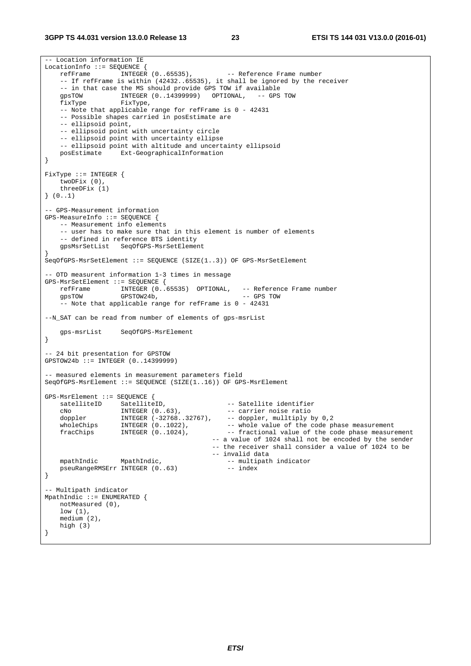```
-- Location information IE 
LocationInfo ::= SEQUENCE {<br>refFrame INTEGER (0..65535),
   refFrame INTEGER (0..65535), -- Reference Frame number
     -- If refFrame is within (42432..65535), it shall be ignored by the receiver 
    -- in that case the MS should provide GPS TOW if available<br>qpsTOW 1NTEGER (0..14399999) OPTIONAL, -- GPS TOW
   gpsTOW INTEGER (0..14399999) OPTIONAL,
    fixType FixType, 
   -- Note that applicable range for refFrame is 0 - 42431
    -- Possible shapes carried in posEstimate are 
     -- ellipsoid point, 
    -- ellipsoid point with uncertainty circle 
     -- ellipsoid point with uncertainty ellipse 
   -- ellipsoid point with altitude and uncertainty ellipsoid<br>posEstimate Ext-GeographicalInformation
                  Ext-GeographicalInformation
} 
FixType ::= INTEGER { 
     twoDFix (0), 
    threeDFix (1) 
} (0..1) 
-- GPS-Measurement information 
GPS-MeasureInfo ::= SEQUENCE { 
    -- Measurement info elements 
     -- user has to make sure that in this element is number of elements 
     -- defined in reference BTS identity 
    gpsMsrSetList SeqOfGPS-MsrSetElement 
} 
SeqOfGPS-MsrSetElement ::= SEQUENCE (SIZE(1..3)) OF GPS-MsrSetElement 
 -- OTD measurent information 1-3 times in message 
GPS-MsrSetElement ::= SEQUENCE { 
    refFrame INTEGER (0..65535) OPTIONAL, -- Reference Frame number 
     gpsTOW GPSTOW24b, -- GPS TOW 
     -- Note that applicable range for refFrame is 0 - 42431 
--N_SAT can be read from number of elements of gps-msrList 
    gps-msrList SeqOfGPS-MsrElement 
} 
 -- 24 bit presentation for GPSTOW 
GPSTOW24b ::= INTEGER (0..14399999) 
-- measured elements in measurement parameters field 
SeqOfGPS-MsrElement ::= SEQUENCE (SIZE(1..16)) OF GPS-MsrElement 
GPS-MsrElement ::= SEQUENCE { 
 satelliteID SatelliteID, -- Satellite identifier 
 cNo INTEGER (0..63), -- carrier noise ratio 
 doppler INTEGER (-32768..32767), -- doppler, mulltiply by 0,2 
wholeChips INTEGER (0..1022), - - whole value of the code phase measurement
 fracChips INTEGER (0..1024), -- fractional value of the code phase measurement 
                                             -- a value of 1024 shall not be encoded by the sender 
                                             -- the receiver shall consider a value of 1024 to be 
    -- invalid data<br>mpathIndic MpathIndic, 1992-1994 -- multipath
                                                -- multipath indicator<br>-- index
   pseuRangeRMSErr INTEGER (0..63)
} 
-- Multipath indicator 
MpathIndic ::= ENUMERATED { 
    notMeasured (0), 
    low (1), 
    medium (2), 
    high (3) 
}
```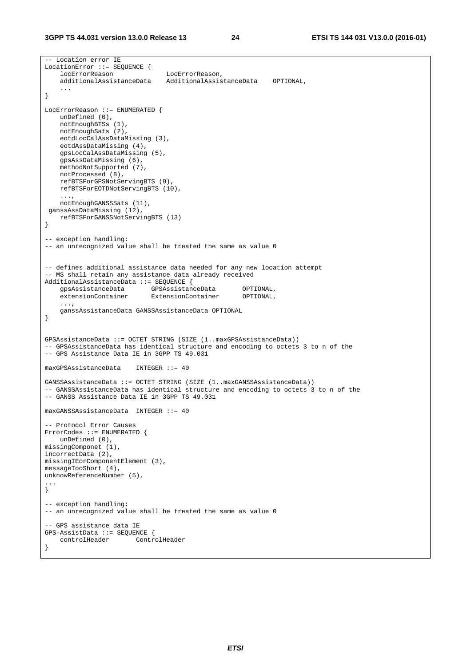```
-- Location error IE 
LocationError ::= SEQUENCE { 
    locErrorReason LocErrorReason, 
     additionalAssistanceData AdditionalAssistanceData OPTIONAL, 
     ... 
} 
LocErrorReason ::= ENUMERATED { 
    unDefined (0), 
    notEnoughBTSs (1), 
    notEnoughSats (2), 
    eotdLocCalAssDataMissing (3), 
    eotdAssDataMissing (4), 
    gpsLocCalAssDataMissing (5), 
    gpsAssDataMissing (6), 
    methodNotSupported (7), 
    notProcessed (8), 
    refBTSForGPSNotServingBTS (9), 
    refBTSForEOTDNotServingBTS (10), 
     ..., 
    notEnoughGANSSSats (11), 
 ganssAssDataMissing (12), 
    refBTSForGANSSNotServingBTS (13) 
} 
-- exception handling:
-- an unrecognized value shall be treated the same as value 0
-- defines additional assistance data needed for any new location attempt 
-- MS shall retain any assistance data already received 
AdditionalAssistanceData ::= SEQUENCE { 
 gpsAssistanceData GPSAssistanceData OPTIONAL, 
 extensionContainer ExtensionContainer OPTIONAL, 
 ..., 
    ganssAssistanceData GANSSAssistanceData OPTIONAL 
} 
GPSAssistanceData ::= OCTET STRING (SIZE (1..maxGPSAssistanceData)) 
-- GPSAssistanceData has identical structure and encoding to octets 3 to n of the 
-- GPS Assistance Data IE in 3GPP TS 49.031 
maxGPSAssistanceData INTEGER ::= 40 
GANSSAssistanceData ::= OCTET STRING (SIZE (1..maxGANSSAssistanceData)) 
-- GANSSAssistanceData has identical structure and encoding to octets 3 to n of the 
-- GANSS Assistance Data IE in 3GPP TS 49.031 
maxGANSSAssistanceData INTEGER ::= 40 
 -- Protocol Error Causes 
ErrorCodes ::= ENUMERATED { 
    unDefined (0), 
missingComponet (1), 
incorrectData (2), 
missingIEorComponentElement (3), 
messageTooShort (4), 
unknowReferenceNumber (5), 
... 
} 
-- exception handling: 
-- an unrecognized value shall be treated the same as value 0 
-- GPS assistance data IE 
GPS-AssistData ::= SEQUENCE { 
    controlHeader ControlHeader 
}
```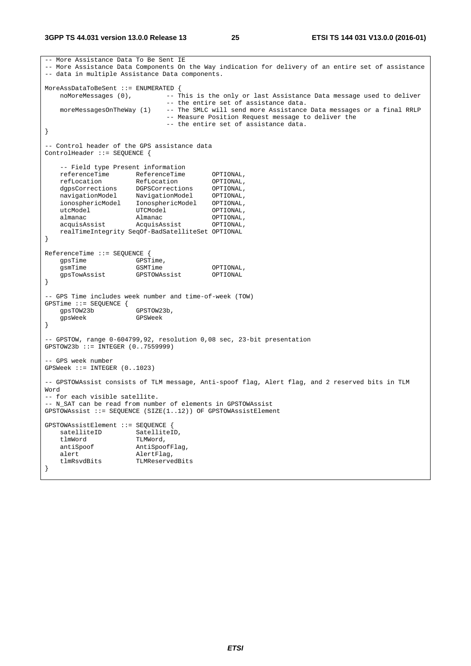-- More Assistance Data To Be Sent IE -- More Assistance Data Components On the Way indication for delivery of an entire set of assistance -- data in multiple Assistance Data components. MoreAssDataToBeSent ::= ENUMERATED { noMoreMessages (0), --- This is the only or last Assistance Data message used to deliver -- the entire set of assistance data.<br>moreMessagesOnTheWay (1) -- The SMLC will send more Assistance -- The SMLC will send more Assistance Data messages or a final RRLP -- Measure Position Request message to deliver the -- the entire set of assistance data. } -- Control header of the GPS assistance data ControlHeader ::= SEQUENCE { -- Field type Present information referenceTime ReferenceTime OPTIONAL, refLocation RefLocation OPTIONAL, dgpsCorrections DGPSCorrections OPTIONAL, navigationModel NavigationModel OPTIONAL, ionosphericModel IonosphericModel OPTIONAL, utcModel UTCModel OPTIONAL, almanac Almanac OPTIONAL, acquisAssist AcquisAssist OPTIONAL, realTimeIntegrity SeqOf-BadSatelliteSet OPTIONAL } ReferenceTime ::= SEQUENCE { gpsTime GPSTime, gsmTime GSMTime GSMTime OPTIONAL gpsTowAssist GPSTOWAssist OPTIONAL } -- GPS Time includes week number and time-of-week (TOW) GPSTime ::= SEQUENCE { gpsTOW23b GPSTOW23b,<br>apsWeek GPSWeek apsWeek } -- GPSTOW, range 0-604799,92, resolution 0,08 sec, 23-bit presentation GPSTOW23b ::= INTEGER (0..7559999) -- GPS week number GPSWeek ::= INTEGER (0..1023) -- GPSTOWAssist consists of TLM message, Anti-spoof flag, Alert flag, and 2 reserved bits in TLM Word -- for each visible satellite. -- N\_SAT can be read from number of elements in GPSTOWAssist GPSTOWAssist ::= SEQUENCE (SIZE(1..12)) OF GPSTOWAssistElement GPSTOWAssistElement ::= SEQUENCE { satelliteID SatelliteID,<br>tlmWord TLMWord, TLMWord, antiSpoof AntiSpoofFlag, alert AlertFlag,<br>tlmRsvdBits TLMReserve TLMReservedBits }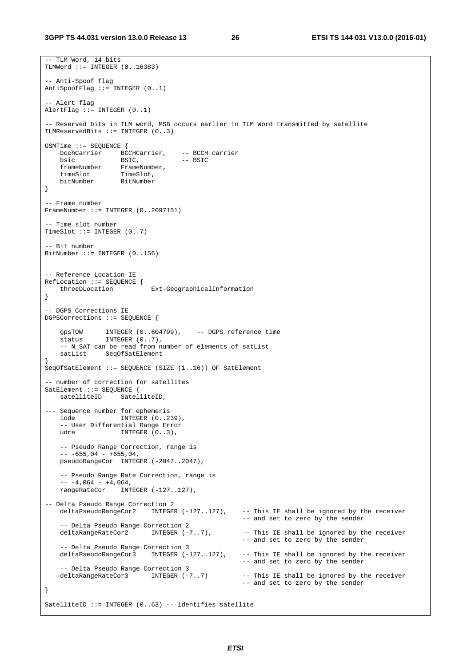```
-- TLM Word, 14 bits 
TLMWord ::= INTEGER (0.16383)-- Anti-Spoof flag 
AntiSpoofFlag ::= INTEGER (0..1) 
-- Alert flag 
AlertFlag ::= INTEGR (0..1)- Reserved bits in TLM word, MSB occurs earlier in TLM Word transmitted by satellite
TLMReservedBits ::= INTEGER (0..3) 
GSMTime ::= SEQUENCE { 
   bcchCarrier BCCHCarrier, -- BCCH carrier<br>bsic BSIC, -- BSIC
bsic BSIC, -- BSIC
 frameNumber FrameNumber, 
 timeSlot TimeSlot, 
 bitNumber BitNumber 
} 
-- Frame number 
FrameNumber ::= INTEGER (0..2097151) 
 -- Time slot number 
TimeSlot ::= INTEGER (0..7)- Bit number
BitNumber ::= INTEGER (0..156) 
-- Reference Location IE 
RefLocation ::= SEQUENCE {<br>threeDLocation
                           Ext-GeographicalInformation
} 
 -- DGPS Corrections IE 
DGPSCorrections ::= SEQUENCE { 
     gpsTOW INTEGER (0..604799), -- DGPS reference time 
   \frac{9 \text{ps} + \text{cm}}{1 \text{NTEGER}} (0..7),
     -- N_SAT can be read from number of elements of satList 
     satList SeqOfSatElement 
} 
SeqOfSatElement ::= SEQUENCE (SIZE (1..16)) OF SatElement 
-- number of correction for satellites 
SatElement ::= SEQUENCE {
   satelliteID SatelliteID,
--- Sequence number for ephemeris<br>iode INTEGER (0..2)
                   INTEGER (0..239),
     -- User Differential Range Error 
    udre INTEGER (0..3),
    -- Pseudo Range Correction, range is 
    --- 655,04 - +655,04,pseudoRangeCor INTEGER (-2047..2047),
     -- Pseudo Range Rate Correction, range is 
    - - 4,064 - 4,064, rangeRateCor INTEGER (-127..127), 
-- Delta Pseudo Range Correction 2<br>deltaPseudoRangeCor2 INTEGER (-127..127),
    deltaPseudoRangeCor2 INTEGER (-127..127), -- This IE shall be ignored by the receiver 
                                                      -- and set to zero by the sender 
     -- Delta Pseudo Range Correction 2 
   deltaRangeRateCor2 INTEGER (-7..7), -- This IE shall be ignored by the receiver
                                                      -- and set to zero by the sender 
     -- Delta Pseudo Range Correction 3 
    deltaPseudoRangeCor3 INTEGER (-127..127), -- This IE shall be ignored by the receiver 
                                                      -- and set to zero by the sender 
     -- Delta Pseudo Range Correction 3 
     deltaRangeRateCor3 INTEGER (-7..7) -- This IE shall be ignored by the receiver 
                                                      -- and set to zero by the sender 
} 
SatelliteID ::= INTEGER (0..63) -- identifies satellite
```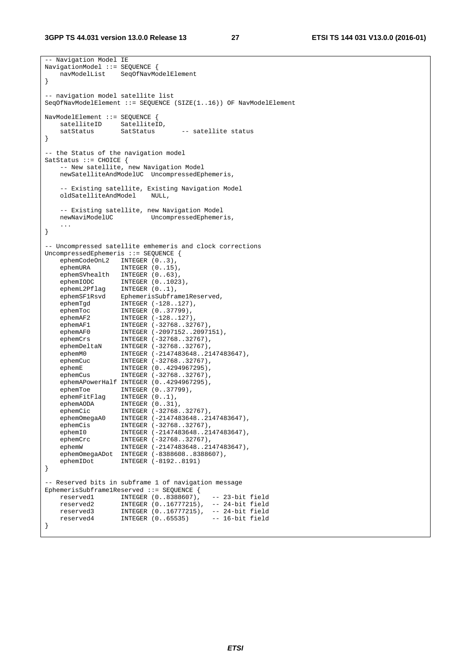```
-- Navigation Model IE 
NavigationModel ::= SEQUENCE { 
    navModelList SeqOfNavModelElement 
} 
 -- navigation model satellite list 
SeqOfNavModelElement ::= SEQUENCE (SIZE(1..16)) OF NavModelElement 
NavModelElement ::= SEQUENCE { 
   satelliteID SatelliteID,
   satStatus SatStatus -- satellite status
} 
-- the Status of the navigation model 
SatStatus ::= CHOICE { 
    -- New satellite, new Navigation Model 
    newSatelliteAndModelUC UncompressedEphemeris, 
   -- Existing satellite, Existing Navigation Model<br>oldSatelliteAndModel NULL,
   oldSatelliteAndModel
   -- Existing satellite, new Navigation Model<br>newNaviModelUC UncompressedEphemer
                         UncompressedEphemeris,
    ... 
} 
-- Uncompressed satellite emhemeris and clock corrections 
UncompressedEphemeris ::= SEQUENCE {<br>ephemCodeOnL2 INTEGER (0..3),
 ephemCodeOnL2 INTEGER (0..3), 
ephemURA INTEGER (0..15),
 ephemSVhealth INTEGER (0..63), 
ephemIODC INTEGER (0..1023),
 ephemL2Pflag INTEGER (0..1), 
 ephemSF1Rsvd EphemerisSubframe1Reserved, 
 ephemTgd INTEGER (-128..127), 
 ephemToc INTEGER (0..37799), 
ephemAF2 INTEGER (-128..127),
ephemAF1 INTEGER (-32768..32767),
ephemAF0 INTEGER (-2097152..2097151),
 ephemCrs INTEGER (-32768..32767), 
ephemDeltaN INTEGER (-32768..32767),
 ephemM0 INTEGER (-2147483648..2147483647), 
 ephemCuc INTEGER (-32768..32767), 
 ephemE INTEGER (0..4294967295), 
 ephemCus INTEGER (-32768..32767), 
 ephemAPowerHalf INTEGER (0..4294967295), 
 ephemToe INTEGER (0..37799), 
 ephemFitFlag INTEGER (0..1), 
 ephemAODA INTEGER (0..31), 
ephemCic INTEGER (-32768..32767),
 ephemOmegaA0 INTEGER (-2147483648..2147483647), 
 ephemCis INTEGER (-32768..32767), 
 ephemI0 INTEGER (-2147483648..2147483647), 
 ephemCrc INTEGER (-32768..32767), 
 ephemW INTEGER (-2147483648..2147483647), 
   ephemOmegaADot INTEGER (-8388608..8388607),<br>ephemIDot INTEGER (-8192..8191)
                  INTEGER (-8192..8191)
} 
-- Reserved bits in subframe 1 of navigation message 
EphemerisSubframe1Reserved ::= SEQUENCE { 
 reserved1 INTEGER (0..8388607), -- 23-bit field 
 reserved2 INTEGER (0..16777215), -- 24-bit field 
 reserved3 INTEGER (0..16777215), -- 24-bit field 
 reserved4 INTEGER (0..65535) -- 16-bit field 
}
```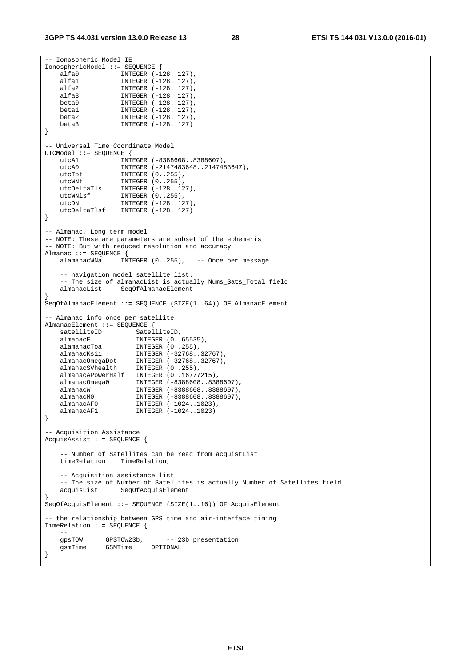```
-- Ionospheric Model IE 
IonosphericModel ::= SEQUENCE { 
 alfa0 INTEGER (-128..127), 
 alfa1 INTEGER (-128..127), 
 alfa2 INTEGER (-128..127), 
 alfa3 INTEGER (-128..127), 
beta0 INTEGER (-128..127),
 beta1 INTEGER (-128..127), 
   beta2 \frac{1}{2} INTEGER (-128..127),<br>beta3 INTEGER (-128..127)
                  INTEGER (-128..127)
} 
-- Universal Time Coordinate Model 
UTCModel ::= SEQUENCE { 
 utcA1 INTEGER (-8388608..8388607), 
 utcA0 INTEGER (-2147483648..2147483647), 
utcTot INTEGER (0..255),
utcWNt INTEGER (0..255),
 utcDeltaTls INTEGER (-128..127), 
 utcWNlsf INTEGER (0..255), 
utcDN INTEGER (-128..127),
    utcDeltaTlsf INTEGER (-128..127) 
} 
-- Almanac, Long term model 
-- NOTE: These are parameters are subset of the ephemeris 
-- NOTE: But with reduced resolution and accuracy 
Almanac ::= SEQUENCE { 
   alamanacWNa INTEGER (0..255), -- Once per message
     -- navigation model satellite list. 
   -- The size of almanacList is actually Nums_Sats_Total field<br>almanacList SegOfAlmanacElement
                 SeqOfAlmanacElement
} 
SeqOfAlmanacElement ::= SEQUENCE (SIZE(1..64)) OF AlmanacElement 
-- Almanac info once per satellite 
AlmanacElement ::= SEQUENCE { 
    satelliteID SatelliteID,
   almanacE INTEGER (0..65535),<br>almanacToa INTEGER (0..255),<br>almanacKsii INTEGER (-32768 32
 alamanacToa INTEGER (0..255), 
 almanacKsii INTEGER (-32768..32767), 
 almanacOmegaDot INTEGER (-32768..32767), 
 almanacSVhealth INTEGER (0..255), 
 almanacAPowerHalf INTEGER (0..16777215), 
 almanacOmega0 INTEGER (-8388608..8388607), 
 almanacW INTEGER (-8388608..8388607), 
   almanacW               INTEGER (-8388608..8388607),<br>almanacM0          INTEGER (-8388608..8388607),
 almanacAF0 INTEGER (-1024..1023), 
 almanacAF1 INTEGER (-1024..1023) 
} 
 -- Acquisition Assistance 
AcquisAssist ::= SEQUENCE { 
    -- Number of Satellites can be read from acquistList<br>timeRelation TimeRelation.
   timeRelation
     -- Acquisition assistance list 
     -- The size of Number of Satellites is actually Number of Satellites field 
    acquisList SeqOfAcquisElement 
} 
SeqOfAcquisElement ::= SEQUENCE (SIZE(1..16)) OF AcquisElement 
-- the relationship between GPS time and air-interface timing 
TimeRelation ::= SEQUENCE { 
 -- 
     gpsTOW GPSTOW23b, -- 23b presentation 
    gsmTime GSMTime OPTIONAL 
}
```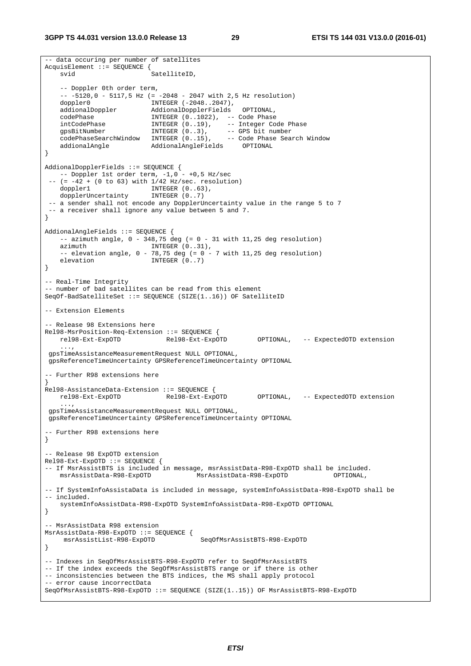-- data occuring per number of satellites AcquisElement ::= SEQUENCE { svid SatelliteID, -- Doppler 0th order term, -- -5120,0 - 5117,5 Hz (= -2048 - 2047 with 2,5 Hz resolution) doppler0 INTEGER (-2048..2047), dopplers<br>addionalDoppler AddionalDopplerFields OPTIONAL,<br>codePhase INTEGER (0..1022), -- CodePhase  $INTEGER (0..1022)$ , -- Code Phase intCodePhase INTEGER (0..19), -- Integer Code Phase gpsBitNumber INTEGER (0..3), -- GPS bit number codePhaseSearchWindow INTEGER (0..15), -- Code Phase Search Window gpspillenter and the code phase of the code phase code Phase Code Phase and include addional Addional AngleFields OPTIONAL } AddionalDopplerFields ::= SEQUENCE {  $--$  Doppler 1st order term,  $-1,0 - +0,5$  Hz/sec  $--$  (=  $-42 + (0 \text{ to } 63)$  with  $1/42$  Hz/sec. resolution) doppler1 INTEGER (0..63),<br>dopplerUncertainty INTEGER (0..7) dopplerUncertainty -- a sender shall not encode any DopplerUncertainty value in the range 5 to 7 -- a receiver shall ignore any value between 5 and 7. } AddionalAngleFields ::= SEQUENCE {  $--$  azimuth angle,  $0 - 348,75$  deg  $(= 0 - 31$  with 11,25 deg resolution) azimuth INTEGER (0..31),  $--$  elevation angle,  $0 - 78,75$  deg (=  $0 - 7$  with 11,25 deg resolution) elevation INTEGER (0..7) } -- Real-Time Integrity -- number of bad satellites can be read from this element SeqOf-BadSatelliteSet ::= SEQUENCE (SIZE(1..16)) OF SatelliteID -- Extension Elements -- Release 98 Extensions here Rel98-MsrPosition-Req-Extension ::= SEQUENCE { rel98-Ext-ExpOTD Rel98-Ext-ExpOTD OPTIONAL, -- ExpectedOTD extension ..., gpsTimeAssistanceMeasurementRequest NULL OPTIONAL, gpsReferenceTimeUncertainty GPSReferenceTimeUncertainty OPTIONAL -- Further R98 extensions here } Rel98-AssistanceData-Extension ::= SEQUENCE { rel98-Ext-ExpOTD Rel98-Ext-ExpOTD OPTIONAL, -- ExpectedOTD extension ..., gpsTimeAssistanceMeasurementRequest NULL OPTIONAL, gpsReferenceTimeUncertainty GPSReferenceTimeUncertainty OPTIONAL -- Further R98 extensions here } -- Release 98 ExpOTD extension Rel98-Ext-ExpOTD ::= SEQUENCE { -- If MsrAssistBTS is included in message, msrAssistData-R98-ExpOTD shall be included. msrAssistData-R98-ExpOTD MsrAssistData-R98-ExpOTD OPTIONAL, -- If SystemInfoAssistaData is included in message, systemInfoAssistData-R98-ExpOTD shall be -- included. systemInfoAssistData-R98-ExpOTD SystemInfoAssistData-R98-ExpOTD OPTIONAL } -- MsrAssistData R98 extension MsrAssistData-R98-ExpOTD ::= SEQUENCE { msrAssistList-R98-ExpOTD SeqOfMsrAssistBTS-R98-ExpOTD } -- Indexes in SeqOfMsrAssistBTS-R98-ExpOTD refer to SeqOfMsrAssistBTS -- If the index exceeds the SegOfMsrAssistBTS range or if there is other -- inconsistencies between the BTS indices, the MS shall apply protocol -- error cause incorrectData SeqOfMsrAssistBTS-R98-ExpOTD ::= SEQUENCE (SIZE(1..15)) OF MsrAssistBTS-R98-ExpOTD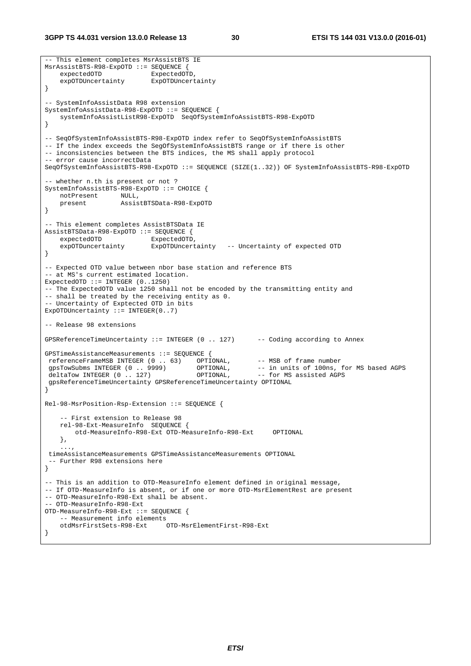**3GPP TS 44.031 version 13.0.0 Release 13 30 ETSI TS 144 031 V13.0.0 (2016-01)**

```
-- This element completes MsrAssistBTS IE 
MsrAssistBTS-R98-ExpOTD ::= SEQUENCE { 
   expectedOTD ExpectedOTD,
     expOTDUncertainty ExpOTDUncertainty 
} 
-- SystemInfoAssistData R98 extension 
SystemInfoAssistData-R98-ExpOTD ::= SEQUENCE { 
    systemInfoAssistListR98-ExpOTD SeqOfSystemInfoAssistBTS-R98-ExpOTD 
} 
-- SeqOfSystemInfoAssistBTS-R98-ExpOTD index refer to SeqOfSystemInfoAssistBTS 
-- If the index exceeds the SegOfSystemInfoAssistBTS range or if there is other 
-- inconsistencies between the BTS indices, the MS shall apply protocol 
-- error cause incorrectData 
SeqOfSystemInfoAssistBTS-R98-ExpOTD ::= SEQUENCE (SIZE(1..32)) OF SystemInfoAssistBTS-R98-ExpOTD 
-- whether n.th is present or not ? 
SystemInfoAssistBTS-R98-ExpOTD ::= CHOICE { 
   notPresent NULL,<br>present Assis
                     present AssistBTSData-R98-ExpOTD 
} 
-- This element completes AssistBTSData IE 
AssistBTSData-R98-ExpOTD ::= SEQUENCE { 
   expectedOTD ExpectedOTD,
    expOTDuncertainty ExpOTDUncertainty -- Uncertainty of expected OTD 
} 
-- Expected OTD value between nbor base station and reference BTS 
-- at MS's current estimated location.
ExpectedOTD ::= INTEGER (0..1250)-- The ExpectedOTD value 1250 shall not be encoded by the transmitting entity and 
-- shall be treated by the receiving entity as 0. 
-- Uncertainty of Exptected OTD in bits 
ExpOTDUncertainty ::= INTEGER(0..7)
-- Release 98 extensions 
GPSReferenceTimeUncertainty ::= INTEGER (0 .. 127) -- Coding according to Annex 
GPSTimeAssistanceMeasurements ::= SEQUENCE { 
referenceFrameMSB INTEGER (0 . . 63) OPTIONAL, -- MSB of frame number<br>gpsTowSubms INTEGER (0 . . . 9999) OPTIONAL, -- in units of 100ns, for MS based AGPS<br>deltaTow INTEGER (0 . . . 127) OPTIONAL, -- for MS assisted AGPS
gpsTowSubms INTEGER (0 .. 9999) OPTIONAL, -- in units of 100ns, for MS based AGPS
deltaTow INTEGER (0 .. 127) OPTIONAL, -- for MS assisted AGPS
 gpsReferenceTimeUncertainty GPSReferenceTimeUncertainty OPTIONAL 
} 
Rel-98-MsrPosition-Rsp-Extension ::= SEQUENCE { 
     -- First extension to Release 98 
     rel-98-Ext-MeasureInfo SEQUENCE { 
         otd-MeasureInfo-R98-Ext OTD-MeasureInfo-R98-Ext OPTIONAL 
     }, 
 ..., 
  timeAssistanceMeasurements GPSTimeAssistanceMeasurements OPTIONAL 
  - Further R98 extensions here
} 
-- This is an addition to OTD-MeasureInfo element defined in original message, 
-- If OTD-MeasureInfo is absent, or if one or more OTD-MsrElementRest are present 
-- OTD-MeasureInfo-R98-Ext shall be absent. 
-- OTD-MeasureInfo-R98-Ext 
OTD-MeasureInfo-R98-Ext ::= SEQUENCE { 
    -- Measurement info elements<br>otdMsrFirstSets-R98-Ext
                                OTD-MsrElementFirst-R98-Ext
}
```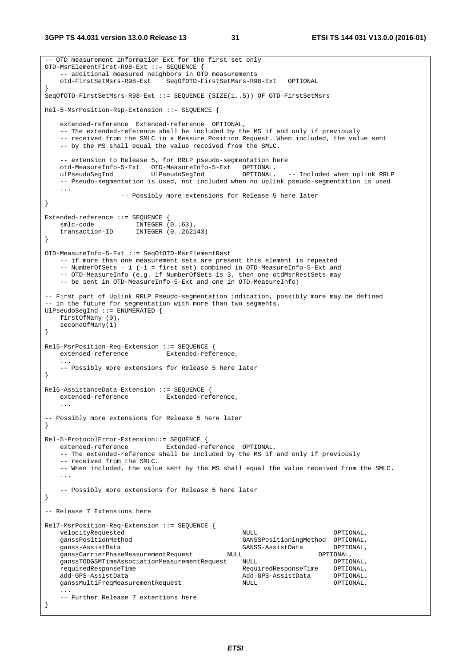```
-- OTD measurement information Ext for the first set only 
OTD-MsrElementFirst-R98-Ext ::= SEQUENCE { 
    -- additional measured neighbors in OTD measurements 
    otd-FirstSetMsrs-R98-Ext SeqOfOTD-FirstSetMsrs-R98-Ext OPTIONAL 
} 
SeqOfOTD-FirstSetMsrs-R98-Ext ::= SEQUENCE (SIZE(1..5)) OF OTD-FirstSetMsrs 
Rel-5-MsrPosition-Rsp-Extension ::= SEQUENCE { 
    extended-reference Extended-reference OPTIONAL, 
    -- The extended-reference shall be included by the MS if and only if previously 
    -- received from the SMLC in a Measure Position Request. When included, the value sent 
    -- by the MS shall equal the value received from the SMLC. 
    -- extension to Release 5, for RRLP pseudo-segmentation here 
    otd-MeasureInfo-5-Ext OTD-MeasureInfo-5-Ext OPTIONAL, 
    ulPseudoSegInd UlPseudoSegInd OPTIONAL, -- Included when uplink RRLP 
    -- Pseudo-segmentation is used, not included when no uplink pseudo-segmentation is used 
    ... 
                   -- Possibly more extensions for Release 5 here later 
} 
Extended-reference ::= SEQUENCE { 
smlc-code INTEGER (0..63),
 transaction-ID INTEGER (0..262143) 
} 
OTD-MeasureInfo-5-Ext ::= SeqOfOTD-MsrElementRest 
    -- if more than one measurement sets are present this element is repeated 
    -- NumberOfSets - 1 (-1 = first set) combined in OTD-MeasureInfo-5-Ext and 
   -- OTD-MeasureInfo (e.g. if NumberOfSets is 3, then one otdMsrRestSets may
    -- be sent in OTD-MeasureInfo-5-Ext and one in OTD-MeasureInfo) 
-- First part of Uplink RRLP Pseudo-segmentation indication, possibly more may be defined 
-- in the future for segmentation with more than two segments.
UlPseudoSegInd ::= ENUMERATED { 
    firstOfMany (0), 
    secondOfMany(1) 
} 
Rel5-MsrPosition-Req-Extension ::= SEQUENCE { 
    extended-reference Extended-reference, 
 ... 
    -- Possibly more extensions for Release 5 here later 
} 
Rel5-AssistanceData-Extension ::= SEOUENCE {
   extended-reference Extended-reference, 
 ... 
-- Possibly more extensions for Release 5 here later 
} 
Rel-5-ProtocolError-Extension::= SEQUENCE { 
   extended-reference Extended-reference OPTIONAL, 
    -- The extended-reference shall be included by the MS if and only if previously 
    -- received from the SMLC. 
    -- When included, the value sent by the MS shall equal the value received from the SMLC. 
 ... 
    -- Possibly more extensions for Release 5 here later 
} 
-- Release 7 Extensions here 
Rel7-MsrPosition-Req-Extension ::= SEQUENCE { 
   velocityRequested \sim NULL NULL OPTIONAL,
    ganssPositionMethod GANSSPositioningMethod OPTIONAL, 
                                                 ganss-AssistData GANSS-AssistData OPTIONAL, 
    ganssCarrierPhaseMeasurementRequest NULL OPTIONAL, 
    ganssTODGSMTimeAssociationMeasurementRequest NULL OPTIONAL, 
    requiredResponseTime RequiredResponseTime OPTIONAL, 
   add-GPS-AssistData and CPS-AssistData OPTIONAL,
    ganssMultiFreqMeasurementRequest NULL OPTIONAL, 
 ... 
    -- Further Release 7 extentions here 
}
```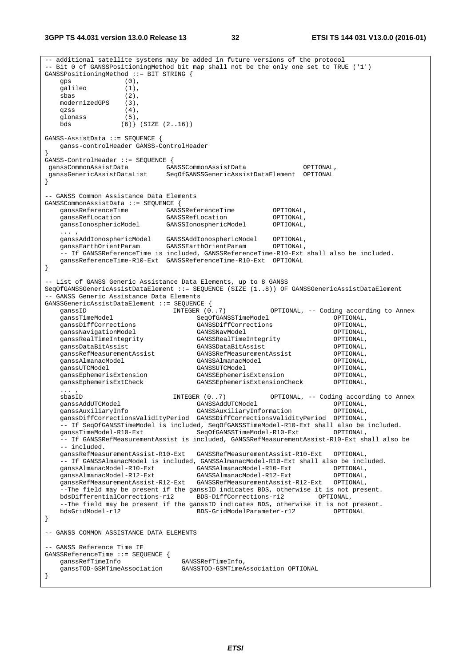**3GPP TS 44.031 version 13.0.0 Release 13 32 ETSI TS 144 031 V13.0.0 (2016-01)**

-- additional satellite systems may be added in future versions of the protocol -- Bit 0 of GANSSPositioningMethod bit map shall not be the only one set to TRUE ('1') GANSSPositioningMethod ::= BIT STRING { gps (0), galileo (1), sbas (2), modernizedGPS (3), qzss  $(4)$ ,<br>qlonass  $(5)$ , glonass<br>bds  $(6)$  (SIZE  $(2..16)$ ) GANSS-AssistData ::= SEQUENCE { ganss-controlHeader GANSS-ControlHeader } GANSS-ControlHeader ::= SEQUENCE { ganssCommonAssistData GANSSCommonAssistData OPTIONAL, ganssGenericAssistDataList SeqOfGANSSGenericAssistDataElement OPTIONAL } -- GANSS Common Assistance Data Elements GANSSCommonAssistData ::= SEQUENCE { ganssReferenceTime GANSSReferenceTime OPTIONAL, ganssRefLocation GANSSRefLocation OPTIONAL, ganssIonosphericModel GANSSIonosphericModel OPTIONAL, ... , ganssAddIonosphericModel GANSSAddIonosphericModel OPTIONAL, ganssEarthOrientParam GANSSEarthOrientParam OPTIONAL, -- If GANSSReferenceTime is included, GANSSReferenceTime-R10-Ext shall also be included. ganssReferenceTime-R10-Ext GANSSReferenceTime-R10-Ext OPTIONAL } -- List of GANSS Generic Assistance Data Elements, up to 8 GANSS SeqOfGANSSGenericAssistDataElement ::= SEQUENCE (SIZE (1..8)) OF GANSSGenericAssistDataElement -- GANSS Generic Assistance Data Elements GANSSGenericAssistDataElement ::= SEQUENCE { ganssID INTEGER (0..7) OPTIONAL, -- Coding according to Annex SeqOfGANSSTimeModel OPTIONAL,<br>GANSSDiffCorrections OPTIONAL, ganssDiffCorrections GANSSDiffCorrections OPTIONAL, ganssNavigationModel GANSSNavModel OPTIONAL, ganssRealTimeIntegrity GANSSRealTimeIntegrity OPTIONAL, ganssDataBitAssist GANSSDataBitAssist OPTIONAL, ganssRefMeasurementAssist GANSSRefMeasurementAssist OPTIONAL, ganssAlmanacModel GANSSAlmanacModel OPTIONAL, ganssUTCModel GANSSUTCModel OPTIONAL, s<br>ganssEphemerisExtension<br>ganssEphemerisExtCheck GANSSEphemerisExtensionCheck OPTIONAL, ... , sbasID **INTEGER** (0..7) OPTIONAL, -- Coding according to Annex ganssAddUTCModel GANSSAddUTCModel OPTIONAL, ganssAuxiliaryInfo GANSSAuxiliaryInformation OPTIONAL, ganssDiffCorrectionsValidityPeriod GANSSDiffCorrectionsValidityPeriod OPTIONAL, -- If SeqOfGANSSTimeModel is included, SeqOfGANSSTimeModel-R10-Ext shall also be included. ganssTimeModel-R10-Ext SeqOfGANSSTimeModel-R10-Ext OPTIONAL, -- If GANSSRefMeasurementAssist is included, GANSSRefMeasurementAssist-R10-Ext shall also be -- included. ganssRefMeasurementAssist-R10-Ext GANSSRefMeasurementAssist-R10-Ext OPTIONAL, -- If GANSSAlmanacModel is included, GANSSAlmanacModel-R10-Ext shall also be included. ganssAlmanacModel-R10-Ext GANSSAlmanacModel-R10-Ext OPTIONAL, ganssAlmanacModel-R12-Ext GANSSAlmanacModel-R12-Ext OPTIONAL, ganssRefMeasurementAssist-R12-Ext GANSSRefMeasurementAssist-R12-Ext OPTIONAL, --The field may be present if the ganssID indicates BDS, otherwise it is not present. bdsDifferentialCorrections-r12 BDS-DiffCorrections-r12 OPTIONAL, --The field may be present if the ganssID indicates BDS, otherwise it is not present. bdsGridModel-r12 BDS-GridModelParameter-r12 OPTIONAL } -- GANSS COMMON ASSISTANCE DATA ELEMENTS -- GANSS Reference Time IE GANSSReferenceTime ::= SEQUENCE { ganssRefTimeInfo GANSSRefTimeInfo, ganssTOD-GSMTimeAssociation GANSSTOD-GSMTimeAssociation OPTIONAL }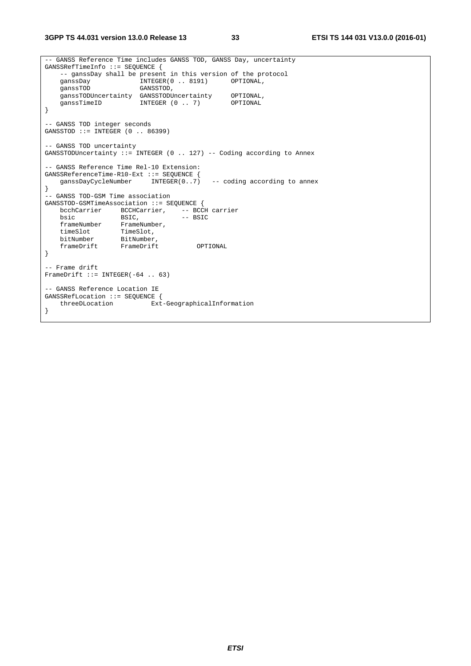*ETSI* 

```
-- GANSS Reference Time includes GANSS TOD, GANSS Day, uncertainty 
GANSSRefTimeInfo ::= SEQUENCE { 
   -- ganssDay shall be present in this version of the protocol 
  ganssDay INTEGER(0 . 8191) OPTIONAL,
   ganssTOD GANSSTOD,
 ganssTODUncertainty GANSSTODUncertainty OPTIONAL, 
ganssTimeID INTEGER (0 .. 7) OPTIONAL
} 
-- GANSS TOD integer seconds 
GANSSTOD ::= INTEGER (0 .. 86399) 
-- GANSS TOD uncertainty 
GANSSTODUncertainty ::= INTEGER (0 .. 127) -- Coding according to Annex 
-- GANSS Reference Time Rel-10 Extension: 
GANSSReferenceTime-R10-Ext ::= SEQUENCE { 
   ganssDayCycleNumber INTEGER(0..7) -- coding according to annex 
} 
-- GANSS TOD-GSM Time association 
GANSSTOD-GSMTimeAssociation ::= SEQUENCE { 
  bcchCarrier BCCHCarrier, -- BCCH carrier<br>bsic BSIC, -- BSIC
bsic BSIC, - BSIC
 frameNumber FrameNumber, 
 timeSlot TimeSlot, 
 bitNumber BitNumber, 
 frameDrift FrameDrift OPTIONAL 
} 
-- Frame drift 
FrameDrift ::= INTEGER(-64 .. 63)
-- GANSS Reference Location IE 
GANSSRefLocation ::= SEQUENCE { 
    threeDLocation Ext-GeographicalInformation 
}
```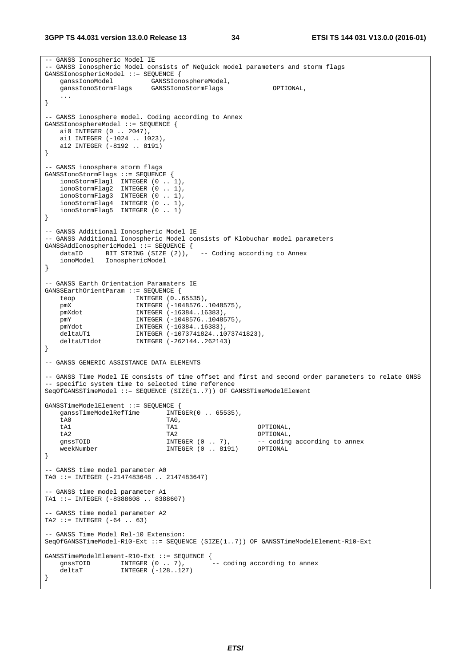```
-- GANSS Ionospheric Model IE 
 -- GANSS Ionospheric Model consists of NeQuick model parameters and storm flags 
GANSSIonosphericModel ::= SEQUENCE { 
 ganssIonoModel GANSSIonosphereModel, 
 ganssIonoStormFlags GANSSIonoStormFlags OPTIONAL, 
    ... 
} 
-- GANSS ionosphere model. Coding according to Annex 
GANSSIonosphereModel ::= SEQUENCE { 
   ai0 INTEGER (0 .. 2047), 
    ai1 INTEGER (-1024 .. 1023), 
    ai2 INTEGER (-8192 .. 8191) 
} 
-- GANSS ionosphere storm flags 
GANSSIonoStormFlags ::= SEQUENCE { 
 ionoStormFlag1 INTEGER (0 .. 1), 
 ionoStormFlag2 INTEGER (0 .. 1), 
 ionoStormFlag3 INTEGER (0 .. 1), 
 ionoStormFlag4 INTEGER (0 .. 1), 
 ionoStormFlag5 INTEGER (0 .. 1) 
} 
-- GANSS Additional Ionospheric Model IE 
-- GANSS Additional Ionospheric Model consists of Klobuchar model parameters 
GANSSAddIonosphericModel ::= SEQUENCE { 
   dataID BIT STRING (SIZE (2)), -- Coding according to Annex
    ionoModel IonosphericModel 
} 
-- GANSS Earth Orientation Paramaters IE 
GANSSEarthOrientParam ::= SEQUENCE { 
 teop INTEGER (0..65535), 
 pmX INTEGER (-1048576..1048575), 
 pmXdot INTEGER (-16384..16383), 
 pmY INTEGER (-1048576..1048575), 
   -<br>pmYdot INTEGER (-16384..16383),
 deltaUT1 INTEGER (-1073741824..1073741823), 
 deltaUT1dot INTEGER (-262144..262143) 
} 
-- GANSS GENERIC ASSISTANCE DATA ELEMENTS 
-- GANSS Time Model IE consists of time offset and first and second order parameters to relate GNSS 
-- specific system time to selected time reference 
SeqOfGANSSTimeModel ::= SEQUENCE (SIZE(1..7)) OF GANSSTimeModelElement 
GANSSTimeModelElement ::= SEQUENCE { 
  ganssTimeModelRefTime INTEGER(0 .. 65535),
    tA0 TA0, 
    tA1 TA1 OPTIONAL, 
    tA2 TA2 OPTIONAL, 
   gnssTOID                        INTEGER (0 . . 7),      -- coding according to annex<br>weekNumber                INTEGER (0 . . 8191)      OPTIONAL
                             INTEGER (0 .. 8191)
} 
 -- GANSS time model parameter A0 
TA0 ::= INTEGER (-2147483648 .. 2147483647) 
-- GANSS time model parameter A1 
TA1 ::= INTEGER (-8388608 .. 8388607) 
 -- GANSS time model parameter A2 
TA2 ::= INTEGER (-64 .. 63)
-- GANSS Time Model Rel-10 Extension: 
SeqOfGANSSTimeModel-R10-Ext ::= SEQUENCE (SIZE(1..7)) OF GANSSTimeModelElement-R10-Ext 
GANSSTimeModelElement-R10-Ext ::= SEQUENCE { 
 gnssTOID INTEGER (0 .. 7), -- coding according to annex 
deltaT INTEGER (-128..127)
}
```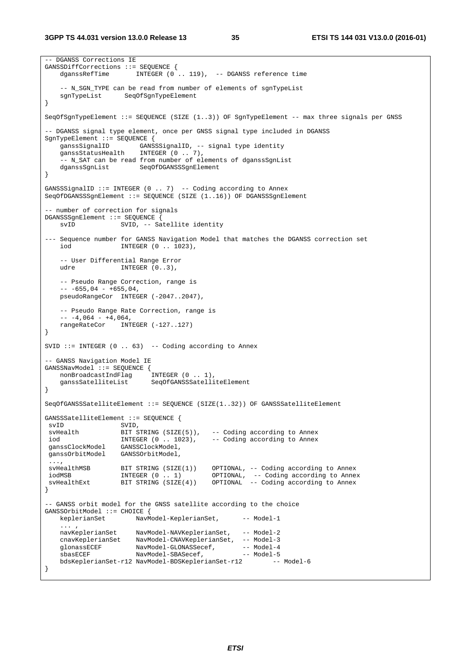```
-- DGANSS Corrections IE 
GANSSDiffCorrections ::= SEQUENCE { 
   dganssRefTime INTEGER (0 .. 119), -- DGANSS reference time
      -- N_SGN_TYPE can be read from number of elements of sgnTypeList 
    sgnTypeList SeqOfSgnTypeElement 
} 
SeqOfSgnTypeElement ::= SEQUENCE (SIZE (1..3)) OF SgnTypeElement -- max three signals per GNSS 
-- DGANSS signal type element, once per GNSS signal type included in DGANSS 
SgnTypeElement ::= SEQUENCE { 
   ganssSignalID GANSSSignalID, - signal type identity<br>ganssStatusHealth INTEGER (0 .. 7),
                      INTEGR (0 .. 7),
     -- N_SAT can be read from number of elements of dganssSgnList 
    dganssSgnList SeqOfDGANSSSgnElement 
} 
GANSSSignalID ::= INTEGER (0 .. 7) -- Coding according to Annex 
SeqOfDGANSSSgnElement ::= SEQUENCE (SIZE (1..16)) OF DGANSSSgnElement 
-- number of correction for signals 
DGANSSSgnElement ::= SEQUENCE { 
   svID SVID, -- Satellite identity
--- Sequence number for GANSS Navigation Model that matches the DGANSS correction set 
   iod INTEGER (0 .. 1023), 
    -- User Differential Range Error 
   udre INTEGER (0..3),
    -- Pseudo Range Correction, range is 
   - - 655,04 - 655,04,pseudoRangeCor INTEGER (-2047..2047),
     -- Pseudo Range Rate Correction, range is 
    - - 4,064 - 4,064, rangeRateCor INTEGER (-127..127) 
} 
SVID ::= INTEGER (0 \ldots 63) -- Coding according to Annex
-- GANSS Navigation Model IE 
GANSSNavModel ::= SEQUENCE { 
    nonBroadcastIndFlag INTEGER (0 .. 1), 
    ganssSatelliteList SeqOfGANSSSatelliteElement 
} 
SeqOfGANSSSatelliteElement ::= SEQUENCE (SIZE(1..32)) OF GANSSSatelliteElement 
GANSSSatelliteElement ::= SEQUENCE { 
svID SVID,
svHealth BIT STRING (SIZE(5)), -- Coding according to Annex<br>iod                     INTEGER (0 . 1023),   -- Coding according to Annex
                                           -- Coding according to Annex
 ganssClockModel GANSSClockModel, 
 ganssOrbitModel GANSSOrbitModel, 
 ..., 
 svHealthMSB BIT STRING (SIZE(1)) OPTIONAL, -- Coding according to Annex
iodMSB           INTEGER (0 . . 1)       OPTIONAL, -- Coding according to Annex
svHealthExt BIT STRING (SIZE(4)) OPTIONAL -- Coding according to Annex
} 
-- GANSS orbit model for the GNSS satellite according to the choice 
GANSSOrbitModel ::= CHOICE { 
   keplerianSet NavModel-KeplerianSet, -- Model-1
\mathbf{r} , \mathbf{r} , \mathbf{r} , \mathbf{r} navKeplerianSet NavModel-NAVKeplerianSet, -- Model-2 
 cnavKeplerianSet NavModel-CNAVKeplerianSet, -- Model-3 
glonassECEF NavModel-GLONASSecef, -- Model-4
 sbasECEF NavModel-SBASecef, -- Model-5 
    bdsKeplerianSet-r12 NavModel-BDSKeplerianSet-r12 -- Model-6 
}
```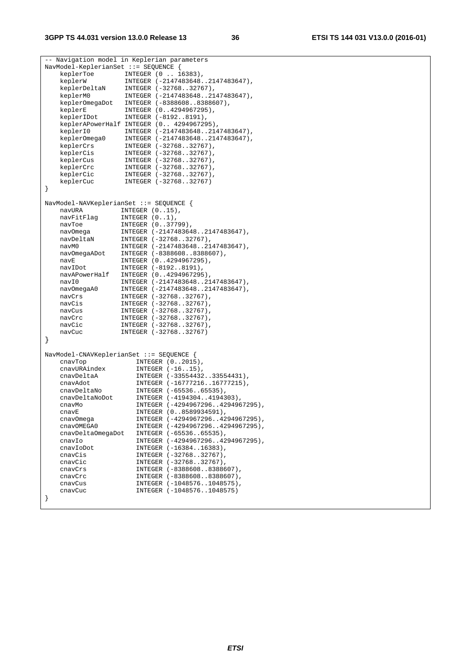|   |                   | -- Navigation model in Keplerian parameters |
|---|-------------------|---------------------------------------------|
|   |                   | NavModel-KeplerianSet ::= SEQUENCE {        |
|   | keplerToe         | INTEGER (0  16383),                         |
|   | keplerW           | INTEGER (-21474836482147483647),            |
|   | keplerDeltaN      | INTEGER (-3276832767),                      |
|   | keplerM0          | INTEGER (-21474836482147483647),            |
|   | keplerOmegaDot    | INTEGER (-83886088388607),                  |
|   | keplerE           | INTEGER (04294967295),                      |
|   | keplerIDot        | INTEGER (-81928191),                        |
|   |                   | keplerAPowerHalf INTEGER (0 4294967295),    |
|   | keplerI0          | INTEGER (-21474836482147483647),            |
|   | keplerOmega0      | INTEGER (-21474836482147483647),            |
|   | keplerCrs         | INTEGER (-3276832767),                      |
|   | keplerCis         | INTEGER (-3276832767),                      |
|   | keplerCus         | INTEGER (-3276832767),                      |
|   | keplerCrc         | INTEGER (-3276832767),                      |
|   | keplerCic         | INTEGER (-3276832767),                      |
|   | keplerCuc         | INTEGER (-3276832767)                       |
| } |                   |                                             |
|   |                   |                                             |
|   |                   | NavModel-NAVKeplerianSet ::= SEQUENCE {     |
|   | navURA            | INTEGER $(015)$ ,                           |
|   | navFitFlag        | INTEGER $(01)$ ,                            |
|   | navToe            | INTEGER (037799),                           |
|   | nav0mega          | INTEGER (-21474836482147483647),            |
|   | navDeltaN         | INTEGER (-3276832767),                      |
|   | navM0             | INTEGER (-21474836482147483647),            |
|   | navOmegaADot      | INTEGER (-83886088388607),                  |
|   | navE              | INTEGER (04294967295),                      |
|   | navIDot           | INTEGER (-81928191),                        |
|   | navAPowerHalf     | INTEGER (04294967295),                      |
|   | navI0             | INTEGER (-21474836482147483647),            |
|   | nav0megaA0        | INTEGER (-21474836482147483647),            |
|   | navCrs            | INTEGER (-3276832767),                      |
|   | navCis            | INTEGER (-3276832767),                      |
|   | navCus            | INTEGER (-3276832767),                      |
|   | navCrc            | INTEGER (-3276832767),                      |
|   | navCic            | INTEGER (-3276832767),                      |
|   | navCuc            | INTEGER (-3276832767)                       |
| } |                   |                                             |
|   |                   |                                             |
|   |                   |                                             |
|   |                   | NavModel-CNAVKeplerianSet ::= SEQUENCE {    |
|   | cnavTop           | INTEGER $(02015)$ ,                         |
|   | cnavURAindex      | INTEGER $(-1615)$ ,                         |
|   | cnavDeltaA        | INTEGER (-3355443233554431),                |
|   | cnavAdot          | INTEGER (-1677721616777215),                |
|   | cnavDeltaNo       | INTEGER (-6553665535),                      |
|   | cnavDeltaNoDot    | INTEGER (-41943044194303),                  |
|   | cnavMo            | INTEGER (-42949672964294967295),            |
|   | cnavE             | INTEGER (08589934591),                      |
|   | cnavOmega         | INTEGER (-42949672964294967295),            |
|   | cnavOMEGA0        | INTEGER (-42949672964294967295),            |
|   | cnavDeltaOmegaDot | INTEGER (-6553665535),                      |
|   | cnavIo            | INTEGER (-42949672964294967295),            |
|   | cnavIoDot         | INTEGER (-1638416383),                      |
|   | cnavCis           | INTEGER (-3276832767),                      |
|   | cnavCic           | INTEGER (-3276832767),                      |
|   | cnavCrs           | INTEGER (-83886088388607),                  |
|   | cnavCrc           | INTEGER (-83886088388607),                  |
|   | cnavCus           | INTEGER (-10485761048575),                  |
|   | cnavCuc           | INTEGER (-10485761048575)                   |
|   |                   |                                             |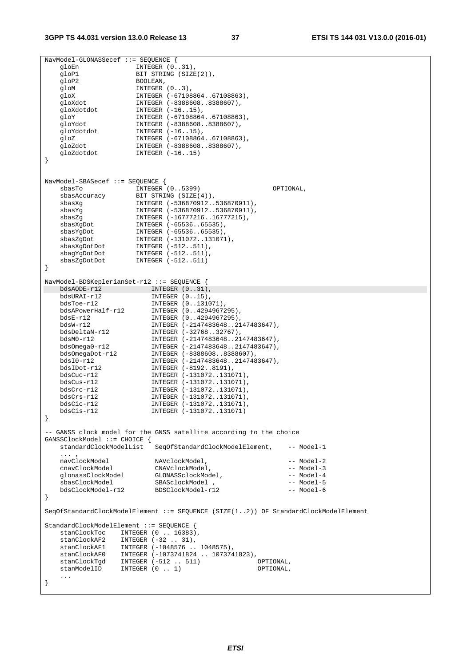```
NavModel-GLONASSecef ::= SEQUENCE { 
                    INTEGR (0.31),
   gloP1 BIT STRING (SIZE(2)),
   gloP2 BOOLEAN,
gloM INTEGER (0..3),
 gloX INTEGER (-67108864..67108863), 
 gloXdot INTEGER (-8388608..8388607), 
gloXdotdot INTEGER (-16..15),
 gloY INTEGER (-67108864..67108863), 
 gloYdot INTEGER (-8388608..8388607), 
gloYdotdot INTEGER (-16..15),
 gloZ INTEGER (-67108864..67108863), 
 gloZdot INTEGER (-8388608..8388607), 
   gloZdot INTEGER (-8388608)<br>gloZdotdot INTEGER (-16..15)
} 
NavModel-SBASecef ::= SEQUENCE { 
 sbasTo INTEGER (0..5399) OPTIONAL, 
 sbasAccuracy BIT STRING (SIZE(4)), 
 sbasXg INTEGER (-536870912..536870911), 
 sbasYg INTEGER (-536870912..536870911), 
 sbasZg INTEGER (-16777216..16777215), 
 sbasXgDot INTEGER (-65536..65535), 
 sbasYgDot INTEGER (-65536..65535), 
 sbasZgDot INTEGER (-131072..131071), 
 sbasXgDotDot INTEGER (-512..511), 
 sbagYgDotDot INTEGER (-512..511), 
 sbasZgDotDot INTEGER (-512..511) 
} 
NavModel-BDSKeplerianSet-r12 ::= SEQUENCE { 
\begin{tabular}{llllll} \texttt{bdsADDE-r12} & & \texttt{INTER} (0..31), \\ \texttt{bdsURAI-r12} & & \texttt{INTER} (0..15), \\ \end{tabular} bdsURAI-r12 INTEGER (0..15), 
 bdsToe-r12 INTEGER (0..131071), 
 bdsAPowerHalf-r12 INTEGER (0..4294967295), 
 bdsE-r12 INTEGER (0..4294967295), 
 bdsW-r12 INTEGER (-2147483648..2147483647), 
 bdsDeltaN-r12 INTEGER (-32768..32767), 
 bdsM0-r12 INTEGER (-2147483648..2147483647), 
 bdsOmega0-r12 INTEGER (-2147483648..2147483647), 
 bdsOmegaDot-r12 INTEGER (-8388608..8388607), 
 bdsI0-r12 INTEGER (-2147483648..2147483647), 
 bdsIDot-r12 INTEGER (-8192..8191), 
 bdsCuc-r12 INTEGER (-131072..131071), 
 bdsCus-r12 INTEGER (-131072..131071), 
 bdsCrc-r12 INTEGER (-131072..131071), 
   bdsCrs-r12 INTEGER (-131072..131071),
   bdsCic-r12 INTEGER (-131072..131071), 
                       bdsCis-r12 INTEGER (-131072..131071) 
} 
-- GANSS clock model for the GNSS satellite according to the choice 
GANSSClockModel ::= CHOICE { 
   standardClockModelList SeqOfStandardClockModelElement, -- Model-1 
   ... ,<br>navClockModel
                       navClockModel NAVclockModel, -- Model-2 
    cnavClockModel CNAVclockModel, -- Model-3 
glonassClockModel GLONASSclockModel, -- Model-4
 sbasClockModel SBASclockModel , -- Model-5 
    bdsClockModel-r12 BDSClockModel-r12 -- Model-6 
} 
SeqOfStandardClockModelElement ::= SEQUENCE (SIZE(1..2)) OF StandardClockModelElement 
StandardClockModelElement ::= SEQUENCE { 
 stanClockToc INTEGER (0 .. 16383), 
 stanClockAF2 INTEGER (-32 .. 31), 
   stanClockAF2 INTEGER (-32 .. 31),<br>stanClockAF1 INTEGER (-1048576 .. 1048575),<br>stanClockAF0 INTEGER (-1072741904 107274
   stanClockAF0 INTEGER (-1073741824 .. 1073741823),<br>stanClockTqd INTEGER (-512 .. 511) 0PTIONAL,
   stanClockTgd INTEGER (-512 .. 511)
   stanModelID INTEGER (0 . 1) OPTIONAL,
 ... 
}
```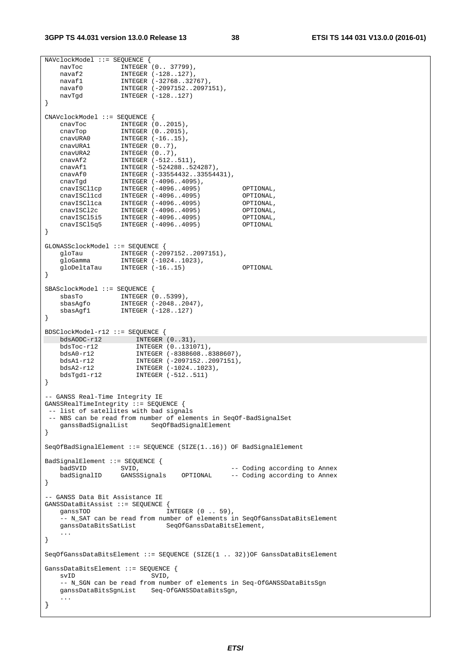```
NAVclockModel ::= SEQUENCE { 
 navToc INTEGER (0.. 37799), 
 navaf2 INTEGER (-128..127), 
   navaf1 128.127),<br>
navaf1 1NTEGER (-32768..32767),<br>
navaf0 1NTEGER (-2097152..20971
 navaf0 INTEGER (-2097152..2097151), 
 navTgd INTEGER (-128..127) 
} 
CNAVclockModel ::= SEQUENCE { 
  cnavToc INTEGER (0..2015),<br>cnavTop INTEGER (0..2015),
 cnavTop INTEGER (0..2015), 
 cnavURA0 INTEGER (-16..15), 
 cnavURA1 INTEGER (0..7), 
 cnavURA2 INTEGER (0..7), 
 cnavAf2 INTEGER (-512..511), 
 cnavAf1 INTEGER (-524288..524287), 
 cnavAf0 INTEGER (-33554432..33554431), 
 cnavTgd INTEGER (-4096..4095), 
 cnavISCl1cp INTEGER (-4096..4095) OPTIONAL, 
 cnavISCl1cd INTEGER (-4096..4095) OPTIONAL, 
 cnavISCl1ca INTEGER (-4096..4095) OPTIONAL, 
 cnavISCl2c INTEGER (-4096..4095) OPTIONAL, 
 cnavISCl5i5 INTEGER (-4096..4095) OPTIONAL, 
 cnavISCl5q5 INTEGER (-4096..4095) OPTIONAL 
} 
GLONASSclockModel ::= SEQUENCE { 
 gloTau INTEGER (-2097152..2097151), 
 gloGamma INTEGER (-1024..1023), 
    gloDeltaTau INTEGER (-16..15) OPTIONAL 
} 
SBASclockModel ::= SEQUENCE { 
 sbasTo INTEGER (0..5399), 
 sbasAgfo INTEGER (-2048..2047), 
 sbasAgf1 INTEGER (-128..127) 
} 
BDSClockModel-r12 ::= SEQUENCE { 
bdsAODC-r12 INTEGER (0..31),
 bdsToc-r12 INTEGER (0..131071), 
 bdsA0-r12 INTEGER (-8388608..8388607), 
 bdsA1-r12 INTEGER (-2097152..2097151), 
 bdsA2-r12 INTEGER (-1024..1023), 
 bdsTgd1-r12 INTEGER (-512..511) 
} 
-- GANSS Real-Time Integrity IE 
GANSSRealTimeIntegrity ::= SEQUENCE { 
 -- list of satellites with bad signals 
 -- NBS can be read from number of elements in SeqOf-BadSignalSet 
    ganssBadSignalList SeqOfBadSignalElement 
} 
SeqOfBadSignalElement ::= SEQUENCE (SIZE(1..16)) OF BadSignalElement 
BadSignalElement ::= SEQUENCE {<br>badSVID SVID,<br>badSignalIP SILER
   badSVID SVID, -- Coding according to Annex 
                GANSSignals OPTIONAL -- Coding according to Annex
} 
-- GANSS Data Bit Assistance IE 
GANSSDataBitAssist ::= SEQUENCE { 
   ganssTOD INTEGER (0 . . 59),
   -- N_SAT can be read from number of elements in SeqOfGanssDataBitsElement<br>qanssDataBitsSatList SeqOfGanssDataBitsElement,
                           SeqOfGanssDataBitsElement,
    ... 
} 
SeqOfGanssDataBitsElement ::= SEQUENCE (SIZE(1 .. 32))OF GanssDataBitsElement 
GanssDataBitsElement ::= SEQUENCE { 
  svID SVID,
    -- N_SGN can be read from number of elements in Seq-OfGANSSDataBitsSgn 
    ganssDataBitsSgnList Seq-OfGANSSDataBitsSgn, 
    ... 
}
```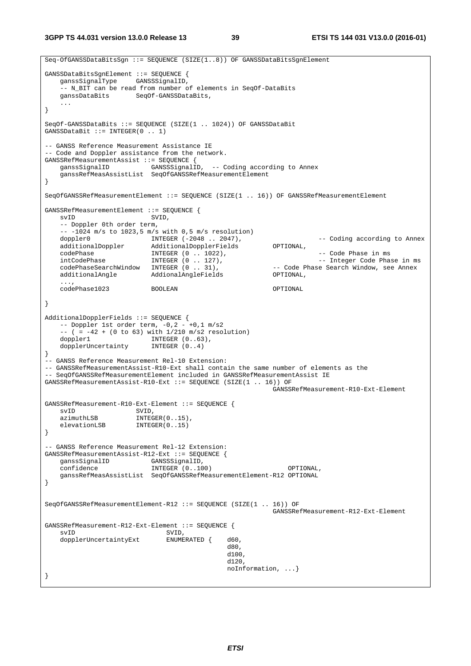**3GPP TS 44.031 version 13.0.0 Release 13 39 ETSI TS 144 031 V13.0.0 (2016-01)**

```
Seq-OfGANSSDataBitsSgn ::= SEQUENCE (SIZE(1..8)) OF GANSSDataBitsSgnElement 
GANSSDataBitsSgnElement ::= SEQUENCE { 
    ganssSignalType GANSSSignalID, 
     -- N_BIT can be read from number of elements in SeqOf-DataBits 
    ganssDataBits SeqOf-GANSSDataBits, 
 ... 
} 
SeqOf-GANSSDataBits ::= SEQUENCE (SIZE(1 .. 1024)) OF GANSSDataBit 
GANSSDataBit ::= INTEGER(0 .. 1) 
-- GANSS Reference Measurement Assistance IE 
-- Code and Doppler assistance from the network. 
GANSSRefMeasurementAssist ::= SEQUENCE { 
    ganssSignalID GANSSSignalID, -- Coding according to Annex 
    ganssRefMeasAssistList SeqOfGANSSRefMeasurementElement 
} 
SeqOfGANSSRefMeasurementElement ::= SEQUENCE (SIZE(1 .. 16)) OF GANSSRefMeasurementElement 
GANSSRefMeasurementElement ::= SEQUENCE { 
   svID SVID,
    -- Doppler 0th order term, 
   -- -1024 m/s to 1023,5 m/s with 0,5 m/s resolution)
   doppler0 INTEGER (-2048 . 2047), -- Coding according to Annex<br>additionalDoppler AdditionalDopplerFields OPTIONAL,
   additionalDoppler AdditionalDopplerFields
 codePhase INTEGER (0 .. 1022), -- Code Phase in ms 
intCodePhase            INTEGER (0 .. 127),                                  - Integer Code Phase in ms
 codePhaseSearchWindow INTEGER (0 .. 31), -- Code Phase Search Window, see Annex 
 additionalAngle AddionalAngleFields OPTIONAL, 
   additionalAngle<br>...,
    codePhase1023 BOOLEAN OPTIONAL 
} 
AdditionalDopplerFields ::= SEQUENCE { 
   -- Doppler 1st order term, -0, 2 - +0, 1 m/s2
   -- ( = -42 + (0 \text{ to } 63) with 1/210 \text{ m/s2 resolution})<br>doppler1 INTEGER (0..63),
                       INTEGER (0..63),
   dopplerUncertainty INTEGER (0..4)
} 
-- GANSS Reference Measurement Rel-10 Extension: 
-- GANSSRefMeasurementAssist-R10-Ext shall contain the same number of elements as the 
-- SeqOfGANSSRefMeasurementElement included in GANSSRefMeasurementAssist IE 
GANSSRefMeasurementAssist-R10-Ext ::= SEQUENCE (SIZE(1 .. 16)) OF
                                                       GANSSRefMeasurement-R10-Ext-Element 
GANSSRefMeasurement-R10-Ext-Element ::= SEQUENCE {<br>syID SVID.
           SVID,
   azimuthLSB INTEGER(0..15),
   elevationLSB INTEGER(0..15)
} 
-- GANSS Reference Measurement Rel-12 Extension: 
GANSSRefMeasurementAssist-R12-Ext ::= SEQUENCE { 
   ganssSignalID GANSSSignalID,
    confidence INTEGER (0..100) OPTIONAL, 
    ganssRefMeasAssistList SeqOfGANSSRefMeasurementElement-R12 OPTIONAL 
} 
SeqOfGANSSRefMeasurementElement-R12 ::= SEQUENCE (SIZE(1 .. 16)) OF
                                                       GANSSRefMeasurement-R12-Ext-Element 
GANSSRefMeasurement-R12-Ext-Element ::= SEQUENCE { 
   svID<br>dopplerUncertaintvExt. ENUMERATED {
   dopplerUncertaintyExt ENUMERATED { d60,
d80 ,
d100 ,
d120 ,
                                             noInformation, ...} 
}
```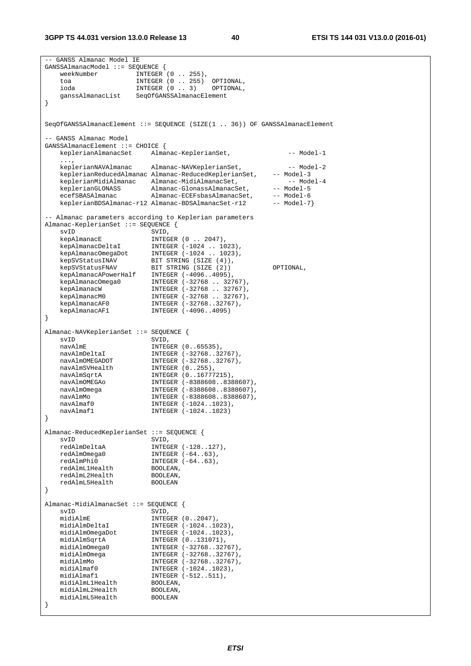-- GANSS Almanac Model IE GANSSAlmanacModel ::= SEQUENCE { weekNumber INTEGER (0 .. 255), toa INTEGER (0 .. 255) OPTIONAL, ioda INTEGER (0 .. 3) OPTIONAL, ganssAlmanacList SeqOfGANSSAlmanacElement } SeqOfGANSSAlmanacElement ::= SEQUENCE (SIZE(1 .. 36)) OF GANSSAlmanacElement -- GANSS Almanac Model GANSSAlmanacElement ::= CHOICE { keplerianAlmanacSet Almanac-KeplerianSet, -- Model-1 ..., keplerianNAVAlmanac Almanac-NAVKeplerianSet, -- Model-2 keplerianReducedAlmanac Almanac-ReducedKeplerianSet, -- Model-3 keplerianMidiAlmanac Almanac-MidiAlmanacSet, -- Model-4 keplerianGLONASS Almanac-GlonassAlmanacSet, -- Model-5 ecefSBASAlmanac Almanac-ECEFsbasAlmanacSet, -- Model-6 ecefSBASAlmanac Almanac-rosponimanacoso,<br>keplerianBDSAlmanac-r12 Almanac-BDSAlmanacSet-r12 -- Model-7} -- Almanac parameters according to Keplerian parameters Almanac-KeplerianSet ::= SEQUENCE { svID SVID, kepAlmanacE INTEGER (0 .. 2047), kepAlmanacDeltaI INTEGER (-1024 .. 1023), kepAlmanacOmegaDot INTEGER (-1024 .. 1023), kepSVStatusINAV BIT STRING (SIZE (4)), kepSVStatusFNAV BIT STRING (SIZE (2)) OPTIONAL, kepAlmanacAPowerHalf INTEGER (-4096..4095), kepAlmanacOmega0 INTEGER (-32768 .. 32767), kepAlmanacW INTEGER (-32768 .. 32767), kepAlmanacM0 INTEGER (-32768 .. 32767), kepAlmanacAF0 INTEGER (-32768..32767), kepAlmanacAF1 INTEGER (-4096..4095) }  $\begin{tabular}{cclclcl} {\bf Almanac-NAVKeplerianSet} & : := & & \\ {\bf SVID} & & \\ {\bf SVID} & & \\ {\bf navAlmE} & & {\bf INTEGR} & (0 \\ \end{tabular}$ svID SVID, navAlmE INTEGER (0..65535), navAlmDeltaI INTEGER (-32768..32767), navAlmOMEGADOT INTEGER (-32768..32767), navAlmSVHealth INTEGER (0..255), navAlmSqrtA INTEGER (0..16777215), navAlmOMEGAo INTEGER (-8388608..8388607), navAlmOmega INTEGER (-8388608..8388607), navAlmMo INTEGER (-8388608..8388607), navAlmaf0 INTEGER (-1024..1023), navAlmaf1 INTEGER (-1024..1023) } Almanac-ReducedKeplerianSet ::= SEQUENCE { svID SVID, redAlmDeltaA INTEGER (-128..127), redAlmOmega0 INTEGER (-64..63), redAlmPhi0 INTEGER (-64..63), redAlmL1Health BOOLEAN, redAlmL2Health BOOLEAN, redAlmL5Health BOOLEAN } Almanac-MidiAlmanacSet ::= SEQUENCE {  $s$ vID  $s$ VID, midiAlmE INTEGER (0..2047), midiAlmDeltaI INTEGER (-1024..1023), midiAlmOmegaDot INTEGER (-1024..1023), midiAlmSqrtA INTEGER (0..131071), midiAlmOmega0 INTEGER (-32768..32767), midiAlmOmega INTEGER (-32768..32767), midiAlmMo INTEGER (-32768..32767), midiAlmaf0 **INTEGER** (-1024..1023), midiAlmaf1 INTEGER (-512..511), midiAlmL1Health BOOLEAN, midiAlmL2Health BOOLEAN, midiAlmL5Health BOOLEAN }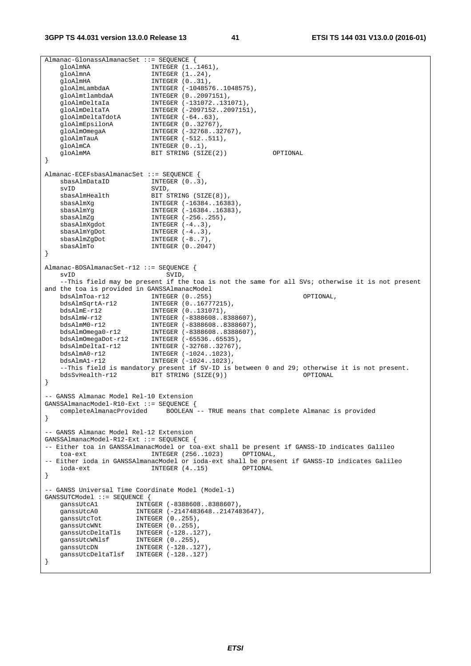```
Almanac-GlonassAlmanacSet ::= SEQUENCE { 
gloAlmNA INTEGER (1..1461),
gloAlmnA INTEGER (1..24),
gloAlmHA INTEGER (0..31),
 gloAlmLambdaA INTEGER (-1048576..1048575), 
 gloAlmtlambdaA INTEGER (0..2097151), 
 gloAlmDeltaIa INTEGER (-131072..131071), 
 gloAlmDeltaTA INTEGER (-2097152..2097151), 
 gloAlmDeltaTdotA INTEGER (-64..63), 
gloAlmEpsilonA INTEGER (0..32767),
gloAlmOmegaA INTEGER (-32768..32767),
gloAlmTauA INTEGER (-512..511),
gloAlmCA INTEGER (0..1),
 gloAlmMA BIT STRING (SIZE(2)) OPTIONAL 
} 
Almanac-ECEFsbasAlmanacSet ::= SEQUENCE { 
sbasAlmDataID INTEGER (0..3),
svID SVID,
sbasAlmHealth BIT STRING (SIZE(8)),
 sbasAlmXg INTEGER (-16384..16383), 
 sbasAlmYg INTEGER (-16384..16383), 
sbasAlmZg               INTEGER (-256..255),
sbasAlmXgdot INTEGER (-4..3),
sbasAlmYgDot INTEGER (-4..3),
   sbasAlmYgDot INTEGER (-4..3),<br>sbasAlmZgDot INTEGER (-8..7),<br>INTEGER (-8..7),
   sbasAlmTo INTEGER (0..2047)
} 
Almanac-BDSAlmanacSet-r12 ::= SEQUENCE { 
  svID SVID,
    --This field may be present if the toa is not the same for all SVs; otherwise it is not present 
and the toa is provided in GANSSAlmanacModel 
 bdsAlmToa-r12 INTEGER (0..255) OPTIONAL, 
 bdsAlmSqrtA-r12 INTEGER (0..16777215), 
 bdsAlmE-r12 INTEGER (0..131071), 
 bdsAlmW-r12 INTEGER (-8388608..8388607), 
 bdsAlmM0-r12 INTEGER (-8388608..8388607), 
 bdsAlmOmega0-r12 INTEGER (-8388608..8388607), 
 bdsAlmOmegaDot-r12 INTEGER (-65536..65535), 
 bdsAlmDeltaI-r12 INTEGER (-32768..32767), 
 bdsAlmA0-r12 INTEGER (-1024..1023), 
 bdsAlmA1-r12 INTEGER (-1024..1023), 
   --This field is mandatory present if SV-ID is between 0 and 29; otherwise it is not present.<br>bdsSvHealth-r12 BIT STRING (SIZE(9)) OPTIONAL
  bdsSvHealth-rl2 BIT STRING (SIZE(9))
} 
-- GANSS Almanac Model Rel-10 Extension 
GANSSAlmanacModel-R10-Ext ::= SEQUENCE { 
   completeAlmanacProvided BOOLEAN -- TRUE means that complete Almanac is provided 
} 
-- GANSS Almanac Model Rel-12 Extension 
GANSSAlmanacModel-R12-Ext ::= SEQUENCE { 
-- Either toa in GANSSAlmanacModel or toa-ext shall be present if GANSS-ID indicates Galileo 
  toa-ext INTEGER (256..1023) OPTIONAL,
-- Either ioda in GANSSAlmanacModel or ioda-ext shall be present if GANSS-ID indicates Galileo 
   ioda-ext INTEGER (4..15) OPTIONAL 
} 
-- GANSS Universal Time Coordinate Model (Model-1) 
GANSSUTCModel ::= SEQUENCE {<br>ganssUtcAl INTEGER (-8388608..8388607),<br>cancellical INTEGER (3147492649..914749) ganssUtcA1 INTEGER (-8388608..8388607), 
 ganssUtcA0 INTEGER (-2147483648..2147483647), 
ganssUtcTot INTEGER (0..255),
ganssUtcWNt INTEGER (0..255),
 ganssUtcDeltaTls INTEGER (-128..127), 
 ganssUtcWNlsf INTEGER (0..255), 
ganssUtcDN INTEGER (-128..127),
   yanssUtcDN INTEGER (-128..127),<br>ganssUtcDeltaTlsf INTEGER (-128..127)
}
```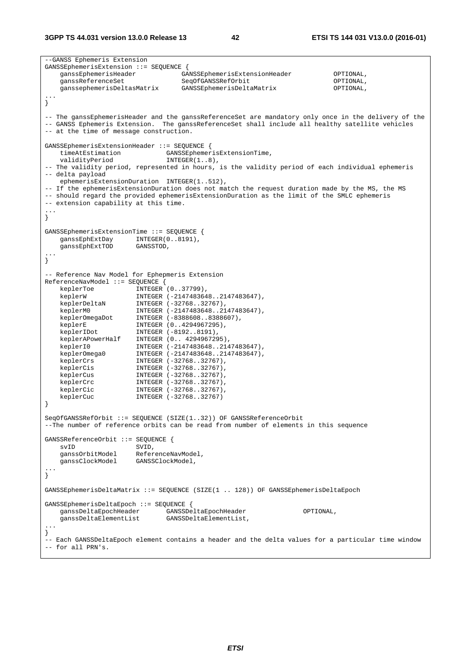--GANSS Ephemeris Extension GANSSEphemerisExtension ::= SEQUENCE { ganssEphemerisHeader GANSSEphemerisExtensionHeader OPTIONAL, ganssReferenceSet SeqOfGANSSRefOrbit OPTIONAL, ganssephemerisDeltasMatrix GANSSEphemerisDeltaMatrix OPTIONAL, ... } -- The ganssEphemerisHeader and the ganssReferenceSet are mandatory only once in the delivery of the -- GANSS Ephemeris Extension. The ganssReferenceSet shall include all healthy satellite vehicles -- at the time of message construction. GANSSEphemerisExtensionHeader ::= SEQUENCE { timeAtEstimation<br>validityPeriod  $INTEGR(1..8)$ , -- The validity period, represented in hours, is the validity period of each individual ephemeris -- delta payload ephemerisExtensionDuration INTEGER(1..512), -- If the ephemerisExtensionDuration does not match the request duration made by the MS, the MS -- should regard the provided ephemerisExtensionDuration as the limit of the SMLC ephemeris -- extension capability at this time. ... } GANSSEphemerisExtensionTime ::= SEQUENCE { ganssEphExtDay INTEGER(0..8191), ganssEphExtTOD GANSSTOD, ... } -- Reference Nav Model for Ephepmeris Extension ReferenceNavModel ::= SEQUENCE { keplerToe INTEGER (0..37799), keplerW INTEGER (-2147483648..2147483647), keplerDeltaN INTEGER (-32768..32767), keplerM0 INTEGER (-2147483648..2147483647), keplerOmegaDot INTEGER (-8388608..8388607), keplerE INTEGER (0..4294967295), keplerIDot INTEGER (-8192..8191), keplerAPowerHalf INTEGER (0.. 4294967295), keplerI0 INTEGER (-2147483648..2147483647), keplerOmega0 INTEGER (-2147483648..2147483647), keplerCrs INTEGER (-32768..32767), keplerCis INTEGER (-32768..32767), keplerCus INTEGER (-32768..32767), keplerCrc INTEGER (-32768..32767), keplerCic INTEGER (-32768..32767), keplerCuc INTEGER (-32768..32767) } SeqOfGANSSRefOrbit ::= SEQUENCE (SIZE(1..32)) OF GANSSReferenceOrbit --The number of reference orbits can be read from number of elements in this sequence GANSSReferenceOrbit ::= SEQUENCE {<br>svID SVID SVID,<br>ReferenceNavModel. ganssOrbitModel<br>ganssClockModel GANSSClockModel, ... } GANSSEphemerisDeltaMatrix ::= SEQUENCE (SIZE(1 .. 128)) OF GANSSEphemerisDeltaEpoch GANSSEphemerisDeltaEpoch ::= SEQUENCE { ganssDeltaEpochHeader GANSSDeltaEpochHeader OPTIONAL, ganssDeltaElementList GANSSDeltaElementList, ... } -- Each GANSSDeltaEpoch element contains a header and the delta values for a particular time window -- for all PRN's.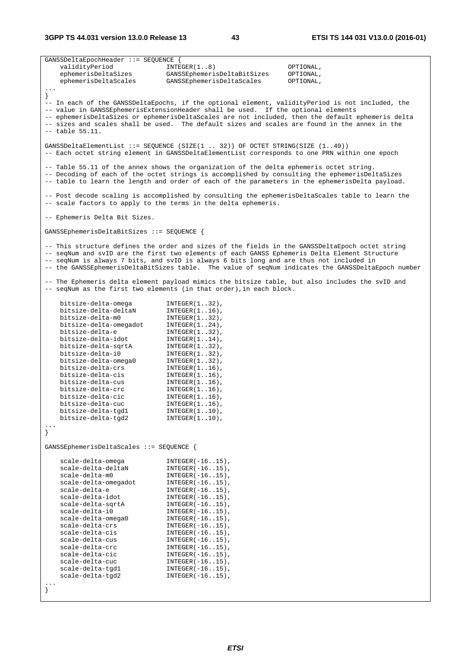**3GPP TS 44.031 version 13.0.0 Release 13 43 ETSI TS 144 031 V13.0.0 (2016-01)**

| $GANSSDeltaEpochHeader :: = SEQUENCE$      |                                                                                                                                                                                          |                                                                                                    |
|--------------------------------------------|------------------------------------------------------------------------------------------------------------------------------------------------------------------------------------------|----------------------------------------------------------------------------------------------------|
| validityPeriod                             | INTER(18)                                                                                                                                                                                | OPTIONAL,                                                                                          |
| ephemerisDeltaSizes                        | GANSSEphemerisDeltaBitSizes                                                                                                                                                              | OPTIONAL,                                                                                          |
| ephemerisDeltaScales                       | GANSSEphemerisDeltaScales                                                                                                                                                                | OPTIONAL,                                                                                          |
| $\sim$ $\sim$ $\sim$                       |                                                                                                                                                                                          |                                                                                                    |
|                                            |                                                                                                                                                                                          |                                                                                                    |
|                                            |                                                                                                                                                                                          | -- In each of the GANSSDeltaEpochs, if the optional element, validityPeriod is not included, the   |
|                                            | -- value in GANSSEphemerisExtensionHeader shall be used. If the optional elements                                                                                                        | -- ephemerisDeltaSizes or ephemerisDeltaScales are not included, then the default ephemeris delta  |
|                                            |                                                                                                                                                                                          | -- sizes and scales shall be used. The default sizes and scales are found in the annex in the      |
| $--$ table $55.11.$                        |                                                                                                                                                                                          |                                                                                                    |
|                                            |                                                                                                                                                                                          |                                                                                                    |
|                                            | GANSSDeltaElementList ::= SEQUENCE (SIZE(1  32)) OF OCTET STRING(SIZE (149))                                                                                                             |                                                                                                    |
|                                            | -- Each octet string element in GANSSDeltaElementList corresponds to one PRN within one epoch                                                                                            |                                                                                                    |
|                                            |                                                                                                                                                                                          |                                                                                                    |
|                                            | -- Table 55.11 of the annex shows the organization of the delta ephemeris octet string.                                                                                                  |                                                                                                    |
|                                            |                                                                                                                                                                                          | -- Decoding of each of the octet strings is accomplished by consulting the ephemerisDeltaSizes     |
|                                            |                                                                                                                                                                                          | -- table to learn the length and order of each of the parameters in the ephemerisDelta payload.    |
|                                            |                                                                                                                                                                                          |                                                                                                    |
|                                            |                                                                                                                                                                                          | -- Post decode scaling is accomplished by consulting the ephemerisDeltaScales table to learn the   |
|                                            | -- scale factors to apply to the terms in the delta ephemeris.                                                                                                                           |                                                                                                    |
|                                            |                                                                                                                                                                                          |                                                                                                    |
| -- Ephemeris Delta Bit Sizes.              |                                                                                                                                                                                          |                                                                                                    |
|                                            |                                                                                                                                                                                          |                                                                                                    |
| GANSSEphemerisDeltaBitSizes ::= SEQUENCE { |                                                                                                                                                                                          |                                                                                                    |
|                                            |                                                                                                                                                                                          |                                                                                                    |
|                                            |                                                                                                                                                                                          | -- This structure defines the order and sizes of the fields in the GANSSDeltaEpoch octet string    |
|                                            | -- seqNum and svID are the first two elements of each GANSS Ephemeris Delta Element Structure<br>-- seqNum is always 7 bits, and svID is always 6 bits long and are thus not included in |                                                                                                    |
|                                            |                                                                                                                                                                                          | -- the GANSSEphemerisDeltaBitSizes table. The value of seqNum indicates the GANSSDeltaEpoch number |
|                                            |                                                                                                                                                                                          |                                                                                                    |
|                                            |                                                                                                                                                                                          | -- The Ephemeris delta element payload mimics the bitsize table, but also includes the svID and    |
|                                            | -- seqNum as the first two elements (in that order), in each block.                                                                                                                      |                                                                                                    |
|                                            |                                                                                                                                                                                          |                                                                                                    |
| bitsize-delta-omega                        | $INTEGER(132)$ ,                                                                                                                                                                         |                                                                                                    |
| bitsize-delta-deltaN                       | $INTEGER(116)$ ,                                                                                                                                                                         |                                                                                                    |
| bitsize-delta-m0                           | $INTEGER(132)$ ,                                                                                                                                                                         |                                                                                                    |
| bitsize-delta-omegadot                     | $INTEGER(124)$ ,                                                                                                                                                                         |                                                                                                    |
| bitsize-delta-e                            | $INTEGER(132)$ ,                                                                                                                                                                         |                                                                                                    |
| bitsize-delta-idot                         | $INTEGER(1.14)$ ,                                                                                                                                                                        |                                                                                                    |
| bitsize-delta-sqrtA                        | $INTEGER(132)$ ,                                                                                                                                                                         |                                                                                                    |
| bitsize-delta-i0                           | $INTEGER(132)$ ,                                                                                                                                                                         |                                                                                                    |
| bitsize-delta-omega0                       | $INTEGER(132)$ ,                                                                                                                                                                         |                                                                                                    |
| bitsize-delta-crs                          | $INTEGER(116)$ ,                                                                                                                                                                         |                                                                                                    |
| bitsize-delta-cis                          | $INTEGER(116)$ ,                                                                                                                                                                         |                                                                                                    |
| bitsize-delta-cus                          | $INTEGER(116)$ ,                                                                                                                                                                         |                                                                                                    |
| bitsize-delta-crc                          | $INTEGER(116)$ ,                                                                                                                                                                         |                                                                                                    |
| bitsize-delta-cic<br>bitsize-delta-cuc     | $INTEGER(1.16)$ ,                                                                                                                                                                        |                                                                                                    |
| bitsize-delta-tgdl                         | $INTEGER(116)$ ,<br>$INTER(110)$ ,                                                                                                                                                       |                                                                                                    |
| bitsize-delta-tgd2                         | $INTEGER(110)$ ,                                                                                                                                                                         |                                                                                                    |
|                                            |                                                                                                                                                                                          |                                                                                                    |
|                                            |                                                                                                                                                                                          |                                                                                                    |
|                                            |                                                                                                                                                                                          |                                                                                                    |
| GANSSEphemerisDeltaScales ::= SEQUENCE {   |                                                                                                                                                                                          |                                                                                                    |
|                                            |                                                                                                                                                                                          |                                                                                                    |
| scale-delta-omega                          | $INTEGER(-1615)$ ,                                                                                                                                                                       |                                                                                                    |
| scale-delta-deltaN                         | $INTEGER(-1615)$ ,                                                                                                                                                                       |                                                                                                    |
| scale-delta-m0                             | $INTEGER(-1615)$ ,                                                                                                                                                                       |                                                                                                    |
| scale-delta-omegadot                       | $INTEGER(-1615)$ ,                                                                                                                                                                       |                                                                                                    |
| scale-delta-e                              | $INTEGER(-1615)$ ,                                                                                                                                                                       |                                                                                                    |
| scale-delta-idot                           | $INTEGER(-1615)$ ,                                                                                                                                                                       |                                                                                                    |
| scale-delta-sqrtA                          | $INTEGER(-1615)$ ,                                                                                                                                                                       |                                                                                                    |
| scale-delta-i0                             | $INTEGER(-1615)$ ,                                                                                                                                                                       |                                                                                                    |
| scale-delta-omega0<br>scale-delta-crs      | $INTEGER(-1615)$ ,                                                                                                                                                                       |                                                                                                    |
| scale-delta-cis                            | $INTEGER(-1615)$ ,<br>$INTEGER(-1615)$ ,                                                                                                                                                 |                                                                                                    |
| scale-delta-cus                            | $INTEGER(-1615)$ ,                                                                                                                                                                       |                                                                                                    |
| scale-delta-crc                            | $INTEGER(-1615)$ ,                                                                                                                                                                       |                                                                                                    |
| scale-delta-cic                            | $INTEGER(-1615)$ ,                                                                                                                                                                       |                                                                                                    |
| scale-delta-cuc                            | $INTEGER(-1615)$ ,                                                                                                                                                                       |                                                                                                    |
| scale-delta-tgd1                           | $INTEGER(-1615)$ ,                                                                                                                                                                       |                                                                                                    |
| scale-delta-tgd2                           | $INTEGER(-1615)$ ,                                                                                                                                                                       |                                                                                                    |
|                                            |                                                                                                                                                                                          |                                                                                                    |
|                                            |                                                                                                                                                                                          |                                                                                                    |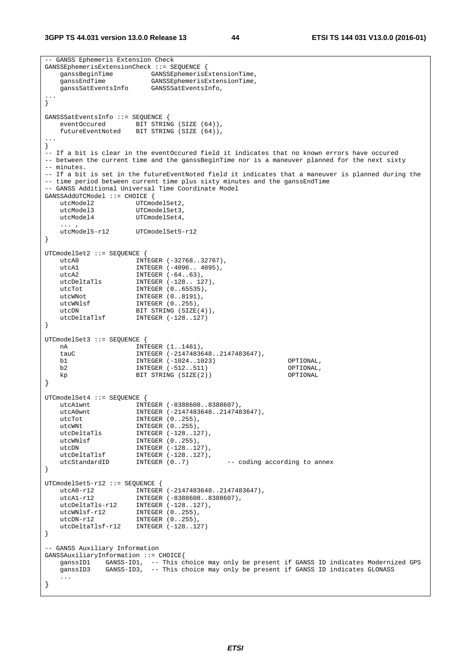**3GPP TS 44.031 version 13.0.0 Release 13 44 ETSI TS 144 031 V13.0.0 (2016-01)**

```
-- GANSS Ephemeris Extension Check 
GANSSEphemerisExtensionCheck ::= SEQUENCE { 
 ganssBeginTime GANSSEphemerisExtensionTime, 
 ganssEndTime GANSSEphemerisExtensionTime, 
    ganssSatEventsInfo GANSSSatEventsInfo, 
... 
} 
GANSSSatEventsInfo ::= SEQUENCE {<br>eventOccured BIT STRIN
                       BIT STRING (SIZE (64)),
    futureEventNoted BIT STRING (SIZE (64)), 
... 
} 
-- If a bit is clear in the eventOccured field it indicates that no known errors have occured 
-- between the current time and the ganssBeginTime nor is a maneuver planned for the next sixty 
-- minutes. 
-- If a bit is set in the futureEventNoted field it indicates that a maneuver is planned during the 
-- time period between current time plus sixty minutes and the ganssEndTime
-- GANSS Additional Universal Time Coordinate Model 
GANSSAddUTCModel ::= CHOICE { 
   utcModel2 UTCmodelSet2,
   utcModel3 UTCmodelSet3,<br>utcModel4 UTCmodelSet4,
                       UTCmodelSet4,
   ... ,<br>utcModel5-r12
                      UTCmodelSet5-r12
} 
UTCmodelSet2 ::= SEQUENCE { 
   utcA0 INTEGER (-32768..32767),
   utcA1 <br>
INTEGER (-4096.. 4095),<br>
INTEGER (-64..63),
   utcA2 <br>utcDeltaTls INTEGER (-64..63),<br>INTEGER (-128..12
   utcDeltaTls INTEGER (-128...127),<br>utcTot. INTEGER (0..65535).
utcTot INTEGER (0..65535),
utcWNot INTEGER (0..8191),
   utcWNlsf INTEGER (0..255),<br>
utcDN BIT STRING (SIZE)<br>
utcDeltaTlsf INTEGER (-128..12
                       BIT STRING (SIZE(4)),
                       INTER <math>(-128..127)</math>} 
UTCmodelSet3 ::= SEQUENCE { 
    nA INTEGER (1..1461), 
     tauC INTEGER (-2147483648..2147483647), 
    b1 INTEGER (-1024..1023) OPTIONAL, 
    b2 INTEGER (-512..511) OPTIONAL, 
                       BIT STRING (SIZE(2))
} 
UTCmodelSet4 ::= SEQUENCE { 
 utcA1wnt INTEGER (-8388608..8388607), 
 utcA0wnt INTEGER (-2147483648..2147483647), 
   utcTot INTEGER (0..255),<br>
utcNNt INTEGER (0..255),<br>
utcDeltaTls INTEGER (-128..12<br>
utcNNlsf INTEGER (0..255),<br>
utcDN TNTEGER (0..255),
utcWNt INTEGER (0..255),
 utcDeltaTls INTEGER (-128..127), 
                       1NTEGER (0..255),<br>INTEGER (0..255),<br>INTEGER (-128..127),
utcDN INTEGER (-128..127),
 utcDeltaTlsf INTEGER (-128..127), 
 utcStandardID INTEGER (0..7) -- coding according to annex 
} 
UTCmodelSet5-r12 ::= SEQUENCE { 
   utcA0-r12 INTEGER (-2147483648..2147483647),
 utcA1-r12 INTEGER (-8388608..8388607), 
 utcDeltaTls-r12 INTEGER (-128..127), 
 utcWNlsf-r12 INTEGER (0..255), 
 utcDN-r12 INTEGER (0..255), 
   utcDN-112 INTEGER (0..255),<br>utcDeltaTlsf-r12 INTEGER (-128..127)
} 
 -- GANSS Auxiliary Information 
GANSSAuxiliaryInformation ::= CHOICE{ 
    ganssID1 GANSS-ID1, -- This choice may only be present if GANSS ID indicates Modernized GPS 
    ganssID3 GANSS-ID3, -- This choice may only be present if GANSS ID indicates GLONASS 
     ... 
}
```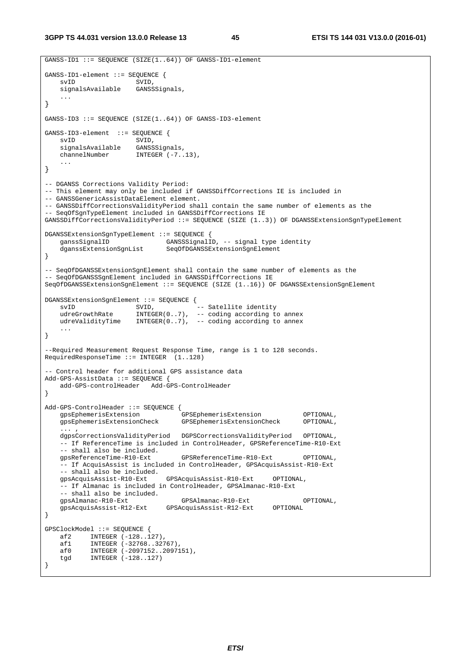```
GANSS-ID1 ::= SEQUENCE (SIZE(1..64)) OF GANSS-ID1-element
GANSS-ID1-element ::= SEQUENCE {<br>svID SVID,
                          SVID,
     signalsAvailable GANSSSignals, 
 ... 
} 
GANSS-ID3 ::= SEQUENCE (SIZE(1..64)) OF GANSS-ID3-element 
GANSS-ID3-element ::= SEQUENCE {
     svID SVID, 
     signalsAvailable GANSSSignals, 
    channelNumber INTEGER (-7..13),
     ... 
} 
-- DGANSS Corrections Validity Period: 
-- This element may only be included if GANSSDiffCorrections IE is included in 
-- GANSSGenericAssistDataElement element. 
-- GANSSDiffCorrectionsValidityPeriod shall contain the same number of elements as the 
 -- SeqOfSgnTypeElement included in GANSSDiffCorrections IE 
GANSSDiffCorrectionsValidityPeriod ::= SEQUENCE (SIZE (1..3)) OF DGANSSExtensionSgnTypeElement 
DGANSSExtensionSgnTypeElement ::= SEQUENCE { 
     ganssSignalID GANSSSignalID, -- signal type identity 
                                   SeqOfDGANSSExtensionSqnElement
} 
-- SeqOfDGANSSExtensionSgnElement shall contain the same number of elements as the 
-- SeqOfDGANSSSgnElement included in GANSSDiffCorrections IE 
SeqOfDGANSSExtensionSgnElement ::= SEQUENCE (SIZE (1..16)) OF DGANSSExtensionSgnElement 
\begin{tabular}{ll} {\bf DGANSSExtensionSgnElement} & := & {\bf SEQUENCE} \hspace{1.5cm} \{ \\ {\bf SVID} & {\bf SVID} \hspace{1.5cm} \\ \bf udreGrowthRate & {\bf INTEGRER} \hspace{1.5cm} \bf \end{tabular}svID SVID, -- Satellite identity
 udreGrowthRate INTEGER(0..7), -- coding according to annex 
    udreValidityTime INTEGER(0..7), -- coding according to annex
 ... 
} 
--Required Measurement Request Response Time, range is 1 to 128 seconds. 
RequiredResponseTime ::= INTEGER (1..128) 
 -- Control header for additional GPS assistance data 
Add-GPS-AssistData ::= SEQUENCE { 
                               add-GPS-controlHeader Add-GPS-ControlHeader 
} 
Add-GPS-ControlHeader ::= SEQUENCE { 
     gpsEphemerisExtension GPSEphemerisExtension OPTIONAL, 
                                        gpsEphemerisExtensionCheck GPSEphemerisExtensionCheck OPTIONAL, 
      ... , 
     dgpsCorrectionsValidityPeriod DGPSCorrectionsValidityPeriod OPTIONAL, 
      -- If ReferenceTime is included in ControlHeader, GPSReferenceTime-R10-Ext 
    -- shall also be included.<br>gpsReferenceTime-R10-Ext
                                         gpsReferenceTime-R10-Ext GPSReferenceTime-R10-Ext OPTIONAL, 
     -- If AcquisAssist is included in ControlHeader, GPSAcquisAssist-R10-Ext 
    -- shall also be included.<br>gpsAcquisAssist-R10-Ext
                                     gpsAcquisAssist-R10-Ext GPSAcquisAssist-R10-Ext OPTIONAL, 
      -- If Almanac is included in ControlHeader, GPSAlmanac-R10-Ext 
    -- shall also be included.<br>gpsAlmanac-R10-Ext
                                         gpsAlmanac-R10-Ext GPSAlmanac-R10-Ext OPTIONAL, 
     gpsAcquisAssist-R12-Ext GPSAcquisAssist-R12-Ext OPTIONAL 
} 
GPSClockModel ::= SEQUENCE { 
     af2 INTEGER (-128..127), 
    af1 INTEGER (-32768..32767)<br>af0 INTEGER (-2097152..2097)
    af0 INTEGER (-2097152..2097151),<br>tgd INTEGER (-128..127)
            1...____.<br>INTEGER (-128..127)
}
```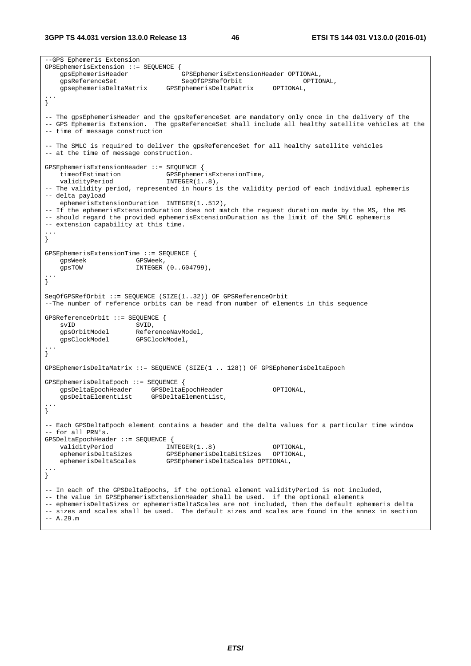--GPS Ephemeris Extension GPSEphemerisExtension ::= SEQUENCE {<br>gpsEphemerisHeader (<br>gpsEphemerisHeader ( gpsEphemerisHeader GPSEphemerisExtensionHeader OPTIONAL, gpsReferenceSet SeqOfGPSRefOrbit OPTIONAL, gpsephemerisDeltaMatrix GPSEphemerisDeltaMatrix OPTIONAL, ... } -- The gpsEphemerisHeader and the gpsReferenceSet are mandatory only once in the delivery of the -- GPS Ephemeris Extension. The gpsReferenceSet shall include all healthy satellite vehicles at the -- time of message construction -- The SMLC is required to deliver the gpsReferenceSet for all healthy satellite vehicles -- at the time of message construction. GPSEphemerisExtensionHeader ::= SEQUENCE { timeofEstimation GPSEphemerisExtensionTime, validityPeriod INTEGER(1..8), -- The validity period, represented in hours is the validity period of each individual ephemeris -- delta payload ephemerisExtensionDuration INTEGER(1..512), -- If the ephemerisExtensionDuration does not match the request duration made by the MS, the MS -- should regard the provided ephemerisExtensionDuration as the limit of the SMLC ephemeris -- extension capability at this time. ... } GPSEphemerisExtensionTime ::= SEQUENCE { gpsWeek GPSWeek,<br>gpsTOW INTEGER INTEGER (0..604799), ... } SeqOfGPSRefOrbit ::= SEQUENCE (SIZE(1..32)) OF GPSReferenceOrbit --The number of reference orbits can be read from number of elements in this sequence GPSReferenceOrbit ::= SEQUENCE { svID SVID, ReferenceNavModel,<br>GPSClockModel, gpsClockModel ... } GPSEphemerisDeltaMatrix ::= SEQUENCE (SIZE(1 .. 128)) OF GPSEphemerisDeltaEpoch GPSEphemerisDeltaEpoch ::= SEQUENCE { gpsDeltaEpochHeader GPSDeltaEpochHeader OPTIONAL, gpsDeltaElementList GPSDeltaElementList, ... } -- Each GPSDeltaEpoch element contains a header and the delta values for a particular time window -- for all PRN's. GPSDeltaEpochHeader ::= SEQUENCE { validityPeriod  $NTEGER(1..8)$  OPTIONAL,<br>ephemerisDeltaSizes GPSEphemerisDeltaBitSizes OPTIONAL, ephemerisDeltaSizes GPSEphemerisDeltaBitSizes OPTIONAL, ephemerisDeltaScales GPSEphemerisDeltaScales OPTIONAL, ... } -- In each of the GPSDeltaEpochs, if the optional element validityPeriod is not included, -- the value in GPSEphemerisExtensionHeader shall be used. if the optional elements -- ephemerisDeltaSizes or ephemerisDeltaScales are not included, then the default ephemeris delta -- sizes and scales shall be used. The default sizes and scales are found in the annex in section  $-- A.29.m$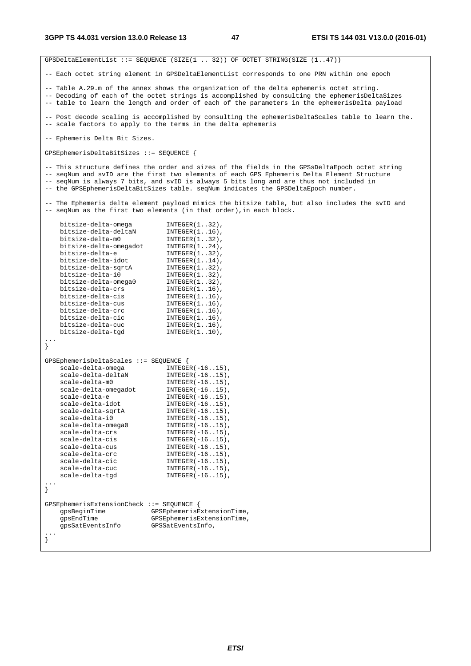GPSDeltaElementList ::= SEQUENCE (SIZE(1 .. 32)) OF OCTET STRING(SIZE (1..47)) -- Each octet string element in GPSDeltaElementList corresponds to one PRN within one epoch -- Table A.29.m of the annex shows the organization of the delta ephemeris octet string. -- Decoding of each of the octet strings is accomplished by consulting the ephemerisDeltaSizes -- table to learn the length and order of each of the parameters in the ephemerisDelta payload -- Post decode scaling is accomplished by consulting the ephemerisDeltaScales table to learn the. -- scale factors to apply to the terms in the delta ephemeris -- Ephemeris Delta Bit Sizes. GPSEphemerisDeltaBitSizes ::= SEQUENCE { -- This structure defines the order and sizes of the fields in the GPSsDeltaEpoch octet string -- seqNum and svID are the first two elements of each GPS Ephemeris Delta Element Structure -- seqNum is always 7 bits, and svID is always 5 bits long and are thus not included in -- the GPSEphemerisDeltaBitSizes table. seqNum indicates the GPSDeltaEpoch number. -- The Ephemeris delta element payload mimics the bitsize table, but also includes the svID and -- seqNum as the first two elements (in that order),in each block. bitsize-delta-omega INTEGER(1..32), bitsize-delta-deltaN INTEGER(1..16), bitsize-delta-m0 INTEGER(1..32), bitsize-delta-omegadot INTEGER(1..24), bitsize-delta-e INTEGER(1..32), bitsize-delta-idot INTEGER(1..14), bitsize-delta-sqrtA bitsize-delta-i0 INTEGER(1..32),  $\begin{minipage}{0.9\textwidth} \begin{tabular}{p{0.8cm}p{0.8cm}p{0.8cm}} \begin{tabular}{p{0.8cm}p{0.8cm}p{0.8cm}} \multicolumn{2}{p{0.8cm}p{0.8cm}} \multicolumn{2}{p{0.8cm}p{0.8cm}} \multicolumn{2}{p{0.8cm}p{0.8cm}} \multicolumn{2}{p{0.8cm}p{0.8cm}} \multicolumn{2}{p{0.8cm}p{0.8cm}} \multicolumn{2}{p{0.8cm}p{0.8cm}} \multicolumn{2}{p{0.8cm}p{0.8cm}} \multicolumn{2$  bitsize-delta-crs INTEGER(1..16), bitsize-delta-cis INTEGER(1..16), bitsize-delta-cus INTEGER(1..16), bitsize-delta-crc INTEGER(1..16), bitsize-delta-cic INTEGER(1..16), bitsize-delta-cuc INTEGER(1..16), bitsize-delta-tgd INTEGER(1..10), ... } GPSEphemerisDeltaScales ::= SEQUENCE { scale-delta-omega INTEGER(-16..15), scale-delta-deltaN INTEGER(-16..15), scale-delta-m0 INTEGER(-16..15), scale-delta-omegadot INTEGER(-16..15), scale-delta-e INTEGER(-16..15), scale-delta-idot INTEGER(-16..15), scale-delta-sqrtA INTEGER(-16..15), scale-delta-i0 INTEGER(-16..15), scale-delta-omega0 INTEGER(-16..15), scale-delta-crs INTEGER(-16..15), scale-delta-cis INTEGER(-16..15), scale-delta-cus INTEGER(-16..15), scale-delta-crc INTEGER(-16..15), scale-delta-cic INTEGER(-16..15), scale-delta-cuc INTEGER(-16..15), scale-delta-tgd INTEGER(-16..15), ... } GPSEphemerisExtensionCheck ::= SEQUENCE { gpsBeginTime GPSEphemerisExtensionTime, gpsEndTime GPSEphemerisExtensionTime, gpsSatEventsInfo GPSSatEventsInfo, ... }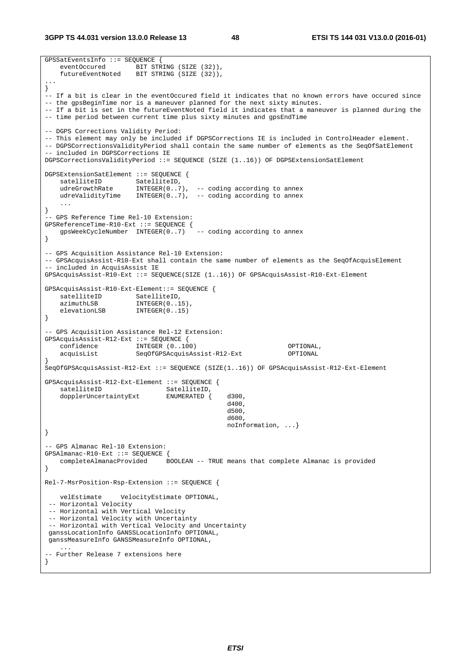**3GPP TS 44.031 version 13.0.0 Release 13 48 ETSI TS 144 031 V13.0.0 (2016-01)**

```
GPSSatEventsInfo ::= SEQUENCE {<br>eventOccured BIT STR
                      BIT STRING (SIZE (32)),
    futureEventNoted BIT STRING (SIZE (32)), 
... 
} 
-- If a bit is clear in the eventOccured field it indicates that no known errors have occured since 
-- the gpsBeginTime nor is a maneuver planned for the next sixty minutes. 
-- If a bit is set in the futureEventNoted field it indicates that a maneuver is planned during the 
-- time period between current time plus sixty minutes and gpsEndTime 
-- DGPS Corrections Validity Period: 
-- This element may only be included if DGPSCorrections IE is included in ControlHeader element. 
-- DGPSCorrectionsValidityPeriod shall contain the same number of elements as the SeqOfSatElement 
-- included in DGPSCorrections IE 
DGPSCorrectionsValidityPeriod ::= SEQUENCE (SIZE (1..16)) OF DGPSExtensionSatElement 
DGPSExtensionSatElement ::= SEQUENCE { 
satelliteID SatelliteID,
 udreGrowthRate INTEGER(0..7), -- coding according to annex 
   udreValidityTime INTEGER(0..7), -- coding according to annex
 ... 
} 
 - GPS Reference Time Rel-10 Extension:
SPERE frenceTime-R10-Ext ::= SEQUENCE {<br>
gpsWeekCvcleNumber INTEGER(0..7) -- coding according to annex
   qpsWeekCycleNumber INTEGER(0..7)} 
-- GPS Acquisition Assistance Rel-10 Extension: 
-- GPSAcquisAssist-R10-Ext shall contain the same number of elements as the SeqOfAcquisElement 
-- included in AcquisAssist IE 
GPSAcquisAssist-R10-Ext ::= SEQUENCE(SIZE (1..16)) OF GPSAcquisAssist-R10-Ext-Element 
GPSAcquisAssist-R10-Ext-Element::= SEQUENCE { 
   satelliteID SatelliteID,<br>azimuthLSB INTEGER(0.1
   azimuthLSB INTEGER(0..15)<br>elevationLSB INTEGER(0..15)
                       INTEGR(0..15)} 
-- GPS Acquisition Assistance Rel-12 Extension: 
GPSAcquisAssist-R12-Ext ::= SEQUENCE { 
    confidence INTEGER (0..100) OPTIONAL, 
    acquisList SeqOfGPSAcquisAssist-R12-Ext OPTIONAL 
} 
SeqOfGPSAcquisAssist-R12-Ext ::= SEQUENCE (SIZE(1..16)) OF GPSAcquisAssist-R12-Ext-Element 
GPSAcquisAssist-R12-Ext-Element ::= SEQUENCE { 
   satelliteID, SatelliteID,
   dopplerUncertaintyExt ENUMERATED { d300,<br>d400,
d400 ,
d500 ,
d600 ,
                                               noInformation, ...} 
} 
-- GPS Almanac Rel-10 Extension: 
GPSAlmanac-R10-Ext ::= SEQUENCE { 
    completeAlmanacProvided BOOLEAN -- TRUE means that complete Almanac is provided 
} 
Rel-7-MsrPosition-Rsp-Extension ::= SEQUENCE { 
    velEstimate VelocityEstimate OPTIONAL, 
  -- Horizontal Velocity 
  -- Horizontal with Vertical Velocity 
 -- Horizontal Velocity with Uncertainty 
  -- Horizontal with Vertical Velocity and Uncertainty 
  ganssLocationInfo GANSSLocationInfo OPTIONAL, 
 ganssMeasureInfo GANSSMeasureInfo OPTIONAL, 
 ... 
-- Further Release 7 extensions here 
}
```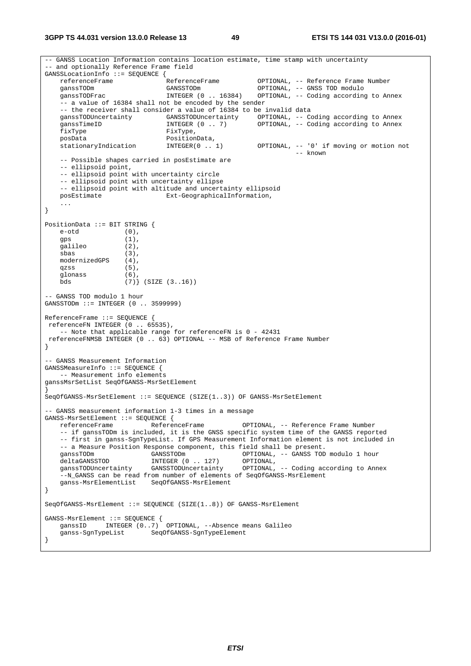**3GPP TS 44.031 version 13.0.0 Release 13 49 ETSI TS 144 031 V13.0.0 (2016-01)**

```
-- GANSS Location Information contains location estimate, time stamp with uncertainty 
 -- and optionally Reference Frame field 
GANSSLocationInfo ::= SEQUENCE {<br>referenceFrame ReferenceFrame
    referenceFrame ReferenceFrame OPTIONAL, -- Reference Frame Number 
    ganssTODm GANSSTODm OPTIONAL, -- GNSS TOD modulo 
    ganssTODFrac INTEGER (0 .. 16384) OPTIONAL, -- Coding according to Annex 
     -- a value of 16384 shall not be encoded by the sender 
   -- the receiver shall consider a value of 16384 to be invalid data<br>ganssTODUncertainty GANSSTODUncertainty OPTIONAL, -- CO
   ganssTODUncertainty GANSSTODUncertainty OPTIONAL, -- Coding according to Annex<br>ganssTimeID 1NTEGER (0 . 7) OPTIONAL, -- Coding according to Annex
                                                      OPTIONAL, -- Coding according to Annex
   FixType FixType,<br>posData PositionI
   posData <br>stationaryIndication INTEGER(0 ..
 stationaryIndication INTEGER(0 .. 1) OPTIONAL, -- '0' if moving or motion not 
 -- known 
     -- Possible shapes carried in posEstimate are 
     -- ellipsoid point, 
     -- ellipsoid point with uncertainty circle 
     -- ellipsoid point with uncertainty ellipse 
     -- ellipsoid point with altitude and uncertainty ellipsoid 
    posEstimate Ext-GeographicalInformation, 
 ... 
} 
PositionData ::= BIT STRING { 
   e-otd (0)
   qps (1),
    galileo (2), 
    sbas (3), 
    modernizedGPS (4), 
    qzss (5),
   glonass (6),<br>bds (7)
                    (7) (SIZE (3..16))
-- GANSS TOD modulo 1 hour 
GANSSTODm ::= INTEGER (0 .. 3599999) 
ReferenceFrame ::= SEQUENCE { 
 referenceFN INTEGER (0 .. 65535), 
     -- Note that applicable range for referenceFN is 0 - 42431 
 referenceFNMSB INTEGER (0 .. 63) OPTIONAL -- MSB of Reference Frame Number
} 
-- GANSS Measurement Information 
GANSSMeasureInfo ::= SEQUENCE { 
   -- Measurement info elements 
ganssMsrSetList SeqOfGANSS-MsrSetElement 
} 
SeqOfGANSS-MsrSetElement ::= SEQUENCE (SIZE(1..3)) OF GANSS-MsrSetElement 
-- GANSS measurement information 1-3 times in a message 
GANSS-MsrSetElement ::= SEQUENCE { 
    referenceFrame ReferenceFrame OPTIONAL, -- Reference Frame Number 
     -- if ganssTODm is included, it is the GNSS specific system time of the GANSS reported 
     -- first in ganss-SgnTypeList. If GPS Measurement Information element is not included in 
   -- a Measure Position Response component, this field shall be present.<br>qanssTODm (GANSSTODm OPTIONAL, -- GANSS TOD
    ganssTODm GANSSTODm OPTIONAL, -- GANSS TOD modulo 1 hour deltaGANSSTOD INTEGER (0 . 127) OPTIONAL,
 deltaGANSSTOD INTEGER (0 .. 127) OPTIONAL, 
 ganssTODUncertainty GANSSTODUncertainty OPTIONAL, -- Coding according to Annex 
     --N_GANSS can be read from number of elements of SeqOfGANSS-MsrElement 
    ganss-MsrElementList SeqOfGANSS-MsrElement 
} 
SeqOfGANSS-MsrElement ::= SEQUENCE (SIZE(1..8)) OF GANSS-MsrElement 
GANSS-MsrElement ::= SEQUENCE { 
ganssID INTEGER (0..7) OPTIONAL, --Absence means Galileo
    ganss-SgnTypeList SeqOfGANSS-SgnTypeElement 
}
```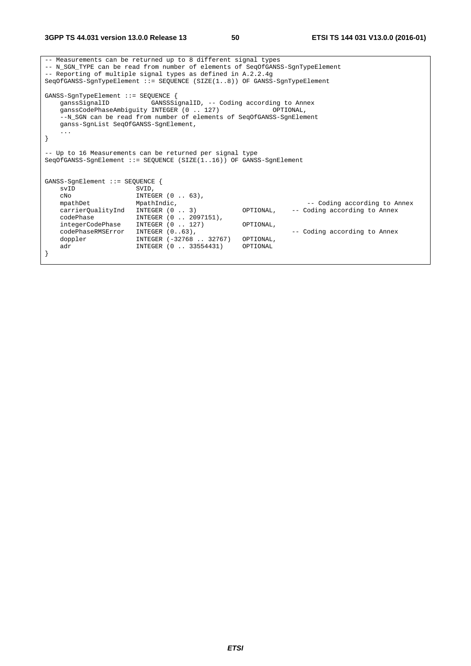|                                                                                                                                | -- Measurements can be returned up to 8 different signal types<br>-- N_SGN_TYPE can be read from number of elements of SeqOfGANSS-SqnTypeElement<br>-- Reporting of multiple signal types as defined in A.2.2.4g<br>SeqOfGANSS-SgnTypeElement ::= SEQUENCE (SIZE(18)) OF GANSS-SgnTypeElement |           |                              |
|--------------------------------------------------------------------------------------------------------------------------------|-----------------------------------------------------------------------------------------------------------------------------------------------------------------------------------------------------------------------------------------------------------------------------------------------|-----------|------------------------------|
| $GANSS-SgnTypeElement :: = SEQUENCE$<br>qanssSiqnalID<br>ganss-SqnList SeqOfGANSS-SqnElement,                                  | GANSSSignalID, -- Coding according to Annex<br>ganssCodePhaseAmbiguity INTEGER (0  127)<br>--N_SGN can be read from number of elements of SeqOfGANSS-SqnElement                                                                                                                               |           | OPTIONAL,                    |
| $\cdots$                                                                                                                       |                                                                                                                                                                                                                                                                                               |           |                              |
| -- Up to 16 Measurements can be returned per signal type<br>SeqOfGANSS-SqnElement ::= SEOUENCE (SIZE(116)) OF GANSS-SqnElement |                                                                                                                                                                                                                                                                                               |           |                              |
| $GANSS-SgnElement :: = SEQUENCE$                                                                                               |                                                                                                                                                                                                                                                                                               |           |                              |
| svID                                                                                                                           | SVID,                                                                                                                                                                                                                                                                                         |           |                              |
| CNO                                                                                                                            | INTEGER (0 63),                                                                                                                                                                                                                                                                               |           |                              |
| mpathDet                                                                                                                       | MpathIndic,                                                                                                                                                                                                                                                                                   |           | -- Coding according to Annex |
| carrierOualityInd<br>codePhase                                                                                                 | INTEGER $(0 \ldots 3)$<br>INTEGER (0  2097151),                                                                                                                                                                                                                                               | OPTIONAL, | -- Coding according to Annex |
| integerCodePhase                                                                                                               | INTEGER (0  127)                                                                                                                                                                                                                                                                              | OPTIONAL, |                              |
| codePhaseRMSError                                                                                                              | INTEGER $(0.063)$ ,                                                                                                                                                                                                                                                                           |           | -- Coding according to Annex |
| doppler                                                                                                                        | INTEGER (-32768  32767)                                                                                                                                                                                                                                                                       | OPTIONAL, |                              |
| adr                                                                                                                            | INTEGER (0  33554431)                                                                                                                                                                                                                                                                         | OPTIONAL  |                              |
|                                                                                                                                |                                                                                                                                                                                                                                                                                               |           |                              |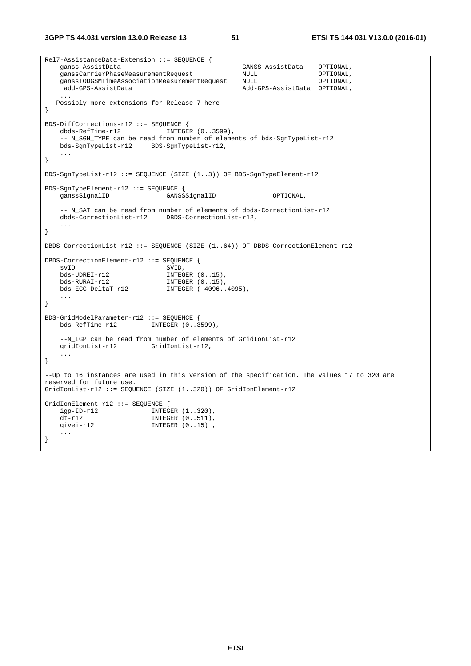**3GPP TS 44.031 version 13.0.0 Release 13 51 ETSI TS 144 031 V13.0.0 (2016-01)**

Rel7-AssistanceData-Extension ::= SEQUENCE { ganss-AssistData GANSS-AssistData OPTIONAL, ganssCarrierPhaseMeasurementRequest NULL OPTIONAL, ganssTODGSMTimeAssociationMeasurementRequest NULL OPTIONAL, add-GPS-AssistData Add-GPS-AssistData OPTIONAL, ... -- Possibly more extensions for Release 7 here } BDS-DiffCorrections-r12 ::= SEQUENCE {<br>dbds-RefTime-r12 INTEGER (0..3599),  $dbds-RefTime- r12$  -- N\_SGN\_TYPE can be read from number of elements of bds-SgnTypeList-r12 bds-SgnTypeList-r12 BDS-SgnTypeList-r12, ... } BDS-SgnTypeList-r12 ::= SEQUENCE (SIZE (1..3)) OF BDS-SgnTypeElement-r12 BDS-SgnTypeElement-r12 ::= SEQUENCE { ganssSignalID GANSSSignalID OPTIONAL, -- N\_SAT can be read from number of elements of dbds-CorrectionList-r12<br>dbds-CorrectionList-r12 DBDS-CorrectionList-r12, DBDS-CorrectionList-r12, ... } DBDS-CorrectionList-r12 ::= SEQUENCE (SIZE (1..64)) OF DBDS-CorrectionElement-r12 DBDS-CorrectionElement-r12 ::= SEQUENCE { SVID, bds-UDREI-r12 INTEGER (0..15), bds-RURAI-r12 INTEGER  $(0..15)$ , bds-ECC-DeltaT-r12 INTEGER (-4096..4095), ... } BDS-GridModelParameter-r12 ::= SEQUENCE {<br>bds-RefTime-r12 INTEGER (0..3 INTEGER  $(0.3599)$ , --N\_IGP can be read from number of elements of GridIonList-r12 gridIonList-r12 GridIonList-r12, ... } --Up to 16 instances are used in this version of the specification. The values 17 to 320 are reserved for future use. GridIonList-r12 ::= SEQUENCE (SIZE (1..320)) OF GridIonElement-r12 GridIonElement-r12 ::= SEQUENCE {<br>iqp-ID-r12 INTEGER  $(1..320)$ ,  $i$ gp-ID- $r12$ dt-r12 **INTEGER** (0..511), givei-r12 INTEGER (0..15), ... }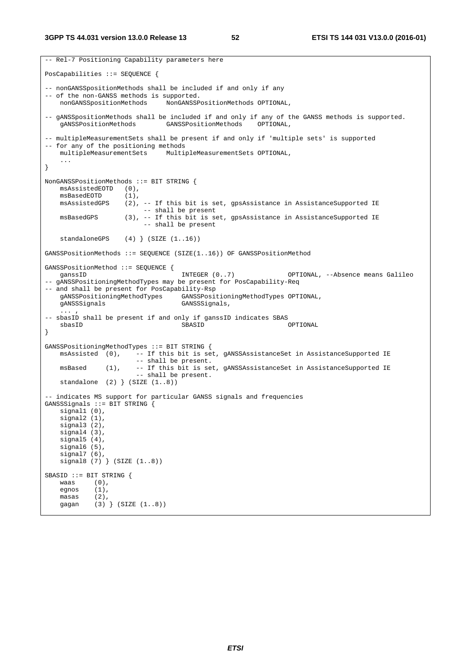```
-- Rel-7 Positioning Capability parameters here 
PosCapabilities ::= SEQUENCE { 
-- nonGANSSpositionMethods shall be included if and only if any 
-- of the non-GANSS methods is supported. 
    nonGANSSpositionMethods NonGANSSPositionMethods OPTIONAL, 
-- gANSS position Methods shall be included if and only if any of the GANSS methods is supported.<br>gANSSPosition Methods GANSSPosition Methods OPTIONAL,
                                 GANSSPositionMethods
-- multipleMeasurementSets shall be present if and only if 'multiple sets' is supported 
-- for any of the positioning methods<br>multipleMeasurementSets Multi
                                 MultipleMeasurementSets OPTIONAL,
     ... 
} 
NonGANSSPositionMethods ::= BIT STRING { 
    msAssistedEOTD (0), 
    msBasedEOTD (1),
    msAssistedGPS (2), -- If this bit is set, gpsAssistance in AssistanceSupported IE
   -- shall be present<br>msBasedGPS (3), -- If this bit is se
                      (3), -- If this bit is set, gpsAssistance in AssistanceSupported IE
                             -- shall be present 
    standaloneGPS (4) (SIZE (1..16))GANSSPositionMethods ::= SEQUENCE (SIZE(1..16)) OF GANSSPositionMethod 
GANSSPositionMethod ::= SEQUENCE { 
   ganssID                             INTEGER (0..7)             OPTIONAL, --Absence means Galileo
-- gANSSPositioningMethodTypes may be present for PosCapability-Req 
-- and shall be present for PosCapability-Rsp<br>gANSSPositioningMethodTypes GANSSPosi
                                      gANSSPositioningMethodTypes GANSSPositioningMethodTypes OPTIONAL, 
     gANSSSignals GANSSSignals, 
\ldots , \ldots-- sbasID shall be present if and only if ganssID indicates SBAS 
 sbasID SBASID OPTIONAL 
} 
GANSSPositioningMethodTypes ::= BIT STRING { 
    msAssisted (0), -- If this bit is set, gANSSAssistanceSet in AssistanceSupported IE 
    -- shall be present.<br>msBased (1), -- If this bit is se
                         -- If this bit is set, gANSSAssistanceSet in AssistanceSupported IE
                          -- shall be present. 
     standalone (2) } (SIZE (1..8)) 
-- indicates MS support for particular GANSS signals and frequencies 
GANSSSignals ::= BIT STRING { 
    signal1 (0),
 signal2 (1), 
 signal3 (2), 
     signal4 (3), 
    signal5(4),
     signal6 (5), 
 signal7 (6), 
 signal8 (7) } (SIZE (1..8)) 
SBASID ::= BIT STRING { 
   waas (0),<br>egnos (1),
    egnos
     masas (2), 
     gagan (3) } (SIZE (1..8))
```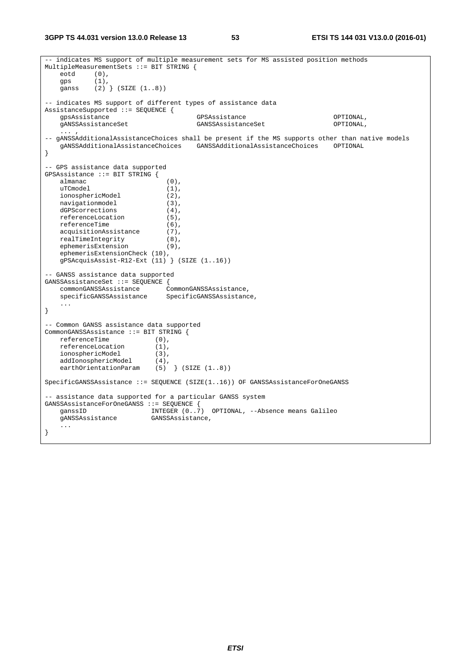```
-- indicates MS support of multiple measurement sets for MS assisted position methods 
MultipleMeasurementSets ::= BIT STRING { 
    eotd (0), 
    gps (1), 
    ganss (2) } (SIZE (1..8)) 
-- indicates MS support of different types of assistance data 
AssistanceSupported ::= SEQUENCE {<br>gpsAssistance
   gpsAssistance GPSAssistance GPSAssistance OPTIONAL,<br>gANSSAssistanceSet GANSSAssistanceSet OPTIONAL,
                                        GANSSAssistanceSet
\ldots , \ldots , \ldots-- gANSSAdditionalAssistanceChoices shall be present if the MS supports other than native models 
    gANSSAdditionalAssistanceChoices GANSSAdditionalAssistanceChoices OPTIONAL 
} 
-- GPS assistance data supported 
GPSAssistance ::= BIT STRING { 
   almanac (0),
   uTCmodel (1),<br>ionosphericModel (2),
   ionosphericModel
navigationmodel (3),
dGPScorrections (4),
    referenceLocation (5), 
    referenceTime (6), 
   acquisitionAssistance (7),
   realTimeIntegrity (8),<br>ephemerisExtension (9),
    ephemerisExtension
     ephemerisExtensionCheck (10), 
    gPSAcquisAssist-R12-Ext (11) } (SIZE (1..16)) 
-- GANSS assistance data supported 
GANSSAssistanceSet ::= SEQUENCE { 
     commonGANSSAssistance CommonGANSSAssistance, 
     specificGANSSAssistance SpecificGANSSAssistance, 
     ... 
} 
-- Common GANSS assistance data supported 
CommonGANSSAssistance ::= BIT STRING { 
   referenceTime (0),
    referenceLocation (1), 
 ionosphericModel (3), 
 addIonosphericModel (4), 
 earthOrientationParam (5) } (SIZE (1..8)) 
SpecificGANSSAssistance ::= SEQUENCE (SIZE(1..16)) OF GANSSAssistanceForOneGANSS 
-- assistance data supported for a particular GANSS system 
GANSSAssistanceForOneGANSS ::= SEQUENCE { 
   ganssID                       INTEGER (0..\dot{7}) OPTIONAL, --Absence means Galileo<br>gANSSAssistance           GANSSAssistance,
                           GANSSAssistance,
     ... 
}
```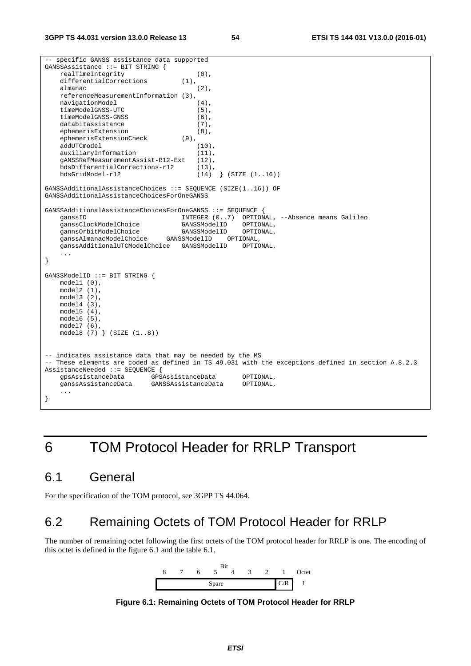```
-- specific GANSS assistance data supported 
GANSSAssistance ::= BIT STRING { 
   realTimeIntegrity (0),
   differentialCorrections (1),
   almanac (2),
   referenceMeasurementInformation (3),<br>navigationModel (4),
    navigationModel (4), 
    timeModelGNSS-UTC (5),<br>timeModelGNSS-GNSS (6),
    timeModelGNSS-GNSS (6),<br>databitassistance (7),
   databitassistance
   ephemerisExtension (8),<br>ephemerisExtensionCheck (9),
     ephemerisExtensionCheck (9), 
   addUTCmodel (10),<br>auxiliaryInformation (11),
   auxiliaryInformation
     gANSSRefMeasurementAssist-R12-Ext (12), 
     bdsDifferentialCorrections-r12 (13), 
    bdsGridModel-r12 (14) } (SIZE (1..16)) 
GANSSAdditionalAssistanceChoices ::= SEQUENCE (SIZE(1..16)) OF 
GANSSAdditionalAssistanceChoicesForOneGANSS 
GANSSAdditionalAssistanceChoicesForOneGANSS ::= SEQUENCE { 
ganssID                            INTEGER (0..7) OPTIONAL, --Absence means Galileo
 ganssClockModelChoice GANSSModelID OPTIONAL, 
 gannsOrbitModelChoice GANSSModelID OPTIONAL, 
 ganssAlmanacModelChoice GANSSModelID OPTIONAL, 
    ganssAdditionalUTCModelChoice GANSSModelID OPTIONAL, 
     ... 
} 
GANSSModelID ::= BIT STRING { 
    model1 (0), 
    model2 (1), 
    model3 (2), 
    model4 (3), 
    model5 (4), 
    model6 (5), 
    model7 (6), 
    model8 (7) } (SIZE (1..8)) 
-- indicates assistance data that may be needed by the MS 
-- These elements are coded as defined in TS 49.031 with the exceptions defined in section A.8.2.3 
AssistanceNeeded ::= SEQUENCE { 
   gpsAssistanceData GPSAssistanceData OPTIONAL,<br>ganssAssistanceData GANSSAssistanceData OPTIONAL,
                           GANSSAssistanceData
     ... 
}
```
# 6 TOM Protocol Header for RRLP Transport

## 6.1 General

For the specification of the TOM protocol, see 3GPP TS 44.064.

## 6.2 Remaining Octets of TOM Protocol Header for RRLP

The number of remaining octet following the first octets of the TOM protocol header for RRLP is one. The encoding of this octet is defined in the figure 6.1 and the table 6.1.



**Figure 6.1: Remaining Octets of TOM Protocol Header for RRLP**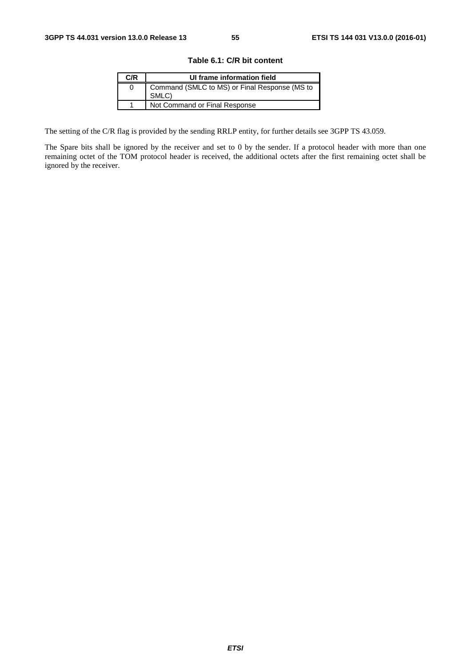| C/R | UI frame information field                             |
|-----|--------------------------------------------------------|
|     | Command (SMLC to MS) or Final Response (MS to<br>SMLC) |
|     | Not Command or Final Response                          |

The setting of the C/R flag is provided by the sending RRLP entity, for further details see 3GPP TS 43.059.

The Spare bits shall be ignored by the receiver and set to 0 by the sender. If a protocol header with more than one remaining octet of the TOM protocol header is received, the additional octets after the first remaining octet shall be ignored by the receiver.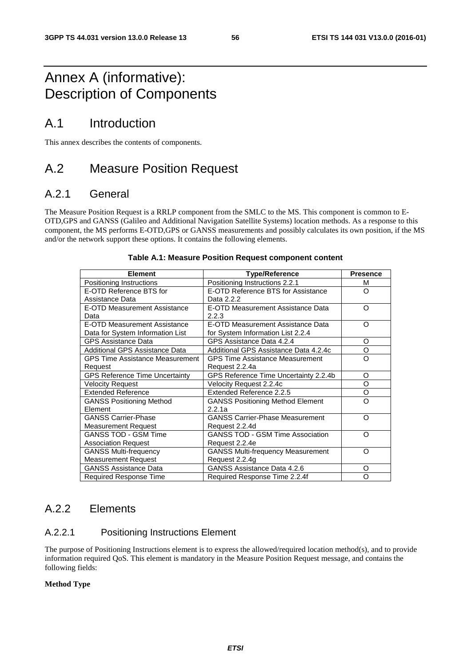## Annex A (informative): Description of Components

## A.1 Introduction

This annex describes the contents of components.

## A.2 Measure Position Request

### A.2.1 General

The Measure Position Request is a RRLP component from the SMLC to the MS. This component is common to E-OTD,GPS and GANSS (Galileo and Additional Navigation Satellite Systems) location methods. As a response to this component, the MS performs E-OTD,GPS or GANSS measurements and possibly calculates its own position, if the MS and/or the network support these options. It contains the following elements.

| <b>Element</b>                         | <b>Type/Reference</b>                    | <b>Presence</b> |
|----------------------------------------|------------------------------------------|-----------------|
| Positioning Instructions               | Positioning Instructions 2.2.1           | м               |
| E-OTD Reference BTS for                | E-OTD Reference BTS for Assistance       | Ω               |
| Assistance Data                        | Data 2.2.2                               |                 |
| E-OTD Measurement Assistance           | E-OTD Measurement Assistance Data        | Ω               |
| Data                                   | 2.2.3                                    |                 |
| <b>E-OTD Measurement Assistance</b>    | E-OTD Measurement Assistance Data        | Ω               |
| Data for System Information List       | for System Information List 2.2.4        |                 |
| <b>GPS Assistance Data</b>             | GPS Assistance Data 4.2.4                | O               |
| Additional GPS Assistance Data         | Additional GPS Assistance Data 4.2.4c    | O               |
| <b>GPS Time Assistance Measurement</b> | <b>GPS Time Assistance Measurement</b>   | Ω               |
| Request                                | Request 2.2.4a                           |                 |
| <b>GPS Reference Time Uncertainty</b>  | GPS Reference Time Uncertainty 2.2.4b    | O               |
| <b>Velocity Request</b>                | Velocity Request 2.2.4c                  | O               |
| <b>Extended Reference</b>              | Extended Reference 2.2.5                 | O               |
| <b>GANSS Positioning Method</b>        | <b>GANSS Positioning Method Element</b>  | റ               |
| Element                                | 2.2.1a                                   |                 |
| <b>GANSS Carrier-Phase</b>             | <b>GANSS Carrier-Phase Measurement</b>   | റ               |
| <b>Measurement Request</b>             | Request 2.2.4d                           |                 |
| <b>GANSS TOD - GSM Time</b>            | <b>GANSS TOD - GSM Time Association</b>  | റ               |
| <b>Association Request</b>             | Request 2.2.4e                           |                 |
| <b>GANSS Multi-frequency</b>           | <b>GANSS Multi-frequency Measurement</b> | റ               |
| <b>Measurement Request</b>             | Request 2.2.4g                           |                 |
| <b>GANSS Assistance Data</b>           | GANSS Assistance Data 4.2.6              | O               |
| Required Response Time                 | Required Response Time 2.2.4f            | Ω               |

### **Table A.1: Measure Position Request component content**

### A.2.2 Elements

### A.2.2.1 Positioning Instructions Element

The purpose of Positioning Instructions element is to express the allowed/required location method(s), and to provide information required QoS. This element is mandatory in the Measure Position Request message, and contains the following fields:

### **Method Type**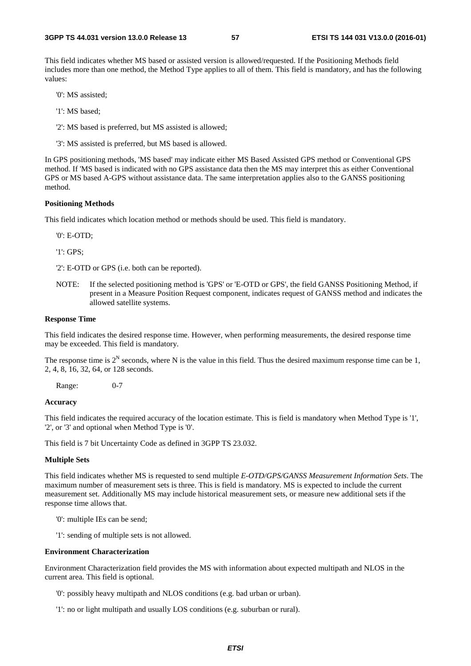This field indicates whether MS based or assisted version is allowed/requested. If the Positioning Methods field includes more than one method, the Method Type applies to all of them. This field is mandatory, and has the following values:

'0': MS assisted;

'1': MS based;

'2': MS based is preferred, but MS assisted is allowed;

'3': MS assisted is preferred, but MS based is allowed.

In GPS positioning methods, 'MS based' may indicate either MS Based Assisted GPS method or Conventional GPS method. If 'MS based is indicated with no GPS assistance data then the MS may interpret this as either Conventional GPS or MS based A-GPS without assistance data. The same interpretation applies also to the GANSS positioning method.

### **Positioning Methods**

This field indicates which location method or methods should be used. This field is mandatory.

'0': E-OTD;

'1': GPS;

'2': E-OTD or GPS (i.e. both can be reported).

NOTE: If the selected positioning method is 'GPS' or 'E-OTD or GPS', the field GANSS Positioning Method, if present in a Measure Position Request component, indicates request of GANSS method and indicates the allowed satellite systems.

### **Response Time**

This field indicates the desired response time. However, when performing measurements, the desired response time may be exceeded. This field is mandatory.

The response time is  $2^N$  seconds, where N is the value in this field. Thus the desired maximum response time can be 1, 2, 4, 8, 16, 32, 64, or 128 seconds.

Range: 0-7

### **Accuracy**

This field indicates the required accuracy of the location estimate. This is field is mandatory when Method Type is '1', '2', or '3' and optional when Method Type is '0'.

This field is 7 bit Uncertainty Code as defined in 3GPP TS 23.032.

### **Multiple Sets**

This field indicates whether MS is requested to send multiple *E-OTD/GPS/GANSS Measurement Information Sets*. The maximum number of measurement sets is three. This is field is mandatory. MS is expected to include the current measurement set. Additionally MS may include historical measurement sets, or measure new additional sets if the response time allows that.

- '0': multiple IEs can be send;
- '1': sending of multiple sets is not allowed.

#### **Environment Characterization**

Environment Characterization field provides the MS with information about expected multipath and NLOS in the current area. This field is optional.

'0': possibly heavy multipath and NLOS conditions (e.g. bad urban or urban).

'1': no or light multipath and usually LOS conditions (e.g. suburban or rural).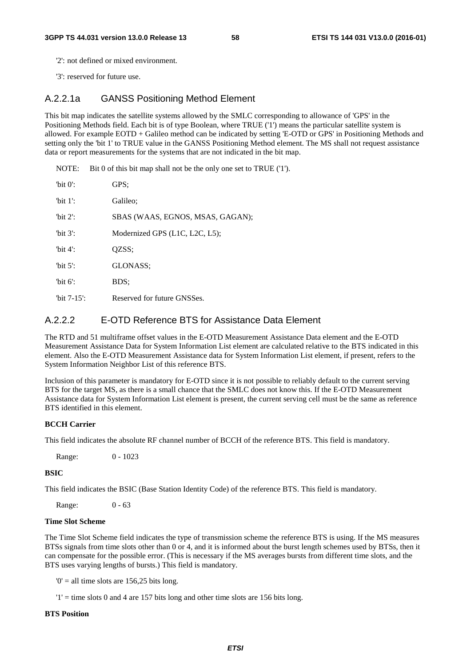'2': not defined or mixed environment.

'3': reserved for future use.

### A.2.2.1a GANSS Positioning Method Element

This bit map indicates the satellite systems allowed by the SMLC corresponding to allowance of 'GPS' in the Positioning Methods field. Each bit is of type Boolean, where TRUE ('1') means the particular satellite system is allowed. For example EOTD + Galileo method can be indicated by setting 'E-OTD or GPS' in Positioning Methods and setting only the 'bit 1' to TRUE value in the GANSS Positioning Method element. The MS shall not request assistance data or report measurements for the systems that are not indicated in the bit map.

NOTE: Bit 0 of this bit map shall not be the only one set to TRUE ('1').

| "bit $0$ ":    | GPS:                             |
|----------------|----------------------------------|
| 'bit $1$ ':    | Galileo:                         |
| 'bit $2$ ':    | SBAS (WAAS, EGNOS, MSAS, GAGAN); |
| 'bit $3$ ':    | Modernized GPS (L1C, L2C, L5);   |
| 'bit $4$ ':    | OZSS:                            |
| 'bit $5$ ':    | GLONASS:                         |
| "bit $6$ ":    | BDS;                             |
| "bit $7-15$ ": | Reserved for future GNSSes.      |

### A.2.2.2 E-OTD Reference BTS for Assistance Data Element

The RTD and 51 multiframe offset values in the E-OTD Measurement Assistance Data element and the E-OTD Measurement Assistance Data for System Information List element are calculated relative to the BTS indicated in this element. Also the E-OTD Measurement Assistance data for System Information List element, if present, refers to the System Information Neighbor List of this reference BTS.

Inclusion of this parameter is mandatory for E-OTD since it is not possible to reliably default to the current serving BTS for the target MS, as there is a small chance that the SMLC does not know this. If the E-OTD Measurement Assistance data for System Information List element is present, the current serving cell must be the same as reference BTS identified in this element.

### **BCCH Carrier**

This field indicates the absolute RF channel number of BCCH of the reference BTS. This field is mandatory.

Range: 0 - 1023

### **BSIC**

This field indicates the BSIC (Base Station Identity Code) of the reference BTS. This field is mandatory.

Range: 0 - 63

### **Time Slot Scheme**

The Time Slot Scheme field indicates the type of transmission scheme the reference BTS is using. If the MS measures BTSs signals from time slots other than 0 or 4, and it is informed about the burst length schemes used by BTSs, then it can compensate for the possible error. (This is necessary if the MS averages bursts from different time slots, and the BTS uses varying lengths of bursts.) This field is mandatory.

 $0'$  = all time slots are 156,25 bits long.

 $'1'$  = time slots 0 and 4 are 157 bits long and other time slots are 156 bits long.

### **BTS Position**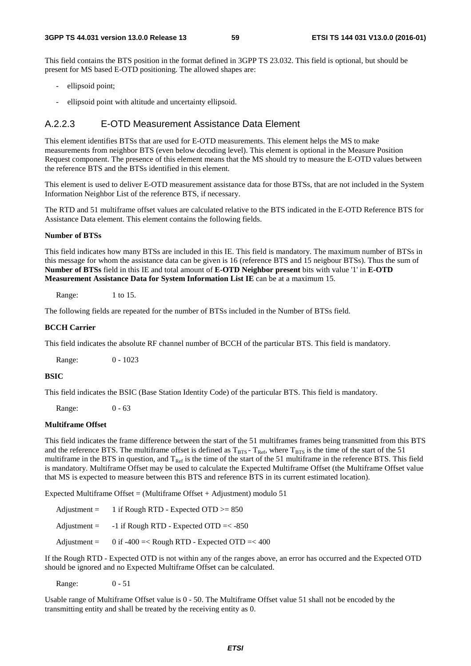This field contains the BTS position in the format defined in 3GPP TS 23.032. This field is optional, but should be present for MS based E-OTD positioning. The allowed shapes are:

- ellipsoid point;
- ellipsoid point with altitude and uncertainty ellipsoid.

### A.2.2.3 E-OTD Measurement Assistance Data Element

This element identifies BTSs that are used for E-OTD measurements. This element helps the MS to make measurements from neighbor BTS (even below decoding level). This element is optional in the Measure Position Request component. The presence of this element means that the MS should try to measure the E-OTD values between the reference BTS and the BTSs identified in this element.

This element is used to deliver E-OTD measurement assistance data for those BTSs, that are not included in the System Information Neighbor List of the reference BTS, if necessary.

The RTD and 51 multiframe offset values are calculated relative to the BTS indicated in the E-OTD Reference BTS for Assistance Data element. This element contains the following fields.

### **Number of BTSs**

This field indicates how many BTSs are included in this IE. This field is mandatory. The maximum number of BTSs in this message for whom the assistance data can be given is 16 (reference BTS and 15 neigbour BTSs). Thus the sum of **Number of BTSs** field in this IE and total amount of **E-OTD Neighbor present** bits with value '1' in **E-OTD Measurement Assistance Data for System Information List IE** can be at a maximum 15.

Range: 1 to 15.

The following fields are repeated for the number of BTSs included in the Number of BTSs field.

### **BCCH Carrier**

This field indicates the absolute RF channel number of BCCH of the particular BTS. This field is mandatory.

Range: 0 - 1023

### **BSIC**

This field indicates the BSIC (Base Station Identity Code) of the particular BTS. This field is mandatory.

Range: 0 - 63

### **Multiframe Offset**

This field indicates the frame difference between the start of the 51 multiframes frames being transmitted from this BTS and the reference BTS. The multiframe offset is defined as  $T_{\rm BTS}$  -  $T_{\rm Ref}$ , where  $T_{\rm BTS}$  is the time of the start of the 51 multiframe in the BTS in question, and  $T_{\text{Ref}}$  is the time of the start of the 51 multiframe in the reference BTS. This field is mandatory. Multiframe Offset may be used to calculate the Expected Multiframe Offset (the Multiframe Offset value that MS is expected to measure between this BTS and reference BTS in its current estimated location).

Expected Multiframe Offset = (Multiframe Offset + Adjustment) modulo 51

| $\text{Adjustment} =$ | 1 if Rough RTD - Expected OTD $>= 850$       |
|-----------------------|----------------------------------------------|
| $\text{Adjustment} =$ | $-1$ if Rough RTD - Expected OTD $=< -850$   |
| $\text{Adjustment} =$ | 0 if -400 =< Rough RTD - Expected OTD =< 400 |

If the Rough RTD - Expected OTD is not within any of the ranges above, an error has occurred and the Expected OTD should be ignored and no Expected Multiframe Offset can be calculated.

Range: 0 - 51

Usable range of Multiframe Offset value is 0 - 50. The Multiframe Offset value 51 shall not be encoded by the transmitting entity and shall be treated by the receiving entity as 0.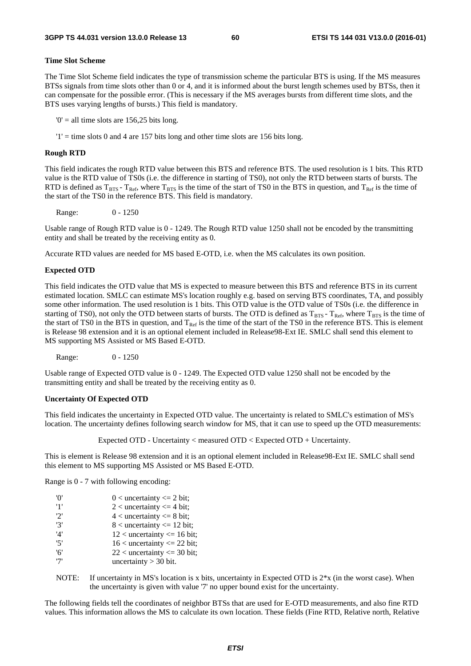### **Time Slot Scheme**

The Time Slot Scheme field indicates the type of transmission scheme the particular BTS is using. If the MS measures BTSs signals from time slots other than 0 or 4, and it is informed about the burst length schemes used by BTSs, then it can compensate for the possible error. (This is necessary if the MS averages bursts from different time slots, and the BTS uses varying lengths of bursts.) This field is mandatory.

 $0'$  = all time slots are 156,25 bits long.

 $'1'$  = time slots 0 and 4 are 157 bits long and other time slots are 156 bits long.

#### **Rough RTD**

This field indicates the rough RTD value between this BTS and reference BTS. The used resolution is 1 bits. This RTD value is the RTD value of TS0s (i.e. the difference in starting of TS0), not only the RTD between starts of bursts. The RTD is defined as  $T_{BTS}$  -  $T_{Ref}$ , where  $T_{BTS}$  is the time of the start of TS0 in the BTS in question, and  $T_{Ref}$  is the time of the start of the TS0 in the reference BTS. This field is mandatory.

Range: 0 - 1250

Usable range of Rough RTD value is 0 - 1249. The Rough RTD value 1250 shall not be encoded by the transmitting entity and shall be treated by the receiving entity as 0.

Accurate RTD values are needed for MS based E-OTD, i.e. when the MS calculates its own position.

#### **Expected OTD**

This field indicates the OTD value that MS is expected to measure between this BTS and reference BTS in its current estimated location. SMLC can estimate MS's location roughly e.g. based on serving BTS coordinates, TA, and possibly some other information. The used resolution is 1 bits. This OTD value is the OTD value of TS0s (i.e. the difference in starting of TS0), not only the OTD between starts of bursts. The OTD is defined as  $T_{BTS}$ - T<sub>Ref</sub>, where T<sub>BTS</sub> is the time of the start of TS0 in the BTS in question, and  $T_{\text{Ref}}$  is the time of the start of the TS0 in the reference BTS. This is element is Release 98 extension and it is an optional element included in Release98-Ext IE. SMLC shall send this element to MS supporting MS Assisted or MS Based E-OTD.

Range: 0 - 1250

Usable range of Expected OTD value is 0 - 1249. The Expected OTD value 1250 shall not be encoded by the transmitting entity and shall be treated by the receiving entity as 0.

#### **Uncertainty Of Expected OTD**

This field indicates the uncertainty in Expected OTD value. The uncertainty is related to SMLC's estimation of MS's location. The uncertainty defines following search window for MS, that it can use to speed up the OTD measurements:

Expected OTD - Uncertainty < measured OTD < Expected OTD + Uncertainty.

This is element is Release 98 extension and it is an optional element included in Release98-Ext IE. SMLC shall send this element to MS supporting MS Assisted or MS Based E-OTD.

Range is 0 - 7 with following encoding:

| 'O' | $0$ < uncertainty <= 2 bit;      |
|-----|----------------------------------|
| '1' | $2 <$ uncertainty $\leq 4$ bit;  |
| '2' | $4$ < uncertainty $\leq 8$ bit;  |
| '3' | $8$ < uncertainty $\leq 12$ bit; |
| '4' | $12$ < uncertainty <= 16 bit;    |
| '5' | $16$ < uncertainty <= 22 bit;    |
| '6' | $22$ < uncertainty <= 30 bit;    |
| י7' | uncertainty $>$ 30 bit.          |

NOTE: If uncertainty in MS's location is x bits, uncertainty in Expected OTD is  $2*x$  (in the worst case). When the uncertainty is given with value '7' no upper bound exist for the uncertainty.

The following fields tell the coordinates of neighbor BTSs that are used for E-OTD measurements, and also fine RTD values. This information allows the MS to calculate its own location. These fields (Fine RTD, Relative north, Relative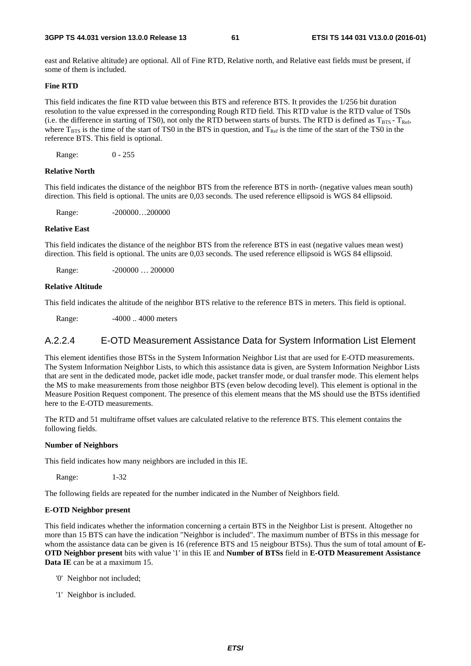east and Relative altitude) are optional. All of Fine RTD, Relative north, and Relative east fields must be present, if some of them is included.

### **Fine RTD**

This field indicates the fine RTD value between this BTS and reference BTS. It provides the 1/256 bit duration resolution to the value expressed in the corresponding Rough RTD field. This RTD value is the RTD value of TS0s (i.e. the difference in starting of TS0), not only the RTD between starts of bursts. The RTD is defined as  $T_{BTS} - T_{Ref}$ , where  $T_{BTS}$  is the time of the start of TS0 in the BTS in question, and  $T_{Ref}$  is the time of the start of the TS0 in the reference BTS. This field is optional.

Range: 0 - 255

### **Relative North**

This field indicates the distance of the neighbor BTS from the reference BTS in north- (negative values mean south) direction. This field is optional. The units are 0,03 seconds. The used reference ellipsoid is WGS 84 ellipsoid.

Range: -200000...200000

### **Relative East**

This field indicates the distance of the neighbor BTS from the reference BTS in east (negative values mean west) direction. This field is optional. The units are 0,03 seconds. The used reference ellipsoid is WGS 84 ellipsoid.

Range: -200000 ... 200000

### **Relative Altitude**

This field indicates the altitude of the neighbor BTS relative to the reference BTS in meters. This field is optional.

Range: -4000 .. 4000 meters

### A.2.2.4 E-OTD Measurement Assistance Data for System Information List Element

This element identifies those BTSs in the System Information Neighbor List that are used for E-OTD measurements. The System Information Neighbor Lists, to which this assistance data is given, are System Information Neighbor Lists that are sent in the dedicated mode, packet idle mode, packet transfer mode, or dual transfer mode. This element helps the MS to make measurements from those neighbor BTS (even below decoding level). This element is optional in the Measure Position Request component. The presence of this element means that the MS should use the BTSs identified here to the E-OTD measurements.

The RTD and 51 multiframe offset values are calculated relative to the reference BTS. This element contains the following fields.

#### **Number of Neighbors**

This field indicates how many neighbors are included in this IE.

Range: 1-32

The following fields are repeated for the number indicated in the Number of Neighbors field.

### **E-OTD Neighbor present**

This field indicates whether the information concerning a certain BTS in the Neighbor List is present. Altogether no more than 15 BTS can have the indication "Neighbor is included". The maximum number of BTSs in this message for whom the assistance data can be given is 16 (reference BTS and 15 neigbour BTSs). Thus the sum of total amount of **E-OTD Neighbor present** bits with value '1' in this IE and **Number of BTSs** field in **E-OTD Measurement Assistance Data IE** can be at a maximum 15.

- '0' Neighbor not included;
- '1' Neighbor is included.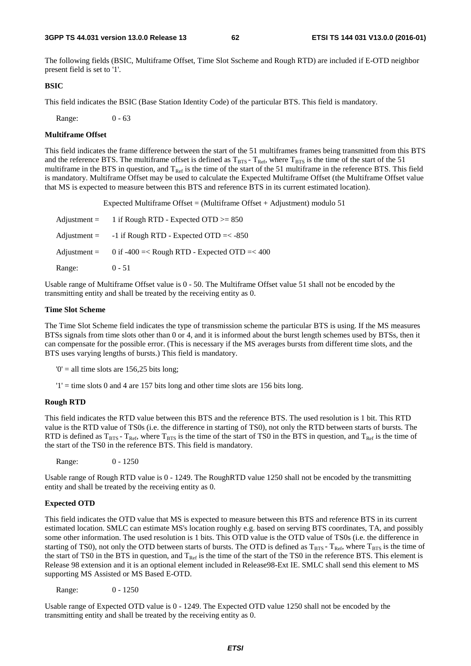The following fields (BSIC, Multiframe Offset, Time Slot Sscheme and Rough RTD) are included if E-OTD neighbor present field is set to '1'.

#### **BSIC**

This field indicates the BSIC (Base Station Identity Code) of the particular BTS. This field is mandatory.

Range: 0 - 63

### **Multiframe Offset**

This field indicates the frame difference between the start of the 51 multiframes frames being transmitted from this BTS and the reference BTS. The multiframe offset is defined as  $T_{\rm BTS}$  -  $T_{\rm Ref}$ , where  $T_{\rm BTS}$  is the time of the start of the 51 multiframe in the BTS in question, and  $T_{Ref}$  is the time of the start of the 51 multiframe in the reference BTS. This field is mandatory. Multiframe Offset may be used to calculate the Expected Multiframe Offset (the Multiframe Offset value that MS is expected to measure between this BTS and reference BTS in its current estimated location).

Expected Multiframe Offset = (Multiframe Offset + Adjustment) modulo 51

| $\text{Adjustment} =$ | 1 if Rough RTD - Expected OTD $>= 850$                      |
|-----------------------|-------------------------------------------------------------|
| $\text{Adjustment} =$ | $-1$ if Rough RTD - Expected OTD $=< -850$                  |
|                       | Adjustment = $0$ if -400 =< Rough RTD - Expected OTD =< 400 |
| Range:                | $0 - 51$                                                    |

Usable range of Multiframe Offset value is 0 - 50. The Multiframe Offset value 51 shall not be encoded by the transmitting entity and shall be treated by the receiving entity as 0.

### **Time Slot Scheme**

The Time Slot Scheme field indicates the type of transmission scheme the particular BTS is using. If the MS measures BTSs signals from time slots other than 0 or 4, and it is informed about the burst length schemes used by BTSs, then it can compensate for the possible error. (This is necessary if the MS averages bursts from different time slots, and the BTS uses varying lengths of bursts.) This field is mandatory.

 $0' =$  all time slots are 156,25 bits long;

 $'1'$  = time slots 0 and 4 are 157 bits long and other time slots are 156 bits long.

### **Rough RTD**

This field indicates the RTD value between this BTS and the reference BTS. The used resolution is 1 bit. This RTD value is the RTD value of TS0s (i.e. the difference in starting of TS0), not only the RTD between starts of bursts. The RTD is defined as  $T_{BTS}$  -  $T_{Ref}$ , where  $T_{BTS}$  is the time of the start of TS0 in the BTS in question, and  $T_{Ref}$  is the time of the start of the TS0 in the reference BTS. This field is mandatory.

Range: 0 - 1250

Usable range of Rough RTD value is 0 - 1249. The RoughRTD value 1250 shall not be encoded by the transmitting entity and shall be treated by the receiving entity as 0.

### **Expected OTD**

This field indicates the OTD value that MS is expected to measure between this BTS and reference BTS in its current estimated location. SMLC can estimate MS's location roughly e.g. based on serving BTS coordinates, TA, and possibly some other information. The used resolution is 1 bits. This OTD value is the OTD value of TS0s (i.e. the difference in starting of TS0), not only the OTD between starts of bursts. The OTD is defined as  $T_{BTS}$  -  $T_{Ref}$ , where  $T_{BTS}$  is the time of the start of TS0 in the BTS in question, and  $T_{Ref}$  is the time of the start of the TS0 in the reference BTS. This element is Release 98 extension and it is an optional element included in Release98-Ext IE. SMLC shall send this element to MS supporting MS Assisted or MS Based E-OTD.

Range: 0 - 1250

Usable range of Expected OTD value is 0 - 1249. The Expected OTD value 1250 shall not be encoded by the transmitting entity and shall be treated by the receiving entity as 0.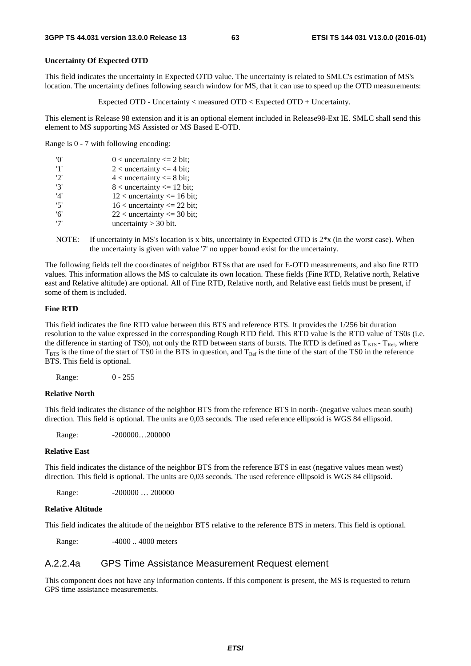### **Uncertainty Of Expected OTD**

This field indicates the uncertainty in Expected OTD value. The uncertainty is related to SMLC's estimation of MS's location. The uncertainty defines following search window for MS, that it can use to speed up the OTD measurements:

Expected OTD - Uncertainty < measured OTD < Expected OTD + Uncertainty.

This element is Release 98 extension and it is an optional element included in Release98-Ext IE. SMLC shall send this element to MS supporting MS Assisted or MS Based E-OTD.

Range is 0 - 7 with following encoding:

| 'n' | $0$ < uncertainty <= 2 bit;      |
|-----|----------------------------------|
| '1' | 2 < uncertainty $\leq$ 4 bit;    |
| 2'  | $4$ < uncertainty $\leq 8$ bit;  |
| '3' | $8$ < uncertainty $\leq 12$ bit; |
| '4' | $12$ < uncertainty <= 16 bit;    |
| '5' | $16$ < uncertainty <= 22 bit;    |
| '6' | $22$ < uncertainty <= 30 bit;    |
| '7' | uncertainty $>$ 30 bit.          |

NOTE: If uncertainty in MS's location is x bits, uncertainty in Expected OTD is 2\*x (in the worst case). When the uncertainty is given with value '7' no upper bound exist for the uncertainty.

The following fields tell the coordinates of neighbor BTSs that are used for E-OTD measurements, and also fine RTD values. This information allows the MS to calculate its own location. These fields (Fine RTD, Relative north, Relative east and Relative altitude) are optional. All of Fine RTD, Relative north, and Relative east fields must be present, if some of them is included.

### **Fine RTD**

This field indicates the fine RTD value between this BTS and reference BTS. It provides the 1/256 bit duration resolution to the value expressed in the corresponding Rough RTD field. This RTD value is the RTD value of TS0s (i.e. the difference in starting of TS0), not only the RTD between starts of bursts. The RTD is defined as  $T_{BTS}$  -  $T_{Ref}$ , where  $T_{\text{BTS}}$  is the time of the start of TS0 in the BTS in question, and  $T_{\text{Ref}}$  is the time of the start of the TS0 in the reference BTS. This field is optional.

Range: 0 - 255

### **Relative North**

This field indicates the distance of the neighbor BTS from the reference BTS in north- (negative values mean south) direction. This field is optional. The units are 0,03 seconds. The used reference ellipsoid is WGS 84 ellipsoid.

Range: -200000...200000

#### **Relative East**

This field indicates the distance of the neighbor BTS from the reference BTS in east (negative values mean west) direction. This field is optional. The units are 0,03 seconds. The used reference ellipsoid is WGS 84 ellipsoid.

Range: -200000 ... 200000

### **Relative Altitude**

This field indicates the altitude of the neighbor BTS relative to the reference BTS in meters. This field is optional.

Range:  $-4000$ ... 4000 meters

### A.2.2.4a GPS Time Assistance Measurement Request element

This component does not have any information contents. If this component is present, the MS is requested to return GPS time assistance measurements.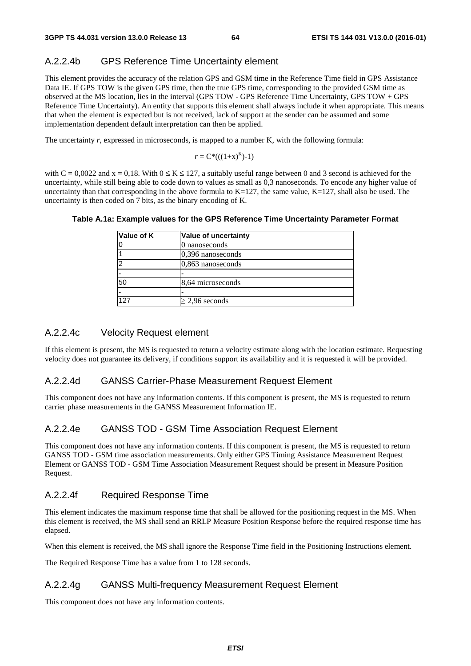### A.2.2.4b GPS Reference Time Uncertainty element

This element provides the accuracy of the relation GPS and GSM time in the Reference Time field in GPS Assistance Data IE. If GPS TOW is the given GPS time, then the true GPS time, corresponding to the provided GSM time as observed at the MS location, lies in the interval (GPS TOW - GPS Reference Time Uncertainty, GPS TOW + GPS Reference Time Uncertainty). An entity that supports this element shall always include it when appropriate. This means that when the element is expected but is not received, lack of support at the sender can be assumed and some implementation dependent default interpretation can then be applied.

The uncertainty *r*, expressed in microseconds, is mapped to a number K, with the following formula:

$$
r = C^*((1+x)^K)-1)
$$

with  $C = 0.0022$  and  $x = 0.18$ . With  $0 \le K \le 127$ , a suitably useful range between 0 and 3 second is achieved for the uncertainty, while still being able to code down to values as small as 0,3 nanoseconds. To encode any higher value of uncertainty than that corresponding in the above formula to  $K=127$ , the same value,  $K=127$ , shall also be used. The uncertainty is then coded on 7 bits, as the binary encoding of K.

| <b>Value of uncertainty</b> |
|-----------------------------|
| 0 nanoseconds               |
| $ 0,396$ nanoseconds        |
| $0,863$ nanoseconds         |
|                             |
| 8,64 microseconds           |
|                             |
| $\geq$ 2,96 seconds         |
|                             |

### **Table A.1a: Example values for the GPS Reference Time Uncertainty Parameter Format**

### A.2.2.4c Velocity Request element

If this element is present, the MS is requested to return a velocity estimate along with the location estimate. Requesting velocity does not guarantee its delivery, if conditions support its availability and it is requested it will be provided.

### A.2.2.4d GANSS Carrier-Phase Measurement Request Element

This component does not have any information contents. If this component is present, the MS is requested to return carrier phase measurements in the GANSS Measurement Information IE.

### A.2.2.4e GANSS TOD - GSM Time Association Request Element

This component does not have any information contents. If this component is present, the MS is requested to return GANSS TOD - GSM time association measurements. Only either GPS Timing Assistance Measurement Request Element or GANSS TOD - GSM Time Association Measurement Request should be present in Measure Position Request.

### A.2.2.4f Required Response Time

This element indicates the maximum response time that shall be allowed for the positioning request in the MS. When this element is received, the MS shall send an RRLP Measure Position Response before the required response time has elapsed.

When this element is received, the MS shall ignore the Response Time field in the Positioning Instructions element.

The Required Response Time has a value from 1 to 128 seconds.

### A.2.2.4g GANSS Multi-frequency Measurement Request Element

This component does not have any information contents.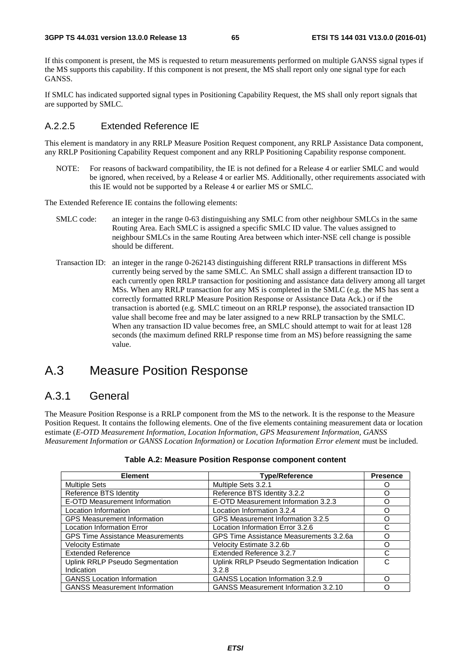If this component is present, the MS is requested to return measurements performed on multiple GANSS signal types if the MS supports this capability. If this component is not present, the MS shall report only one signal type for each GANSS.

If SMLC has indicated supported signal types in Positioning Capability Request, the MS shall only report signals that are supported by SMLC.

### A.2.2.5 Extended Reference IE

This element is mandatory in any RRLP Measure Position Request component, any RRLP Assistance Data component, any RRLP Positioning Capability Request component and any RRLP Positioning Capability response component.

NOTE: For reasons of backward compatibility, the IE is not defined for a Release 4 or earlier SMLC and would be ignored, when received, by a Release 4 or earlier MS. Additionally, other requirements associated with this IE would not be supported by a Release 4 or earlier MS or SMLC.

The Extended Reference IE contains the following elements:

- SMLC code: an integer in the range 0-63 distinguishing any SMLC from other neighbour SMLCs in the same Routing Area. Each SMLC is assigned a specific SMLC ID value. The values assigned to neighbour SMLCs in the same Routing Area between which inter-NSE cell change is possible should be different.
- Transaction ID: an integer in the range 0-262143 distinguishing different RRLP transactions in different MSs currently being served by the same SMLC. An SMLC shall assign a different transaction ID to each currently open RRLP transaction for positioning and assistance data delivery among all target MSs. When any RRLP transaction for any MS is completed in the SMLC (e.g. the MS has sent a correctly formatted RRLP Measure Position Response or Assistance Data Ack.) or if the transaction is aborted (e.g. SMLC timeout on an RRLP response), the associated transaction ID value shall become free and may be later assigned to a new RRLP transaction by the SMLC. When any transaction ID value becomes free, an SMLC should attempt to wait for at least 128 seconds (the maximum defined RRLP response time from an MS) before reassigning the same value.

## A.3 Measure Position Response

### A.3.1 General

The Measure Position Response is a RRLP component from the MS to the network. It is the response to the Measure Position Request. It contains the following elements. One of the five elements containing measurement data or location estimate (*E-OTD Measurement Information*, *Location Information*, *GPS Measurement Information, GANSS Measurement Information or GANSS Location Information)* or *Location Information Error element* must be included.

| <b>Element</b>                          | <b>Type/Reference</b>                       | <b>Presence</b> |
|-----------------------------------------|---------------------------------------------|-----------------|
| <b>Multiple Sets</b>                    | Multiple Sets 3.2.1                         |                 |
| Reference BTS Identity                  | Reference BTS Identity 3.2.2                |                 |
| E-OTD Measurement Information           | E-OTD Measurement Information 3.2.3         |                 |
| Location Information                    | Location Information 3.2.4                  | ∩               |
| <b>GPS Measurement Information</b>      | GPS Measurement Information 3.2.5           | ∩               |
| <b>Location Information Error</b>       | Location Information Error 3.2.6            | C               |
| <b>GPS Time Assistance Measurements</b> | GPS Time Assistance Measurements 3.2.6a     | ∩               |
| <b>Velocity Estimate</b>                | Velocity Estimate 3.2.6b                    | ∩               |
| <b>Extended Reference</b>               | Extended Reference 3.2.7                    |                 |
| <b>Uplink RRLP Pseudo Segmentation</b>  | Uplink RRLP Pseudo Segmentation Indication  | C               |
| Indication                              | 3.2.8                                       |                 |
| <b>GANSS Location Information</b>       | <b>GANSS Location Information 3.2.9</b>     | ∩               |
| <b>GANSS Measurement Information</b>    | <b>GANSS Measurement Information 3.2.10</b> |                 |

### **Table A.2: Measure Position Response component content**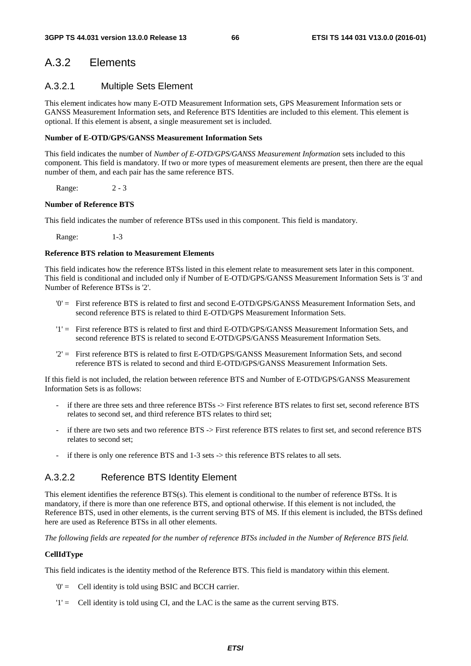## A.3.2 Elements

### A.3.2.1 Multiple Sets Element

This element indicates how many E-OTD Measurement Information sets, GPS Measurement Information sets or GANSS Measurement Information sets, and Reference BTS Identities are included to this element. This element is optional. If this element is absent, a single measurement set is included.

### **Number of E-OTD/GPS/GANSS Measurement Information Sets**

This field indicates the number of *Number of E-OTD/GPS/GANSS Measurement Information* sets included to this component. This field is mandatory. If two or more types of measurement elements are present, then there are the equal number of them, and each pair has the same reference BTS.

Range: 2 - 3

### **Number of Reference BTS**

This field indicates the number of reference BTSs used in this component. This field is mandatory.

Range: 1-3

### **Reference BTS relation to Measurement Elements**

This field indicates how the reference BTSs listed in this element relate to measurement sets later in this component. This field is conditional and included only if Number of E-OTD/GPS/GANSS Measurement Information Sets is '3' and Number of Reference BTSs is '2'.

- '0' = First reference BTS is related to first and second E-OTD/GPS/GANSS Measurement Information Sets, and second reference BTS is related to third E-OTD/GPS Measurement Information Sets.
- '1' = First reference BTS is related to first and third E-OTD/GPS/GANSS Measurement Information Sets, and second reference BTS is related to second E-OTD/GPS/GANSS Measurement Information Sets.
- '2' = First reference BTS is related to first E-OTD/GPS/GANSS Measurement Information Sets, and second reference BTS is related to second and third E-OTD/GPS/GANSS Measurement Information Sets.

If this field is not included, the relation between reference BTS and Number of E-OTD/GPS/GANSS Measurement Information Sets is as follows:

- if there are three sets and three reference BTSs -> First reference BTS relates to first set, second reference BTS relates to second set, and third reference BTS relates to third set;
- if there are two sets and two reference BTS -> First reference BTS relates to first set, and second reference BTS relates to second set;
- if there is only one reference BTS and 1-3 sets -> this reference BTS relates to all sets.

### A.3.2.2 Reference BTS Identity Element

This element identifies the reference BTS(s). This element is conditional to the number of reference BTSs. It is mandatory, if there is more than one reference BTS, and optional otherwise. If this element is not included, the Reference BTS, used in other elements, is the current serving BTS of MS. If this element is included, the BTSs defined here are used as Reference BTSs in all other elements.

*The following fields are repeated for the number of reference BTSs included in the Number of Reference BTS field.* 

### **CellIdType**

This field indicates is the identity method of the Reference BTS. This field is mandatory within this element.

- '0' = Cell identity is told using BSIC and BCCH carrier.
- '1' = Cell identity is told using CI, and the LAC is the same as the current serving BTS.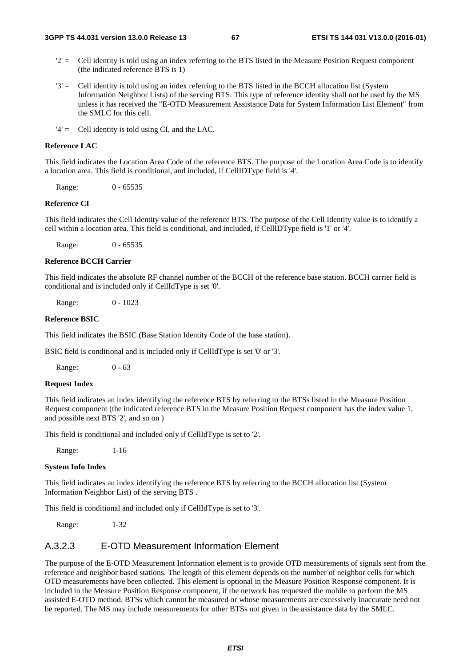- $2'$  = Cell identity is told using an index referring to the BTS listed in the Measure Position Request component (the indicated reference BTS is 1)
- '3' = Cell identity is told using an index referring to the BTS listed in the BCCH allocation list (System Information Neighbor Lists) of the serving BTS. This type of reference identity shall not be used by the MS unless it has received the "E-OTD Measurement Assistance Data for System Information List Element" from the SMLC for this cell.
- '4' = Cell identity is told using CI, and the LAC.

### **Reference LAC**

This field indicates the Location Area Code of the reference BTS. The purpose of the Location Area Code is to identify a location area. This field is conditional, and included, if CellIDType field is '4'.

Range: 0 - 65535

### **Reference CI**

This field indicates the Cell Identity value of the reference BTS. The purpose of the Cell Identity value is to identify a cell within a location area. This field is conditional, and included, if CellIDType field is '1' or '4'.

Range: 0 - 65535

#### **Reference BCCH Carrier**

This field indicates the absolute RF channel number of the BCCH of the reference base station. BCCH carrier field is conditional and is included only if CellIdType is set '0'.

Range: 0 - 1023

### **Reference BSIC**

This field indicates the BSIC (Base Station Identity Code of the base station).

BSIC field is conditional and is included only if CellIdType is set '0' or '3'.

Range: 0 - 63

### **Request Index**

This field indicates an index identifying the reference BTS by referring to the BTSs listed in the Measure Position Request component (the indicated reference BTS in the Measure Position Request component has the index value 1, and possible next BTS '2', and so on )

This field is conditional and included only if CellIdType is set to '2'.

Range: 1-16

### **System Info Index**

This field indicates an index identifying the reference BTS by referring to the BCCH allocation list (System Information Neighbor List) of the serving BTS .

This field is conditional and included only if CellIdType is set to '3'.

Range: 1-32

### A.3.2.3 E-OTD Measurement Information Element

The purpose of the E-OTD Measurement Information element is to provide OTD measurements of signals sent from the reference and neighbor based stations. The length of this element depends on the number of neighbor cells for which OTD measurements have been collected. This element is optional in the Measure Position Response component. It is included in the Measure Position Response component, if the network has requested the mobile to perform the MS assisted E-OTD method. BTSs which cannot be measured or whose measurements are excessively inaccurate need not be reported. The MS may include measurements for other BTSs not given in the assistance data by the SMLC.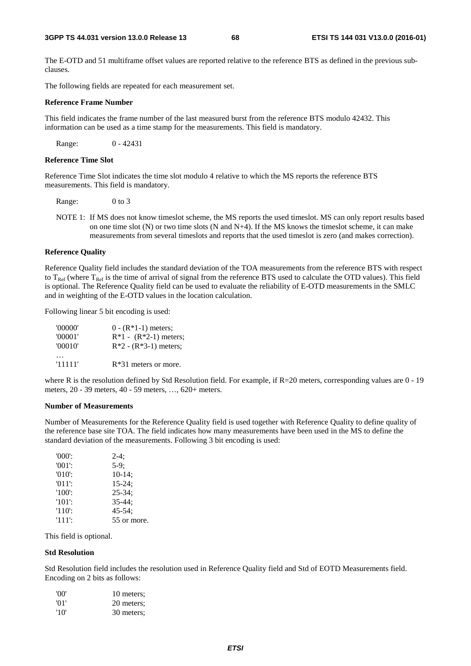The E-OTD and 51 multiframe offset values are reported relative to the reference BTS as defined in the previous subclauses.

The following fields are repeated for each measurement set.

### **Reference Frame Number**

This field indicates the frame number of the last measured burst from the reference BTS modulo 42432. This information can be used as a time stamp for the measurements. This field is mandatory.

Range: 0 - 42431

### **Reference Time Slot**

Reference Time Slot indicates the time slot modulo 4 relative to which the MS reports the reference BTS measurements. This field is mandatory.

Range: 0 to 3

NOTE 1: If MS does not know timeslot scheme, the MS reports the used timeslot. MS can only report results based on one time slot  $(N)$  or two time slots  $(N \text{ and } N+4)$ . If the MS knows the timeslot scheme, it can make measurements from several timeslots and reports that the used timeslot is zero (and makes correction).

#### **Reference Quality**

Reference Quality field includes the standard deviation of the TOA measurements from the reference BTS with respect to  $T_{\text{Ref}}$  (where  $T_{\text{Ref}}$  is the time of arrival of signal from the reference BTS used to calculate the OTD values). This field is optional. The Reference Quality field can be used to evaluate the reliability of E-OTD measurements in the SMLC and in weighting of the E-OTD values in the location calculation.

Following linear 5 bit encoding is used:

| '00000' | $0 - (R*1-1)$ meters;   |
|---------|-------------------------|
| '00001' | $R*1 - (R*2-1)$ meters; |
| '00010' | $R*2 - (R*3-1)$ meters; |
| '11111' | $R*31$ meters or more.  |

where R is the resolution defined by Std Resolution field. For example, if R=20 meters, corresponding values are 0 - 19 meters, 20 - 39 meters, 40 - 59 meters, …, 620+ meters.

#### **Number of Measurements**

Number of Measurements for the Reference Quality field is used together with Reference Quality to define quality of the reference base site TOA. The field indicates how many measurements have been used in the MS to define the standard deviation of the measurements. Following 3 bit encoding is used:

| $'000$ .  | $2-4:$      |
|-----------|-------------|
| $'001'$ : | $5-9:$      |
| $'010'$ : | $10-14$ ;   |
| $'011'$ : | $15 - 24$ ; |
| $'100'$ : | $25 - 34$ ; |
| $'101'$ : | $35 - 44:$  |
| $'110'$ : | $45 - 54$ ; |
| '111':    | 55 or more. |

This field is optional.

### **Std Resolution**

Std Resolution field includes the resolution used in Reference Quality field and Std of EOTD Measurements field. Encoding on 2 bits as follows:

| 'OO'            | 10 meters: |
|-----------------|------------|
| $^{\prime}$ 01' | 20 meters; |
| '10'            | 30 meters; |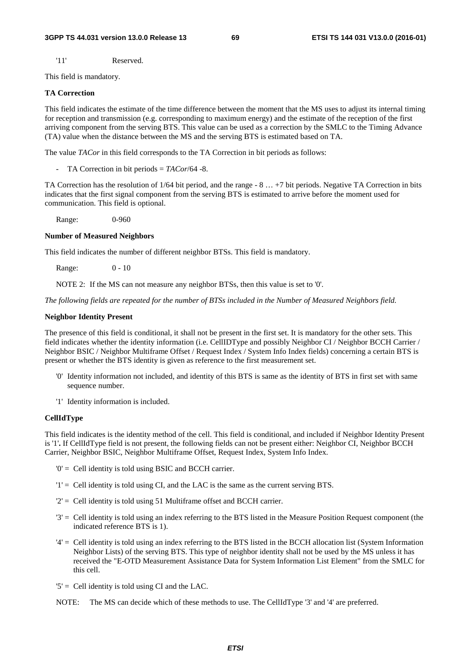'11' Reserved.

This field is mandatory.

### **TA Correction**

This field indicates the estimate of the time difference between the moment that the MS uses to adjust its internal timing for reception and transmission (e.g. corresponding to maximum energy) and the estimate of the reception of the first arriving component from the serving BTS. This value can be used as a correction by the SMLC to the Timing Advance (TA) value when the distance between the MS and the serving BTS is estimated based on TA.

The value *TACor* in this field corresponds to the TA Correction in bit periods as follows:

- TA Correction in bit periods = *TACor*/64 -8.

TA Correction has the resolution of 1/64 bit period, and the range - 8 … +7 bit periods. Negative TA Correction in bits indicates that the first signal component from the serving BTS is estimated to arrive before the moment used for communication. This field is optional.

Range: 0-960

### **Number of Measured Neighbors**

This field indicates the number of different neighbor BTSs. This field is mandatory.

Range: 0 - 10

NOTE 2: If the MS can not measure any neighbor BTSs, then this value is set to '0'.

*The following fields are repeated for the number of BTSs included in the Number of Measured Neighbors field.* 

### **Neighbor Identity Present**

The presence of this field is conditional, it shall not be present in the first set. It is mandatory for the other sets. This field indicates whether the identity information (i.e. CellIDType and possibly Neighbor CI / Neighbor BCCH Carrier / Neighbor BSIC / Neighbor Multiframe Offset / Request Index / System Info Index fields) concerning a certain BTS is present or whether the BTS identity is given as reference to the first measurement set.

- '0' Identity information not included, and identity of this BTS is same as the identity of BTS in first set with same sequence number.
- '1' Identity information is included.

### **CellIdType**

This field indicates is the identity method of the cell. This field is conditional, and included if Neighbor Identity Present is '1'**.** If CellIdType field is not present, the following fields can not be present either: Neighbor CI, Neighbor BCCH Carrier, Neighbor BSIC, Neighbor Multiframe Offset, Request Index, System Info Index.

- '0' = Cell identity is told using BSIC and BCCH carrier.
- '1' = Cell identity is told using CI, and the LAC is the same as the current serving BTS.
- '2' = Cell identity is told using 51 Multiframe offset and BCCH carrier.
- '3' = Cell identity is told using an index referring to the BTS listed in the Measure Position Request component (the indicated reference BTS is 1).
- '4' = Cell identity is told using an index referring to the BTS listed in the BCCH allocation list (System Information Neighbor Lists) of the serving BTS. This type of neighbor identity shall not be used by the MS unless it has received the "E-OTD Measurement Assistance Data for System Information List Element" from the SMLC for this cell.
- $5'$  = Cell identity is told using CI and the LAC.
- NOTE: The MS can decide which of these methods to use. The CellIdType '3' and '4' are preferred.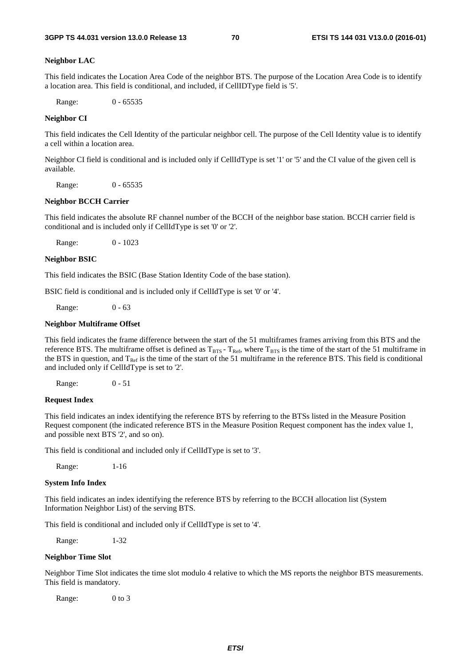#### **Neighbor LAC**

This field indicates the Location Area Code of the neighbor BTS. The purpose of the Location Area Code is to identify a location area. This field is conditional, and included, if CellIDType field is '5'.

Range: 0 - 65535

### **Neighbor CI**

This field indicates the Cell Identity of the particular neighbor cell. The purpose of the Cell Identity value is to identify a cell within a location area.

Neighbor CI field is conditional and is included only if CellIdType is set '1' or '5' and the CI value of the given cell is available.

Range: 0 - 65535

#### **Neighbor BCCH Carrier**

This field indicates the absolute RF channel number of the BCCH of the neighbor base station. BCCH carrier field is conditional and is included only if CellIdType is set '0' or '2'.

Range: 0 - 1023

#### **Neighbor BSIC**

This field indicates the BSIC (Base Station Identity Code of the base station).

BSIC field is conditional and is included only if CellIdType is set '0' or '4'.

Range: 0 - 63

### **Neighbor Multiframe Offset**

This field indicates the frame difference between the start of the 51 multiframes frames arriving from this BTS and the reference BTS. The multiframe offset is defined as  $T_{BTS}$  -  $T_{Ref}$ , where  $T_{BTS}$  is the time of the start of the 51 multiframe in the BTS in question, and  $T_{Ref}$  is the time of the start of the 51 multiframe in the reference BTS. This field is conditional and included only if CellIdType is set to '2'.

Range: 0 - 51

### **Request Index**

This field indicates an index identifying the reference BTS by referring to the BTSs listed in the Measure Position Request component (the indicated reference BTS in the Measure Position Request component has the index value 1, and possible next BTS '2', and so on).

This field is conditional and included only if CellIdType is set to '3'.

Range: 1-16

#### **System Info Index**

This field indicates an index identifying the reference BTS by referring to the BCCH allocation list (System Information Neighbor List) of the serving BTS.

This field is conditional and included only if CellIdType is set to '4'.

Range: 1-32

### **Neighbor Time Slot**

Neighbor Time Slot indicates the time slot modulo 4 relative to which the MS reports the neighbor BTS measurements. This field is mandatory.

Range: 0 to 3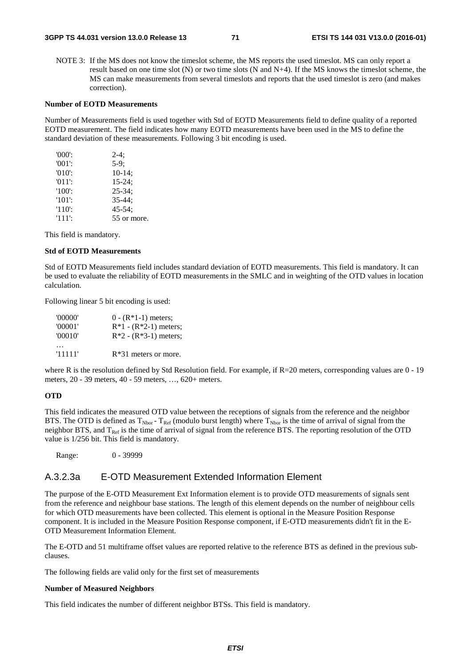NOTE 3: If the MS does not know the timeslot scheme, the MS reports the used timeslot. MS can only report a result based on one time slot (N) or two time slots (N and N+4). If the MS knows the timeslot scheme, the MS can make measurements from several timeslots and reports that the used timeslot is zero (and makes correction).

### **Number of EOTD Measurements**

Number of Measurements field is used together with Std of EOTD Measurements field to define quality of a reported EOTD measurement. The field indicates how many EOTD measurements have been used in the MS to define the standard deviation of these measurements. Following 3 bit encoding is used.

| $'000'$ : | $2-4:$      |
|-----------|-------------|
| $'001$ :  | $5-9:$      |
| $'010'$ : | $10-14;$    |
| $'011'$ : | $15 - 24$ ; |
| $'100'$ : | $25 - 34$ ; |
| $'101'$ : | $35 - 44:$  |
| $'110'$ : | $45 - 54$ ; |
| $'111'$ : | 55 or more. |

This field is mandatory.

### **Std of EOTD Measurements**

Std of EOTD Measurements field includes standard deviation of EOTD measurements. This field is mandatory. It can be used to evaluate the reliability of EOTD measurements in the SMLC and in weighting of the OTD values in location calculation.

Following linear 5 bit encoding is used:

| '00000' | $0 - (R*1-1)$ meters;   |
|---------|-------------------------|
| '00001' | $R*1 - (R*2-1)$ meters; |
| '00010' | $R*2 - (R*3-1)$ meters; |
|         |                         |
| '11111' | $R*31$ meters or more.  |

where R is the resolution defined by Std Resolution field. For example, if R=20 meters, corresponding values are 0 - 19 meters, 20 - 39 meters, 40 - 59 meters, …, 620+ meters.

### **OTD**

This field indicates the measured OTD value between the receptions of signals from the reference and the neighbor BTS. The OTD is defined as  $T_{Nbor}$  -  $T_{Ref}$  (modulo burst length) where  $T_{Nbor}$  is the time of arrival of signal from the neighbor BTS, and  $T_{\text{Ref}}$  is the time of arrival of signal from the reference BTS. The reporting resolution of the OTD value is 1/256 bit. This field is mandatory.

Range: 0 - 39999

### A.3.2.3a E-OTD Measurement Extended Information Element

The purpose of the E-OTD Measurement Ext Information element is to provide OTD measurements of signals sent from the reference and neighbour base stations. The length of this element depends on the number of neighbour cells for which OTD measurements have been collected. This element is optional in the Measure Position Response component. It is included in the Measure Position Response component, if E-OTD measurements didn't fit in the E-OTD Measurement Information Element.

The E-OTD and 51 multiframe offset values are reported relative to the reference BTS as defined in the previous subclauses.

The following fields are valid only for the first set of measurements

### **Number of Measured Neighbors**

This field indicates the number of different neighbor BTSs. This field is mandatory.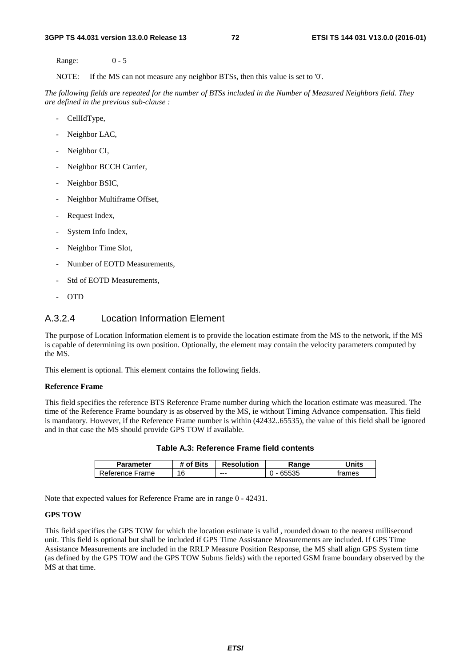Range: 0 - 5

NOTE: If the MS can not measure any neighbor BTSs, then this value is set to '0'.

*The following fields are repeated for the number of BTSs included in the Number of Measured Neighbors field. They are defined in the previous sub-clause :*

- CellIdType,
- Neighbor LAC,
- Neighbor CI,
- Neighbor BCCH Carrier,
- Neighbor BSIC,
- Neighbor Multiframe Offset,
- Request Index,
- System Info Index,
- Neighbor Time Slot,
- Number of EOTD Measurements,
- Std of EOTD Measurements,
- OTD

# A.3.2.4 Location Information Element

The purpose of Location Information element is to provide the location estimate from the MS to the network, if the MS is capable of determining its own position. Optionally, the element may contain the velocity parameters computed by the MS.

This element is optional. This element contains the following fields.

## **Reference Frame**

This field specifies the reference BTS Reference Frame number during which the location estimate was measured. The time of the Reference Frame boundary is as observed by the MS, ie without Timing Advance compensation. This field is mandatory. However, if the Reference Frame number is within (42432..65535), the value of this field shall be ignored and in that case the MS should provide GPS TOW if available.

| <b>Parameter</b> | # of Bits | <b>Resolution</b> | Range | Jnits  |
|------------------|-----------|-------------------|-------|--------|
| Reference Frame  | 16        | ---               | 65535 | trames |

**Table A.3: Reference Frame field contents** 

Note that expected values for Reference Frame are in range 0 - 42431.

#### **GPS TOW**

This field specifies the GPS TOW for which the location estimate is valid , rounded down to the nearest millisecond unit. This field is optional but shall be included if GPS Time Assistance Measurements are included. If GPS Time Assistance Measurements are included in the RRLP Measure Position Response, the MS shall align GPS System time (as defined by the GPS TOW and the GPS TOW Subms fields) with the reported GSM frame boundary observed by the MS at that time.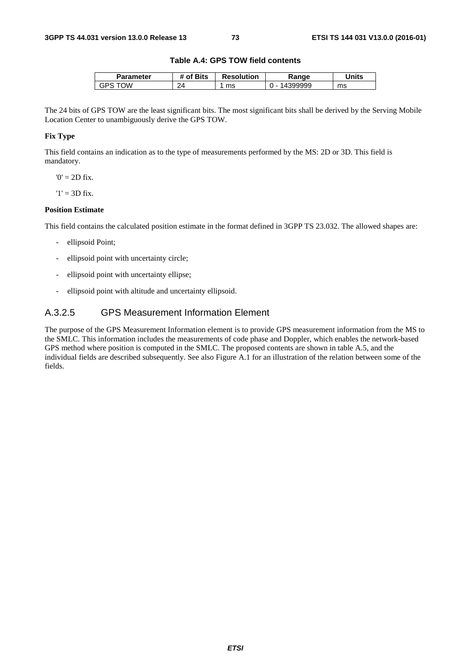## **Table A.4: GPS TOW field contents**

| Parameter | <b>'</b> Bits<br>οf | <b>Resolution</b> | `anae<br>naı. | Units |
|-----------|---------------------|-------------------|---------------|-------|
| ۱W<br>GPS | 24<br>--            | ms                | aaac          | ms    |

The 24 bits of GPS TOW are the least significant bits. The most significant bits shall be derived by the Serving Mobile Location Center to unambiguously derive the GPS TOW.

# **Fix Type**

This field contains an indication as to the type of measurements performed by the MS: 2D or 3D. This field is mandatory.

 $0' = 2D$  fix.

 $'1' = 3D$  fix.

#### **Position Estimate**

This field contains the calculated position estimate in the format defined in 3GPP TS 23.032. The allowed shapes are:

- ellipsoid Point;
- ellipsoid point with uncertainty circle;
- ellipsoid point with uncertainty ellipse;
- ellipsoid point with altitude and uncertainty ellipsoid.

# A.3.2.5 GPS Measurement Information Element

The purpose of the GPS Measurement Information element is to provide GPS measurement information from the MS to the SMLC. This information includes the measurements of code phase and Doppler, which enables the network-based GPS method where position is computed in the SMLC. The proposed contents are shown in table A.5, and the individual fields are described subsequently. See also Figure A.1 for an illustration of the relation between some of the fields.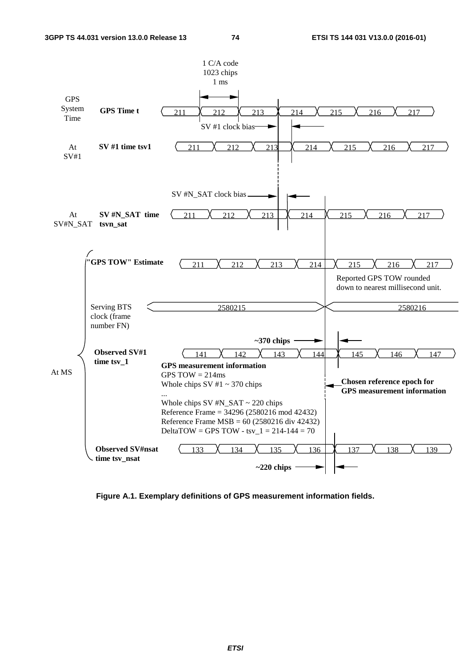

**Figure A.1. Exemplary definitions of GPS measurement information fields.**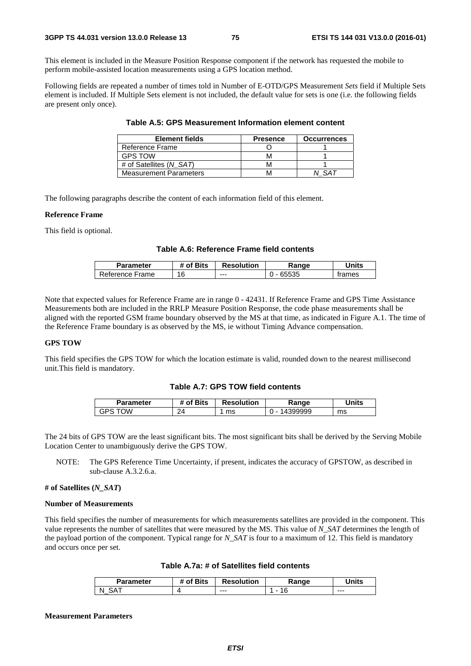This element is included in the Measure Position Response component if the network has requested the mobile to perform mobile-assisted location measurements using a GPS location method.

Following fields are repeated a number of times told in Number of E-OTD/GPS Measurement *Sets* field if Multiple Sets element is included. If Multiple Sets element is not included, the default value for sets is one (i.e. the following fields are present only once).

| <b>Element fields</b>         | <b>Presence</b> | <b>Occurrences</b> |
|-------------------------------|-----------------|--------------------|
| Reference Frame               |                 |                    |
| <b>GPS TOW</b>                |                 |                    |
| # of Satellites (N SAT)       |                 |                    |
| <b>Measurement Parameters</b> |                 |                    |

**Table A.5: GPS Measurement Information element content** 

The following paragraphs describe the content of each information field of this element.

#### **Reference Frame**

This field is optional.

## **Table A.6: Reference Frame field contents**

| Parameter       | # of Bits | <b>Resolution</b> | Range | Jnits  |
|-----------------|-----------|-------------------|-------|--------|
| Reference Frame | 16        | $--$              | 65535 | trames |

Note that expected values for Reference Frame are in range 0 - 42431. If Reference Frame and GPS Time Assistance Measurements both are included in the RRLP Measure Position Response, the code phase measurements shall be aligned with the reported GSM frame boundary observed by the MS at that time, as indicated in Figure A.1. The time of the Reference Frame boundary is as observed by the MS, ie without Timing Advance compensation.

## **GPS TOW**

This field specifies the GPS TOW for which the location estimate is valid, rounded down to the nearest millisecond unit.This field is mandatory.

## **Table A.7: GPS TOW field contents**

| Parameter | of Bits | <b>Resolution</b> | Range                              | Units |
|-----------|---------|-------------------|------------------------------------|-------|
| ١W<br>GPS | 24      | ms                | 399999<br>$\overline{\phantom{a}}$ | ms    |

The 24 bits of GPS TOW are the least significant bits. The most significant bits shall be derived by the Serving Mobile Location Center to unambiguously derive the GPS TOW.

NOTE: The GPS Reference Time Uncertainty, if present, indicates the accuracy of GPSTOW, as described in sub-clause A.3.2.6.a.

### **# of Satellites (***N\_SAT***)**

#### **Number of Measurements**

This field specifies the number of measurements for which measurements satellites are provided in the component. This value represents the number of satellites that were measured by the MS. This value of *N\_SAT* determines the length of the payload portion of the component. Typical range for *N\_SAT* is four to a maximum of 12. This field is mandatory and occurs once per set.

| <b>Parameter</b> | of Bits | <b>Resolution</b> | Range | <b>Inits</b> |
|------------------|---------|-------------------|-------|--------------|
| N<br>_           | {       | $- - -$           |       | $- - -$      |

#### **Measurement Parameters**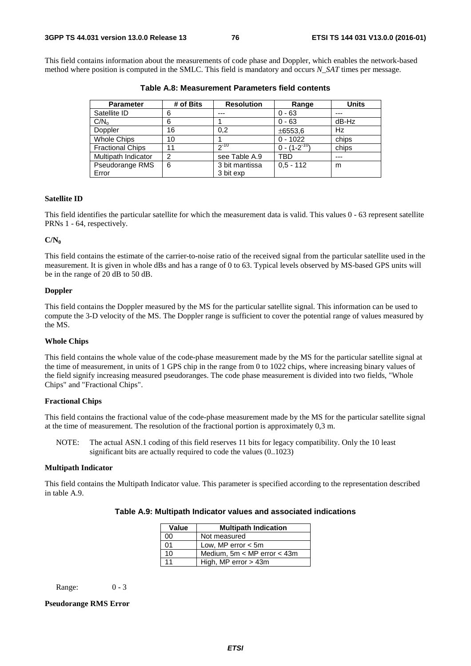This field contains information about the measurements of code phase and Doppler, which enables the network-based method where position is computed in the SMLC. This field is mandatory and occurs *N\_SAT* times per message.

| <b>Parameter</b>        | # of Bits | <b>Resolution</b> | Range               | <b>Units</b> |
|-------------------------|-----------|-------------------|---------------------|--------------|
| Satellite ID            | 6         | ---               | $0 - 63$            | ---          |
| C/N <sub>o</sub>        | 6         |                   | $0 - 63$            | dB-Hz        |
| Doppler                 | 16        | 0.2               | ±6553,6             | Hz           |
| <b>Whole Chips</b>      | 10        |                   | $0 - 1022$          | chips        |
| <b>Fractional Chips</b> | 11        | $2^{-10}$         | $0 - (1 - 2^{-10})$ | chips        |
| Multipath Indicator     | 2         | see Table A.9     | TBD                 | ---          |
| Pseudorange RMS         | 6         | 3 bit mantissa    | $0.5 - 112$         | m            |
| Error                   |           | 3 bit exp         |                     |              |

**Table A.8: Measurement Parameters field contents** 

#### **Satellite ID**

This field identifies the particular satellite for which the measurement data is valid. This values 0 - 63 represent satellite PRNs 1 - 64, respectively.

#### **C/N0**

This field contains the estimate of the carrier-to-noise ratio of the received signal from the particular satellite used in the measurement. It is given in whole dBs and has a range of 0 to 63. Typical levels observed by MS-based GPS units will be in the range of 20 dB to 50 dB.

## **Doppler**

This field contains the Doppler measured by the MS for the particular satellite signal. This information can be used to compute the 3-D velocity of the MS. The Doppler range is sufficient to cover the potential range of values measured by the MS.

## **Whole Chips**

This field contains the whole value of the code-phase measurement made by the MS for the particular satellite signal at the time of measurement, in units of 1 GPS chip in the range from 0 to 1022 chips, where increasing binary values of the field signify increasing measured pseudoranges. The code phase measurement is divided into two fields, "Whole Chips" and "Fractional Chips".

## **Fractional Chips**

This field contains the fractional value of the code-phase measurement made by the MS for the particular satellite signal at the time of measurement. The resolution of the fractional portion is approximately 0,3 m.

NOTE: The actual ASN.1 coding of this field reserves 11 bits for legacy compatibility. Only the 10 least significant bits are actually required to code the values (0..1023)

#### **Multipath Indicator**

This field contains the Multipath Indicator value. This parameter is specified according to the representation described in table A.9.

| Value | <b>Multipath Indication</b>     |  |
|-------|---------------------------------|--|
| 00    | Not measured                    |  |
| 01    | Low, MP error $<$ 5m            |  |
| 10    | Medium, $5m < MP$ error $<$ 43m |  |
| 11    | High, MP error $>$ 43m          |  |

Range: 0 - 3

## **Pseudorange RMS Error**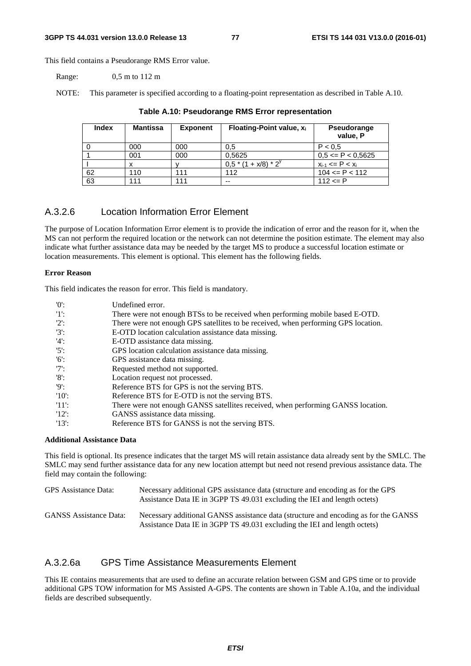This field contains a Pseudorange RMS Error value.

Range: 0,5 m to 112 m

NOTE: This parameter is specified according to a floating-point representation as described in Table A.10.

| <b>Index</b> | <b>Mantissa</b> | <b>Exponent</b> | Floating-Point value, $x_i$ | Pseudorange<br>value, P  |
|--------------|-----------------|-----------------|-----------------------------|--------------------------|
|              | 000             | 000             | 0.5                         | P < 0.5                  |
|              | 001             | 000             | 0,5625                      | $0,5 \leq P \leq 0,5625$ |
|              |                 |                 | $0.5*(1 + x/8)*2^{y}$       | $x_{i-1}$ <= P < $x_i$   |
| 62           | 110             | 111             | 112                         | $104 \leq P \leq 112$    |
| 63           | 111             | 111             | --                          | $112 \le P$              |

## **Table A.10: Pseudorange RMS Error representation**

# A.3.2.6 Location Information Error Element

The purpose of Location Information Error element is to provide the indication of error and the reason for it, when the MS can not perform the required location or the network can not determine the position estimate. The element may also indicate what further assistance data may be needed by the target MS to produce a successful location estimate or location measurements. This element is optional. This element has the following fields.

#### **Error Reason**

This field indicates the reason for error. This field is mandatory.

| '0'      | Undefined error.                                                                   |
|----------|------------------------------------------------------------------------------------|
| 11:      | There were not enough BTSs to be received when performing mobile based E-OTD.      |
| $'2$ :   | There were not enough GPS satellites to be received, when performing GPS location. |
| $'3'$ :  | E-OTD location calculation assistance data missing.                                |
| $'4$ :   | E-OTD assistance data missing.                                                     |
| $'5$ :   | GPS location calculation assistance data missing.                                  |
| $'6$ :   | GPS assistance data missing.                                                       |
| $'7$ :   | Requested method not supported.                                                    |
| $'8$ :   | Location request not processed.                                                    |
| 'Q':     | Reference BTS for GPS is not the serving BTS.                                      |
| $'10'$ : | Reference BTS for E-OTD is not the serving BTS.                                    |
| -'11':   | There were not enough GANSS satellites received, when performing GANSS location.   |
| 12:      | GANSS assistance data missing.                                                     |
| $'13'$ : | Reference BTS for GANSS is not the serving BTS.                                    |

## **Additional Assistance Data**

This field is optional. Its presence indicates that the target MS will retain assistance data already sent by the SMLC. The SMLC may send further assistance data for any new location attempt but need not resend previous assistance data. The field may contain the following:

| GPS Assistance Data:          | Necessary additional GPS assistance data (structure and encoding as for the GPS<br>Assistance Data IE in 3GPP TS 49.031 excluding the IEI and length octets)     |
|-------------------------------|------------------------------------------------------------------------------------------------------------------------------------------------------------------|
| <b>GANSS</b> Assistance Data: | Necessary additional GANSS assistance data (structure and encoding as for the GANSS<br>Assistance Data IE in 3GPP TS 49.031 excluding the IEI and length octets) |

# A.3.2.6a GPS Time Assistance Measurements Element

This IE contains measurements that are used to define an accurate relation between GSM and GPS time or to provide additional GPS TOW information for MS Assisted A-GPS. The contents are shown in Table A.10a, and the individual fields are described subsequently.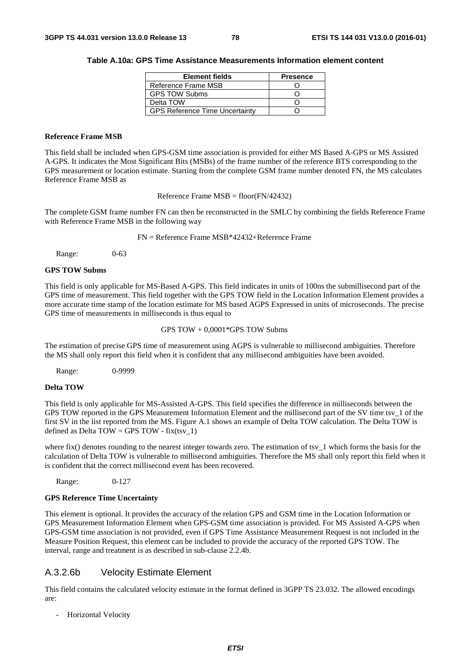#### **Table A.10a: GPS Time Assistance Measurements Information element content**

| <b>Element fields</b>                 | <b>Presence</b> |
|---------------------------------------|-----------------|
| Reference Frame MSB                   |                 |
| <b>GPS TOW Subms</b>                  |                 |
| Delta TOW                             |                 |
| <b>GPS Reference Time Uncertainty</b> |                 |

#### **Reference Frame MSB**

This field shall be included when GPS-GSM time association is provided for either MS Based A-GPS or MS Assisted A-GPS. It indicates the Most Significant Bits (MSBs) of the frame number of the reference BTS corresponding to the GPS measurement or location estimate. Starting from the complete GSM frame number denoted FN, the MS calculates Reference Frame MSB as

Reference Frame MSB = floor(FN/42432)

The complete GSM frame number FN can then be reconstructed in the SMLC by combining the fields Reference Frame with Reference Frame MSB in the following way

FN = Reference Frame MSB\*42432+Reference Frame

Range: 0-63

#### **GPS TOW Subms**

This field is only applicable for MS-Based A-GPS. This field indicates in units of 100ns the submillisecond part of the GPS time of measurement. This field together with the GPS TOW field in the Location Information Element provides a more accurate time stamp of the location estimate for MS based AGPS Expressed in units of microseconds. The precise GPS time of measurements in milliseconds is thus equal to

GPS TOW + 0,0001\*GPS TOW Subms

The estimation of precise GPS time of measurement using AGPS is vulnerable to millisecond ambiguities. Therefore the MS shall only report this field when it is confident that any millisecond ambiguities have been avoided.

Range: 0-9999

## **Delta TOW**

This field is only applicable for MS-Assisted A-GPS. This field specifies the difference in milliseconds between the GPS TOW reported in the GPS Measurement Information Element and the millisecond part of the SV time tsv\_1 of the first SV in the list reported from the MS. Figure A.1 shows an example of Delta TOW calculation. The Delta TOW is defined as Delta TOW = GPS TOW - fix(tsy\_1)

where fix() denotes rounding to the nearest integer towards zero. The estimation of tsv $1$  which forms the basis for the calculation of Delta TOW is vulnerable to millisecond ambiguities. Therefore the MS shall only report this field when it is confident that the correct millisecond event has been recovered.

Range: 0-127

### **GPS Reference Time Uncertainty**

This element is optional. It provides the accuracy of the relation GPS and GSM time in the Location Information or GPS Measurement Information Element when GPS-GSM time association is provided. For MS Assisted A-GPS when GPS-GSM time association is not provided, even if GPS Time Assistance Measurement Request is not included in the Measure Position Request, this element can be included to provide the accuracy of the reported GPS TOW. The interval, range and treatment is as described in sub-clause 2.2.4b.

# A.3.2.6b Velocity Estimate Element

This field contains the calculated velocity estimate in the format defined in 3GPP TS 23.032. The allowed encodings are:

- Horizontal Velocity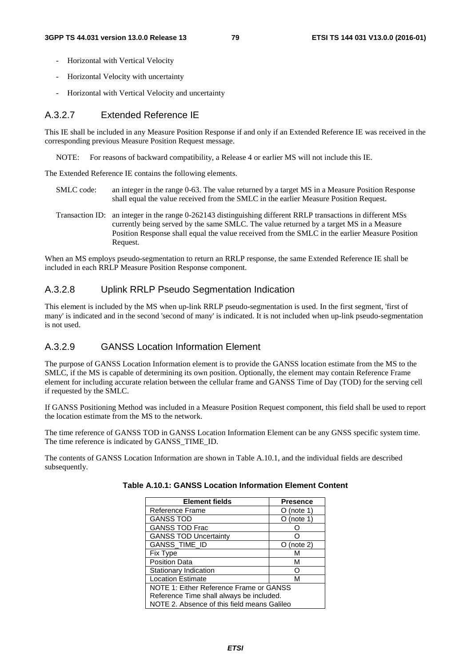- Horizontal with Vertical Velocity
- Horizontal Velocity with uncertainty
- Horizontal with Vertical Velocity and uncertainty

# A.3.2.7 Extended Reference IE

This IE shall be included in any Measure Position Response if and only if an Extended Reference IE was received in the corresponding previous Measure Position Request message.

NOTE: For reasons of backward compatibility, a Release 4 or earlier MS will not include this IE.

The Extended Reference IE contains the following elements.

- SMLC code: an integer in the range 0-63. The value returned by a target MS in a Measure Position Response shall equal the value received from the SMLC in the earlier Measure Position Request.
- Transaction ID: an integer in the range 0-262143 distinguishing different RRLP transactions in different MSs currently being served by the same SMLC. The value returned by a target MS in a Measure Position Response shall equal the value received from the SMLC in the earlier Measure Position Request.

When an MS employs pseudo-segmentation to return an RRLP response, the same Extended Reference IE shall be included in each RRLP Measure Position Response component.

# A.3.2.8 Uplink RRLP Pseudo Segmentation Indication

This element is included by the MS when up-link RRLP pseudo-segmentation is used. In the first segment, 'first of many' is indicated and in the second 'second of many' is indicated. It is not included when up-link pseudo-segmentation is not used.

# A.3.2.9 GANSS Location Information Element

The purpose of GANSS Location Information element is to provide the GANSS location estimate from the MS to the SMLC, if the MS is capable of determining its own position. Optionally, the element may contain Reference Frame element for including accurate relation between the cellular frame and GANSS Time of Day (TOD) for the serving cell if requested by the SMLC.

If GANSS Positioning Method was included in a Measure Position Request component, this field shall be used to report the location estimate from the MS to the network.

The time reference of GANSS TOD in GANSS Location Information Element can be any GNSS specific system time. The time reference is indicated by GANSS\_TIME\_ID.

The contents of GANSS Location Information are shown in Table A.10.1, and the individual fields are described subsequently.

| <b>Element fields</b>                       | <b>Presence</b> |  |
|---------------------------------------------|-----------------|--|
| Reference Frame                             | (note 1)        |  |
| <b>GANSS TOD</b>                            | $O$ (note 1)    |  |
| <b>GANSS TOD Frac</b>                       |                 |  |
| <b>GANSS TOD Uncertainty</b>                |                 |  |
| GANSS_TIME_ID                               | (note 2)        |  |
| <b>Fix Type</b>                             | М               |  |
| <b>Position Data</b>                        | М               |  |
| Stationary Indication                       |                 |  |
| <b>Location Estimate</b>                    | М               |  |
| NOTE 1: Either Reference Frame or GANSS     |                 |  |
| Reference Time shall always be included.    |                 |  |
| NOTE 2. Absence of this field means Galileo |                 |  |

| Table A.10.1: GANSS Location Information Element Content |  |  |
|----------------------------------------------------------|--|--|
|----------------------------------------------------------|--|--|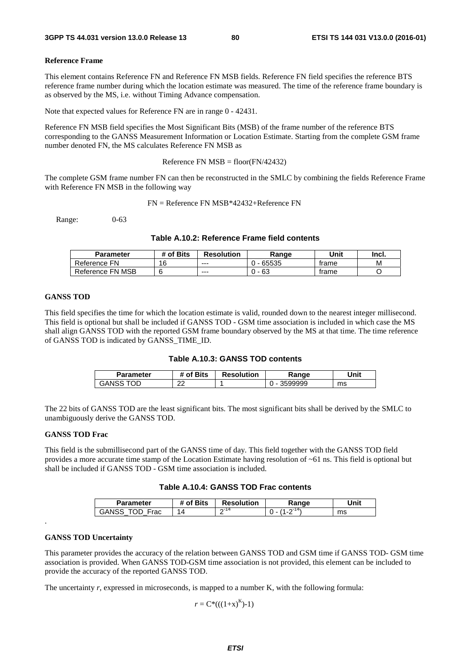#### **Reference Frame**

This element contains Reference FN and Reference FN MSB fields. Reference FN field specifies the reference BTS reference frame number during which the location estimate was measured. The time of the reference frame boundary is as observed by the MS, i.e. without Timing Advance compensation.

Note that expected values for Reference FN are in range 0 - 42431.

Reference FN MSB field specifies the Most Significant Bits (MSB) of the frame number of the reference BTS corresponding to the GANSS Measurement Information or Location Estimate. Starting from the complete GSM frame number denoted FN, the MS calculates Reference FN MSB as

Reference FN  $MSB = floor(FN/42432)$ 

The complete GSM frame number FN can then be reconstructed in the SMLC by combining the fields Reference Frame with Reference FN MSB in the following way

FN = Reference FN MSB\*42432+Reference FN

Range: 0-63

## **Table A.10.2: Reference Frame field contents**

| Parameter        | # of Bits | <b>Resolution</b> | Range | Unit  | Incl. |
|------------------|-----------|-------------------|-------|-------|-------|
| Reference FN     | 16        | $- - -$           | 65535 | trame | М     |
| Reference FN MSB |           | $--$              | 63    | trame |       |

#### **GANSS TOD**

This field specifies the time for which the location estimate is valid, rounded down to the nearest integer millisecond. This field is optional but shall be included if GANSS TOD - GSM time association is included in which case the MS shall align GANSS TOD with the reported GSM frame boundary observed by the MS at that time. The time reference of GANSS TOD is indicated by GANSS\_TIME\_ID.

| Table A.10.3: GANSS TOD contents |  |  |  |
|----------------------------------|--|--|--|
|----------------------------------|--|--|--|

| Parameter     | ື ^f Bits artis | <b>Resolution</b> | Range   | Unit |
|---------------|-----------------|-------------------|---------|------|
| TOD<br>GANSS. | n n<br>$\sim$   |                   | 3599999 | ms   |

The 22 bits of GANSS TOD are the least significant bits. The most significant bits shall be derived by the SMLC to unambiguously derive the GANSS TOD.

#### **GANSS TOD Frac**

This field is the submillisecond part of the GANSS time of day. This field together with the GANSS TOD field provides a more accurate time stamp of the Location Estimate having resolution of ~61 ns. This field is optional but shall be included if GANSS TOD - GSM time association is included.

#### **Table A.10.4: GANSS TOD Frac contents**

| <b>Parameter</b>   | <b>Bits</b><br>nt. | <b>Resolution</b> | ange | <b>Jnit</b> |
|--------------------|--------------------|-------------------|------|-------------|
| Eroc<br>GAN:<br>au | $\Delta$           | $\sim$ - 14<br>-  |      | ms          |

#### **GANSS TOD Uncertainty**

.

This parameter provides the accuracy of the relation between GANSS TOD and GSM time if GANSS TOD- GSM time association is provided. When GANSS TOD-GSM time association is not provided, this element can be included to provide the accuracy of the reported GANSS TOD.

The uncertainty *r*, expressed in microseconds, is mapped to a number K, with the following formula:

 $r = C^*((1+x)^K)-1)$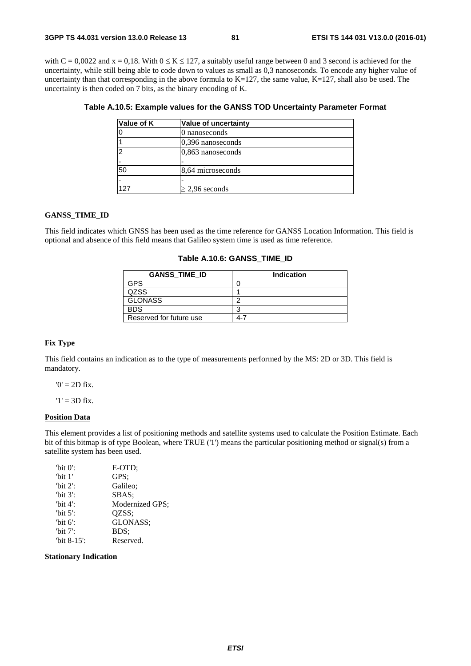with  $C = 0.0022$  and  $x = 0.18$ . With  $0 \le K \le 127$ , a suitably useful range between 0 and 3 second is achieved for the uncertainty, while still being able to code down to values as small as 0,3 nanoseconds. To encode any higher value of uncertainty than that corresponding in the above formula to  $K=127$ , the same value,  $K=127$ , shall also be used. The uncertainty is then coded on 7 bits, as the binary encoding of K.

| Value of K | Value of uncertainty |
|------------|----------------------|
|            | 0 nanoseconds        |
|            | $0,396$ nanoseconds  |
|            | 0,863 nanoseconds    |
|            |                      |
| 50         | 8,64 microseconds    |
|            |                      |
| 127        | $\geq$ 2,96 seconds  |

| Table A.10.5: Example values for the GANSS TOD Uncertainty Parameter Format |  |  |  |
|-----------------------------------------------------------------------------|--|--|--|
|-----------------------------------------------------------------------------|--|--|--|

#### **GANSS\_TIME\_ID**

This field indicates which GNSS has been used as the time reference for GANSS Location Information. This field is optional and absence of this field means that Galileo system time is used as time reference.

#### **Table A.10.6: GANSS\_TIME\_ID**

| <b>GANSS TIME ID</b>    | <b>Indication</b> |
|-------------------------|-------------------|
| <b>GPS</b>              |                   |
| QZSS                    |                   |
| <b>GLONASS</b>          | ◠                 |
| <b>BDS</b>              | ◠                 |
| Reserved for future use | $4-7$             |

## **Fix Type**

This field contains an indication as to the type of measurements performed by the MS: 2D or 3D. This field is mandatory.

 $'0' = 2D$  fix.

 $'1' = 3D$  fix.

#### **Position Data**

This element provides a list of positioning methods and satellite systems used to calculate the Position Estimate. Each bit of this bitmap is of type Boolean, where TRUE ('1') means the particular positioning method or signal(s) from a satellite system has been used.

| "bit $0$ ":    | E-OTD:          |
|----------------|-----------------|
| "bit $1$ "     | GPS:            |
| "bit $2$ ":    | Galileo:        |
| "bit $3$ ":    | SBAS:           |
| "bit $4$ ":    | Modernized GPS; |
| "bit $5$ ":    | OZSS:           |
| 'bit $6$ ':    | GLONASS:        |
| 'bit $7$ ':    | BDS:            |
| "bit $8-15$ ": | Reserved.       |
|                |                 |

#### **Stationary Indication**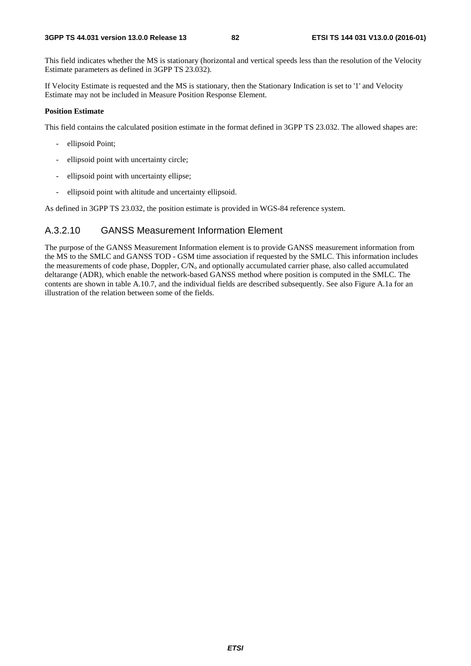This field indicates whether the MS is stationary (horizontal and vertical speeds less than the resolution of the Velocity Estimate parameters as defined in 3GPP TS 23.032).

If Velocity Estimate is requested and the MS is stationary, then the Stationary Indication is set to '1' and Velocity Estimate may not be included in Measure Position Response Element.

## **Position Estimate**

This field contains the calculated position estimate in the format defined in 3GPP TS 23.032. The allowed shapes are:

- ellipsoid Point;
- ellipsoid point with uncertainty circle;
- ellipsoid point with uncertainty ellipse;
- ellipsoid point with altitude and uncertainty ellipsoid.

As defined in 3GPP TS 23.032, the position estimate is provided in WGS-84 reference system.

# A.3.2.10 GANSS Measurement Information Element

The purpose of the GANSS Measurement Information element is to provide GANSS measurement information from the MS to the SMLC and GANSS TOD - GSM time association if requested by the SMLC. This information includes the measurements of code phase, Doppler,  $CN_0$  and optionally accumulated carrier phase, also called accumulated deltarange (ADR), which enable the network-based GANSS method where position is computed in the SMLC. The contents are shown in table A.10.7, and the individual fields are described subsequently. See also Figure A.1a for an illustration of the relation between some of the fields.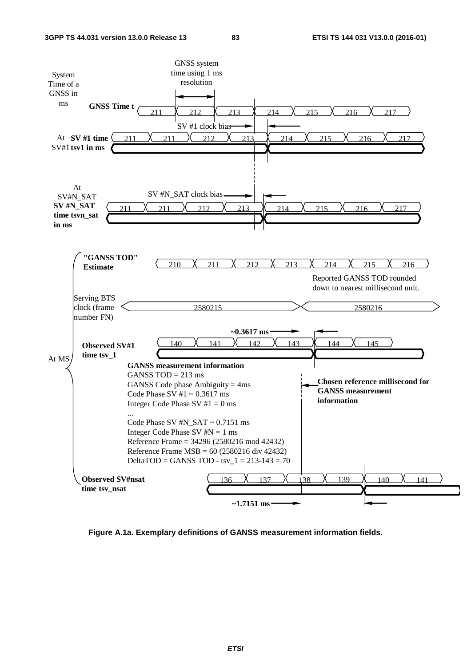

**Figure A.1a. Exemplary definitions of GANSS measurement information fields.**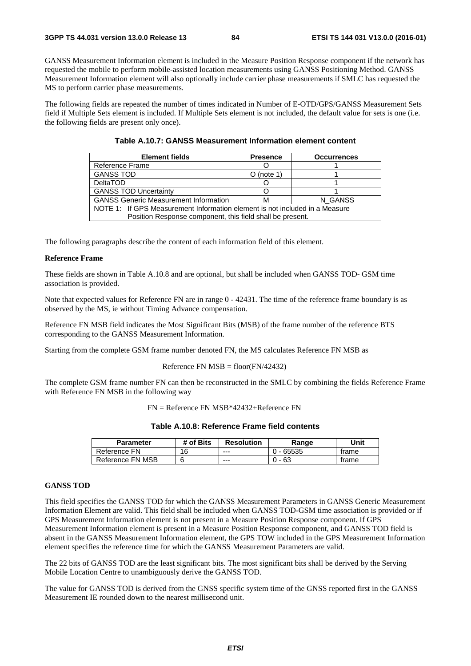GANSS Measurement Information element is included in the Measure Position Response component if the network has requested the mobile to perform mobile-assisted location measurements using GANSS Positioning Method. GANSS Measurement Information element will also optionally include carrier phase measurements if SMLC has requested the MS to perform carrier phase measurements.

The following fields are repeated the number of times indicated in Number of E-OTD/GPS/GANSS Measurement Sets field if Multiple Sets element is included. If Multiple Sets element is not included, the default value for sets is one (i.e. the following fields are present only once).

| <b>Element fields</b>                                                       | <b>Presence</b> | <b>Occurrences</b> |  |  |
|-----------------------------------------------------------------------------|-----------------|--------------------|--|--|
| Reference Frame                                                             |                 |                    |  |  |
| <b>GANSS TOD</b>                                                            | $O$ (note 1)    |                    |  |  |
| <b>DeltaTOD</b>                                                             |                 |                    |  |  |
| <b>GANSS TOD Uncertainty</b>                                                |                 |                    |  |  |
| <b>GANSS Generic Measurement Information</b><br>N GANSS<br>м                |                 |                    |  |  |
| NOTE 1: If GPS Measurement Information element is not included in a Measure |                 |                    |  |  |
| Position Response component, this field shall be present.                   |                 |                    |  |  |

The following paragraphs describe the content of each information field of this element.

#### **Reference Frame**

These fields are shown in Table A.10.8 and are optional, but shall be included when GANSS TOD- GSM time association is provided.

Note that expected values for Reference FN are in range  $0 - 42431$ . The time of the reference frame boundary is as observed by the MS, ie without Timing Advance compensation.

Reference FN MSB field indicates the Most Significant Bits (MSB) of the frame number of the reference BTS corresponding to the GANSS Measurement Information.

Starting from the complete GSM frame number denoted FN, the MS calculates Reference FN MSB as

#### Reference FN  $MSB = floor(FN/42432)$

The complete GSM frame number FN can then be reconstructed in the SMLC by combining the fields Reference Frame with Reference FN MSB in the following way

FN = Reference FN MSB\*42432+Reference FN

|  | Table A.10.8: Reference Frame field contents |  |  |
|--|----------------------------------------------|--|--|
|--|----------------------------------------------|--|--|

| <b>Parameter</b> | # of Bits | <b>Resolution</b> | Range       | Unit  |
|------------------|-----------|-------------------|-------------|-------|
| Reference FN     | 16        | $- - -$           | $0 - 65535$ | trame |
| Reference FN MSB |           | $--$              | - 63<br>ົາ. | trame |

## **GANSS TOD**

This field specifies the GANSS TOD for which the GANSS Measurement Parameters in GANSS Generic Measurement Information Element are valid. This field shall be included when GANSS TOD-GSM time association is provided or if GPS Measurement Information element is not present in a Measure Position Response component. If GPS Measurement Information element is present in a Measure Position Response component, and GANSS TOD field is absent in the GANSS Measurement Information element, the GPS TOW included in the GPS Measurement Information element specifies the reference time for which the GANSS Measurement Parameters are valid.

The 22 bits of GANSS TOD are the least significant bits. The most significant bits shall be derived by the Serving Mobile Location Centre to unambiguously derive the GANSS TOD.

The value for GANSS TOD is derived from the GNSS specific system time of the GNSS reported first in the GANSS Measurement IE rounded down to the nearest millisecond unit.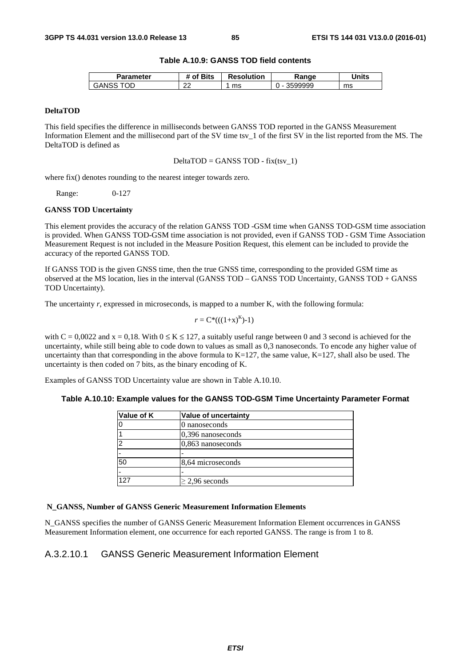## **Table A.10.9: GANSS TOD field contents**

| Parameter   | <b>'</b> Bits<br>.nt | <b>Resolution</b> | Ranqe   | Units |
|-------------|----------------------|-------------------|---------|-------|
| OГ<br>GANSS | $\sim$<br>∠∠         | ms                | 3599999 | ms    |

## **DeltaTOD**

This field specifies the difference in milliseconds between GANSS TOD reported in the GANSS Measurement Information Element and the millisecond part of the SV time tsv\_1 of the first SV in the list reported from the MS. The DeltaTOD is defined as

 $DeltaTOP = GANSS TOP - fix(tsv_1)$ 

where fix() denotes rounding to the nearest integer towards zero.

Range: 0-127

#### **GANSS TOD Uncertainty**

This element provides the accuracy of the relation GANSS TOD -GSM time when GANSS TOD-GSM time association is provided. When GANSS TOD-GSM time association is not provided, even if GANSS TOD - GSM Time Association Measurement Request is not included in the Measure Position Request, this element can be included to provide the accuracy of the reported GANSS TOD.

If GANSS TOD is the given GNSS time, then the true GNSS time, corresponding to the provided GSM time as observed at the MS location, lies in the interval (GANSS TOD – GANSS TOD Uncertainty, GANSS TOD + GANSS TOD Uncertainty).

The uncertainty *r*, expressed in microseconds, is mapped to a number K, with the following formula:

$$
r = C^*(( (1+x)^K )-1)
$$

with  $C = 0.0022$  and  $x = 0.18$ . With  $0 \le K \le 127$ , a suitably useful range between 0 and 3 second is achieved for the uncertainty, while still being able to code down to values as small as 0,3 nanoseconds. To encode any higher value of uncertainty than that corresponding in the above formula to  $K=127$ , the same value,  $K=127$ , shall also be used. The uncertainty is then coded on 7 bits, as the binary encoding of K.

Examples of GANSS TOD Uncertainty value are shown in Table A.10.10.

## **Table A.10.10: Example values for the GANSS TOD-GSM Time Uncertainty Parameter Format**

| Value of uncertainty |
|----------------------|
| 0 nanoseconds        |
| $ 0,396$ nanoseconds |
| $0,863$ nanoseconds  |
|                      |
| 8,64 microseconds    |
|                      |
| $>$ 2.96 seconds     |
|                      |

## **N\_GANSS, Number of GANSS Generic Measurement Information Elements**

N\_GANSS specifies the number of GANSS Generic Measurement Information Element occurrences in GANSS Measurement Information element, one occurrence for each reported GANSS. The range is from 1 to 8.

# A.3.2.10.1 GANSS Generic Measurement Information Element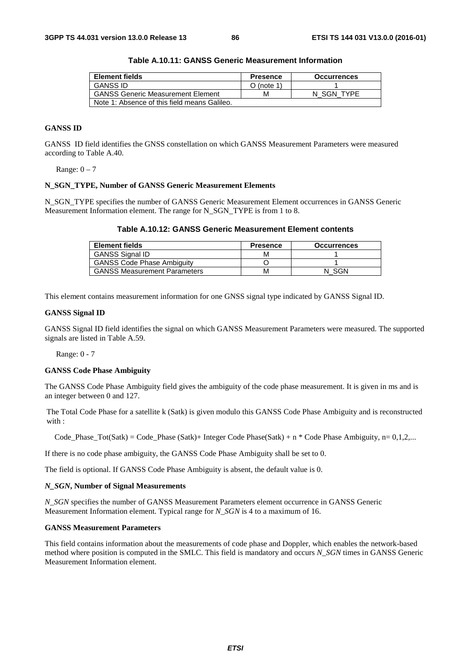| Element fields                               | <b>Presence</b> | <b>Occurrences</b> |
|----------------------------------------------|-----------------|--------------------|
| <b>GANSS ID</b>                              | $O$ (note 1)    |                    |
| <b>GANSS Generic Measurement Element</b>     | м               | N SGN TYPE         |
| Note 1: Absence of this field means Galileo. |                 |                    |

**Table A.10.11: GANSS Generic Measurement Information** 

# **GANSS ID**

GANSS ID field identifies the GNSS constellation on which GANSS Measurement Parameters were measured according to Table A.40.

Range:  $0 - 7$ 

#### **N\_SGN\_TYPE, Number of GANSS Generic Measurement Elements**

N\_SGN\_TYPE specifies the number of GANSS Generic Measurement Element occurrences in GANSS Generic Measurement Information element. The range for N\_SGN\_TYPE is from 1 to 8.

|  | Table A.10.12: GANSS Generic Measurement Element contents |
|--|-----------------------------------------------------------|
|--|-----------------------------------------------------------|

| <b>Element fields</b>               | <b>Presence</b> | <b>Occurrences</b> |
|-------------------------------------|-----------------|--------------------|
| <b>GANSS Signal ID</b>              | м               |                    |
| <b>GANSS Code Phase Ambiguity</b>   |                 |                    |
| <b>GANSS Measurement Parameters</b> | м               | -SGN               |

This element contains measurement information for one GNSS signal type indicated by GANSS Signal ID.

#### **GANSS Signal ID**

GANSS Signal ID field identifies the signal on which GANSS Measurement Parameters were measured. The supported signals are listed in Table A.59.

Range: 0 - 7

#### **GANSS Code Phase Ambiguity**

The GANSS Code Phase Ambiguity field gives the ambiguity of the code phase measurement. It is given in ms and is an integer between 0 and 127.

The Total Code Phase for a satellite k (Satk) is given modulo this GANSS Code Phase Ambiguity and is reconstructed with :

Code Phase Tot(Satk) = Code Phase (Satk)+ Integer Code Phase(Satk) + n \* Code Phase Ambiguity, n= 0,1,2,...

If there is no code phase ambiguity, the GANSS Code Phase Ambiguity shall be set to 0.

The field is optional. If GANSS Code Phase Ambiguity is absent, the default value is 0.

#### *N\_SGN***, Number of Signal Measurements**

*N\_SGN* specifies the number of GANSS Measurement Parameters element occurrence in GANSS Generic Measurement Information element. Typical range for *N\_SGN* is 4 to a maximum of 16.

#### **GANSS Measurement Parameters**

This field contains information about the measurements of code phase and Doppler, which enables the network-based method where position is computed in the SMLC. This field is mandatory and occurs *N\_SGN* times in GANSS Generic Measurement Information element.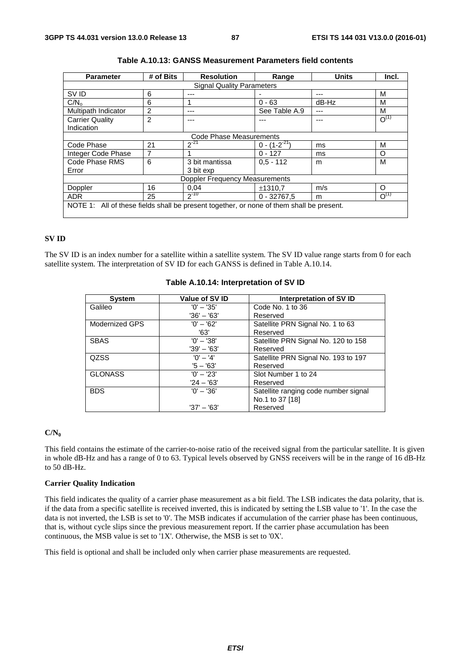| <b>Parameter</b>                                                                         | # of Bits | <b>Resolution</b>       | Range               | <b>Units</b> | Incl.     |
|------------------------------------------------------------------------------------------|-----------|-------------------------|---------------------|--------------|-----------|
| <b>Signal Quality Parameters</b>                                                         |           |                         |                     |              |           |
| SV ID                                                                                    | 6         | ---                     |                     |              | М         |
| C/N <sub>o</sub>                                                                         | 6         |                         | $0 - 63$            | $dB-Hz$      | М         |
| Multipath Indicator                                                                      | 2         | ---                     | See Table A.9       | ---          | M         |
| <b>Carrier Quality</b>                                                                   | 2         |                         |                     |              | $O^{(1)}$ |
| Indication                                                                               |           |                         |                     |              |           |
|                                                                                          |           | Code Phase Measurements |                     |              |           |
| Code Phase                                                                               | 21        | $2^{-21}$               | $0 - (1 - 2^{-21})$ | ms           | M         |
| Integer Code Phase                                                                       | 7         |                         | $0 - 127$           | ms           | Ω         |
| Code Phase RMS                                                                           | 6         | 3 bit mantissa          | $0.5 - 112$         | m            | М         |
| Error                                                                                    |           | 3 bit exp               |                     |              |           |
| <b>Doppler Frequency Measurements</b>                                                    |           |                         |                     |              |           |
| Doppler                                                                                  | 16        | 0.04                    | ±1310.7             | m/s          | O         |
| <b>ADR</b>                                                                               | 25        | $2^{-10}$               | $0 - 32767.5$       | m            | $O^{(1)}$ |
| NOTE 1: All of these fields shall be present together, or none of them shall be present. |           |                         |                     |              |           |

| Table A.10.13: GANSS Measurement Parameters field contents |  |
|------------------------------------------------------------|--|
|------------------------------------------------------------|--|

# **SV ID**

The SV ID is an index number for a satellite within a satellite system. The SV ID value range starts from 0 for each satellite system. The interpretation of SV ID for each GANSS is defined in Table A.10.14.

| <b>System</b>  | Value of SV ID | Interpretation of SV ID              |
|----------------|----------------|--------------------------------------|
| Galileo        | $'0' - '35'$   | Code No. 1 to 36                     |
|                | $'36' - '63'$  | Reserved                             |
| Modernized GPS | $'0' - '62'$   | Satellite PRN Signal No. 1 to 63     |
|                | '63'           | Reserved                             |
| <b>SBAS</b>    | $'0' - '38'$   | Satellite PRN Signal No. 120 to 158  |
|                | $'39' - '63'$  | Reserved                             |
| QZSS           | $'0' - '4'$    | Satellite PRN Signal No. 193 to 197  |
|                | $5 - 63'$      | Reserved                             |
| <b>GLONASS</b> | $'0' - '23'$   | Slot Number 1 to 24                  |
|                | $'24 - '63'$   | Reserved                             |
| <b>BDS</b>     | $'0' - '36'$   | Satellite ranging code number signal |
|                |                | No.1 to 37 [18]                      |
|                | $'37' - '63'$  | Reserved                             |

## **Table A.10.14: Interpretation of SV ID**

#### **C/N0**

This field contains the estimate of the carrier-to-noise ratio of the received signal from the particular satellite. It is given in whole dB-Hz and has a range of 0 to 63. Typical levels observed by GNSS receivers will be in the range of 16 dB-Hz to 50 dB-Hz.

#### **Carrier Quality Indication**

This field indicates the quality of a carrier phase measurement as a bit field. The LSB indicates the data polarity, that is. if the data from a specific satellite is received inverted, this is indicated by setting the LSB value to '1'. In the case the data is not inverted, the LSB is set to '0'. The MSB indicates if accumulation of the carrier phase has been continuous, that is, without cycle slips since the previous measurement report. If the carrier phase accumulation has been continuous, the MSB value is set to '1X'. Otherwise, the MSB is set to '0X'.

This field is optional and shall be included only when carrier phase measurements are requested.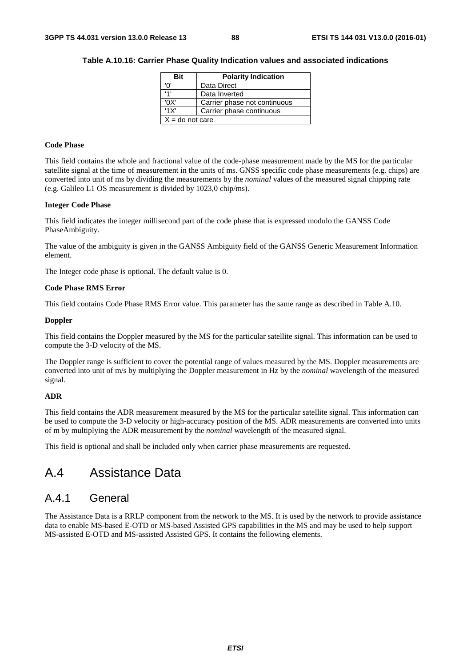| Rit                                  | <b>Polarity Indication</b> |  |  |  |
|--------------------------------------|----------------------------|--|--|--|
| n                                    | Data Direct                |  |  |  |
| ا 1                                  | Data Inverted              |  |  |  |
| 'OX'<br>Carrier phase not continuous |                            |  |  |  |
| '1X'<br>Carrier phase continuous     |                            |  |  |  |
| $X =$ do not care                    |                            |  |  |  |

## **Table A.10.16: Carrier Phase Quality Indication values and associated indications**

#### **Code Phase**

This field contains the whole and fractional value of the code-phase measurement made by the MS for the particular satellite signal at the time of measurement in the units of ms. GNSS specific code phase measurements (e.g. chips) are converted into unit of ms by dividing the measurements by the *nominal* values of the measured signal chipping rate (e.g. Galileo L1 OS measurement is divided by 1023,0 chip/ms).

## **Integer Code Phase**

This field indicates the integer millisecond part of the code phase that is expressed modulo the GANSS Code PhaseAmbiguity.

The value of the ambiguity is given in the GANSS Ambiguity field of the GANSS Generic Measurement Information element.

The Integer code phase is optional. The default value is 0.

## **Code Phase RMS Error**

This field contains Code Phase RMS Error value. This parameter has the same range as described in Table A.10.

## **Doppler**

This field contains the Doppler measured by the MS for the particular satellite signal. This information can be used to compute the 3-D velocity of the MS.

The Doppler range is sufficient to cover the potential range of values measured by the MS. Doppler measurements are converted into unit of m/s by multiplying the Doppler measurement in Hz by the *nominal* wavelength of the measured signal.

## **ADR**

This field contains the ADR measurement measured by the MS for the particular satellite signal. This information can be used to compute the 3-D velocity or high-accuracy position of the MS. ADR measurements are converted into units of m by multiplying the ADR measurement by the *nominal* wavelength of the measured signal.

This field is optional and shall be included only when carrier phase measurements are requested.

# A.4 Assistance Data

# A.4.1 General

The Assistance Data is a RRLP component from the network to the MS. It is used by the network to provide assistance data to enable MS-based E-OTD or MS-based Assisted GPS capabilities in the MS and may be used to help support MS-assisted E-OTD and MS-assisted Assisted GPS. It contains the following elements.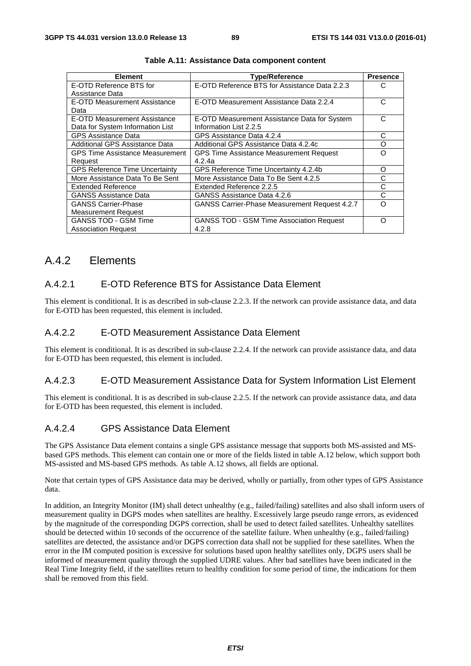| <b>Element</b>                         | <b>Type/Reference</b>                           | <b>Presence</b> |
|----------------------------------------|-------------------------------------------------|-----------------|
| E-OTD Reference BTS for                | E-OTD Reference BTS for Assistance Data 2.2.3   | C               |
| Assistance Data                        |                                                 |                 |
| E-OTD Measurement Assistance           | E-OTD Measurement Assistance Data 2.2.4         | С               |
| Data                                   |                                                 |                 |
| E-OTD Measurement Assistance           | E-OTD Measurement Assistance Data for System    | C               |
| Data for System Information List       | Information List 2.2.5                          |                 |
| <b>GPS Assistance Data</b>             | GPS Assistance Data 4.2.4                       | С               |
| Additional GPS Assistance Data         | Additional GPS Assistance Data 4.2.4c           | O               |
| <b>GPS Time Assistance Measurement</b> | <b>GPS Time Assistance Measurement Request</b>  | O               |
| Request                                | 4.2.4a                                          |                 |
| <b>GPS Reference Time Uncertainty</b>  | GPS Reference Time Uncertainty 4.2.4b           | O               |
| More Assistance Data To Be Sent        | More Assistance Data To Be Sent 4.2.5           | C               |
| Extended Reference                     | Extended Reference 2.2.5                        | C               |
| <b>GANSS Assistance Data</b>           | GANSS Assistance Data 4.2.6                     | С               |
| <b>GANSS Carrier-Phase</b>             | GANSS Carrier-Phase Measurement Request 4.2.7   | റ               |
| <b>Measurement Request</b>             |                                                 |                 |
| <b>GANSS TOD - GSM Time</b>            | <b>GANSS TOD - GSM Time Association Request</b> | Ω               |
| <b>Association Request</b>             | 4.2.8                                           |                 |

**Table A.11: Assistance Data component content** 

# A.4.2 Elements

# A.4.2.1 E-OTD Reference BTS for Assistance Data Element

This element is conditional. It is as described in sub-clause 2.2.3. If the network can provide assistance data, and data for E-OTD has been requested, this element is included.

# A.4.2.2 E-OTD Measurement Assistance Data Element

This element is conditional. It is as described in sub-clause 2.2.4. If the network can provide assistance data, and data for E-OTD has been requested, this element is included.

# A.4.2.3 E-OTD Measurement Assistance Data for System Information List Element

This element is conditional. It is as described in sub-clause 2.2.5. If the network can provide assistance data, and data for E-OTD has been requested, this element is included.

# A.4.2.4 GPS Assistance Data Element

The GPS Assistance Data element contains a single GPS assistance message that supports both MS-assisted and MSbased GPS methods. This element can contain one or more of the fields listed in table A.12 below, which support both MS-assisted and MS-based GPS methods. As table A.12 shows, all fields are optional.

Note that certain types of GPS Assistance data may be derived, wholly or partially, from other types of GPS Assistance data.

In addition, an Integrity Monitor (IM) shall detect unhealthy (e.g., failed/failing) satellites and also shall inform users of measurement quality in DGPS modes when satellites are healthy. Excessively large pseudo range errors, as evidenced by the magnitude of the corresponding DGPS correction, shall be used to detect failed satellites. Unhealthy satellites should be detected within 10 seconds of the occurrence of the satellite failure. When unhealthy (e.g., failed/failing) satellites are detected, the assistance and/or DGPS correction data shall not be supplied for these satellites. When the error in the IM computed position is excessive for solutions based upon healthy satellites only, DGPS users shall be informed of measurement quality through the supplied UDRE values. After bad satellites have been indicated in the Real Time Integrity field, if the satellites return to healthy condition for some period of time, the indications for them shall be removed from this field.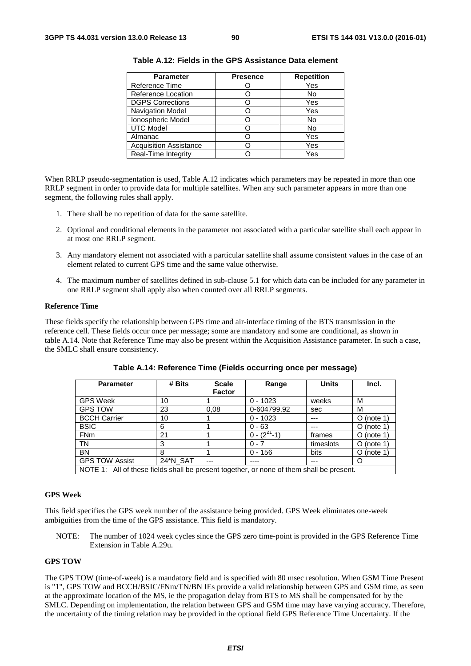| <b>Parameter</b>              | <b>Presence</b> | <b>Repetition</b> |
|-------------------------------|-----------------|-------------------|
| Reference Time                |                 | Yes               |
| Reference Location            |                 | No                |
| <b>DGPS Corrections</b>       |                 | Yes               |
| Navigation Model              |                 | Yes               |
| Ionospheric Model             |                 | No                |
| <b>UTC Model</b>              |                 | No                |
| Almanac                       |                 | Yes               |
| <b>Acquisition Assistance</b> |                 | Yes               |
| Real-Time Integrity           |                 | Yes               |

| Table A.12: Fields in the GPS Assistance Data element |  |
|-------------------------------------------------------|--|
|-------------------------------------------------------|--|

When RRLP pseudo-segmentation is used, Table A.12 indicates which parameters may be repeated in more than one RRLP segment in order to provide data for multiple satellites. When any such parameter appears in more than one segment, the following rules shall apply.

- 1. There shall be no repetition of data for the same satellite.
- 2. Optional and conditional elements in the parameter not associated with a particular satellite shall each appear in at most one RRLP segment.
- 3. Any mandatory element not associated with a particular satellite shall assume consistent values in the case of an element related to current GPS time and the same value otherwise.
- 4. The maximum number of satellites defined in sub-clause 5.1 for which data can be included for any parameter in one RRLP segment shall apply also when counted over all RRLP segments.

#### **Reference Time**

These fields specify the relationship between GPS time and air-interface timing of the BTS transmission in the reference cell. These fields occur once per message; some are mandatory and some are conditional, as shown in table A.14. Note that Reference Time may also be present within the Acquisition Assistance parameter. In such a case, the SMLC shall ensure consistency.

| <b>Parameter</b>                                                                         | # Bits   | <b>Scale</b>  | Range              | <b>Units</b> | Incl.        |
|------------------------------------------------------------------------------------------|----------|---------------|--------------------|--------------|--------------|
|                                                                                          |          | <b>Factor</b> |                    |              |              |
| <b>GPS Week</b>                                                                          | 10       |               | $0 - 1023$         | weeks        | М            |
| <b>GPS TOW</b>                                                                           | 23       | 0.08          | 0-604799,92        | sec          | м            |
| <b>BCCH Carrier</b>                                                                      | 10       |               | $0 - 1023$         | ---          | $O$ (note 1) |
| <b>BSIC</b>                                                                              | 6        |               | $0 - 63$           | ---          | $O$ (note 1) |
| <b>FNm</b>                                                                               | 21       |               | $0 - (2^{27} - 1)$ | frames       | $O$ (note 1) |
| <b>TN</b>                                                                                | 3        |               | $0 - 7$            | timeslots    | $O$ (note 1) |
| <b>BN</b>                                                                                | 8        |               | $0 - 156$          | bits         | $O$ (note 1) |
| <b>GPS TOW Assist</b>                                                                    | 24*N_SAT | ---           |                    | ---          | O            |
| NOTE 1: All of these fields shall be present together, or none of them shall be present. |          |               |                    |              |              |

**Table A.14: Reference Time (Fields occurring once per message)** 

#### **GPS Week**

This field specifies the GPS week number of the assistance being provided. GPS Week eliminates one-week ambiguities from the time of the GPS assistance. This field is mandatory.

NOTE: The number of 1024 week cycles since the GPS zero time-point is provided in the GPS Reference Time Extension in Table A.29u.

#### **GPS TOW**

The GPS TOW (time-of-week) is a mandatory field and is specified with 80 msec resolution. When GSM Time Present is "1", GPS TOW and BCCH/BSIC/FNm/TN/BN IEs provide a valid relationship between GPS and GSM time, as seen at the approximate location of the MS, ie the propagation delay from BTS to MS shall be compensated for by the SMLC. Depending on implementation, the relation between GPS and GSM time may have varying accuracy. Therefore, the uncertainty of the timing relation may be provided in the optional field GPS Reference Time Uncertainty. If the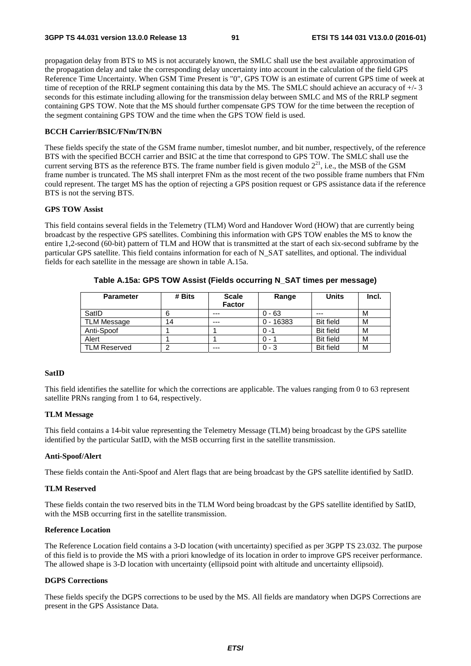propagation delay from BTS to MS is not accurately known, the SMLC shall use the best available approximation of the propagation delay and take the corresponding delay uncertainty into account in the calculation of the field GPS Reference Time Uncertainty. When GSM Time Present is "0", GPS TOW is an estimate of current GPS time of week at time of reception of the RRLP segment containing this data by the MS. The SMLC should achieve an accuracy of +/- 3 seconds for this estimate including allowing for the transmission delay between SMLC and MS of the RRLP segment containing GPS TOW. Note that the MS should further compensate GPS TOW for the time between the reception of the segment containing GPS TOW and the time when the GPS TOW field is used.

## **BCCH Carrier/BSIC/FNm/TN/BN**

These fields specify the state of the GSM frame number, timeslot number, and bit number, respectively, of the reference BTS with the specified BCCH carrier and BSIC at the time that correspond to GPS TOW. The SMLC shall use the current serving BTS as the reference BTS. The frame number field is given modulo  $2^{21}$ , i.e., the MSB of the GSM frame number is truncated. The MS shall interpret FNm as the most recent of the two possible frame numbers that FNm could represent. The target MS has the option of rejecting a GPS position request or GPS assistance data if the reference BTS is not the serving BTS.

## **GPS TOW Assist**

This field contains several fields in the Telemetry (TLM) Word and Handover Word (HOW) that are currently being broadcast by the respective GPS satellites. Combining this information with GPS TOW enables the MS to know the entire 1,2-second (60-bit) pattern of TLM and HOW that is transmitted at the start of each six-second subframe by the particular GPS satellite. This field contains information for each of N\_SAT satellites, and optional. The individual fields for each satellite in the message are shown in table A.15a.

| <b>Parameter</b>    | # Bits | <b>Scale</b><br><b>Factor</b> | Range       | <b>Units</b>     | Incl. |
|---------------------|--------|-------------------------------|-------------|------------------|-------|
| SatID               |        | ---                           | $0 - 63$    | ---              | M     |
| <b>TLM Message</b>  | 14     | ---                           | $0 - 16383$ | <b>Bit field</b> | M     |
| Anti-Spoof          |        |                               | $0 - 1$     | <b>Bit field</b> | M     |
| Alert               |        |                               | 0 - 1       | <b>Bit field</b> | M     |
| <b>TLM Reserved</b> |        | ---                           | $0 - 3$     | <b>Bit field</b> | M     |

**Table A.15a: GPS TOW Assist (Fields occurring N\_SAT times per message)** 

#### **SatID**

This field identifies the satellite for which the corrections are applicable. The values ranging from 0 to 63 represent satellite PRNs ranging from 1 to 64, respectively.

#### **TLM Message**

This field contains a 14-bit value representing the Telemetry Message (TLM) being broadcast by the GPS satellite identified by the particular SatID, with the MSB occurring first in the satellite transmission.

#### **Anti-Spoof/Alert**

These fields contain the Anti-Spoof and Alert flags that are being broadcast by the GPS satellite identified by SatID.

## **TLM Reserved**

These fields contain the two reserved bits in the TLM Word being broadcast by the GPS satellite identified by SatID, with the MSB occurring first in the satellite transmission.

#### **Reference Location**

The Reference Location field contains a 3-D location (with uncertainty) specified as per 3GPP TS 23.032. The purpose of this field is to provide the MS with a priori knowledge of its location in order to improve GPS receiver performance. The allowed shape is 3-D location with uncertainty (ellipsoid point with altitude and uncertainty ellipsoid).

#### **DGPS Corrections**

These fields specify the DGPS corrections to be used by the MS. All fields are mandatory when DGPS Corrections are present in the GPS Assistance Data.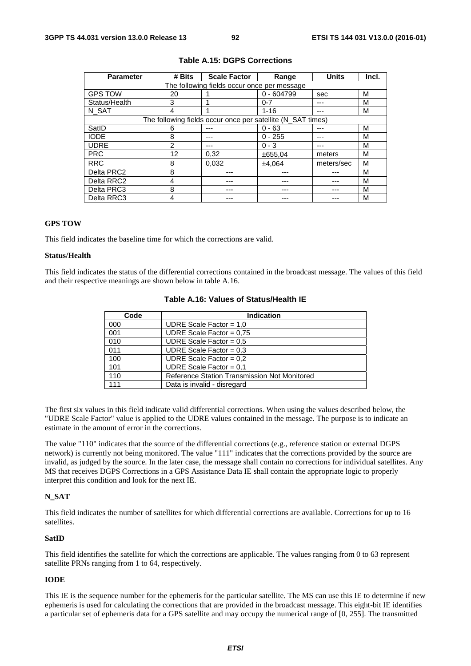| <b>Parameter</b> | # Bits | <b>Scale Factor</b><br>Range                                |              | <b>Units</b> | Incl. |
|------------------|--------|-------------------------------------------------------------|--------------|--------------|-------|
|                  |        | The following fields occur once per message                 |              |              |       |
| <b>GPS TOW</b>   | 20     |                                                             | $0 - 604799$ | sec          | м     |
| Status/Health    | 3      |                                                             | $0 - 7$      |              | м     |
| N SAT            | 4      |                                                             | $1 - 16$     |              | м     |
|                  |        | The following fields occur once per satellite (N_SAT times) |              |              |       |
| SatID            | 6      |                                                             | $0 - 63$     | ---          | м     |
| <b>IODE</b>      | 8      |                                                             | $0 - 255$    |              | м     |
| <b>UDRE</b>      | 2      |                                                             | $0 - 3$      |              | м     |
| <b>PRC</b>       | 12     | 0,32                                                        | ±655,04      | meters       | м     |
| <b>RRC</b>       | 8      | 0.032                                                       | ±4.064       | meters/sec   | м     |
| Delta PRC2       | 8      |                                                             |              |              | м     |
| Delta RRC2       | 4      |                                                             |              |              | м     |
| Delta PRC3       | 8      |                                                             |              |              | м     |
| Delta RRC3       | 4      |                                                             |              |              | м     |

#### **Table A.15: DGPS Corrections**

## **GPS TOW**

This field indicates the baseline time for which the corrections are valid.

## **Status/Health**

This field indicates the status of the differential corrections contained in the broadcast message. The values of this field and their respective meanings are shown below in table A.16.

| Code | <b>Indication</b>                            |  |  |
|------|----------------------------------------------|--|--|
| 000  | UDRE Scale Factor = $1,0$                    |  |  |
| 001  | UDRE Scale Factor = $0.75$                   |  |  |
| 010  | UDRE Scale Factor = $0.5$                    |  |  |
| 011  | UDRE Scale Factor = $0.3$                    |  |  |
| 100  | UDRE Scale Factor = $0,2$                    |  |  |
| 101  | UDRE Scale Factor = $0.1$                    |  |  |
| 110  | Reference Station Transmission Not Monitored |  |  |
| 111  | Data is invalid - disregard                  |  |  |

## **Table A.16: Values of Status/Health IE**

The first six values in this field indicate valid differential corrections. When using the values described below, the "UDRE Scale Factor" value is applied to the UDRE values contained in the message. The purpose is to indicate an estimate in the amount of error in the corrections.

The value "110" indicates that the source of the differential corrections (e.g., reference station or external DGPS network) is currently not being monitored. The value "111" indicates that the corrections provided by the source are invalid, as judged by the source. In the later case, the message shall contain no corrections for individual satellites. Any MS that receives DGPS Corrections in a GPS Assistance Data IE shall contain the appropriate logic to properly interpret this condition and look for the next IE.

#### **N\_SAT**

This field indicates the number of satellites for which differential corrections are available. Corrections for up to 16 satellites.

#### **SatID**

This field identifies the satellite for which the corrections are applicable. The values ranging from 0 to 63 represent satellite PRNs ranging from 1 to 64, respectively.

#### **IODE**

This IE is the sequence number for the ephemeris for the particular satellite. The MS can use this IE to determine if new ephemeris is used for calculating the corrections that are provided in the broadcast message. This eight-bit IE identifies a particular set of ephemeris data for a GPS satellite and may occupy the numerical range of [0, 255]. The transmitted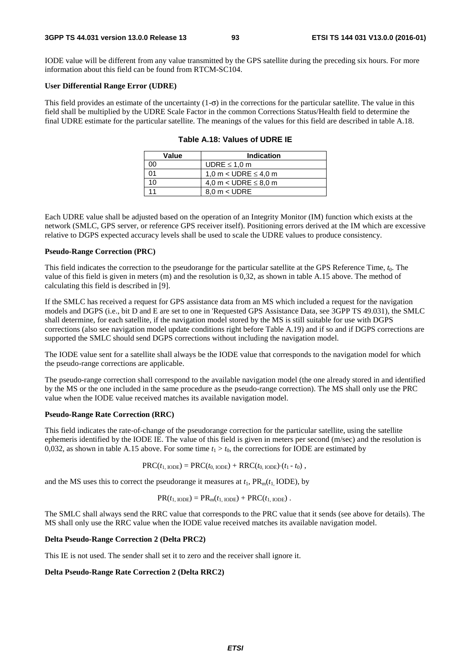IODE value will be different from any value transmitted by the GPS satellite during the preceding six hours. For more information about this field can be found from RTCM-SC104.

#### **User Differential Range Error (UDRE)**

This field provides an estimate of the uncertainty  $(1-\sigma)$  in the corrections for the particular satellite. The value in this field shall be multiplied by the UDRE Scale Factor in the common Corrections Status/Health field to determine the final UDRE estimate for the particular satellite. The meanings of the values for this field are described in table A.18.

| Value | <b>Indication</b>         |
|-------|---------------------------|
| ററ    | UDRE $\leq 1.0$ m         |
| ሰ1    | 1,0 m < UDRE $\leq$ 4,0 m |
| 10    | 4,0 m < UDRE $\leq$ 8,0 m |
|       | $8.0 m <$ UDRE            |

|  |  |  |  | Table A.18: Values of UDRE IE |  |
|--|--|--|--|-------------------------------|--|
|--|--|--|--|-------------------------------|--|

Each UDRE value shall be adjusted based on the operation of an Integrity Monitor (IM) function which exists at the network (SMLC, GPS server, or reference GPS receiver itself). Positioning errors derived at the IM which are excessive relative to DGPS expected accuracy levels shall be used to scale the UDRE values to produce consistency.

#### **Pseudo-Range Correction (PRC)**

This field indicates the correction to the pseudorange for the particular satellite at the GPS Reference Time, *t*0. The value of this field is given in meters (m) and the resolution is 0,32, as shown in table A.15 above. The method of calculating this field is described in [9].

If the SMLC has received a request for GPS assistance data from an MS which included a request for the navigation models and DGPS (i.e., bit D and E are set to one in 'Requested GPS Assistance Data, see 3GPP TS 49.031), the SMLC shall determine, for each satellite, if the navigation model stored by the MS is still suitable for use with DGPS corrections (also see navigation model update conditions right before Table A.19) and if so and if DGPS corrections are supported the SMLC should send DGPS corrections without including the navigation model.

The IODE value sent for a satellite shall always be the IODE value that corresponds to the navigation model for which the pseudo-range corrections are applicable.

The pseudo-range correction shall correspond to the available navigation model (the one already stored in and identified by the MS or the one included in the same procedure as the pseudo-range correction). The MS shall only use the PRC value when the IODE value received matches its available navigation model.

#### **Pseudo-Range Rate Correction (RRC)**

This field indicates the rate-of-change of the pseudorange correction for the particular satellite, using the satellite ephemeris identified by the IODE IE. The value of this field is given in meters per second (m/sec) and the resolution is 0,032, as shown in table A.15 above. For some time  $t_1 > t_0$ , the corrections for IODE are estimated by

$$
PRC(t_{1,\text{IODE}}) = PRC(t_{0,\text{IODE}}) + RRC(t_{0,\text{IODE}}) (t_1 - t_0),
$$

and the MS uses this to correct the pseudorange it measures at  $t_1$ ,  $PR_m(t_1 \text{ IODE})$ , by

$$
PR(t_{1,\text{IODE}}) = PR_{m}(t_{1,\text{IODE}}) + PRC(t_{1,\text{IODE}}).
$$

The SMLC shall always send the RRC value that corresponds to the PRC value that it sends (see above for details). The MS shall only use the RRC value when the IODE value received matches its available navigation model.

#### **Delta Pseudo-Range Correction 2 (Delta PRC2)**

This IE is not used. The sender shall set it to zero and the receiver shall ignore it.

#### **Delta Pseudo-Range Rate Correction 2 (Delta RRC2)**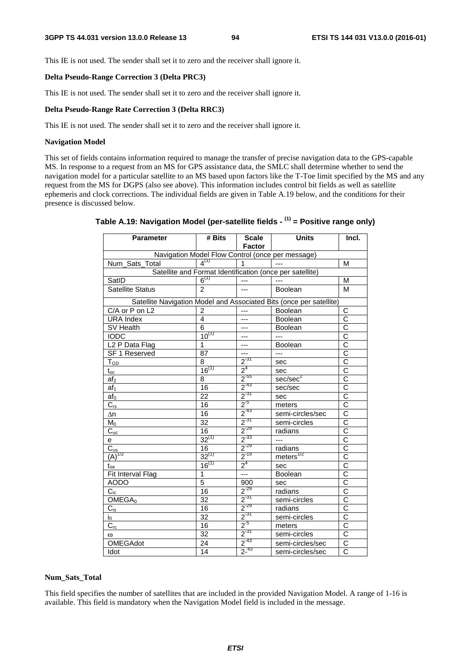This IE is not used. The sender shall set it to zero and the receiver shall ignore it.

#### **Delta Pseudo-Range Correction 3 (Delta PRC3)**

This IE is not used. The sender shall set it to zero and the receiver shall ignore it.

## **Delta Pseudo-Range Rate Correction 3 (Delta RRC3)**

This IE is not used. The sender shall set it to zero and the receiver shall ignore it.

#### **Navigation Model**

This set of fields contains information required to manage the transfer of precise navigation data to the GPS-capable MS. In response to a request from an MS for GPS assistance data, the SMLC shall determine whether to send the navigation model for a particular satellite to an MS based upon factors like the T-Toe limit specified by the MS and any request from the MS for DGPS (also see above). This information includes control bit fields as well as satellite ephemeris and clock corrections. The individual fields are given in Table A.19 below, and the conditions for their presence is discussed below.

| <b>Parameter</b>             | # Bits          | <b>Scale</b><br><b>Factor</b> | <b>Units</b>                                                        | Incl.                 |
|------------------------------|-----------------|-------------------------------|---------------------------------------------------------------------|-----------------------|
|                              |                 |                               | Navigation Model Flow Control (once per message)                    |                       |
| Num_Sats_Total               | $4^{(1)}$       | $\mathbf{1}$                  |                                                                     | M                     |
|                              |                 |                               | Satellite and Format Identification (once per satellite)            |                       |
| SatID                        | $6^{(1)}$       | $---$                         | $\overline{a}$                                                      | M                     |
| <b>Satellite Status</b>      | $\mathcal{P}$   | ---                           | Boolean                                                             | M                     |
|                              |                 |                               | Satellite Navigation Model and Associated Bits (once per satellite) |                       |
| C/A or P on L2               | 2               | $---$                         | Boolean                                                             | С                     |
| <b>URA Index</b>             | 4               | ---                           | <b>Boolean</b>                                                      | $\overline{\text{c}}$ |
| SV Health                    | 6               | ---                           | <b>Boolean</b>                                                      | $\overline{C}$        |
| <b>IODC</b>                  | $10^{(1)}$      | ---                           | $---$                                                               |                       |
| L <sub>2</sub> P Data Flag   | 1               | ---                           | <b>Boolean</b>                                                      | $rac{C}{C}$           |
| SF 1 Reserved                | 87              | ---                           | $\overline{a}$                                                      | $\bar{c}$             |
| $\mathsf{T}_{\mathsf{GD}}$   | 8               | $2^{31}$                      | sec                                                                 | $rac{\bar{C}}{C}$     |
| $\mathfrak{t}_{\mathrm{oc}}$ | $16^{(1)}$      | $2^4$                         | sec                                                                 |                       |
| af <sub>2</sub>              | 8               | $2^{-55}$                     | sec/sec <sup>2</sup>                                                | $\overline{\text{c}}$ |
| af <sub>1</sub>              | $\overline{16}$ | $2^{-43}$                     | sec/sec                                                             | $\overline{\text{c}}$ |
| $af_0$                       | 22              | $\frac{1}{2}$ <sup>-31</sup>  | sec                                                                 | $\overline{\text{c}}$ |
| $C_{rs}$                     | 16              | $2^{5}$                       | meters                                                              | $\overline{\text{c}}$ |
| Δn                           | 16              | $2^{-43}$                     | semi-circles/sec                                                    | $\overline{\text{c}}$ |
| $M_0$                        | $\overline{32}$ | $2^{-31}$                     | semi-circles                                                        | $\overline{\text{c}}$ |
| $\overline{C}_{uc}$          | 16              | $2^{-29}$                     | radians                                                             | $\overline{C}$        |
| e                            | $32^{(1)}$      | $2^{-33}$                     | $---$                                                               | $\overline{\text{c}}$ |
| $C_{us}$                     | 16              | $2^{-29}$                     | radians                                                             | C                     |
| $(A)^{1/2}$                  | $32^{(1)}$      | $2^{-19}$                     | meters $^{1/2}$                                                     | $\overline{\text{c}}$ |
| $\mathfrak{t}_{\text{oe}}$   | $16^{(1)}$      | $2^4$                         | sec                                                                 | $\overline{\text{c}}$ |
| Fit Interval Flag            | 1               |                               | Boolean                                                             | $\overline{\text{c}}$ |
| <b>AODO</b>                  | 5               | 900                           | sec                                                                 | $\overline{\text{c}}$ |
| $C_{ic}$                     | 16              | $2^{-29}$                     | radians                                                             | $\overline{\text{c}}$ |
| OMEGA <sub>0</sub>           | $\overline{32}$ | $2^{-31}$                     | semi-circles                                                        | $\overline{\text{c}}$ |
| $C_{is}$                     | 16              | $2^{-29}$                     | radians                                                             | $\overline{\rm c}$    |
| $\mathsf{i}_0$               | $\overline{32}$ | $2^{31}$                      | semi-circles                                                        | $\overline{\rm c}$    |
| $C_{rc}$                     | 16              | $2^{5}$                       | meters                                                              | $\overline{\text{c}}$ |
| ω                            | $\overline{32}$ | $2^{31}$                      | semi-circles                                                        | $\overline{\text{c}}$ |
| <b>OMEGAdot</b>              | 24              | $2^{-43}$                     | semi-circles/sec                                                    | $\overline{\text{c}}$ |
| Idot                         | 14              | $2^{-43}$                     | semi-circles/sec                                                    | $\overline{C}$        |

# **Table A.19: Navigation Model (per-satellite fields - (1) = Positive range only)**

#### **Num\_Sats\_Total**

This field specifies the number of satellites that are included in the provided Navigation Model. A range of 1-16 is available. This field is mandatory when the Navigation Model field is included in the message.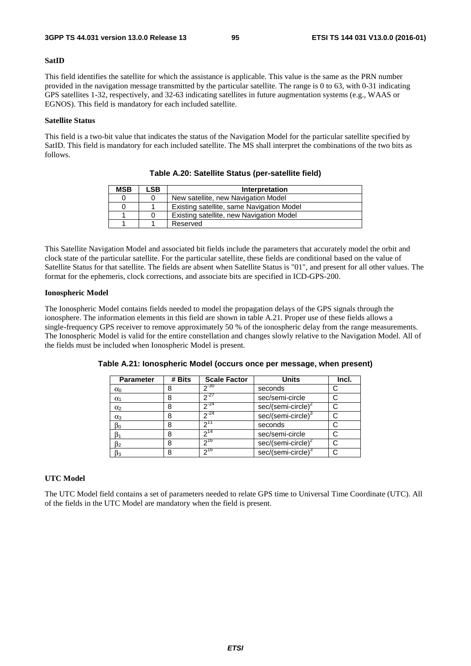#### **SatID**

This field identifies the satellite for which the assistance is applicable. This value is the same as the PRN number provided in the navigation message transmitted by the particular satellite. The range is 0 to 63, with 0-31 indicating GPS satellites 1-32, respectively, and 32-63 indicating satellites in future augmentation systems (e.g., WAAS or EGNOS). This field is mandatory for each included satellite.

#### **Satellite Status**

This field is a two-bit value that indicates the status of the Navigation Model for the particular satellite specified by SatID. This field is mandatory for each included satellite. The MS shall interpret the combinations of the two bits as follows.

| <b>MSB</b> | ∟SB. | Interpretation                            |
|------------|------|-------------------------------------------|
|            |      | New satellite, new Navigation Model       |
| 0          |      | Existing satellite, same Navigation Model |
|            |      | Existing satellite, new Navigation Model  |
|            |      | Reserved                                  |

**Table A.20: Satellite Status (per-satellite field)** 

This Satellite Navigation Model and associated bit fields include the parameters that accurately model the orbit and clock state of the particular satellite. For the particular satellite, these fields are conditional based on the value of Satellite Status for that satellite. The fields are absent when Satellite Status is "01", and present for all other values. The format for the ephemeris, clock corrections, and associate bits are specified in ICD-GPS-200.

#### **Ionospheric Model**

The Ionospheric Model contains fields needed to model the propagation delays of the GPS signals through the ionosphere. The information elements in this field are shown in table A.21. Proper use of these fields allows a single-frequency GPS receiver to remove approximately 50 % of the ionospheric delay from the range measurements. The Ionospheric Model is valid for the entire constellation and changes slowly relative to the Navigation Model. All of the fields must be included when Ionospheric Model is present.

| <b>Parameter</b> | # Bits | <b>Scale Factor</b> | <b>Units</b>                   | Incl. |
|------------------|--------|---------------------|--------------------------------|-------|
| $\alpha_0$       |        | $2^{-30}$           | seconds                        |       |
| $\alpha_1$       | 8      | $2^{27}$            | sec/semi-circle                |       |
| $\alpha_2$       | 8      | $2^{24}$            | $sec/(semi-circle)^2$          |       |
| $\alpha_3$       | 8      | $2^{24}$            | sec/(semi-circle) <sup>3</sup> |       |
| $\beta_0$        | 8      | ∩11                 | seconds                        |       |
| $\beta_1$        | 8      | ົາ <sup>14</sup>    | sec/semi-circle                |       |
| $\beta_2$        | 8      | 216                 | sec/(semi-circle) <sup>2</sup> |       |
| $\beta_3$        | 8      | $2^{16}$            | sec/(semi-circle) <sup>3</sup> |       |

**Table A.21: Ionospheric Model (occurs once per message, when present)** 

## **UTC Model**

The UTC Model field contains a set of parameters needed to relate GPS time to Universal Time Coordinate (UTC). All of the fields in the UTC Model are mandatory when the field is present.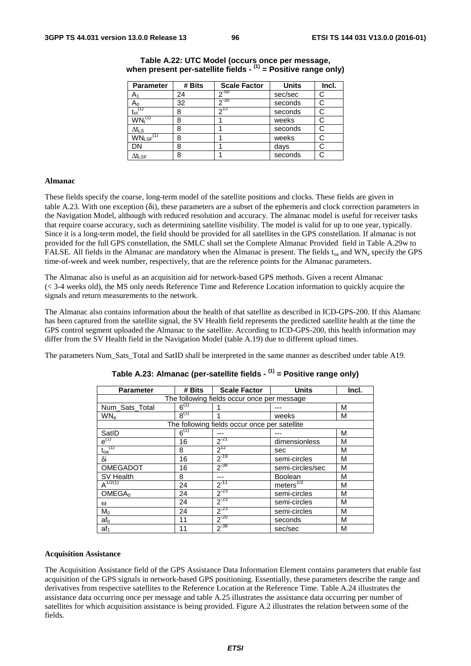| <b>Parameter</b>                      | # Bits | <b>Scale Factor</b> | <b>Units</b> | Incl. |
|---------------------------------------|--------|---------------------|--------------|-------|
| A٠                                    | 24     | $2^{-50}$           | sec/sec      | C     |
| Aი                                    | 32     | $20 - 30$           | seconds      | С     |
| $\mathfrak{t}_{\mathrm{ot}}$          | 8      | 712                 | seconds      | С     |
| $\mathsf{WN}_{\mathsf{t}}^\mathsf{C}$ | 8      |                     | weeks        | С     |
| $\Delta t_{LS}$                       | 8      |                     | seconds      | С     |
| $WN_{LSF}$ <sup>(1)</sup>             | 8      |                     | weeks        |       |
| DN                                    | 8      |                     | days         |       |
| $\Delta t_{\text{LSF}}$               | 8      |                     | seconds      | С     |

## **Table A.22: UTC Model (occurs once per message, when present per-satellite fields - (1) = Positive range only)**

#### **Almanac**

These fields specify the coarse, long-term model of the satellite positions and clocks. These fields are given in table A.23. With one exception (δi), these parameters are a subset of the ephemeris and clock correction parameters in the Navigation Model, although with reduced resolution and accuracy. The almanac model is useful for receiver tasks that require coarse accuracy, such as determining satellite visibility. The model is valid for up to one year, typically. Since it is a long-term model, the field should be provided for all satellites in the GPS constellation. If almanac is not provided for the full GPS constellation, the SMLC shall set the Complete Almanac Provided field in Table A.29w to FALSE. All fields in the Almanac are mandatory when the Almanac is present. The fields  $t_{oa}$  and WN<sub>a</sub> specify the GPS time-of-week and week number, respectively, that are the reference points for the Almanac parameters.

The Almanac also is useful as an acquisition aid for network-based GPS methods. Given a recent Almanac (< 3-4 weeks old), the MS only needs Reference Time and Reference Location information to quickly acquire the signals and return measurements to the network.

The Almanac also contains information about the health of that satellite as described in ICD-GPS-200. If this Alamanc has been captured from the satellite signal, the SV Health field represents the predicted satellite health at the time the GPS control segment uploaded the Almanac to the satellite. According to ICD-GPS-200, this health information may differ from the SV Health field in the Navigation Model (table A.19) due to different upload times.

The parameters Num\_Sats\_Total and SatID shall be interpreted in the same manner as described under table A19.

| <b>Parameter</b>   | # Bits    | <b>Scale Factor</b>                           | <b>Units</b>          | Incl. |
|--------------------|-----------|-----------------------------------------------|-----------------------|-------|
|                    |           | The following fields occur once per message   |                       |       |
| Num_Sats_Total     | $6^{(1)}$ |                                               |                       | M     |
| WN <sub>a</sub>    | $8^{(1)}$ |                                               | weeks                 | M     |
|                    |           | The following fields occur once per satellite |                       |       |
| SatID              | $6^{(1)}$ |                                               |                       | M     |
| $e^{(1)}$          | 16        | $2^{-21}$                                     | dimensionless         | M     |
| $t_{oa}^{(1)}$     | 8         | $2^{12}$                                      | sec                   | M     |
| δi                 | 16        | $2^{-19}$                                     | semi-circles          | M     |
| <b>OMEGADOT</b>    | 16        | $2^{-38}$                                     | semi-circles/sec      | M     |
| SV Health          | 8         | ---                                           | <b>Boolean</b>        | M     |
| $A^{1/2(1)}$       | 24        | $2^{-11}$                                     | meters <sup>1/2</sup> | M     |
| OMEGA <sub>0</sub> | 24        | $2^{-23}$                                     | semi-circles          | M     |
| $\omega$           | 24        | $2^{-23}$                                     | semi-circles          | М     |
| $M_0$              | 24        | $2^{-23}$                                     | semi-circles          | M     |
| af <sub>0</sub>    | 11        | $2^{-20}$                                     | seconds               | M     |
| af <sub>1</sub>    | 11        | $2^{-38}$                                     | sec/sec               | M     |

# **Table A.23: Almanac (per-satellite fields - (1) = Positive range only)**

#### **Acquisition Assistance**

The Acquisition Assistance field of the GPS Assistance Data Information Element contains parameters that enable fast acquisition of the GPS signals in network-based GPS positioning. Essentially, these parameters describe the range and derivatives from respective satellites to the Reference Location at the Reference Time. Table A.24 illustrates the assistance data occurring once per message and table A.25 illustrates the assistance data occurring per number of satellites for which acquisition assistance is being provided. Figure A.2 illustrates the relation between some of the fields.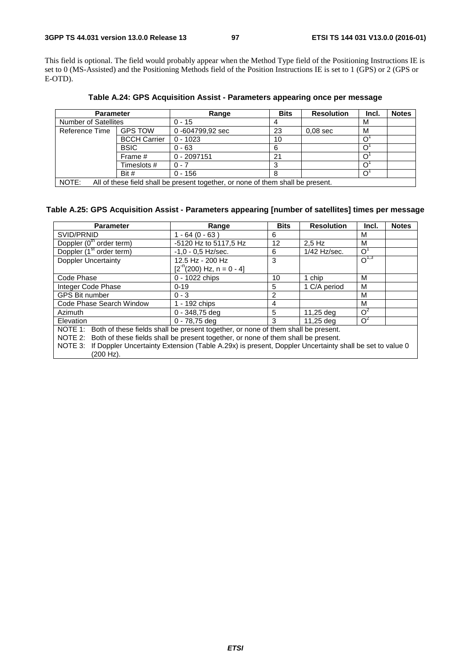This field is optional. The field would probably appear when the Method Type field of the Positioning Instructions IE is set to 0 (MS-Assisted) and the Positioning Methods field of the Position Instructions IE is set to 1 (GPS) or 2 (GPS or E-OTD).

| <b>Parameter</b>            |                     | Range                                                                           | <b>Bits</b> | <b>Resolution</b> | Incl. | <b>Notes</b> |
|-----------------------------|---------------------|---------------------------------------------------------------------------------|-------------|-------------------|-------|--------------|
| <b>Number of Satellites</b> |                     | $0 - 15$                                                                        |             |                   | M     |              |
| Reference Time              | <b>GPS TOW</b>      | 0-604799,92 sec                                                                 | 23          | $0.08$ sec        | M     |              |
|                             | <b>BCCH Carrier</b> | $0 - 1023$                                                                      | 10          |                   |       |              |
|                             | <b>BSIC</b>         | $0 - 63$                                                                        | 6           |                   |       |              |
|                             | Frame #             | $0 - 2097151$                                                                   | 21          |                   |       |              |
|                             | Timeslots #         | $0 - 7$                                                                         |             |                   |       |              |
|                             | Bit #               | $0 - 156$                                                                       |             |                   |       |              |
| NOTE:                       |                     | All of these field shall be present together, or none of them shall be present. |             |                   |       |              |

**Table A.24: GPS Acquisition Assist - Parameters appearing once per message** 

NOTE: All of these field shall be present together, or none of them shall be present.

# **Table A.25: GPS Acquisition Assist - Parameters appearing [number of satellites] times per message**

| <b>Parameter</b>                                                                                               | Range                        | <b>Bits</b> | <b>Resolution</b> | Incl.     | <b>Notes</b> |
|----------------------------------------------------------------------------------------------------------------|------------------------------|-------------|-------------------|-----------|--------------|
| SVID/PRNID                                                                                                     | 1 - 64 (0 - 63 )             | 6           |                   | м         |              |
| Doppler (0 <sup>th</sup> order term)                                                                           | -5120 Hz to 5117,5 Hz        | 12          | $2.5$ Hz          | M         |              |
| Doppler (1 <sup>st</sup> order term)                                                                           | $-1.0 - 0.5$ Hz/sec.         | 6           | 1/42 Hz/sec.      | $\Omega$  |              |
| <b>Doppler Uncertainty</b>                                                                                     | 12.5 Hz - 200 Hz             | 3           |                   | $O^{1,3}$ |              |
|                                                                                                                | $[2^{n}(200)$ Hz, n = 0 - 4] |             |                   |           |              |
| Code Phase                                                                                                     | 0 - 1022 chips               | 10          | 1 chip            | м         |              |
| Integer Code Phase                                                                                             | $0 - 19$                     | 5           | 1 C/A period      | м         |              |
| GPS Bit number                                                                                                 | $0 - 3$                      | 2           |                   | м         |              |
| Code Phase Search Window                                                                                       | 1 - 192 chips                | 4           |                   | M         |              |
| Azimuth                                                                                                        | $0 - 348,75$ deg             | 5           | 11,25 deg         | $O^2$     |              |
| Elevation                                                                                                      | $0 - 78,75$ deg              | 3           | 11,25 deg         | $O^2$     |              |
| NOTE 1: Both of these fields shall be present together, or none of them shall be present.                      |                              |             |                   |           |              |
| NOTE 2: Both of these fields shall be present together, or none of them shall be present.                      |                              |             |                   |           |              |
| NOTE 3: If Doppler Uncertainty Extension (Table A.29x) is present, Doppler Uncertainty shall be set to value 0 |                              |             |                   |           |              |
| (200 Hz).                                                                                                      |                              |             |                   |           |              |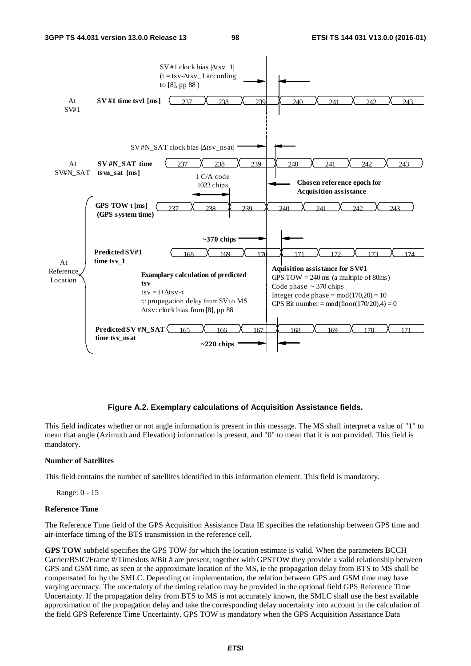

#### **Figure A.2. Exemplary calculations of Acquisition Assistance fields.**

This field indicates whether or not angle information is present in this message. The MS shall interpret a value of "1" to mean that angle (Azimuth and Elevation) information is present, and "0" to mean that it is not provided. This field is mandatory.

#### **Number of Satellites**

This field contains the number of satellites identified in this information element. This field is mandatory.

Range: 0 - 15

#### **Reference Time**

The Reference Time field of the GPS Acquisition Assistance Data IE specifies the relationship between GPS time and air-interface timing of the BTS transmission in the reference cell.

**GPS TOW** subfield specifies the GPS TOW for which the location estimate is valid. When the parameters BCCH Carrier/BSIC/Frame #/Timeslots #/Bit # are present, together with GPSTOW they provide a valid relationship between GPS and GSM time, as seen at the approximate location of the MS, ie the propagation delay from BTS to MS shall be compensated for by the SMLC. Depending on implementation, the relation between GPS and GSM time may have varying accuracy. The uncertainty of the timing relation may be provided in the optional field GPS Reference Time Uncertainty. If the propagation delay from BTS to MS is not accurately known, the SMLC shall use the best available approximation of the propagation delay and take the corresponding delay uncertainty into account in the calculation of the field GPS Reference Time Uncertainty. GPS TOW is mandatory when the GPS Acquisition Assistance Data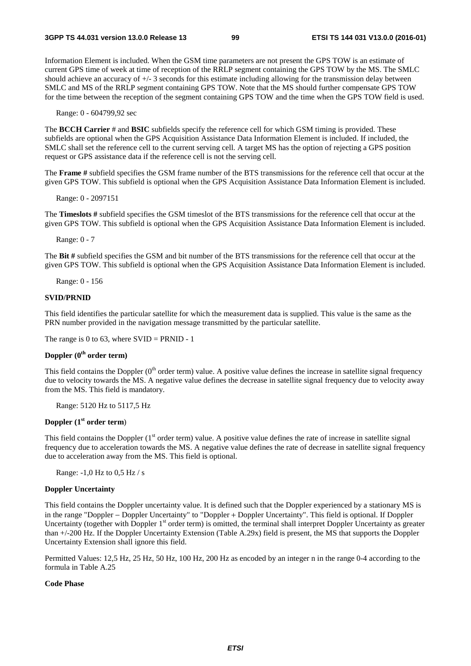Information Element is included. When the GSM time parameters are not present the GPS TOW is an estimate of current GPS time of week at time of reception of the RRLP segment containing the GPS TOW by the MS. The SMLC should achieve an accuracy of +/- 3 seconds for this estimate including allowing for the transmission delay between SMLC and MS of the RRLP segment containing GPS TOW. Note that the MS should further compensate GPS TOW for the time between the reception of the segment containing GPS TOW and the time when the GPS TOW field is used.

Range: 0 - 604799,92 sec

The **BCCH Carrier** # and **BSIC** subfields specify the reference cell for which GSM timing is provided. These subfields are optional when the GPS Acquisition Assistance Data Information Element is included. If included, the SMLC shall set the reference cell to the current serving cell. A target MS has the option of rejecting a GPS position request or GPS assistance data if the reference cell is not the serving cell.

The **Frame #** subfield specifies the GSM frame number of the BTS transmissions for the reference cell that occur at the given GPS TOW. This subfield is optional when the GPS Acquisition Assistance Data Information Element is included.

Range: 0 - 2097151

The **Timeslots #** subfield specifies the GSM timeslot of the BTS transmissions for the reference cell that occur at the given GPS TOW. This subfield is optional when the GPS Acquisition Assistance Data Information Element is included.

Range: 0 - 7

The **Bit #** subfield specifies the GSM and bit number of the BTS transmissions for the reference cell that occur at the given GPS TOW. This subfield is optional when the GPS Acquisition Assistance Data Information Element is included.

Range: 0 - 156

#### **SVID/PRNID**

This field identifies the particular satellite for which the measurement data is supplied. This value is the same as the PRN number provided in the navigation message transmitted by the particular satellite.

The range is 0 to 63, where  $SVID = PRNID - 1$ 

## **Doppler (0th order term)**

This field contains the Doppler  $(0<sup>th</sup>$  order term) value. A positive value defines the increase in satellite signal frequency due to velocity towards the MS. A negative value defines the decrease in satellite signal frequency due to velocity away from the MS. This field is mandatory.

Range: 5120 Hz to 5117,5 Hz

## **Doppler (1st order term**)

This field contains the Doppler  $(1<sup>st</sup>$  order term) value. A positive value defines the rate of increase in satellite signal frequency due to acceleration towards the MS. A negative value defines the rate of decrease in satellite signal frequency due to acceleration away from the MS. This field is optional.

Range: -1,0 Hz to 0,5 Hz / s

## **Doppler Uncertainty**

This field contains the Doppler uncertainty value. It is defined such that the Doppler experienced by a stationary MS is in the range "Doppler − Doppler Uncertainty" to "Doppler + Doppler Uncertainty". This field is optional. If Doppler Uncertainty (together with Doppler  $1<sup>st</sup>$  order term) is omitted, the terminal shall interpret Doppler Uncertainty as greater than +/-200 Hz. If the Doppler Uncertainty Extension (Table A.29x) field is present, the MS that supports the Doppler Uncertainty Extension shall ignore this field.

Permitted Values: 12,5 Hz, 25 Hz, 50 Hz, 100 Hz, 200 Hz as encoded by an integer n in the range 0-4 according to the formula in Table A.25

## **Code Phase**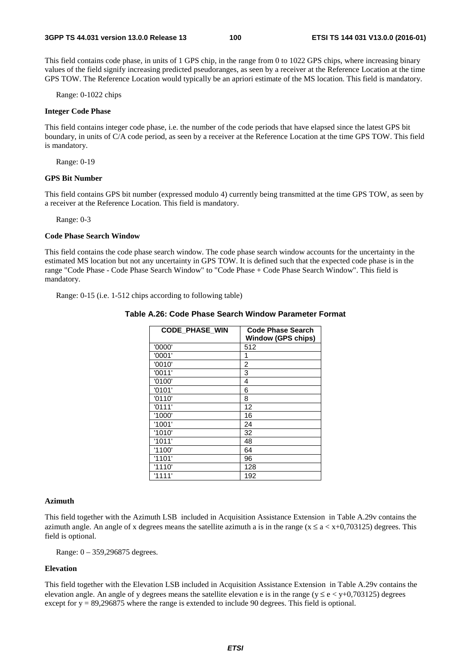This field contains code phase, in units of 1 GPS chip, in the range from 0 to 1022 GPS chips, where increasing binary values of the field signify increasing predicted pseudoranges, as seen by a receiver at the Reference Location at the time GPS TOW. The Reference Location would typically be an apriori estimate of the MS location. This field is mandatory.

Range: 0-1022 chips

#### **Integer Code Phase**

This field contains integer code phase, i.e. the number of the code periods that have elapsed since the latest GPS bit boundary, in units of C/A code period, as seen by a receiver at the Reference Location at the time GPS TOW. This field is mandatory.

Range: 0-19

#### **GPS Bit Number**

This field contains GPS bit number (expressed modulo 4) currently being transmitted at the time GPS TOW, as seen by a receiver at the Reference Location. This field is mandatory.

Range: 0-3

## **Code Phase Search Window**

This field contains the code phase search window. The code phase search window accounts for the uncertainty in the estimated MS location but not any uncertainty in GPS TOW. It is defined such that the expected code phase is in the range "Code Phase - Code Phase Search Window" to "Code Phase + Code Phase Search Window". This field is mandatory.

Range: 0-15 (i.e. 1-512 chips according to following table)

| <b>CODE PHASE WIN</b> | <b>Code Phase Search</b><br><b>Window (GPS chips)</b> |
|-----------------------|-------------------------------------------------------|
| '0000'                | 512                                                   |
| '0001'                | 1                                                     |
| '0010'                | 2                                                     |
| '0011'                | 3                                                     |
| '0100'                | 4                                                     |
| '0101'                | 6                                                     |
| '0110'                | 8                                                     |
| '0111'                | 12                                                    |
| '1000'                | 16                                                    |
| '1001'                | 24                                                    |
| '1010'                | 32                                                    |
| '1011'                | 48                                                    |
| '1100'                | 64                                                    |
| '1101'                | 96                                                    |
| '1110'                | 128                                                   |
| '1111'                | 192                                                   |

**Table A.26: Code Phase Search Window Parameter Format** 

#### **Azimuth**

This field together with the Azimuth LSB included in Acquisition Assistance Extension in Table A.29v contains the azimuth angle. An angle of x degrees means the satellite azimuth a is in the range ( $x \le a < x+0.703125$ ) degrees. This field is optional.

Range: 0 – 359,296875 degrees.

## **Elevation**

This field together with the Elevation LSB included in Acquisition Assistance Extension in Table A.29v contains the elevation angle. An angle of y degrees means the satellite elevation e is in the range ( $y \le e \lt y+0.703125$ ) degrees except for  $y = 89,296875$  where the range is extended to include 90 degrees. This field is optional.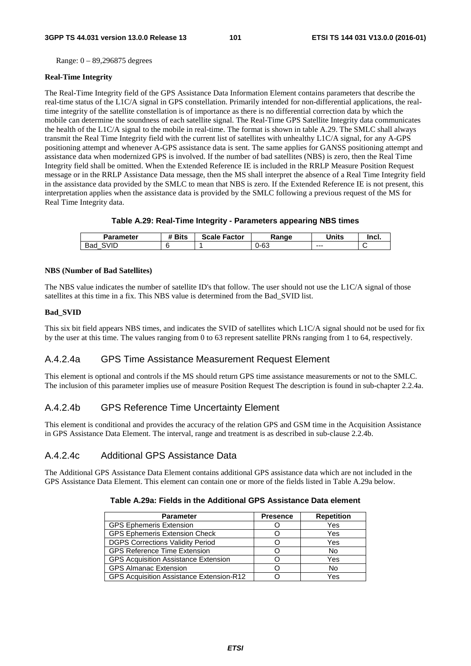Range: 0 – 89,296875 degrees

#### **Real-Time Integrity**

The Real-Time Integrity field of the GPS Assistance Data Information Element contains parameters that describe the real-time status of the L1C/A signal in GPS constellation. Primarily intended for non-differential applications, the realtime integrity of the satellite constellation is of importance as there is no differential correction data by which the mobile can determine the soundness of each satellite signal. The Real-Time GPS Satellite Integrity data communicates the health of the L1C/A signal to the mobile in real-time. The format is shown in table A.29. The SMLC shall always transmit the Real Time Integrity field with the current list of satellites with unhealthy L1C/A signal, for any A-GPS positioning attempt and whenever A-GPS assistance data is sent. The same applies for GANSS positioning attempt and assistance data when modernized GPS is involved. If the number of bad satellites (NBS) is zero, then the Real Time Integrity field shall be omitted. When the Extended Reference IE is included in the RRLP Measure Position Request message or in the RRLP Assistance Data message, then the MS shall interpret the absence of a Real Time Integrity field in the assistance data provided by the SMLC to mean that NBS is zero. If the Extended Reference IE is not present, this interpretation applies when the assistance data is provided by the SMLC following a previous request of the MS for Real Time Integrity data.

## **Table A.29: Real-Time Integrity - Parameters appearing NBS times**

| Parameter   | <b>*</b> Bits | Scale<br>Factor | Range | <b>Units</b> | Incl. |
|-------------|---------------|-----------------|-------|--------------|-------|
| SVID<br>Bad |               |                 | 0-63  | $- - -$      |       |

#### **NBS (Number of Bad Satellites)**

The NBS value indicates the number of satellite ID's that follow. The user should not use the L1C/A signal of those satellites at this time in a fix. This NBS value is determined from the Bad\_SVID list.

## **Bad\_SVID**

This six bit field appears NBS times, and indicates the SVID of satellites which L1C/A signal should not be used for fix by the user at this time. The values ranging from 0 to 63 represent satellite PRNs ranging from 1 to 64, respectively.

# A.4.2.4a GPS Time Assistance Measurement Request Element

This element is optional and controls if the MS should return GPS time assistance measurements or not to the SMLC. The inclusion of this parameter implies use of measure Position Request The description is found in sub-chapter 2.2.4a.

# A.4.2.4b GPS Reference Time Uncertainty Element

This element is conditional and provides the accuracy of the relation GPS and GSM time in the Acquisition Assistance in GPS Assistance Data Element. The interval, range and treatment is as described in sub-clause 2.2.4b.

# A.4.2.4c Additional GPS Assistance Data

The Additional GPS Assistance Data Element contains additional GPS assistance data which are not included in the GPS Assistance Data Element. This element can contain one or more of the fields listed in Table A.29a below.

# **Table A.29a: Fields in the Additional GPS Assistance Data element**

| <b>Parameter</b>                            | <b>Presence</b> | <b>Repetition</b> |
|---------------------------------------------|-----------------|-------------------|
| <b>GPS Ephemeris Extension</b>              |                 | Yes               |
| <b>GPS Ephemeris Extension Check</b>        |                 | Yes               |
| <b>DGPS Corrections Validity Period</b>     |                 | Yes               |
| <b>GPS Reference Time Extension</b>         |                 | No                |
| <b>GPS Acquisition Assistance Extension</b> |                 | Yes               |
| <b>GPS Almanac Extension</b>                |                 | <b>No</b>         |
| GPS Acquisition Assistance Extension-R12    |                 | Yes               |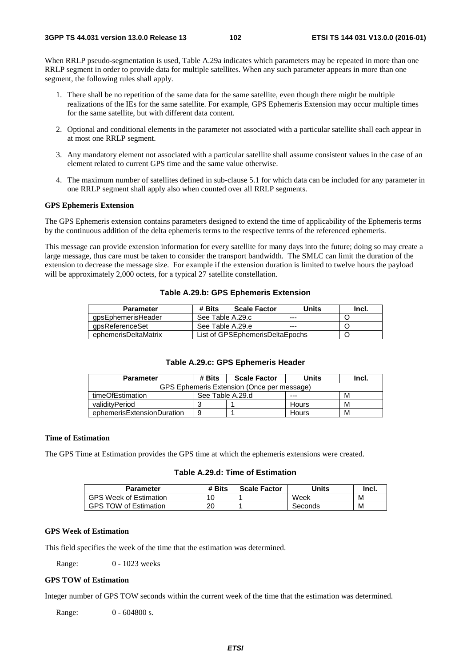When RRLP pseudo-segmentation is used, Table A.29a indicates which parameters may be repeated in more than one RRLP segment in order to provide data for multiple satellites. When any such parameter appears in more than one segment, the following rules shall apply.

- 1. There shall be no repetition of the same data for the same satellite, even though there might be multiple realizations of the IEs for the same satellite. For example, GPS Ephemeris Extension may occur multiple times for the same satellite, but with different data content.
- 2. Optional and conditional elements in the parameter not associated with a particular satellite shall each appear in at most one RRLP segment.
- 3. Any mandatory element not associated with a particular satellite shall assume consistent values in the case of an element related to current GPS time and the same value otherwise.
- 4. The maximum number of satellites defined in sub-clause 5.1 for which data can be included for any parameter in one RRLP segment shall apply also when counted over all RRLP segments.

#### **GPS Ephemeris Extension**

The GPS Ephemeris extension contains parameters designed to extend the time of applicability of the Ephemeris terms by the continuous addition of the delta ephemeris terms to the respective terms of the referenced ephemeris.

This message can provide extension information for every satellite for many days into the future; doing so may create a large message, thus care must be taken to consider the transport bandwidth. The SMLC can limit the duration of the extension to decrease the message size. For example if the extension duration is limited to twelve hours the payload will be approximately 2,000 octets, for a typical 27 satellite constellation.

## **Table A.29.b: GPS Ephemeris Extension**

| <b>Parameter</b>     | # Bits                          | <b>Scale Factor</b> | Units   | Incl. |
|----------------------|---------------------------------|---------------------|---------|-------|
| apsEphemerisHeader   | See Table A.29.c                |                     | $- - -$ |       |
| gpsReferenceSet      | See Table A.29.e                |                     | $- - -$ |       |
| ephemerisDeltaMatrix | List of GPSEphemerisDeltaEpochs |                     |         |       |

#### **Table A.29.c: GPS Ephemeris Header**

| <b>Parameter</b>                           | # Bits           | <b>Scale Factor</b> | Units | Incl. |
|--------------------------------------------|------------------|---------------------|-------|-------|
| GPS Ephemeris Extension (Once per message) |                  |                     |       |       |
| timeOfEstimation                           | See Table A.29.d |                     | ---   | M     |
| validityPeriod                             |                  |                     | Hours | M     |
| ephemerisExtensionDuration                 | 9                |                     | Hours | M     |

## **Time of Estimation**

The GPS Time at Estimation provides the GPS time at which the ephemeris extensions were created.

## **Table A.29.d: Time of Estimation**

| Parameter                    | # Bits   | <b>Scale Factor</b> | 'Jnits  | Incl. |
|------------------------------|----------|---------------------|---------|-------|
| GPS Week of Estimation       | 10       |                     | Week    | М     |
| <b>GPS TOW of Estimation</b> | ററ<br>∠∪ |                     | Seconds | M     |

## **GPS Week of Estimation**

This field specifies the week of the time that the estimation was determined.

Range: 0 - 1023 weeks

#### **GPS TOW of Estimation**

Integer number of GPS TOW seconds within the current week of the time that the estimation was determined.

Range: 0 - 604800 s.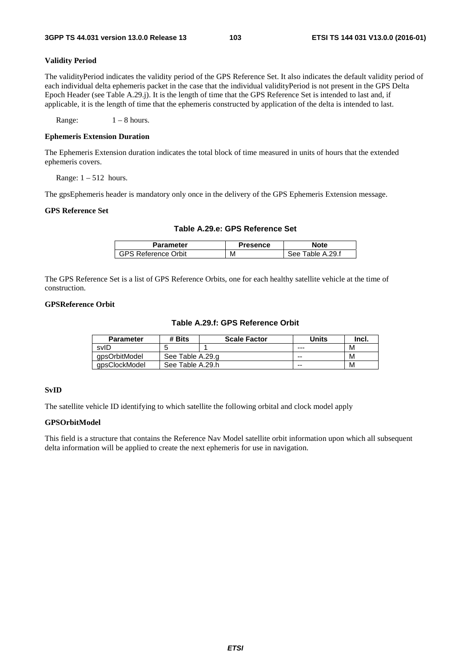## **Validity Period**

The validityPeriod indicates the validity period of the GPS Reference Set. It also indicates the default validity period of each individual delta ephemeris packet in the case that the individual validityPeriod is not present in the GPS Delta Epoch Header (see Table A.29.j). It is the length of time that the GPS Reference Set is intended to last and, if applicable, it is the length of time that the ephemeris constructed by application of the delta is intended to last.

Range:  $1 - 8$  hours.

#### **Ephemeris Extension Duration**

The Ephemeris Extension duration indicates the total block of time measured in units of hours that the extended ephemeris covers.

Range:  $1 - 512$  hours.

The gpsEphemeris header is mandatory only once in the delivery of the GPS Ephemeris Extension message.

#### **GPS Reference Set**

## **Table A.29.e: GPS Reference Set**

| Parameter       | Presence | <b>Note</b>             |
|-----------------|----------|-------------------------|
| Reference Orbit | м        | .29.f<br>'able A<br>⊿≙⊱ |

The GPS Reference Set is a list of GPS Reference Orbits, one for each healthy satellite vehicle at the time of construction.

## **GPSReference Orbit**

#### **Table A.29.f: GPS Reference Orbit**

| <b>Parameter</b> | # Bits           | <b>Scale Factor</b> | Units | Inci. |
|------------------|------------------|---------------------|-------|-------|
| svID             |                  |                     | ---   | M     |
| apsOrbitModel    | See Table A.29.g |                     | $-$   | M     |
| gpsClockModel    | See Table A.29.h |                     | --    | M     |

## **SvID**

The satellite vehicle ID identifying to which satellite the following orbital and clock model apply

#### **GPSOrbitModel**

This field is a structure that contains the Reference Nav Model satellite orbit information upon which all subsequent delta information will be applied to create the next ephemeris for use in navigation.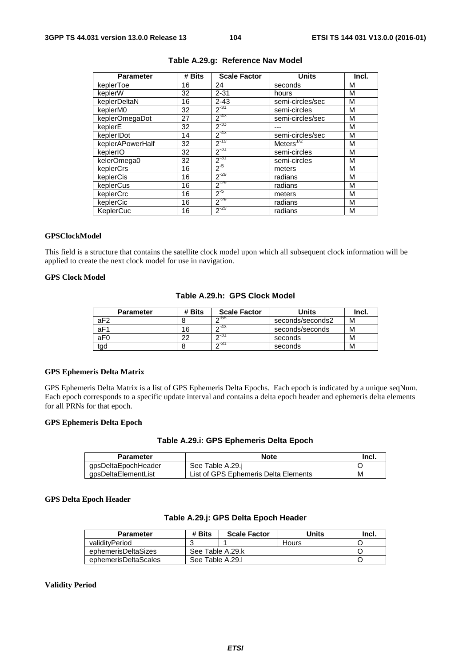| <b>Parameter</b> | # Bits | <b>Scale Factor</b> | <b>Units</b>     | Incl. |
|------------------|--------|---------------------|------------------|-------|
| keplerToe        | 16     | 24                  | seconds          | м     |
| keplerW          | 32     | $2 - 31$            | hours            | M     |
| keplerDeltaN     | 16     | $2 - 43$            | semi-circles/sec | M     |
| keplerM0         | 32     | $2^{-31}$           | semi-circles     | M     |
| keplerOmegaDot   | 27     | $2^{-43}$           | semi-circles/sec | M     |
| keplerE          | 32     | $2^{-33}$           |                  | M     |
| keplerIDot       | 14     | $2^{-43}$           | semi-circles/sec | M     |
| keplerAPowerHalf | 32     | $2^{-19}$           | Meters $^{1/2}$  | M     |
| keplerIO         | 32     | $2^{-31}$           | semi-circles     | M     |
| kelerOmega0      | 32     | $2^{-31}$           | semi-circles     | M     |
| keplerCrs        | 16     | $2^{5}$             | meters           | M     |
| keplerCis        | 16     | $2^{-29}$           | radians          | M     |
| keplerCus        | 16     | $2^{-29}$           | radians          | M     |
| keplerCrc        | 16     | $2^{-5}$            | meters           | M     |
| keplerCic        | 16     | $2^{-29}$           | radians          | M     |
| KeplerCuc        | 16     | $2^{-29}$           | radians          | M     |

# **Table A.29.g: Reference Nav Model**

## **GPSClockModel**

This field is a structure that contains the satellite clock model upon which all subsequent clock information will be applied to create the next clock model for use in navigation.

## **GPS Clock Model**

#### **Table A.29.h: GPS Clock Model**

| <b>Parameter</b> | # Bits | <b>Scale Factor</b> | Units            | Incl. |
|------------------|--------|---------------------|------------------|-------|
| aF <sub>2</sub>  |        | $\sim$ -55          | seconds/seconds2 | М     |
| aF1              | 16     | $\sim$ 43           | seconds/seconds  | м     |
| aF0              | າາ     | ∩-31                | seconds          | м     |
| tad              |        | $\sim$ 31           | seconds          | м     |

## **GPS Ephemeris Delta Matrix**

GPS Ephemeris Delta Matrix is a list of GPS Ephemeris Delta Epochs. Each epoch is indicated by a unique seqNum. Each epoch corresponds to a specific update interval and contains a delta epoch header and ephemeris delta elements for all PRNs for that epoch.

#### **GPS Ephemeris Delta Epoch**

## **Table A.29.i: GPS Ephemeris Delta Epoch**

| Parameter           | <b>Note</b>                          | Incl. |
|---------------------|--------------------------------------|-------|
| qpsDeltaEpochHeader | See Table A.29.j                     |       |
| gpsDeltaElementList | List of GPS Ephemeris Delta Elements | M     |

## **GPS Delta Epoch Header**

# **Table A.29.j: GPS Delta Epoch Header**

| <b>Parameter</b>     | # Bits           | <b>Scale Factor</b> | Units | Incl. |
|----------------------|------------------|---------------------|-------|-------|
| validityPeriod       |                  |                     | Hours |       |
| ephemerisDeltaSizes  | See Table A.29.k |                     |       |       |
| ephemerisDeltaScales |                  | See Table A.29.I    |       |       |

#### **Validity Period**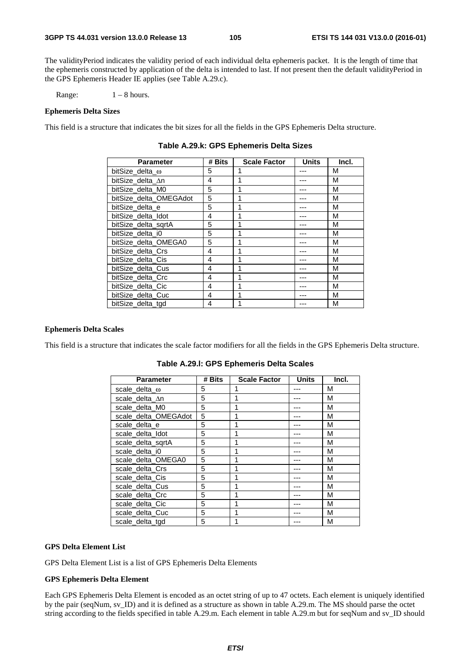The validityPeriod indicates the validity period of each individual delta ephemeris packet. It is the length of time that the ephemeris constructed by application of the delta is intended to last. If not present then the default validityPeriod in the GPS Ephemeris Header IE applies (see Table A.29.c).

Range:  $1 - 8$  hours.

#### **Ephemeris Delta Sizes**

This field is a structure that indicates the bit sizes for all the fields in the GPS Ephemeris Delta structure.

| <b>Parameter</b>       | # Bits | <b>Scale Factor</b> | <b>Units</b> | Incl. |
|------------------------|--------|---------------------|--------------|-------|
| bitSize delta $\omega$ | 5      | 1                   |              | М     |
| bitSize delta ∆n       | 4      |                     |              | М     |
| bitSize_delta_M0       | 5      |                     |              | M     |
| bitSize_delta_OMEGAdot | 5      | 1                   |              | М     |
| bitSize delta e        | 5      | 1                   |              | M     |
| bitSize delta Idot     | 4      |                     |              | М     |
| bitSize_delta_sqrtA    | 5      |                     |              | М     |
| bitSize delta i0       | 5      |                     |              | M     |
| bitSize_delta_OMEGA0   | 5      |                     |              | M     |
| bitSize delta Crs      | 4      | 1                   |              | М     |
| bitSize_delta_Cis      | 4      | 1                   |              | М     |
| bitSize delta Cus      | 4      |                     |              | М     |
| bitSize_delta_Crc      | 4      |                     |              | М     |
| bitSize delta Cic      | 4      | 1                   |              | M     |
| bitSize_delta_Cuc      | 4      | 1                   |              | M     |
| bitSize delta tgd      | 4      |                     |              | М     |

**Table A.29.k: GPS Ephemeris Delta Sizes** 

#### **Ephemeris Delta Scales**

This field is a structure that indicates the scale factor modifiers for all the fields in the GPS Ephemeris Delta structure.

| <b>Parameter</b>     | # Bits | <b>Scale Factor</b> | <b>Units</b> | Incl. |
|----------------------|--------|---------------------|--------------|-------|
| scale_delta_ω        | 5      |                     |              | М     |
| scale_delta_An       | 5      |                     |              | M     |
| scale_delta_M0       | 5      |                     |              | М     |
| scale_delta_OMEGAdot | 5      |                     |              | М     |
| scale_delta_e        | 5      |                     |              | М     |
| scale delta Idot     | 5      |                     |              | М     |
| scale_delta_sqrtA    | 5      |                     |              | М     |
| scale_delta_i0       | 5      |                     |              | M     |
| scale_delta_OMEGA0   | 5      |                     |              | М     |
| scale delta Crs      | 5      |                     |              | М     |
| scale_delta_Cis      | 5      |                     |              | М     |
| scale_delta_Cus      | 5      |                     |              | М     |
| scale_delta_Crc      | 5      |                     |              | M     |
| scale_delta_Cic      | 5      |                     |              | М     |
| scale_delta_Cuc      | 5      |                     |              | М     |
| scale delta tod      | 5      |                     |              | М     |

**Table A.29.l: GPS Ephemeris Delta Scales** 

#### **GPS Delta Element List**

GPS Delta Element List is a list of GPS Ephemeris Delta Elements

#### **GPS Ephemeris Delta Element**

Each GPS Ephemeris Delta Element is encoded as an octet string of up to 47 octets. Each element is uniquely identified by the pair (seqNum, sv\_ID) and it is defined as a structure as shown in table A.29.m. The MS should parse the octet string according to the fields specified in table A.29.m. Each element in table A.29.m but for seqNum and sv\_ID should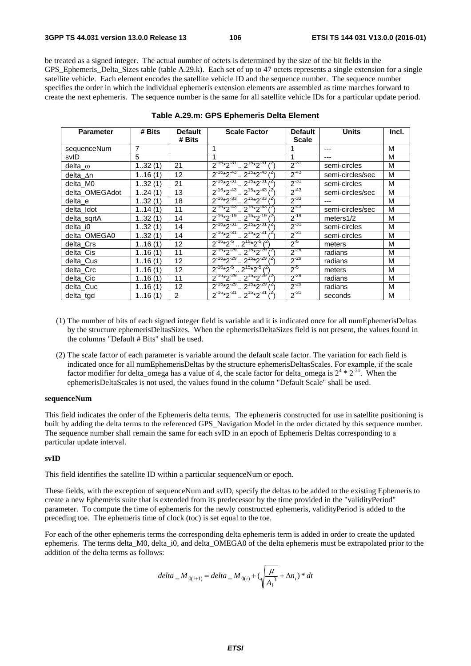be treated as a signed integer. The actual number of octets is determined by the size of the bit fields in the GPS Ephemeris Delta Sizes table (table A.29.k). Each set of up to 47 octets represents a single extension for a single satellite vehicle. Each element encodes the satellite vehicle ID and the sequence number. The sequence number specifies the order in which the individual ephemeris extension elements are assembled as time marches forward to create the next ephemeris. The sequence number is the same for all satellite vehicle IDs for a particular update period.

| <b>Parameter</b> | # Bits | <b>Default</b> | <b>Default</b><br><b>Scale Factor</b>                   |              | <b>Units</b>     | Incl. |
|------------------|--------|----------------|---------------------------------------------------------|--------------|------------------|-------|
|                  |        | # Bits         |                                                         | <b>Scale</b> |                  |       |
| sequenceNum      | 7      |                | 1                                                       |              | ---              | M     |
| svID             | 5      |                | 1                                                       |              | ---              | M     |
| delta_o          | 132(1) | 21             | $2^{-16*2^{-31}} \cdot 2^{15*2^{-31}}$ ( <sup>2</sup> ) | $2^{-31}$    | semi-circles     | M     |
| delta ∆n         | 116(1) | 12             | $2^{-16*2^{-43}} \cdot 2^{15*2^{-43}}$                  | $2^{-43}$    | semi-circles/sec | M     |
| delta M0         | 132(1) | 21             | $2^{-16}*2^{-31}$ $2^{15}*2^{-31}$                      | $2^{-31}$    | semi-circles     | M     |
| delta OMEGAdot   | 124(1) | 13             | $2^{-16}*2^{-43}$ $2^{15}*2^{-43}$                      | $2^{-43}$    | semi-circles/sec | M     |
| delta e          | 132(1) | 18             | $2^{-16*2^{-33}}$ $2^{15*2^{-33}}$                      | $2^{-33}$    | ---              | M     |
| delta Idot       | 114(1) | 11             | $2^{-16*2^{-43}} \cdot 2^{15*2^{-43}t^2}$               | $2^{-43}$    | semi-circles/sec | M     |
| delta_sqrtA      | 132(1) | 14             | $2^{.16*2^{.19}}$ , $2^{15*2^{.19}}$                    | $2^{-19}$    | meters1/2        | M     |
| delta i0         | 132(1) | 14             | $2^{-16*2^{-31}}$ $2^{15*2^{-31}}$                      | $2^{-31}$    | semi-circles     | M     |
| delta OMEGA0     | 132(1) | 14             | $2^{-16}*2^{-31}$ $2^{15}*2^{-31}$ $1^2$                | $2^{-31}$    | semi-circles     | M     |
| delta_Crs        | 116(1) | 12             | $2^{-16}*2^{-5}$ $2^{15}*2^{-5}$ $(2)$                  | $2^{5}$      | meters           | м     |
| delta Cis        | 116(1) | 11             | $2^{-16}*2^{-29}$ , $2^{15}*2^{-29}$                    | $2^{-29}$    | radians          | M     |
| delta Cus        | 116(1) | 12             | $2^{-16*2^{29}}$ , $2^{15*2^{29}}$ $\binom{2}{1}$       | $2^{-29}$    | radians          | M     |
| delta_Crc        | 116(1) | 12             | $2^{-16*2^{-5}} \cdot 2^{15*2^{-5}}$                    | $2^{5}$      | meters           | M     |
| delta_Cic        | 116(1) | 11             | $2^{-16*2^{-29}} \cdot 2^{15*2^{-29}}$                  | $2^{-29}$    | radians          | M     |
| delta Cuc        | 116(1) | 12             | $2^{-16}*2^{-29}$ $2^{15}*2^{-29}$ $3^{-16}$            | $2^{-29}$    | radians          | M     |
| delta_tgd        | 116(1) | 2              | $2^{-16*2^{-31}} \cdot 2^{15*2^{-31}$ (2)               | $2^{-31}$    | seconds          | M     |

#### **Table A.29.m: GPS Ephemeris Delta Element**

- (1) The number of bits of each signed integer field is variable and it is indicated once for all numEphemerisDeltas by the structure ephemerisDeltasSizes. When the ephemerisDeltaSizes field is not present, the values found in the columns "Default # Bits" shall be used.
- (2) The scale factor of each parameter is variable around the default scale factor. The variation for each field is indicated once for all numEphemerisDeltas by the structure ephemerisDeltasScales. For example, if the scale factor modifier for delta\_omega has a value of 4, the scale factor for delta\_omega is  $2^4 * 2^{31}$ . When the ephemerisDeltaScales is not used, the values found in the column "Default Scale" shall be used.

#### **sequenceNum**

This field indicates the order of the Ephemeris delta terms. The ephemeris constructed for use in satellite positioning is built by adding the delta terms to the referenced GPS\_Navigation Model in the order dictated by this sequence number. The sequence number shall remain the same for each svID in an epoch of Ephemeris Deltas corresponding to a particular update interval.

#### **svID**

This field identifies the satellite ID within a particular sequenceNum or epoch.

These fields, with the exception of sequenceNum and svID, specify the deltas to be added to the existing Ephemeris to create a new Ephemeris suite that is extended from its predecessor by the time provided in the "validityPeriod" parameter. To compute the time of ephemeris for the newly constructed ephemeris, validityPeriod is added to the preceding toe. The ephemeris time of clock (toc) is set equal to the toe.

For each of the other ephemeris terms the corresponding delta ephemeris term is added in order to create the updated ephemeris. The terms delta\_M0, delta\_i0, and delta\_OMEGA0 of the delta ephemeris must be extrapolated prior to the addition of the delta terms as follows:

$$
delta_{i} M_{0(i+1)} = delta_{i} M_{0(i)} + (\sqrt{\frac{\mu}{A_i^{3}}} + \Delta n_i)^* dt
$$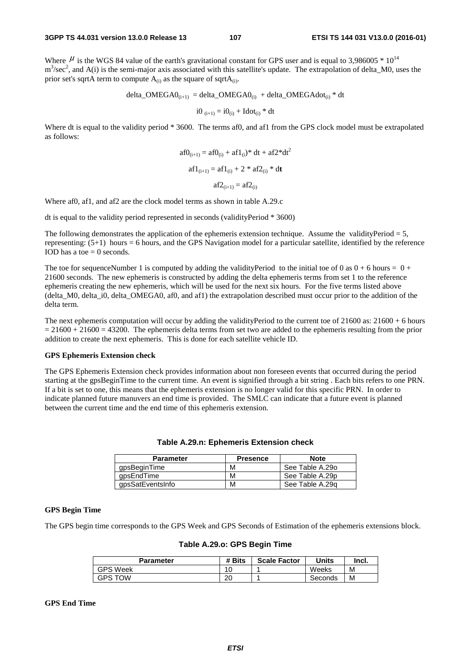Where  $\mu$  is the WGS 84 value of the earth's gravitational constant for GPS user and is equal to 3,986005  $*$  10<sup>14</sup>  $m<sup>3</sup>/sec<sup>2</sup>$ , and A(i) is the semi-major axis associated with this satellite's update. The extrapolation of delta\_M0, uses the prior set's sqrtA term to compute  $A_{(i)}$  as the square of sqrt $A_{(i)}$ .

$$
delta\_OMEGA0_{(i+1)} = delta\_OMEGA0_{(i)} + delta\_OMEGA0_{(i)} * dt
$$

$$
i0_{(i+1)} = i0_{(i)} + Idot_{(i)} * dt
$$

Where dt is equal to the validity period \* 3600. The terms af0, and af1 from the GPS clock model must be extrapolated as follows:

$$
af0_{(i+1)} = af0_{(i)} + af1_{(i)} * dt + af2 * dt2
$$

$$
af1_{(i+1)} = af1_{(i)} + 2 * af2_{(i)} * dt
$$

$$
af2_{(i+1)} = af2_{(i)}
$$

Where af0, af1, and af2 are the clock model terms as shown in table A.29.c

dt is equal to the validity period represented in seconds (validityPeriod \* 3600)

The following demonstrates the application of the ephemeris extension technique. Assume the validityPeriod  $= 5$ , representing: (5+1) hours = 6 hours, and the GPS Navigation model for a particular satellite, identified by the reference IOD has a toe  $= 0$  seconds.

The toe for sequenceNumber 1 is computed by adding the validityPeriod to the initial toe of 0 as  $0 + 6$  hours =  $0 + 6$ 21600 seconds. The new ephemeris is constructed by adding the delta ephemeris terms from set 1 to the reference ephemeris creating the new ephemeris, which will be used for the next six hours. For the five terms listed above (delta\_M0, delta\_i0, delta\_OMEGA0, af0, and af1) the extrapolation described must occur prior to the addition of the delta term.

The next ephemeris computation will occur by adding the validityPeriod to the current toe of  $21600$  as:  $21600 + 6$  hours  $= 21600 + 21600 = 43200$ . The ephemeris delta terms from set two are added to the ephemeris resulting from the prior addition to create the next ephemeris. This is done for each satellite vehicle ID.

#### **GPS Ephemeris Extension check**

The GPS Ephemeris Extension check provides information about non foreseen events that occurred during the period starting at the gpsBeginTime to the current time. An event is signified through a bit string . Each bits refers to one PRN. If a bit is set to one, this means that the ephemeris extension is no longer valid for this specific PRN. In order to indicate planned future manuvers an end time is provided. The SMLC can indicate that a future event is planned between the current time and the end time of this ephemeris extension.

| <b>Parameter</b> | <b>Presence</b> | <b>Note</b>     |
|------------------|-----------------|-----------------|
| qpsBeginTime     | M               | See Table A.29o |
| apsEndTime       | M               | See Table A.29p |
| gpsSatEventsInfo | M               | See Table A.29g |

#### **Table A.29.n: Ephemeris Extension check**

#### **GPS Begin Time**

The GPS begin time corresponds to the GPS Week and GPS Seconds of Estimation of the ephemeris extensions block.

| <b>Parameter</b> | # Bits | <b>Scale Factor</b> | Units   | Incl. |
|------------------|--------|---------------------|---------|-------|
| <b>GPS Week</b>  | 10     |                     | Weeks   | м     |
| <b>GPS TOW</b>   | 20     |                     | Seconds | М     |

#### **Table A.29.o: GPS Begin Time**

#### **GPS End Time**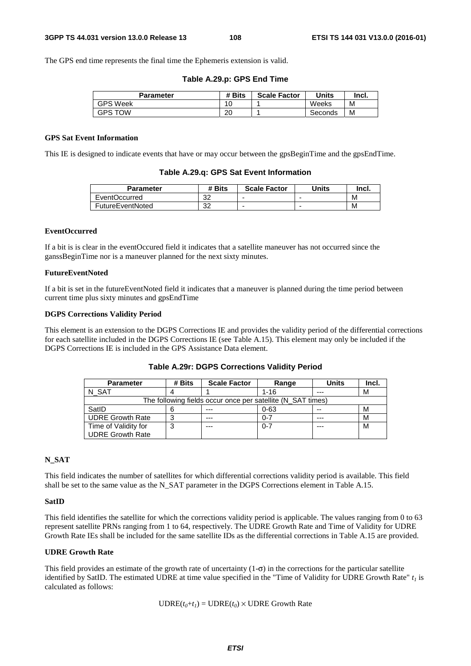The GPS end time represents the final time the Ephemeris extension is valid.

| Table A.29.p: GPS End Time |  |
|----------------------------|--|
|----------------------------|--|

| Parameter       | # Bits   | <b>Scale Factor</b> | Units   | Incl. |
|-----------------|----------|---------------------|---------|-------|
| <b>GPS Week</b> | 10<br>U  |                     | Weeks   | м     |
| <b>GPS TOW</b>  | ാല<br>۷J |                     | Seconds | м     |

### **GPS Sat Event Information**

This IE is designed to indicate events that have or may occur between the gpsBeginTime and the gpsEndTime.

|  |  |  | Table A.29.q: GPS Sat Event Information |
|--|--|--|-----------------------------------------|
|--|--|--|-----------------------------------------|

| Parameter        | # Bits    | <b>Scale Factor</b> | <b>Units</b>             | Incl. |
|------------------|-----------|---------------------|--------------------------|-------|
| EventOccurred    | nn,<br>ےت | -                   | -                        | M     |
| FutureEventNoted | nn,<br>ےں | -                   | $\overline{\phantom{0}}$ | M     |

#### **EventOccurred**

If a bit is is clear in the eventOccured field it indicates that a satellite maneuver has not occurred since the ganssBeginTime nor is a maneuver planned for the next sixty minutes.

#### **FutureEventNoted**

If a bit is set in the futureEventNoted field it indicates that a maneuver is planned during the time period between current time plus sixty minutes and gpsEndTime

#### **DGPS Corrections Validity Period**

This element is an extension to the DGPS Corrections IE and provides the validity period of the differential corrections for each satellite included in the DGPS Corrections IE (see Table A.15). This element may only be included if the DGPS Corrections IE is included in the GPS Assistance Data element.

| <b>Parameter</b>        | # Bits | <b>Scale Factor</b>                                         | Range    | <b>Units</b> | Incl. |
|-------------------------|--------|-------------------------------------------------------------|----------|--------------|-------|
| N SAT                   |        |                                                             | $1 - 16$ | ---          | M     |
|                         |        | The following fields occur once per satellite (N SAT times) |          |              |       |
| SatID                   | 6      | $- - -$                                                     | $0 - 63$ | $- -$        | М     |
| <b>UDRE Growth Rate</b> | ົ      | ---                                                         | $0 - 7$  | ---          | М     |
| Time of Validity for    | 2      | ---                                                         | $0 - 7$  | $- - -$      | M     |
| <b>UDRE Growth Rate</b> |        |                                                             |          |              |       |

**Table A.29r: DGPS Corrections Validity Period** 

## **N\_SAT**

This field indicates the number of satellites for which differential corrections validity period is available. This field shall be set to the same value as the N\_SAT parameter in the DGPS Corrections element in Table A.15.

#### **SatID**

This field identifies the satellite for which the corrections validity period is applicable. The values ranging from 0 to 63 represent satellite PRNs ranging from 1 to 64, respectively. The UDRE Growth Rate and Time of Validity for UDRE Growth Rate IEs shall be included for the same satellite IDs as the differential corrections in Table A.15 are provided.

#### **UDRE Growth Rate**

This field provides an estimate of the growth rate of uncertainty  $(1-\sigma)$  in the corrections for the particular satellite identified by SatID. The estimated UDRE at time value specified in the "Time of Validity for UDRE Growth Rate"  $t_1$  is calculated as follows:

 $\text{UDRE}(t_0+t_1) = \text{UDRE}(t_0) \times \text{UDRE}$  Growth Rate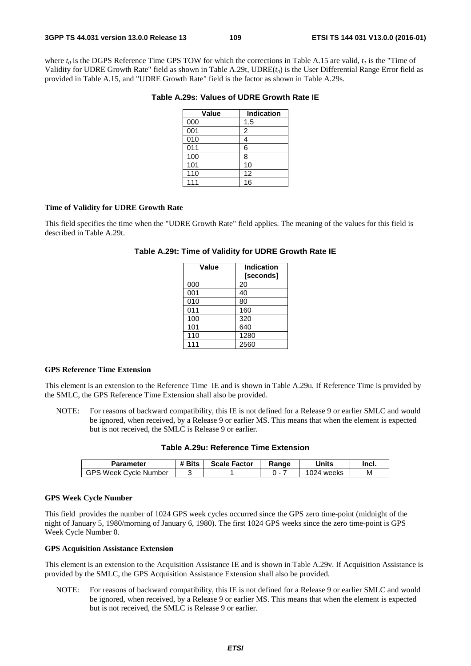where  $t_0$  is the DGPS Reference Time GPS TOW for which the corrections in Table A.15 are valid,  $t_1$  is the "Time of Validity for UDRE Growth Rate" field as shown in Table A.29t, UDRE( $t_0$ ) is the User Differential Range Error field as provided in Table A.15, and "UDRE Growth Rate" field is the factor as shown in Table A.29s.

## **Table A.29s: Values of UDRE Growth Rate IE**

| Value            | <b>Indication</b> |
|------------------|-------------------|
| 000              | 1,5               |
| 001              | 2                 |
| $\overline{010}$ | 4                 |
| 011              | 6                 |
| 100              | 8                 |
| 101              | 10                |
| 110              | 12                |
| $\overline{1}11$ | 16                |

#### **Time of Validity for UDRE Growth Rate**

This field specifies the time when the "UDRE Growth Rate" field applies. The meaning of the values for this field is described in Table A.29t.

## **Table A.29t: Time of Validity for UDRE Growth Rate IE**

| Value | <b>Indication</b> |
|-------|-------------------|
|       | [seconds]         |
| 000   | 20                |
| 001   | 40                |
| 010   | 80                |
| 011   | 160               |
| 100   | 320               |
| 101   | 640               |
| 110   | 1280              |
| 111   | 2560              |

## **GPS Reference Time Extension**

This element is an extension to the Reference Time IE and is shown in Table A.29u. If Reference Time is provided by the SMLC, the GPS Reference Time Extension shall also be provided.

NOTE: For reasons of backward compatibility, this IE is not defined for a Release 9 or earlier SMLC and would be ignored, when received, by a Release 9 or earlier MS. This means that when the element is expected but is not received, the SMLC is Release 9 or earlier.

|  |  | Table A.29u: Reference Time Extension |
|--|--|---------------------------------------|
|--|--|---------------------------------------|

| Parameter                  | <b>"Bits</b> | <b>Scale Factor</b> | Ranɑe | <b>Jnits</b>   | Incl. |
|----------------------------|--------------|---------------------|-------|----------------|-------|
| GPS Week '<br>Cvcle Number |              |                     |       | 24- ا<br>weeks | M     |

## **GPS Week Cycle Number**

This field provides the number of 1024 GPS week cycles occurred since the GPS zero time-point (midnight of the night of January 5, 1980/morning of January 6, 1980). The first 1024 GPS weeks since the zero time-point is GPS Week Cycle Number 0.

# **GPS Acquisition Assistance Extension**

This element is an extension to the Acquisition Assistance IE and is shown in Table A.29v. If Acquisition Assistance is provided by the SMLC, the GPS Acquisition Assistance Extension shall also be provided.

NOTE: For reasons of backward compatibility, this IE is not defined for a Release 9 or earlier SMLC and would be ignored, when received, by a Release 9 or earlier MS. This means that when the element is expected but is not received, the SMLC is Release 9 or earlier.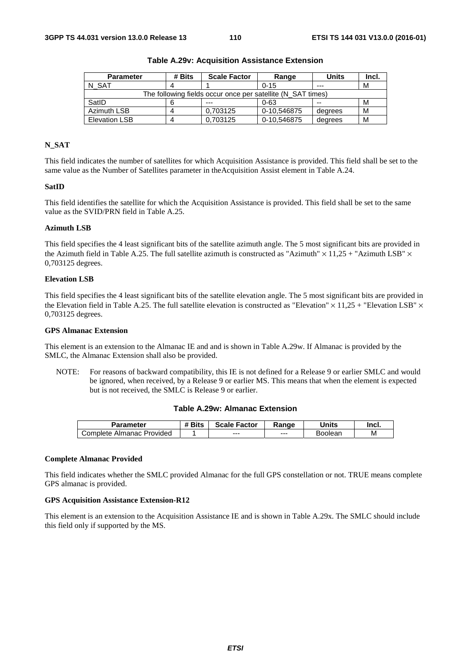| <b>Parameter</b>                                            | # Bits | <b>Scale Factor</b> | Range       | <b>Units</b> | Incl. |  |
|-------------------------------------------------------------|--------|---------------------|-------------|--------------|-------|--|
| N SAT                                                       |        |                     | $0 - 15$    | $- - -$      | М     |  |
| The following fields occur once per satellite (N SAT times) |        |                     |             |              |       |  |
| SatID                                                       |        | ---                 | $0 - 63$    | $- -$        | м     |  |
| Azimuth LSB                                                 |        | 0.703125            | 0-10,546875 | degrees      | м     |  |
| <b>Elevation LSB</b>                                        |        | 0.703125            | 0-10,546875 | degrees      | М     |  |

**Table A.29v: Acquisition Assistance Extension** 

## **N\_SAT**

This field indicates the number of satellites for which Acquisition Assistance is provided. This field shall be set to the same value as the Number of Satellites parameter in theAcquisition Assist element in Table A.24.

#### **SatID**

This field identifies the satellite for which the Acquisition Assistance is provided. This field shall be set to the same value as the SVID/PRN field in Table A.25.

## **Azimuth LSB**

This field specifies the 4 least significant bits of the satellite azimuth angle. The 5 most significant bits are provided in the Azimuth field in Table A.25. The full satellite azimuth is constructed as "Azimuth"  $\times$  11,25 + "Azimuth LSB"  $\times$ 0,703125 degrees.

## **Elevation LSB**

This field specifies the 4 least significant bits of the satellite elevation angle. The 5 most significant bits are provided in the Elevation field in Table A.25. The full satellite elevation is constructed as "Elevation"  $\times$  11,25 + "Elevation LSB"  $\times$ 0,703125 degrees.

## **GPS Almanac Extension**

This element is an extension to the Almanac IE and and is shown in Table A.29w. If Almanac is provided by the SMLC, the Almanac Extension shall also be provided.

NOTE: For reasons of backward compatibility, this IE is not defined for a Release 9 or earlier SMLC and would be ignored, when received, by a Release 9 or earlier MS. This means that when the element is expected but is not received, the SMLC is Release 9 or earlier.

#### **Table A.29w: Almanac Extension**

| Parameter                       | <b>"Bits</b> | <b>Scale Factor</b> | Ranɑe | `Inits  | Incl. |
|---------------------------------|--------------|---------------------|-------|---------|-------|
| Provided<br>Complete<br>Almanac |              | $--$                | $--$  | Boolean | М     |

#### **Complete Almanac Provided**

This field indicates whether the SMLC provided Almanac for the full GPS constellation or not. TRUE means complete GPS almanac is provided.

#### **GPS Acquisition Assistance Extension-R12**

This element is an extension to the Acquisition Assistance IE and is shown in Table A.29x. The SMLC should include this field only if supported by the MS.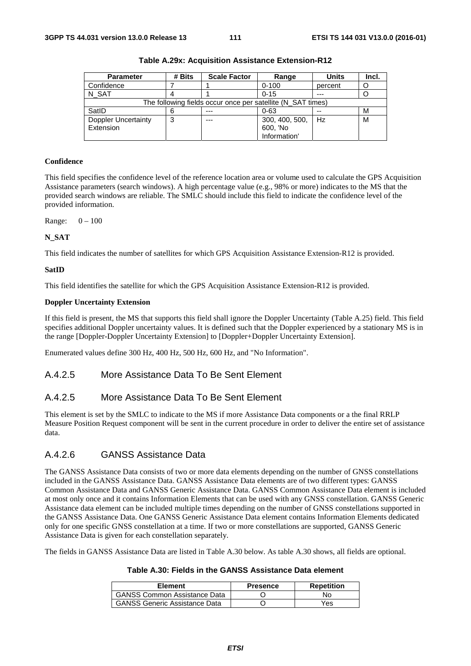| <b>Parameter</b>                                            | # Bits | <b>Scale Factor</b> | Range          | <b>Units</b> | Incl. |
|-------------------------------------------------------------|--------|---------------------|----------------|--------------|-------|
| Confidence                                                  |        |                     | $0 - 100$      | percent      |       |
| N SAT                                                       |        |                     | $0 - 15$       | $---$        |       |
| The following fields occur once per satellite (N SAT times) |        |                     |                |              |       |
| SatID                                                       |        |                     | $0 - 63$       | --           | М     |
| <b>Doppler Uncertainty</b>                                  | ≏<br>C | $- - -$             | 300, 400, 500, | Hz           | м     |
| Extension                                                   |        |                     | 600, 'No       |              |       |
|                                                             |        |                     | Information'   |              |       |

**Table A.29x: Acquisition Assistance Extension-R12** 

## **Confidence**

This field specifies the confidence level of the reference location area or volume used to calculate the GPS Acquisition Assistance parameters (search windows). A high percentage value (e.g., 98% or more) indicates to the MS that the provided search windows are reliable. The SMLC should include this field to indicate the confidence level of the provided information.

Range: 0 – 100

## **N\_SAT**

This field indicates the number of satellites for which GPS Acquisition Assistance Extension-R12 is provided.

## **SatID**

This field identifies the satellite for which the GPS Acquisition Assistance Extension-R12 is provided.

## **Doppler Uncertainty Extension**

If this field is present, the MS that supports this field shall ignore the Doppler Uncertainty (Table A.25) field. This field specifies additional Doppler uncertainty values. It is defined such that the Doppler experienced by a stationary MS is in the range [Doppler-Doppler Uncertainty Extension] to [Doppler+Doppler Uncertainty Extension].

Enumerated values define 300 Hz, 400 Hz, 500 Hz, 600 Hz, and "No Information".

# A.4.2.5 More Assistance Data To Be Sent Element

# A.4.2.5 More Assistance Data To Be Sent Element

This element is set by the SMLC to indicate to the MS if more Assistance Data components or a the final RRLP Measure Position Request component will be sent in the current procedure in order to deliver the entire set of assistance data.

# A.4.2.6 GANSS Assistance Data

The GANSS Assistance Data consists of two or more data elements depending on the number of GNSS constellations included in the GANSS Assistance Data. GANSS Assistance Data elements are of two different types: GANSS Common Assistance Data and GANSS Generic Assistance Data. GANSS Common Assistance Data element is included at most only once and it contains Information Elements that can be used with any GNSS constellation. GANSS Generic Assistance data element can be included multiple times depending on the number of GNSS constellations supported in the GANSS Assistance Data. One GANSS Generic Assistance Data element contains Information Elements dedicated only for one specific GNSS constellation at a time. If two or more constellations are supported, GANSS Generic Assistance Data is given for each constellation separately.

The fields in GANSS Assistance Data are listed in Table A.30 below. As table A.30 shows, all fields are optional.

## **Table A.30: Fields in the GANSS Assistance Data element**

| <b>Element</b>                       | <b>Presence</b> | <b>Repetition</b> |
|--------------------------------------|-----------------|-------------------|
| <b>GANSS Common Assistance Data</b>  |                 | N٥                |
| <b>GANSS Generic Assistance Data</b> |                 | Yes               |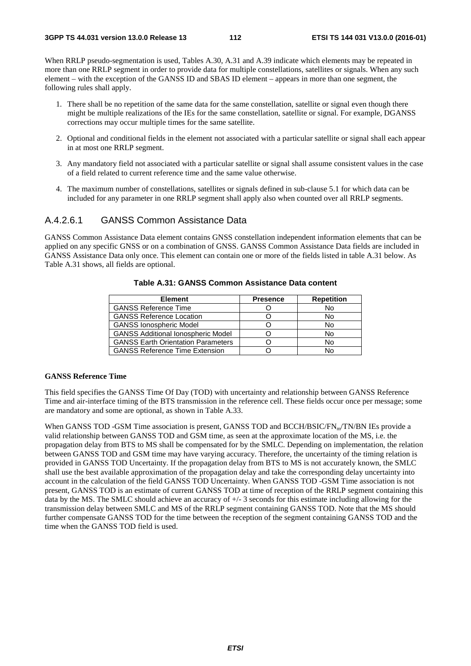When RRLP pseudo-segmentation is used, Tables A.30, A.31 and A.39 indicate which elements may be repeated in more than one RRLP segment in order to provide data for multiple constellations, satellites or signals. When any such element – with the exception of the GANSS ID and SBAS ID element – appears in more than one segment, the following rules shall apply.

- 1. There shall be no repetition of the same data for the same constellation, satellite or signal even though there might be multiple realizations of the IEs for the same constellation, satellite or signal. For example, DGANSS corrections may occur multiple times for the same satellite.
- 2. Optional and conditional fields in the element not associated with a particular satellite or signal shall each appear in at most one RRLP segment.
- 3. Any mandatory field not associated with a particular satellite or signal shall assume consistent values in the case of a field related to current reference time and the same value otherwise.
- 4. The maximum number of constellations, satellites or signals defined in sub-clause 5.1 for which data can be included for any parameter in one RRLP segment shall apply also when counted over all RRLP segments.

# A.4.2.6.1 GANSS Common Assistance Data

GANSS Common Assistance Data element contains GNSS constellation independent information elements that can be applied on any specific GNSS or on a combination of GNSS. GANSS Common Assistance Data fields are included in GANSS Assistance Data only once. This element can contain one or more of the fields listed in table A.31 below. As Table A.31 shows, all fields are optional.

| <b>Element</b>                            | <b>Presence</b> | <b>Repetition</b> |
|-------------------------------------------|-----------------|-------------------|
| <b>GANSS Reference Time</b>               |                 | No                |
| <b>GANSS Reference Location</b>           |                 | No                |
| <b>GANSS Ionospheric Model</b>            |                 | No                |
| <b>GANSS Additional Ionospheric Model</b> |                 | No                |
| <b>GANSS Earth Orientation Parameters</b> |                 | No                |
| <b>GANSS Reference Time Extension</b>     |                 | N٥                |

## **Table A.31: GANSS Common Assistance Data content**

## **GANSS Reference Time**

This field specifies the GANSS Time Of Day (TOD) with uncertainty and relationship between GANSS Reference Time and air-interface timing of the BTS transmission in the reference cell. These fields occur once per message; some are mandatory and some are optional, as shown in Table A.33.

When GANSS TOD -GSM Time association is present, GANSS TOD and BCCH/BSIC/FN<sub>m</sub>/TN/BN IEs provide a valid relationship between GANSS TOD and GSM time, as seen at the approximate location of the MS, i.e. the propagation delay from BTS to MS shall be compensated for by the SMLC. Depending on implementation, the relation between GANSS TOD and GSM time may have varying accuracy. Therefore, the uncertainty of the timing relation is provided in GANSS TOD Uncertainty. If the propagation delay from BTS to MS is not accurately known, the SMLC shall use the best available approximation of the propagation delay and take the corresponding delay uncertainty into account in the calculation of the field GANSS TOD Uncertainty. When GANSS TOD -GSM Time association is not present, GANSS TOD is an estimate of current GANSS TOD at time of reception of the RRLP segment containing this data by the MS. The SMLC should achieve an accuracy of +/- 3 seconds for this estimate including allowing for the transmission delay between SMLC and MS of the RRLP segment containing GANSS TOD. Note that the MS should further compensate GANSS TOD for the time between the reception of the segment containing GANSS TOD and the time when the GANSS TOD field is used.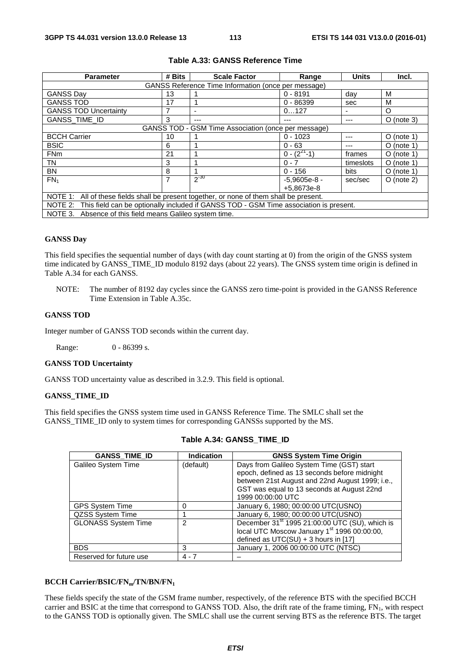| <b>Parameter</b>                                                                              | # Bits | <b>Scale Factor</b>                                 | Range              | <b>Units</b> | Incl.        |  |  |
|-----------------------------------------------------------------------------------------------|--------|-----------------------------------------------------|--------------------|--------------|--------------|--|--|
| GANSS Reference Time Information (once per message)                                           |        |                                                     |                    |              |              |  |  |
| <b>GANSS Day</b>                                                                              | 13     |                                                     | $0 - 8191$         | dav          | M            |  |  |
| <b>GANSS TOD</b>                                                                              | 17     |                                                     | $0 - 86399$        | sec          | м            |  |  |
| <b>GANSS TOD Uncertainty</b>                                                                  |        |                                                     | 0127               | -            | O            |  |  |
| GANSS_TIME_ID                                                                                 | 3      | ---                                                 | ---                | ---          | $O$ (note 3) |  |  |
|                                                                                               |        | GANSS TOD - GSM Time Association (once per message) |                    |              |              |  |  |
| <b>BCCH Carrier</b>                                                                           | 10     |                                                     | $0 - 1023$         | ---          | $O$ (note 1) |  |  |
| <b>BSIC</b>                                                                                   | 6      |                                                     | $0 - 63$           |              | $O$ (note 1) |  |  |
| <b>FNm</b>                                                                                    | 21     |                                                     | $0 - (2^{21} - 1)$ | frames       | $O$ (note 1) |  |  |
| TN                                                                                            | 3      |                                                     | $0 - 7$            | timeslots    | $O$ (note 1) |  |  |
| <b>BN</b>                                                                                     | 8      |                                                     | $0 - 156$          | bits         | $O$ (note 1) |  |  |
| $FN_1$                                                                                        | 7      | $2^{-30}$                                           | $-5.9605e-8 -$     | sec/sec      | $O$ (note 2) |  |  |
|                                                                                               |        |                                                     | +5,8673e-8         |              |              |  |  |
| NOTE 1: All of these fields shall be present together, or none of them shall be present.      |        |                                                     |                    |              |              |  |  |
| NOTE 2: This field can be optionally included if GANSS TOD - GSM Time association is present. |        |                                                     |                    |              |              |  |  |
| NOTE 3.<br>Absence of this field means Galileo system time.                                   |        |                                                     |                    |              |              |  |  |

# **Table A.33: GANSS Reference Time**

### **GANSS Day**

This field specifies the sequential number of days (with day count starting at 0) from the origin of the GNSS system time indicated by GANSS\_TIME\_ID modulo 8192 days (about 22 years). The GNSS system time origin is defined in Table A.34 for each GANSS.

NOTE: The number of 8192 day cycles since the GANSS zero time-point is provided in the GANSS Reference Time Extension in Table A.35c.

## **GANSS TOD**

Integer number of GANSS TOD seconds within the current day.

Range: 0 - 86399 s.

#### **GANSS TOD Uncertainty**

GANSS TOD uncertainty value as described in 3.2.9. This field is optional.

## **GANSS\_TIME\_ID**

This field specifies the GNSS system time used in GANSS Reference Time. The SMLC shall set the GANSS\_TIME\_ID only to system times for corresponding GANSSs supported by the MS.

| <b>GANSS_TIME_ID</b>       | <b>Indication</b> | <b>GNSS System Time Origin</b>                             |
|----------------------------|-------------------|------------------------------------------------------------|
| Galileo System Time        | (default)         | Days from Galileo System Time (GST) start                  |
|                            |                   | epoch, defined as 13 seconds before midnight               |
|                            |                   | between 21st August and 22nd August 1999; i.e.,            |
|                            |                   | GST was equal to 13 seconds at August 22nd                 |
|                            |                   | 1999 00:00:00 UTC                                          |
| <b>GPS System Time</b>     |                   | January 6, 1980; 00:00:00 UTC(USNO)                        |
| QZSS System Time           |                   | January 6, 1980; 00:00:00 UTC(USNO)                        |
| <b>GLONASS System Time</b> | 2                 | December 31 <sup>st</sup> 1995 21:00:00 UTC (SU), which is |
|                            |                   | local UTC Moscow January 1 <sup>st</sup> 1996 00:00:00,    |
|                            |                   | defined as UTC(SU) + 3 hours in [17]                       |
| <b>BDS</b>                 | 3                 | January 1, 2006 00:00:00 UTC (NTSC)                        |
| Reserved for future use    | $4 - 7$           |                                                            |

#### **Table A.34: GANSS\_TIME\_ID**

#### BCCH Carrier/BSIC/FN<sub>m</sub>/TN/BN/FN<sub>1</sub>

These fields specify the state of the GSM frame number, respectively, of the reference BTS with the specified BCCH carrier and BSIC at the time that correspond to GANSS TOD. Also, the drift rate of the frame timing, FN<sub>1</sub>, with respect to the GANSS TOD is optionally given. The SMLC shall use the current serving BTS as the reference BTS. The target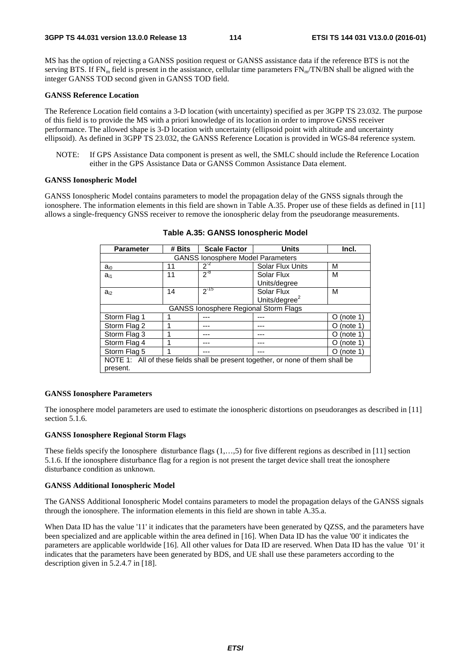MS has the option of rejecting a GANSS position request or GANSS assistance data if the reference BTS is not the serving BTS. If  $FN_m$  field is present in the assistance, cellular time parameters  $FN_m/TN/BN$  shall be aligned with the integer GANSS TOD second given in GANSS TOD field.

### **GANSS Reference Location**

The Reference Location field contains a 3-D location (with uncertainty) specified as per 3GPP TS 23.032. The purpose of this field is to provide the MS with a priori knowledge of its location in order to improve GNSS receiver performance. The allowed shape is 3-D location with uncertainty (ellipsoid point with altitude and uncertainty ellipsoid). As defined in 3GPP TS 23.032, the GANSS Reference Location is provided in WGS-84 reference system.

NOTE: If GPS Assistance Data component is present as well, the SMLC should include the Reference Location either in the GPS Assistance Data or GANSS Common Assistance Data element.

## **GANSS Ionospheric Model**

GANSS Ionospheric Model contains parameters to model the propagation delay of the GNSS signals through the ionosphere. The information elements in this field are shown in Table A.35. Proper use of these fields as defined in [11] allows a single-frequency GNSS receiver to remove the ionospheric delay from the pseudorange measurements.

| <b>Parameter</b>                                                                | # Bits | <b>Scale Factor</b>                          | <b>Units</b>              | Incl.           |  |  |  |
|---------------------------------------------------------------------------------|--------|----------------------------------------------|---------------------------|-----------------|--|--|--|
| <b>GANSS lonosphere Model Parameters</b>                                        |        |                                              |                           |                 |  |  |  |
| $a_{i0}$                                                                        | 11     | $2^{-2}$                                     | <b>Solar Flux Units</b>   | м               |  |  |  |
| $a_{i1}$                                                                        | 11     | $2^{-8}$                                     | Solar Flux                | м               |  |  |  |
|                                                                                 |        |                                              | Units/degree              |                 |  |  |  |
| $a_{i2}$                                                                        | 14     | $2^{-15}$                                    | Solar Flux                | м               |  |  |  |
|                                                                                 |        |                                              | Units/degree <sup>2</sup> |                 |  |  |  |
|                                                                                 |        | <b>GANSS lonosphere Regional Storm Flags</b> |                           |                 |  |  |  |
| Storm Flag 1                                                                    |        |                                              |                           | (note 1)<br>O   |  |  |  |
| Storm Flag 2                                                                    |        |                                              |                           | (note 1)<br>0   |  |  |  |
| Storm Flag 3                                                                    |        |                                              |                           | (note 1)<br>( ) |  |  |  |
| Storm Flag 4                                                                    |        |                                              |                           | (note 1)<br>0   |  |  |  |
| Storm Flag 5<br>(note 1)<br>Ő                                                   |        |                                              |                           |                 |  |  |  |
| NOTE 1: All of these fields shall be present together, or none of them shall be |        |                                              |                           |                 |  |  |  |
| present.                                                                        |        |                                              |                           |                 |  |  |  |

**Table A.35: GANSS Ionospheric Model** 

#### **GANSS Ionosphere Parameters**

The ionosphere model parameters are used to estimate the ionospheric distortions on pseudoranges as described in [11] section 5.1.6.

#### **GANSS Ionosphere Regional Storm Flags**

These fields specify the Ionosphere disturbance flags  $(1, \ldots, 5)$  for five different regions as described in [11] section 5.1.6. If the ionosphere disturbance flag for a region is not present the target device shall treat the ionosphere disturbance condition as unknown.

#### **GANSS Additional Ionospheric Model**

The GANSS Additional Ionospheric Model contains parameters to model the propagation delays of the GANSS signals through the ionosphere. The information elements in this field are shown in table A.35.a.

When Data ID has the value '11' it indicates that the parameters have been generated by QZSS, and the parameters have been specialized and are applicable within the area defined in [16]. When Data ID has the value '00' it indicates the parameters are applicable worldwide [16]. All other values for Data ID are reserved. When Data ID has the value '01' it indicates that the parameters have been generated by BDS, and UE shall use these parameters according to the description given in 5.2.4.7 in [18].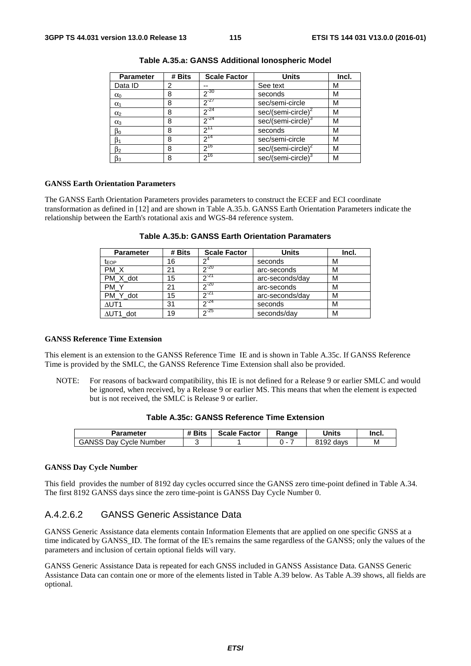| <b>Parameter</b> | # Bits | <b>Scale Factor</b> | <b>Units</b>                   | Incl. |
|------------------|--------|---------------------|--------------------------------|-------|
| Data ID          | 2      |                     | See text                       | М     |
| $\alpha_0$       | 8      | $2^{-30}$           | seconds                        | М     |
| $\alpha_1$       | 8      | $2^{-27}$           | sec/semi-circle                | М     |
| $\alpha_2$       | 8      | $2^{-24}$           | sec/(semi-circle) <sup>2</sup> | М     |
| $\alpha_3$       | 8      | $2^{-24}$           | sec/(semi-circle) <sup>3</sup> | М     |
| $\beta_0$        | 8      | $2^{11}$            | seconds                        | М     |
| ß1               | 8      | $2^{14}$            | sec/semi-circle                | М     |
| $\beta_2$        | 8      | $2^{16}$            | $sec/(semi-circle)^2$          | М     |
| $\beta_3$        | 8      | $2^{16}$            | sec/(semi-circle) <sup>3</sup> | М     |

**Table A.35.a: GANSS Additional Ionospheric Model** 

#### **GANSS Earth Orientation Parameters**

The GANSS Earth Orientation Parameters provides parameters to construct the ECEF and ECI coordinate transformation as defined in [12] and are shown in Table A.35.b. GANSS Earth Orientation Parameters indicate the relationship between the Earth's rotational axis and WGS-84 reference system.

| <b>Parameter</b> | # Bits | <b>Scale Factor</b> | <b>Units</b>    | Incl. |
|------------------|--------|---------------------|-----------------|-------|
| t <sub>EOP</sub> | 16     |                     | seconds         | м     |
| PM X             | 21     | $20 - 20$           | arc-seconds     | М     |
| PM X dot         | 15     | $2^{21}$            | arc-seconds/day | М     |
| PM Y             | 21     | 20                  | arc-seconds     | М     |
| PM Y dot         | 15     | 21                  | arc-seconds/day | М     |
| $\triangle$ UT1  | 31     | $2^{24}$            | seconds         | М     |
| $\Delta$ UT1 dot | 19     | 25                  | seconds/day     | М     |

**Table A.35.b: GANSS Earth Orientation Paramaters** 

## **GANSS Reference Time Extension**

This element is an extension to the GANSS Reference Time IE and is shown in Table A.35c. If GANSS Reference Time is provided by the SMLC, the GANSS Reference Time Extension shall also be provided.

NOTE: For reasons of backward compatibility, this IE is not defined for a Release 9 or earlier SMLC and would be ignored, when received, by a Release 9 or earlier MS. This means that when the element is expected but is not received, the SMLC is Release 9 or earlier.

| Table A.35c: GANSS Reference Time Extension |  |
|---------------------------------------------|--|
|---------------------------------------------|--|

| Parameter                     | # Bits | <b>Scale Factor</b> | Range | <b>Units</b>                  | Incl. |
|-------------------------------|--------|---------------------|-------|-------------------------------|-------|
| <b>GANSS Day Cycle Number</b> |        |                     | . .   | -92<br>O <sub>4</sub><br>davs | М     |

#### **GANSS Day Cycle Number**

This field provides the number of 8192 day cycles occurred since the GANSS zero time-point defined in Table A.34. The first 8192 GANSS days since the zero time-point is GANSS Day Cycle Number 0.

# A.4.2.6.2 GANSS Generic Assistance Data

GANSS Generic Assistance data elements contain Information Elements that are applied on one specific GNSS at a time indicated by GANSS\_ID. The format of the IE's remains the same regardless of the GANSS; only the values of the parameters and inclusion of certain optional fields will vary.

GANSS Generic Assistance Data is repeated for each GNSS included in GANSS Assistance Data. GANSS Generic Assistance Data can contain one or more of the elements listed in Table A.39 below. As Table A.39 shows, all fields are optional.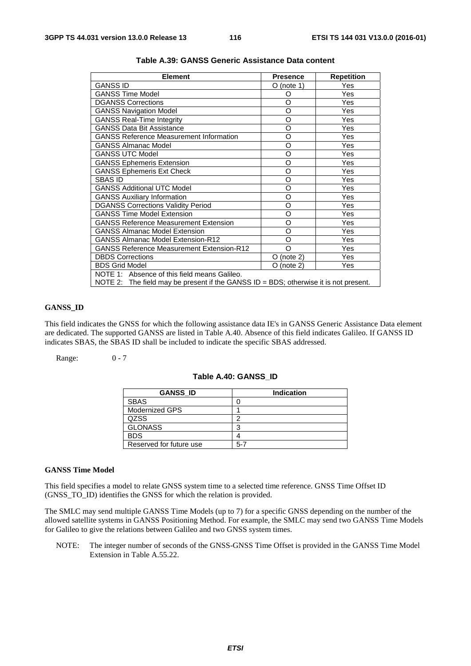| <b>Element</b>                                                                          | <b>Presence</b> | <b>Repetition</b> |  |  |  |  |
|-----------------------------------------------------------------------------------------|-----------------|-------------------|--|--|--|--|
| <b>GANSS ID</b>                                                                         | $O$ (note 1)    | Yes               |  |  |  |  |
| <b>GANSS Time Model</b>                                                                 | O               | Yes               |  |  |  |  |
| <b>DGANSS Corrections</b>                                                               | O               | Yes               |  |  |  |  |
| <b>GANSS Navigation Model</b>                                                           | O               | Yes               |  |  |  |  |
| <b>GANSS Real-Time Integrity</b>                                                        | O               | Yes               |  |  |  |  |
| <b>GANSS Data Bit Assistance</b>                                                        | O               | Yes               |  |  |  |  |
| <b>GANSS Reference Measurement Information</b>                                          | O               | Yes               |  |  |  |  |
| <b>GANSS Almanac Model</b>                                                              | O               | Yes               |  |  |  |  |
| <b>GANSS UTC Model</b>                                                                  | O               | Yes               |  |  |  |  |
| <b>GANSS Ephemeris Extension</b>                                                        | $\Omega$        | Yes               |  |  |  |  |
| <b>GANSS Ephemeris Ext Check</b>                                                        | O               | Yes               |  |  |  |  |
| SBAS ID                                                                                 | $\Omega$        | Yes               |  |  |  |  |
| <b>GANSS Additional UTC Model</b>                                                       | O               | Yes               |  |  |  |  |
| <b>GANSS Auxiliary Information</b>                                                      | O               | Yes               |  |  |  |  |
| <b>DGANSS Corrections Validity Period</b>                                               | O               | Yes               |  |  |  |  |
| <b>GANSS Time Model Extension</b>                                                       | O               | Yes               |  |  |  |  |
| <b>GANSS Reference Measurement Extension</b>                                            | O               | Yes               |  |  |  |  |
| <b>GANSS Almanac Model Extension</b>                                                    | O               | Yes               |  |  |  |  |
| <b>GANSS Almanac Model Extension-R12</b>                                                | Ω               | Yes               |  |  |  |  |
| <b>GANSS Reference Measurement Extension-R12</b>                                        | $\Omega$        | Yes               |  |  |  |  |
| <b>DBDS Corrections</b>                                                                 | (note 2)<br>O   | Yes               |  |  |  |  |
| <b>BDS Grid Model</b>                                                                   | O (note 2)      | Yes               |  |  |  |  |
| NOTE 1: Absence of this field means Galileo.                                            |                 |                   |  |  |  |  |
| NOTE 2: The field may be present if the GANSS $ID = BDS$ ; otherwise it is not present. |                 |                   |  |  |  |  |

# **Table A.39: GANSS Generic Assistance Data content**

# **GANSS\_ID**

This field indicates the GNSS for which the following assistance data IE's in GANSS Generic Assistance Data element are dedicated. The supported GANSS are listed in Table A.40. Absence of this field indicates Galileo. If GANSS ID indicates SBAS, the SBAS ID shall be included to indicate the specific SBAS addressed.

Range: 0 - 7

## **Table A.40: GANSS\_ID**

| <b>GANSS ID</b>         | <b>Indication</b> |
|-------------------------|-------------------|
| <b>SBAS</b>             |                   |
| <b>Modernized GPS</b>   |                   |
| QZSS                    | ╭                 |
| <b>GLONASS</b>          | З                 |
| <b>BDS</b>              |                   |
| Reserved for future use | $5-7$             |

#### **GANSS Time Model**

This field specifies a model to relate GNSS system time to a selected time reference. GNSS Time Offset ID (GNSS\_TO\_ID) identifies the GNSS for which the relation is provided.

The SMLC may send multiple GANSS Time Models (up to 7) for a specific GNSS depending on the number of the allowed satellite systems in GANSS Positioning Method. For example, the SMLC may send two GANSS Time Models for Galileo to give the relations between Galileo and two GNSS system times.

NOTE: The integer number of seconds of the GNSS-GNSS Time Offset is provided in the GANSS Time Model Extension in Table A.55.22.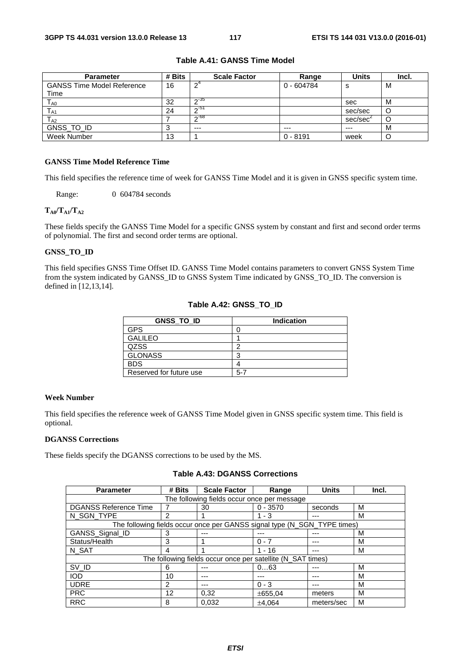| <b>Parameter</b>                  | # Bits | <b>Scale Factor</b> | Range      | <b>Units</b> | Incl. |
|-----------------------------------|--------|---------------------|------------|--------------|-------|
| <b>GANSS Time Model Reference</b> | 16     | ົດ"                 | 0 - 604784 | o            | M     |
| Time                              |        |                     |            |              |       |
| T <sub>A0</sub>                   | 32     | _ი-პნ               |            | sec          | M     |
| $T_{A1}$                          | 24     | $\sim$ -51          |            | sec/sec      | U     |
| $T_{A2}$                          |        | $\sim$ -68          |            | sec/sec      |       |
| GNSS_TO_ID                        |        | $---$               | $---$      | $---$        | м     |
| Week Number                       | 13     |                     | $0 - 8191$ | week         |       |

## **Table A.41: GANSS Time Model**

# **GANSS Time Model Reference Time**

This field specifies the reference time of week for GANSS Time Model and it is given in GNSS specific system time.

Range: 0 604784 seconds

#### $T_{A0}/T_{A1}/T_{A2}$

These fields specify the GANSS Time Model for a specific GNSS system by constant and first and second order terms of polynomial. The first and second order terms are optional.

## **GNSS\_TO\_ID**

This field specifies GNSS Time Offset ID. GANSS Time Model contains parameters to convert GNSS System Time from the system indicated by GANSS\_ID to GNSS System Time indicated by GNSS\_TO\_ID. The conversion is defined in [12,13,14].

| <b>GNSS TO ID</b>       | <b>Indication</b> |
|-------------------------|-------------------|
| <b>GPS</b>              |                   |
| <b>GALILEO</b>          |                   |
| QZSS                    | ◠                 |
| <b>GLONASS</b>          | ິ                 |
| <b>BDS</b>              |                   |
| Reserved for future use | $5 - 7$           |

## **Table A.42: GNSS\_TO\_ID**

#### **Week Number**

This field specifies the reference week of GANSS Time Model given in GNSS specific system time. This field is optional.

## **DGANSS Corrections**

These fields specify the DGANSS corrections to be used by the MS.

# **Table A.43: DGANSS Corrections**

| <b>Parameter</b>             | # Bits         | <b>Scale Factor</b>                                                      | Range      | <b>Units</b> | Incl. |
|------------------------------|----------------|--------------------------------------------------------------------------|------------|--------------|-------|
|                              |                | The following fields occur once per message                              |            |              |       |
| <b>DGANSS Reference Time</b> |                | 30                                                                       | $0 - 3570$ | seconds      | М     |
| N_SGN_TYPE                   | $\mathfrak{p}$ |                                                                          | $1 - 3$    |              | м     |
|                              |                | The following fields occur once per GANSS signal type (N_SGN_TYPE times) |            |              |       |
| GANSS_Signal_ID              | 3              | ---                                                                      |            |              | М     |
| Status/Health                | 3              |                                                                          | $0 - 7$    |              | М     |
| N SAT                        | 4              |                                                                          | $1 - 16$   |              | м     |
|                              |                | The following fields occur once per satellite (N_SAT times)              |            |              |       |
| SV_ID                        | 6              |                                                                          | 063        |              | М     |
| <b>IOD</b>                   | 10             | ---                                                                      |            |              | м     |
| <b>UDRE</b>                  | 2              | ---                                                                      | $0 - 3$    |              | М     |
| <b>PRC</b>                   | 12             | 0,32                                                                     | ±655.04    | meters       | М     |
| <b>RRC</b>                   | 8              | 0.032                                                                    | ±4.064     | meters/sec   | М     |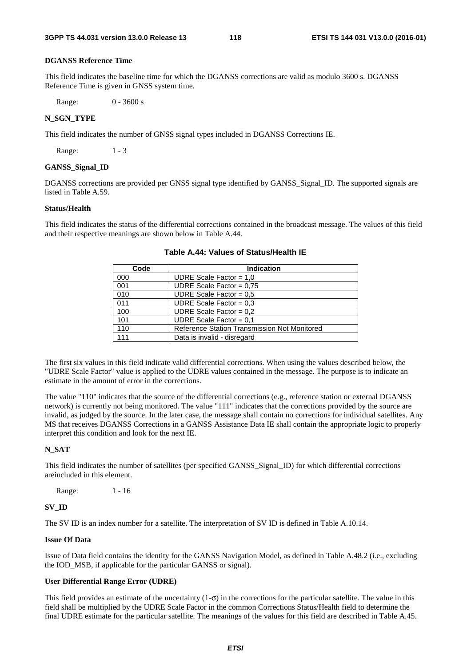## **DGANSS Reference Time**

This field indicates the baseline time for which the DGANSS corrections are valid as modulo 3600 s. DGANSS Reference Time is given in GNSS system time.

Range: 0 - 3600 s

## **N\_SGN\_TYPE**

This field indicates the number of GNSS signal types included in DGANSS Corrections IE.

Range: 1 - 3

#### **GANSS\_Signal\_ID**

DGANSS corrections are provided per GNSS signal type identified by GANSS\_Signal\_ID. The supported signals are listed in Table A.59.

#### **Status/Health**

This field indicates the status of the differential corrections contained in the broadcast message. The values of this field and their respective meanings are shown below in Table A.44.

| Code | <b>Indication</b>                            |
|------|----------------------------------------------|
| 000  | UDRE Scale Factor = $1,0$                    |
| 001  | UDRE Scale Factor = $0.75$                   |
| 010  | UDRE Scale Factor = $0.5$                    |
| 011  | UDRE Scale Factor = $0,3$                    |
| 100  | UDRE Scale Factor = $0.2$                    |
| 101  | UDRE Scale Factor = $0.1$                    |
| 110  | Reference Station Transmission Not Monitored |
| 111  | Data is invalid - disregard                  |

**Table A.44: Values of Status/Health IE** 

The first six values in this field indicate valid differential corrections. When using the values described below, the "UDRE Scale Factor" value is applied to the UDRE values contained in the message. The purpose is to indicate an estimate in the amount of error in the corrections.

The value "110" indicates that the source of the differential corrections (e.g., reference station or external DGANSS network) is currently not being monitored. The value "111" indicates that the corrections provided by the source are invalid, as judged by the source. In the later case, the message shall contain no corrections for individual satellites. Any MS that receives DGANSS Corrections in a GANSS Assistance Data IE shall contain the appropriate logic to properly interpret this condition and look for the next IE.

#### **N\_SAT**

This field indicates the number of satellites (per specified GANSS\_Signal\_ID) for which differential corrections areincluded in this element.

Range: 1 - 16

### **SV\_ID**

The SV ID is an index number for a satellite. The interpretation of SV ID is defined in Table A.10.14.

## **Issue Of Data**

Issue of Data field contains the identity for the GANSS Navigation Model, as defined in Table A.48.2 (i.e., excluding the IOD\_MSB, if applicable for the particular GANSS or signal).

### **User Differential Range Error (UDRE)**

This field provides an estimate of the uncertainty  $(1-\sigma)$  in the corrections for the particular satellite. The value in this field shall be multiplied by the UDRE Scale Factor in the common Corrections Status/Health field to determine the final UDRE estimate for the particular satellite. The meanings of the values for this field are described in Table A.45.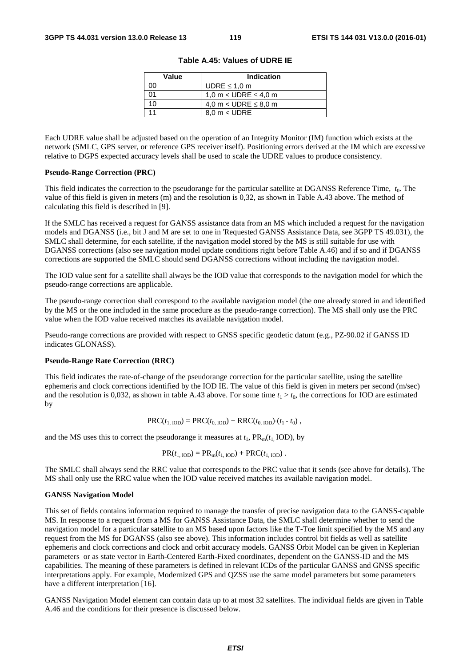| Value      | <b>Indication</b>         |
|------------|---------------------------|
|            | UDRE $\leq$ 1.0 m         |
| $^{\circ}$ | 1,0 m < UDRE $\leq$ 4,0 m |
| 10         | 4,0 m < UDRE $\leq$ 8,0 m |
|            | $8.0 m <$ UDRE            |

**Table A.45: Values of UDRE IE** 

Each UDRE value shall be adjusted based on the operation of an Integrity Monitor (IM) function which exists at the network (SMLC, GPS server, or reference GPS receiver itself). Positioning errors derived at the IM which are excessive relative to DGPS expected accuracy levels shall be used to scale the UDRE values to produce consistency.

#### **Pseudo-Range Correction (PRC)**

This field indicates the correction to the pseudorange for the particular satellite at DGANSS Reference Time, *t*0. The value of this field is given in meters (m) and the resolution is 0,32, as shown in Table A.43 above. The method of calculating this field is described in [9].

If the SMLC has received a request for GANSS assistance data from an MS which included a request for the navigation models and DGANSS (i.e., bit J and M are set to one in 'Requested GANSS Assistance Data, see 3GPP TS 49.031), the SMLC shall determine, for each satellite, if the navigation model stored by the MS is still suitable for use with DGANSS corrections (also see navigation model update conditions right before Table A.46) and if so and if DGANSS corrections are supported the SMLC should send DGANSS corrections without including the navigation model.

The IOD value sent for a satellite shall always be the IOD value that corresponds to the navigation model for which the pseudo-range corrections are applicable.

The pseudo-range correction shall correspond to the available navigation model (the one already stored in and identified by the MS or the one included in the same procedure as the pseudo-range correction). The MS shall only use the PRC value when the IOD value received matches its available navigation model.

Pseudo-range corrections are provided with respect to GNSS specific geodetic datum (e.g., PZ-90.02 if GANSS ID indicates GLONASS).

#### **Pseudo-Range Rate Correction (RRC)**

This field indicates the rate-of-change of the pseudorange correction for the particular satellite, using the satellite ephemeris and clock corrections identified by the IOD IE. The value of this field is given in meters per second (m/sec) and the resolution is 0,032, as shown in table A.43 above. For some time  $t_1 > t_0$ , the corrections for IOD are estimated by

$$
PRC(t_{1,\text{IOD}}) = PRC(t_{0,\text{IOD}}) + RRC(t_{0,\text{IOD}}) (t_1 - t_0),
$$

and the MS uses this to correct the pseudorange it measures at  $t_1$ ,  $PR_m(t_1 \text{ IOD})$ , by

$$
PR(t_{1, IOD}) = PR_m(t_{1, IOD}) + PRC(t_{1, IOD}).
$$

The SMLC shall always send the RRC value that corresponds to the PRC value that it sends (see above for details). The MS shall only use the RRC value when the IOD value received matches its available navigation model.

#### **GANSS Navigation Model**

This set of fields contains information required to manage the transfer of precise navigation data to the GANSS-capable MS. In response to a request from a MS for GANSS Assistance Data, the SMLC shall determine whether to send the navigation model for a particular satellite to an MS based upon factors like the T-Toe limit specified by the MS and any request from the MS for DGANSS (also see above). This information includes control bit fields as well as satellite ephemeris and clock corrections and clock and orbit accuracy models. GANSS Orbit Model can be given in Keplerian parameters or as state vector in Earth-Centered Earth-Fixed coordinates, dependent on the GANSS-ID and the MS capabilities. The meaning of these parameters is defined in relevant ICDs of the particular GANSS and GNSS specific interpretations apply. For example, Modernized GPS and QZSS use the same model parameters but some parameters have a different interpretation [16].

GANSS Navigation Model element can contain data up to at most 32 satellites. The individual fields are given in Table A.46 and the conditions for their presence is discussed below.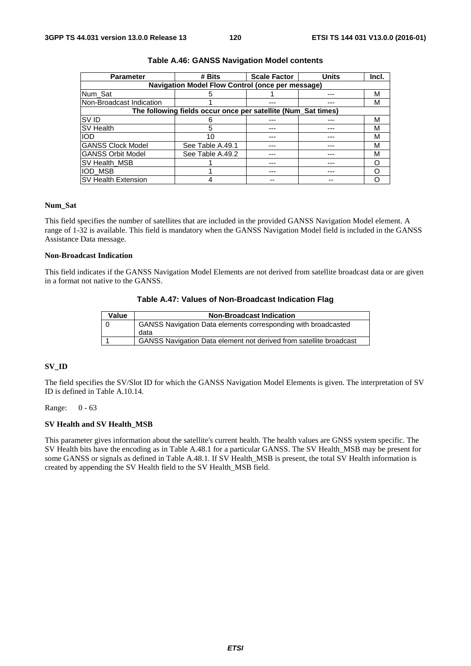| <b>Parameter</b>           | # Bits                                                        | <b>Scale Factor</b> | <b>Units</b> | Incl. |
|----------------------------|---------------------------------------------------------------|---------------------|--------------|-------|
|                            | <b>Navigation Model Flow Control (once per message)</b>       |                     |              |       |
| Num_Sat                    |                                                               |                     |              | M     |
| Non-Broadcast Indication   |                                                               |                     |              | м     |
|                            | The following fields occur once per satellite (Num_Sat times) |                     |              |       |
| <b>SVID</b>                |                                                               |                     |              | М     |
| <b>SV Health</b>           | 5                                                             |                     |              | М     |
| <b>IOD</b>                 | 10                                                            |                     |              | М     |
| <b>GANSS Clock Model</b>   | See Table A.49.1                                              |                     |              | м     |
| <b>GANSS Orbit Model</b>   | See Table A.49.2                                              |                     |              | М     |
| SV Health MSB              |                                                               |                     |              |       |
| <b>IOD MSB</b>             |                                                               |                     |              |       |
| <b>SV Health Extension</b> |                                                               |                     |              |       |

#### **Table A.46: GANSS Navigation Model contents**

#### **Num\_Sat**

This field specifies the number of satellites that are included in the provided GANSS Navigation Model element. A range of 1-32 is available. This field is mandatory when the GANSS Navigation Model field is included in the GANSS Assistance Data message.

#### **Non-Broadcast Indication**

This field indicates if the GANSS Navigation Model Elements are not derived from satellite broadcast data or are given in a format not native to the GANSS.

## **Table A.47: Values of Non-Broadcast Indication Flag**

| Value | <b>Non-Broadcast Indication</b>                                           |
|-------|---------------------------------------------------------------------------|
|       | <b>GANSS Navigation Data elements corresponding with broadcasted</b>      |
|       | data                                                                      |
|       | <b>GANSS Navigation Data element not derived from satellite broadcast</b> |

#### **SV\_ID**

The field specifies the SV/Slot ID for which the GANSS Navigation Model Elements is given. The interpretation of SV ID is defined in Table A.10.14.

Range: 0 - 63

## **SV Health and SV Health\_MSB**

This parameter gives information about the satellite's current health. The health values are GNSS system specific. The SV Health bits have the encoding as in Table A.48.1 for a particular GANSS. The SV Health\_MSB may be present for some GANSS or signals as defined in Table A.48.1. If SV Health\_MSB is present, the total SV Health information is created by appending the SV Health field to the SV Health\_MSB field.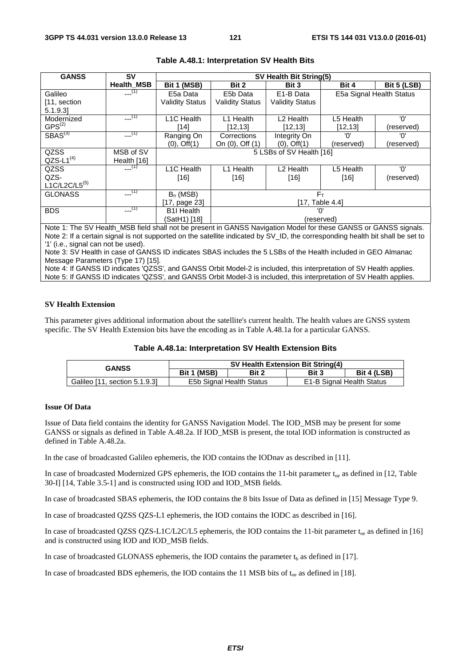| <b>GANSS</b>        | <b>SV</b>         | SV Health Bit String(5) |                        |                          |            |                          |  |
|---------------------|-------------------|-------------------------|------------------------|--------------------------|------------|--------------------------|--|
|                     | <b>Health_MSB</b> | Bit 1 (MSB)             | Bit 2                  | Bit 3                    | Bit 4      | Bit 5 (LSB)              |  |
| Galileo             | $-(-1)$           | E5a Data                | E5b Data               | E <sub>1</sub> -B Data   |            | E5a Signal Health Status |  |
| [11, section]       |                   | <b>Validity Status</b>  | <b>Validity Status</b> | <b>Validity Status</b>   |            |                          |  |
| 5.1.9.3             |                   |                         |                        |                          |            |                          |  |
| Modernized          | $-(-1)$           | L <sub>1</sub> C Health | L1 Health              | L <sub>2</sub> Health    | L5 Health  | 'ח'                      |  |
| $GPS^{(2)}$         |                   | [14]                    | [12, 13]               | [12,13]                  | [12, 13]   | (reserved)               |  |
| SBAS <sup>(3)</sup> | $-$ (1)           | Ranging On              | Corrections            | Integrity On             | 'ח'        | 'ח'                      |  |
|                     |                   | $(0)$ , Off $(1)$       | On (0), Off (1)        | $(0)$ , Off $(1)$        | (reserved) | (reserved)               |  |
| QZSS                | MSB of SV         |                         |                        | 5 LSBs of SV Health [16] |            |                          |  |
| $QZS-L1^{(4)}$      | Health [16]       |                         |                        |                          |            |                          |  |
| QZSS                | $-$ (1)           | L1C Health              | L1 Health              | L <sub>2</sub> Health    | L5 Health  | 'ח'                      |  |
| QZS-                |                   | $[16]$                  | $[16]$                 | $[16]$                   | $[16]$     | (reserved)               |  |
| $L1C/L2C/L5^{(5)}$  |                   |                         |                        |                          |            |                          |  |
| <b>GLONASS</b>      | $-$ (1)           | $B_n$ (MSB)             | $F_T$                  |                          |            |                          |  |
|                     |                   | [17, page 23]           | [17, Table 4.4]        |                          |            |                          |  |
| <b>BDS</b>          | $---(1)$          | <b>B1I Health</b>       | 'ח'                    |                          |            |                          |  |
|                     |                   | (SatH1) [18]            | (reserved)             |                          |            |                          |  |

### **Table A.48.1: Interpretation SV Health Bits**

Note 1: The SV Health\_MSB field shall not be present in GANSS Navigation Model for these GANSS or GANSS signals. Note 2: If a certain signal is not supported on the satellite indicated by SV\_ID, the corresponding health bit shall be set to '1' (i.e., signal can not be used).

Note 3: SV Health in case of GANSS ID indicates SBAS includes the 5 LSBs of the Health included in GEO Almanac Message Parameters (Type 17) [15].

Note 4: If GANSS ID indicates 'QZSS', and GANSS Orbit Model-2 is included, this interpretation of SV Health applies. Note 5: If GANSS ID indicates 'QZSS', and GANSS Orbit Model-3 is included, this interpretation of SV Health applies.

#### **SV Health Extension**

This parameter gives additional information about the satellite's current health. The health values are GNSS system specific. The SV Health Extension bits have the encoding as in Table A.48.1a for a particular GANSS.

|  | Table A.48.1a: Interpretation SV Health Extension Bits |  |  |  |
|--|--------------------------------------------------------|--|--|--|
|--|--------------------------------------------------------|--|--|--|

| <b>GANSS</b>                  | SV Health Extension Bit String(4) |       |       |                           |
|-------------------------------|-----------------------------------|-------|-------|---------------------------|
|                               | Bit 1 (MSB)                       | Bit 2 | Bit 3 | Bit 4 (LSB)               |
| Galileo [11, section 5.1.9.3] | E5b Signal Health Status          |       |       | E1-B Signal Health Status |

#### **Issue Of Data**

Issue of Data field contains the identity for GANSS Navigation Model. The IOD\_MSB may be present for some GANSS or signals as defined in Table A.48.2a. If IOD\_MSB is present, the total IOD information is constructed as defined in Table A.48.2a.

In the case of broadcasted Galileo ephemeris, the IOD contains the IODnav as described in [11].

In case of broadcasted Modernized GPS ephemeris, the IOD contains the 11-bit parameter  $t_{oe}$  as defined in [12, Table 30-I] [14, Table 3.5-1] and is constructed using IOD and IOD\_MSB fields.

In case of broadcasted SBAS ephemeris, the IOD contains the 8 bits Issue of Data as defined in [15] Message Type 9.

In case of broadcasted QZSS QZS-L1 ephemeris, the IOD contains the IODC as described in [16].

In case of broadcasted QZSS QZS-L1C/L2C/L5 ephemeris, the IOD contains the 11-bit parameter  $t_{oe}$  as defined in [16] and is constructed using IOD and IOD\_MSB fields.

In case of broadcasted GLONASS ephemeris, the IOD contains the parameter  $t<sub>h</sub>$  as defined in [17].

In case of broadcasted BDS ephemeris, the IOD contains the 11 MSB bits of  $t_{oe}$  as defined in [18].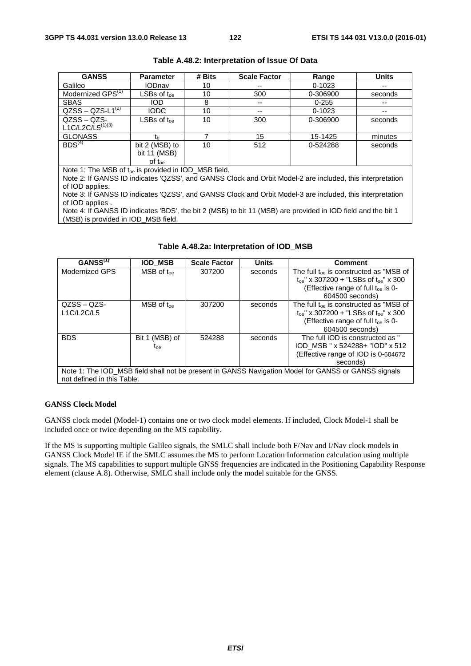| <b>GANSS</b>                                                     | <b>Parameter</b>                                             | # Bits | <b>Scale Factor</b> | Range      | <b>Units</b> |  |
|------------------------------------------------------------------|--------------------------------------------------------------|--------|---------------------|------------|--------------|--|
| Galileo                                                          | <b>IODnav</b>                                                | 10     | $- -$               | $0 - 1023$ | $- -$        |  |
| Modernized GPS <sup>(1)</sup>                                    | $\mathsf{LSBs}\hspace{0.04cm}$ of $\mathfrak{t}_\mathsf{oe}$ | 10     | 300                 | 0-306900   | seconds      |  |
| <b>SBAS</b>                                                      | <b>IOD</b>                                                   | 8      | $- -$               | $0 - 255$  | $- -$        |  |
| $QZSS - QZS - \overline{L1^{(2)}}$                               | <b>IODC</b>                                                  | 10     | $- -$               | $0 - 1023$ | --           |  |
| $QZSS - QZS -$                                                   | $LSBs$ of $t_{\text{one}}$                                   | 10     | 300                 | 0-306900   | seconds      |  |
| $L1C/L2C/L5^{(1)(3)}$                                            |                                                              |        |                     |            |              |  |
| <b>GLONASS</b>                                                   | th                                                           |        | 15                  | 15-1425    | minutes      |  |
| BDS <sup>(4)</sup>                                               | bit 2 (MSB) to                                               | 10     | 512                 | 0-524288   | seconds      |  |
|                                                                  | bit 11 (MSB)                                                 |        |                     |            |              |  |
|                                                                  | $of t_{oe}$                                                  |        |                     |            |              |  |
| Note 1: The MSB of t <sub>oe</sub> is provided in IOD_MSB field. |                                                              |        |                     |            |              |  |

|  |  | Table A.48.2: Interpretation of Issue Of Data |
|--|--|-----------------------------------------------|
|--|--|-----------------------------------------------|

Note 2: If GANSS ID indicates 'QZSS', and GANSS Clock and Orbit Model-2 are included, this interpretation of IOD applies.

Note 3: If GANSS ID indicates 'QZSS', and GANSS Clock and Orbit Model-3 are included, this interpretation of IOD applies .

Note 4: If GANSS ID indicates 'BDS', the bit 2 (MSB) to bit 11 (MSB) are provided in IOD field and the bit 1 (MSB) is provided in IOD\_MSB field.

| GANSS <sup>(1)</sup> | <b>IOD MSB</b>            | <b>Scale Factor</b>        | Units   | Comment                                                                                             |  |  |  |  |
|----------------------|---------------------------|----------------------------|---------|-----------------------------------------------------------------------------------------------------|--|--|--|--|
| Modernized GPS       | $MSB$ of $t_{oe}$         | 307200                     | seconds | The full $t_{\text{oe}}$ is constructed as "MSB of                                                  |  |  |  |  |
|                      |                           |                            |         | $t_{\text{oe}}$ " x 307200 + "LSBs of $t_{\text{oe}}$ " x 300                                       |  |  |  |  |
|                      |                           |                            |         | (Effective range of full $t_{\text{oe}}$ is 0-                                                      |  |  |  |  |
|                      |                           |                            |         | 604500 seconds)                                                                                     |  |  |  |  |
| $QZSS - QZS$         | $MSB$ of $t_{\text{one}}$ | 307200                     | seconds | The full $t_{\text{oe}}$ is constructed as "MSB of                                                  |  |  |  |  |
| L1C/L2C/L5           |                           |                            |         | $t_{\rm oe}$ " x 307200 + "LSBs of $t_{\rm oe}$ " x 300                                             |  |  |  |  |
|                      |                           |                            |         | (Effective range of full $t_{\text{oe}}$ is 0-                                                      |  |  |  |  |
|                      |                           |                            |         | 604500 seconds)                                                                                     |  |  |  |  |
| <b>BDS</b>           | Bit 1 (MSB) of            | 524288                     | seconds | The full IOD is constructed as "                                                                    |  |  |  |  |
|                      | <b>L</b> oe               |                            |         | IOD MSB " x 524288+ "IOD" x 512                                                                     |  |  |  |  |
|                      |                           |                            |         | (Effective range of IOD is 0-604672                                                                 |  |  |  |  |
| seconds)             |                           |                            |         |                                                                                                     |  |  |  |  |
|                      |                           |                            |         | Note 1: The IOD_MSB field shall not be present in GANSS Navigation Model for GANSS or GANSS signals |  |  |  |  |
|                      |                           | not defined in this Table. |         |                                                                                                     |  |  |  |  |

## **Table A.48.2a: Interpretation of IOD\_MSB**

#### **GANSS Clock Model**

GANSS clock model (Model-1) contains one or two clock model elements. If included, Clock Model-1 shall be included once or twice depending on the MS capability.

If the MS is supporting multiple Galileo signals, the SMLC shall include both F/Nav and I/Nav clock models in GANSS Clock Model IE if the SMLC assumes the MS to perform Location Information calculation using multiple signals. The MS capabilities to support multiple GNSS frequencies are indicated in the Positioning Capability Response element (clause A.8). Otherwise, SMLC shall include only the model suitable for the GNSS.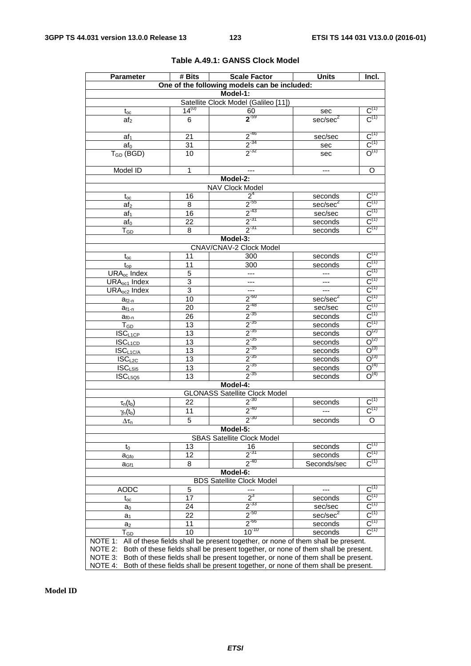| <b>Parameter</b>                             | # Bits          | <b>Scale Factor</b>                                                               | <b>Units</b>                          | Incl.                                             |
|----------------------------------------------|-----------------|-----------------------------------------------------------------------------------|---------------------------------------|---------------------------------------------------|
|                                              |                 | One of the following models can be included:                                      |                                       |                                                   |
|                                              |                 | Model-1:                                                                          |                                       |                                                   |
|                                              |                 | Satellite Clock Model (Galileo [11])                                              |                                       |                                                   |
| $t_{\underline{oc}}$                         | $14^{(u)}$      | 60<br>$2^{59}$                                                                    | $\frac{\text{sec}}{\text{sec/sec}^2}$ | $\frac{\mathsf{C}^{(1)}}{\mathsf{C}^{(1)}}$       |
| af <sub>2</sub>                              | 6               |                                                                                   |                                       |                                                   |
| af <sub>1</sub>                              | 21              | $\frac{2^{46}}{2^{34}}$<br>$\frac{2^{34}}{2^{32}}$                                | sec/sec                               | $\frac{\rm C^{(1)}}{\rm C^{(1)}}$                 |
| af <sub>0</sub>                              | 31              |                                                                                   | sec                                   |                                                   |
| $T_{GD}$ (BGD)                               | 10              |                                                                                   | sec                                   |                                                   |
| Model ID                                     | 1               |                                                                                   |                                       | $\overline{0}$                                    |
|                                              |                 | Model-2:                                                                          |                                       |                                                   |
|                                              |                 | <b>NAV Clock Model</b>                                                            |                                       |                                                   |
| $t_{oc}$                                     | 16              | 2 <sup>4</sup>                                                                    | seconds                               | $C^{(1)}$                                         |
| af <sub>2</sub>                              | 8               | $\frac{2^{55}}{2^{43}}$<br>$\frac{2^{37}}{2^{37}}$                                | sec/sec <sup>2</sup>                  | $\frac{C^{(1)}}{C^{(1)}}$                         |
| af <sub>1</sub>                              | 16              |                                                                                   | sec/sec                               |                                                   |
| af <sub>0</sub>                              | $\overline{22}$ |                                                                                   | seconds                               | $\frac{C^{(1)}}{C^{(1)}}$                         |
| $T_{GD}$                                     | 8               | $2^{-31}$                                                                         | seconds                               |                                                   |
|                                              |                 | Model-3:                                                                          |                                       |                                                   |
|                                              | 11              | CNAV/CNAV-2 Clock Model                                                           |                                       | $C^{(1)}$                                         |
| $t_{\rm oc}$                                 | 11              | 300<br>300                                                                        | seconds                               | $C^{(1)}$                                         |
| $t_{op}$<br><b>URA<sub>oc</sub></b> Index    | 5               |                                                                                   | seconds                               | $\overline{C}^{(1)}$                              |
| URA <sub>oc1</sub> Index                     | $\overline{3}$  |                                                                                   | $---$                                 | $C^{(1)}$                                         |
| URA <sub>oc2</sub> Index                     | $\overline{3}$  | $\hspace{0.05cm} \dashrightarrow$                                                 | ---<br>---                            |                                                   |
|                                              | 10              | $\overline{\phantom{a}}$                                                          | sec/sec <sup>2</sup>                  | $\frac{\overline{C}^{(1)}}{C^{(1)}}$              |
| $a_{f2-n}$                                   | 20              |                                                                                   | sec/sec                               | $C^{(1)}$                                         |
| $a_{f1-n}$<br>$a_{f0-n}$                     | $\overline{26}$ | $\frac{2^{-60}}{2^{-35}}$<br>$\frac{2^{-35}}{2^{-35}}$                            | seconds                               | $C^{(1)}$                                         |
| $T_{GD}$                                     | 13              |                                                                                   | seconds                               | $C^{(1)}$                                         |
| <b>ISCL1CP</b>                               | $\overline{13}$ |                                                                                   | seconds                               | $O^{(2)}$                                         |
| <b>ISC<sub>L1CD</sub></b>                    | $\overline{13}$ | $\frac{2^{35}}{2^{35}}$<br>$\frac{2^{35}}{2^{35}}$<br>$\frac{2^{35}}{2^{35}}$     | seconds                               | $O^{(2)}$                                         |
| $\overline{\text{ISC}}_{\text{L1C/A}}$       | $\overline{13}$ |                                                                                   | seconds                               | $O^{(3)}$                                         |
| $ISC_{L2C}$                                  | 13              |                                                                                   | seconds                               | $O^{(3)}$                                         |
| ISC <sub>L515</sub>                          | $\overline{13}$ |                                                                                   | seconds                               | O <sup>(4)</sup>                                  |
| ISC <sub>L5Q5</sub>                          | 13              | $2^{-35}$                                                                         | seconds                               | $O^{(4)}$                                         |
|                                              |                 | Model-4:                                                                          |                                       |                                                   |
|                                              |                 | <b>GLONASS Satellite Clock Model</b>                                              |                                       |                                                   |
| $\tau_n(t_b)$                                | 22              | $2^{-30}$                                                                         | seconds                               | $C^{(1)}$                                         |
| $\gamma_n(t_b)$                              | $\overline{11}$ | $2^{-40}$                                                                         |                                       | $C^{(1)}$                                         |
| $\Delta\tau_{\text{n}}$                      | 5               | $2^{-30}$                                                                         | seconds                               | $\overline{\circ}$                                |
|                                              |                 | Model-5:                                                                          |                                       |                                                   |
|                                              |                 | <b>SBAS Satellite Clock Model</b>                                                 |                                       |                                                   |
| t0                                           | 13              | 16                                                                                | seconds                               | $C^{(1)}$                                         |
| a <sub>Gfo</sub>                             | 12              | $2^{31}$<br>$2^{-40}$                                                             | seconds                               | $C^{(1)}$<br>$\text{C}^{\scriptscriptstyle{(1)}}$ |
| a <sub>Gf1</sub>                             | 8               |                                                                                   | Seconds/sec                           |                                                   |
| Model-6:<br><b>BDS Satellite Clock Model</b> |                 |                                                                                   |                                       |                                                   |
| <b>AODC</b>                                  | $\overline{5}$  |                                                                                   |                                       | $C^{(1)}$                                         |
|                                              | 17              | $2^3$                                                                             | seconds                               | $C^{(1)}$                                         |
| $t_{oc}$                                     | 24              | $2^{-33}$                                                                         | sec/sec                               | $C^{(1)}$                                         |
| $a_0$<br>$a_1$                               | 22              | $2^{50}$                                                                          | sec/sec <sup>2</sup>                  | $C^{(1)}$                                         |
| a <sub>2</sub>                               | 11              | $2^{.66}$                                                                         | seconds                               | $\mathsf{C}^{(1)}$                                |
| $\mathsf{T}_{\mathsf{GD}}$                   | 10              | $10^{-10}$                                                                        | seconds                               | $C^{(1)}$                                         |
| NOTE 1:                                      |                 | All of these fields shall be present together, or none of them shall be present.  |                                       |                                                   |
| NOTE 2:                                      |                 | Both of these fields shall be present together, or none of them shall be present. |                                       |                                                   |
| NOTE 3:                                      |                 | Both of these fields shall be present together, or none of them shall be present. |                                       |                                                   |
| NOTE 4:                                      |                 | Both of these fields shall be present together, or none of them shall be present. |                                       |                                                   |

# **Table A.49.1: GANSS Clock Model**

**Model ID**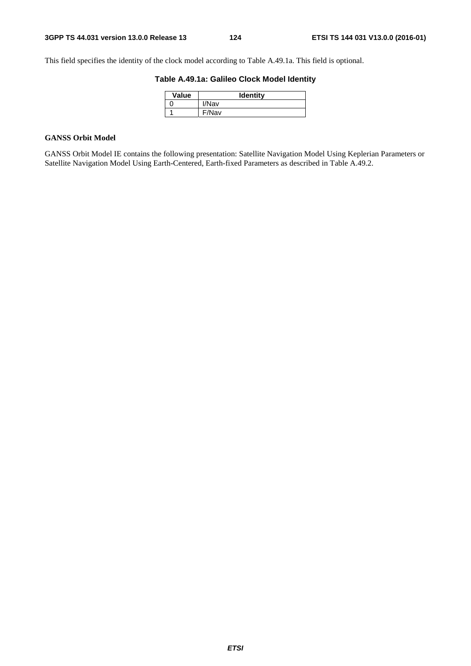This field specifies the identity of the clock model according to Table A.49.1a. This field is optional.

# **Table A.49.1a: Galileo Clock Model Identity**

| Value | <b>Identity</b> |
|-------|-----------------|
|       | I/Nav           |
|       | F/Nav           |

# **GANSS Orbit Model**

GANSS Orbit Model IE contains the following presentation: Satellite Navigation Model Using Keplerian Parameters or Satellite Navigation Model Using Earth-Centered, Earth-fixed Parameters as described in Table A.49.2.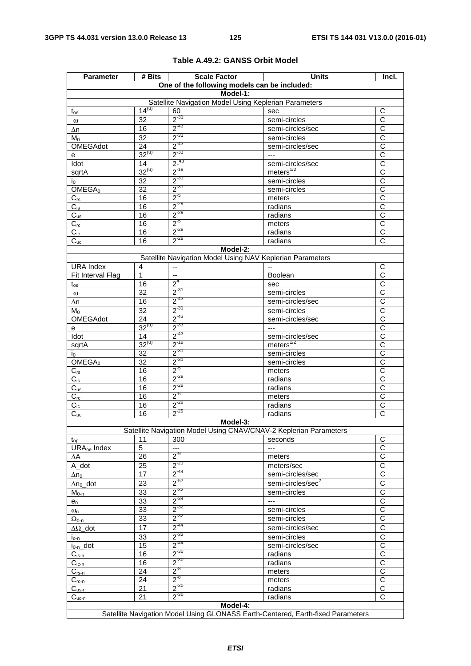| <b>Parameter</b>        | # Bits           | <b>Scale Factor</b>                                               | <b>Units</b>                                                                    | Incl.                                          |  |
|-------------------------|------------------|-------------------------------------------------------------------|---------------------------------------------------------------------------------|------------------------------------------------|--|
|                         |                  | One of the following models can be included:                      |                                                                                 |                                                |  |
|                         |                  | Model-1:                                                          |                                                                                 |                                                |  |
|                         |                  | Satellite Navigation Model Using Keplerian Parameters             |                                                                                 |                                                |  |
| $t_{oe}$                | $14^{(u)}$       | 60                                                                | sec                                                                             | $\mathsf C$                                    |  |
| $\omega$                | 32               | $2^{-31}$                                                         | semi-circles                                                                    | C                                              |  |
| Δn                      | 16               | $2^{-43}$                                                         | semi-circles/sec                                                                | $\overline{\text{c}}$                          |  |
| Mo                      | 32               | $2^{-31}$                                                         | semi-circles                                                                    | $\overline{C}$                                 |  |
| <b>OMEGAdot</b>         | $\overline{24}$  | $2^{-43}$                                                         | semi-circles/sec                                                                | $\overline{\text{c}}$                          |  |
| е                       | $32^{(u)}$       | $2^{-33}$                                                         | $\scriptstyle\cdots$                                                            | $\overline{C}$                                 |  |
| Idot                    | 14<br>$32^{(u)}$ | $\frac{2^{-43}}{2^{-19}}$                                         | semi-circles/sec                                                                | $\overline{\text{c}}$<br>$\overline{\text{c}}$ |  |
| sqrtA                   |                  | $2^{-31}$                                                         | meters <sup>1/2</sup>                                                           |                                                |  |
| I <sub>0</sub>          | 32               | $2^{-31}$                                                         | semi-circles                                                                    | $\overline{C}$<br>$\overline{\text{c}}$        |  |
| OMEGA <sub>0</sub>      | $\overline{32}$  | $2^{5}$                                                           | semi-circles                                                                    |                                                |  |
| $C_{rs}$                | 16<br>16         | $2^{-29}$                                                         | meters                                                                          | C<br>$\overline{\text{c}}$                     |  |
| $C_{is}$                | 16               | $2^{-29}$                                                         | radians                                                                         | $\overline{\text{c}}$                          |  |
| $C_{us}$<br>$C_{rc}$    | 16               | $2^{5}$                                                           | radians                                                                         | $\overline{\text{c}}$                          |  |
| $C_{ic}$                | 16               | $2^{-29}$                                                         | meters<br>radians                                                               | $\overline{C}$                                 |  |
| $C_{uc}$                | 16               | $2^{-29}$                                                         | radians                                                                         | $\mathsf{C}$                                   |  |
|                         |                  | Model-2:                                                          |                                                                                 |                                                |  |
|                         |                  | Satellite Navigation Model Using NAV Keplerian Parameters         |                                                                                 |                                                |  |
| <b>URA</b> Index        | 4                | --                                                                |                                                                                 | C                                              |  |
| Fit Interval Flag       | 1                | $\ddotsc$                                                         | Boolean                                                                         | $\overline{\text{c}}$                          |  |
| $t_{oe}$                | 16               | 2 <sup>4</sup>                                                    | sec                                                                             | $\mathsf{C}$                                   |  |
| $\omega$                | 32               | $2^{31}$                                                          | semi-circles                                                                    | $\overline{C}$                                 |  |
| Δn                      | 16               | $2^{-43}$                                                         | semi-circles/sec                                                                | $\overline{\text{c}}$                          |  |
| $M_0$                   | 32               | $2^{31}$                                                          | semi-circles                                                                    | $\overline{C}$                                 |  |
| OMEGAdot                | $\overline{24}$  | $2^{-43}$                                                         | semi-circles/sec                                                                | $\overline{\text{c}}$                          |  |
| e                       | $32^{(u)}$       | $2^{-33}$                                                         | $\overline{a}$                                                                  | $\overline{C}$                                 |  |
| Idot                    | 14               | $2^{-43}$                                                         | semi-circles/sec                                                                | $\overline{\text{c}}$                          |  |
| sqrtA                   | $32^{(u)}$       | $2^{-19}$                                                         | meters <sup>1/2</sup>                                                           | C                                              |  |
| İ0.                     | 32               | $2^{31}$                                                          | semi-circles                                                                    | $\overline{\text{c}}$                          |  |
| OMEGA <sub>0</sub>      | $\overline{32}$  | $2^{-31}$                                                         | semi-circles                                                                    | $\overline{\text{c}}$                          |  |
| $C_{rs}$                | 16               | $2^{5}$                                                           | meters                                                                          | $\overline{\text{c}}$                          |  |
| $C_{is}$                | 16               | $2^{-29}$                                                         | radians                                                                         | $\overline{\text{c}}$                          |  |
| $C_{us}$                | 16               | $2^{-29}$                                                         | radians                                                                         | $\overline{\text{c}}$                          |  |
| $C_{rc}$                | 16               | $2^{5}$                                                           | meters                                                                          | $\overline{\text{c}}$                          |  |
| $C_{ic}$                | 16               | $2^{-29}$                                                         | radians                                                                         | $\overline{C}$                                 |  |
| $C_{uc}$                | 16               | $2^{-29}$                                                         | radians                                                                         | $\overline{\text{c}}$                          |  |
| Model-3:                |                  |                                                                   |                                                                                 |                                                |  |
|                         |                  | Satellite Navigation Model Using CNAV/CNAV-2 Keplerian Parameters |                                                                                 |                                                |  |
| $t_{op}$                | 11               | 300                                                               | seconds                                                                         | С                                              |  |
| URA <sub>oe</sub> Index | $\overline{5}$   | ---                                                               | ---                                                                             | $\overline{\mathsf{C}}$                        |  |
| ΔΑ                      | 26               | $2^{-9}$                                                          | meters                                                                          | $\overline{\mathsf{C}}$                        |  |
| A_dot                   | 25               | $2^{-21}$                                                         | meters/sec                                                                      | $\overline{\mathsf{C}}$                        |  |
| $\Delta n_0$            | 17               | $2^{-44}$                                                         | semi-circles/sec                                                                | $\overline{C}$                                 |  |
| $\Delta n_0$ _dot       | 23               | $2^{57}$                                                          | semi-circles/sec <sup>2</sup>                                                   | $\overline{C}$                                 |  |
| $M_{0-n}$               | 33               | $2^{-32}$                                                         | semi-circles                                                                    | $\overline{\mathsf{C}}$                        |  |
| $e_n$                   | 33               | $2^{-34}$                                                         | $\cdots$                                                                        | C                                              |  |
| $\omega_{n}$            | 33               | $2^{-32}$                                                         | semi-circles                                                                    | $\overline{\text{c}}$                          |  |
| $\Omega_{0-n}$          | 33               | $2^{-32}$                                                         | semi-circles                                                                    | $\overline{\text{c}}$                          |  |
| $\Delta\Omega$ dot      | 17               | $2^{-44}$                                                         | semi-circles/sec                                                                | $\overline{C}$                                 |  |
| $i_{o-n}$               | 33               | $2^{-32}$                                                         | semi-circles                                                                    | $\overline{C}$                                 |  |
| $i_{0-n}$ _dot          | 15               | $2^{-44}$                                                         | semi-circles/sec                                                                | $\overline{C}$                                 |  |
| $C_{is-n}$              | 16               | $2^{-30}$                                                         | radians                                                                         | $\overline{C}$                                 |  |
| $C_{ic-n}$              | 16               | $2^{-30}$                                                         | radians                                                                         | С                                              |  |
| $C_{rs-n}$              | 24               | $2^{-8}$                                                          | meters                                                                          | $\overline{\text{c}}$                          |  |
| $C_{rc-n}$              | 24               | $2^{-8}$                                                          | meters                                                                          | $\overline{C}$                                 |  |
| $C_{us-n}$              | 21               | $2^{-30}$                                                         | radians                                                                         | $\overline{\text{c}}$                          |  |
| $C_{uc-n}$              | 21               | $2^{-30}$                                                         | radians                                                                         | $\overline{C}$                                 |  |
|                         |                  | Model-4:                                                          |                                                                                 |                                                |  |
|                         |                  |                                                                   | Satellite Navigation Model Using GLONASS Earth-Centered, Earth-fixed Parameters |                                                |  |

# **Table A.49.2: GANSS Orbit Model**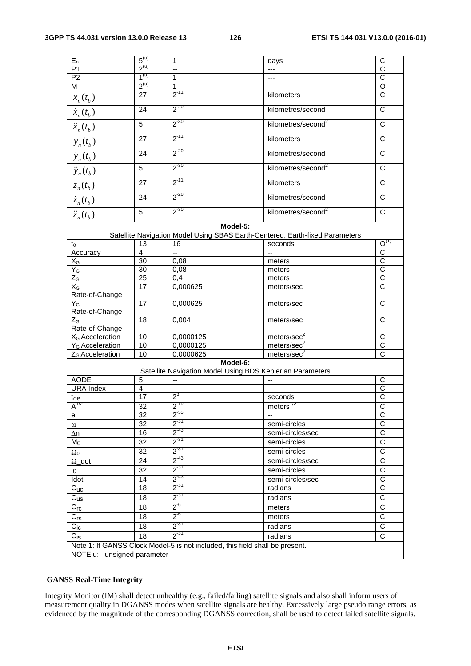| $E_n$                         | $5^{(u)}$ | 1                                                                            | days                                                                         | C                         |  |  |
|-------------------------------|-----------|------------------------------------------------------------------------------|------------------------------------------------------------------------------|---------------------------|--|--|
| P <sub>1</sub>                | $2^{(u)}$ | --                                                                           | ---                                                                          | C                         |  |  |
| P <sub>2</sub>                | $1^{(u)}$ | 1                                                                            |                                                                              | $\overline{C}$            |  |  |
| M                             | $2^{(u)}$ | 1                                                                            |                                                                              | $\overline{\circ}$        |  |  |
| $x_n(t_b)$                    | 27        | $2^{-11}$                                                                    | kilometers                                                                   | $\mathsf{C}$              |  |  |
| $\dot{x}_n(t_b)$              | 24        | $2^{-20}$                                                                    | kilometres/second                                                            | $\mathsf C$               |  |  |
| $\ddot{x}_n(t_b)$             | 5         | $2^{-30}$                                                                    | kilometres/second <sup>2</sup>                                               | $\overline{C}$            |  |  |
| $y_n(t_b)$                    | 27        | $2^{-11}$                                                                    | kilometers                                                                   | $\overline{\text{c}}$     |  |  |
| $\dot{y}_n(t_b)$              | 24        | $2^{-20}$                                                                    | kilometres/second                                                            | C                         |  |  |
| $\ddot{y}_n(t_b)$             | 5         | $2^{-30}$                                                                    | kilometres/second <sup>2</sup>                                               | $\overline{\mathsf{c}}$   |  |  |
| $z_n(t_b)$                    | 27        | $2^{-11}$                                                                    | kilometers                                                                   | $\overline{C}$            |  |  |
| $\dot{z}_n(t_b)$              | 24        | $2^{-20}$                                                                    | kilometres/second                                                            | C                         |  |  |
| $\ddot{z}_n(t_b)$             | 5         | $2^{-30}$                                                                    | kilometres/second <sup>2</sup>                                               | $\mathsf{C}$              |  |  |
|                               |           | Model-5:                                                                     |                                                                              |                           |  |  |
|                               |           |                                                                              | Satellite Navigation Model Using SBAS Earth-Centered, Earth-fixed Parameters |                           |  |  |
| $t_0$                         | 13        | 16                                                                           | seconds                                                                      | $O^{(1)}$                 |  |  |
| Accuracy                      | 4         | Ξ.                                                                           |                                                                              | $\overline{C}$            |  |  |
| $X_G$                         | 30        | 0,08                                                                         | meters                                                                       | $\overline{C}$            |  |  |
| $Y_G$                         | 30        | 0,08                                                                         |                                                                              | $\overline{C}$            |  |  |
|                               |           |                                                                              | meters                                                                       |                           |  |  |
| $Z_{\text{G}}$                | 25        | 0,4                                                                          | meters                                                                       | $rac{C}{C}$               |  |  |
| $X_G$<br>Rate-of-Change       | 17        | 0,000625                                                                     | meters/sec                                                                   |                           |  |  |
| $Y_G$<br>Rate-of-Change       | 17        | 0,000625                                                                     | meters/sec                                                                   | C                         |  |  |
| $Z_{\rm G}$<br>Rate-of-Change | 18        | 0,004                                                                        | meters/sec                                                                   | C                         |  |  |
| $X_G$ Acceleration            | 10        | 0,0000125                                                                    | meters/sec <sup>2</sup>                                                      | $\overline{C}$            |  |  |
| Y <sub>G</sub> Acceleration   | 10        | 0,0000125                                                                    | meters/sec <sup>2</sup>                                                      | $\mathsf C$               |  |  |
| Z <sub>G</sub> Acceleration   | 10        | 0,0000625                                                                    | meters/sec <sup>2</sup>                                                      | $\overline{\text{c}}$     |  |  |
|                               |           |                                                                              |                                                                              |                           |  |  |
|                               | Model-6:  |                                                                              |                                                                              |                           |  |  |
|                               |           | Satellite Navigation Model Using BDS Keplerian Parameters                    |                                                                              |                           |  |  |
| <b>AODE</b>                   | 5         |                                                                              |                                                                              | C                         |  |  |
| <b>URA Index</b>              | 4         | $\overline{\phantom{a}}$                                                     |                                                                              | $\overline{C}$            |  |  |
| t <sub>oe</sub>               | 17        | $2^3$                                                                        | seconds                                                                      | $\overline{\overline{C}}$ |  |  |
| $A^{1/2}$                     | 32        | $2^{-19}$                                                                    | meters <sup>1/2</sup>                                                        | $\overline{C}$            |  |  |
| e                             | 32        | $2^{-33}$                                                                    | --                                                                           | $\overline{C}$            |  |  |
| $\omega$                      | 32        | $2^{-31}$                                                                    | semi-circles                                                                 | $\overline{\text{c}}$     |  |  |
| $\Delta n$                    | 16        | $2^{-43}$                                                                    | semi-circles/sec                                                             | $\overline{\text{c}}$     |  |  |
| M <sub>0</sub>                | 32        | $2^{31}$                                                                     | semi-circles                                                                 | $\overline{\text{c}}$     |  |  |
| $\Omega_0$                    | 32        | $2^{-31}$                                                                    | semi-circles                                                                 | $\overline{\mathrm{c}}$   |  |  |
|                               | 24        | $2^{-43}$                                                                    | semi-circles/sec                                                             | $\overline{C}$            |  |  |
| $\Omega$ _dot                 |           | $2^{-31}$                                                                    |                                                                              | $\overline{\text{c}}$     |  |  |
| $i_0$                         | 32        |                                                                              | semi-circles                                                                 |                           |  |  |
| Idot                          | 14        | $2^{-43}$                                                                    | semi-circles/sec                                                             | $\overline{\text{c}}$     |  |  |
| $C_{\text{UC}}$               | 18        | $2^{-31}$                                                                    | radians                                                                      | $\overline{C}$            |  |  |
| $\overline{C_{us}}$           | 18        | $2^{-31}$                                                                    | radians                                                                      | $\overline{\mathsf{c}}$   |  |  |
| $C_{\text{rc}}$               | 18        | $2^{6}$                                                                      | meters                                                                       | $\overline{\mathsf{c}}$   |  |  |
| $C_{rs}$                      | 18        | $2^{6}$                                                                      | meters                                                                       | $\overline{C}$            |  |  |
|                               |           | $2^{-31}$                                                                    |                                                                              |                           |  |  |
| $C_{ic}$                      | 18        |                                                                              | radians                                                                      | $\overline{C}$            |  |  |
| $C_{iS}$                      | 18        | $2^{-31}$                                                                    | radians                                                                      | $\overline{C}$            |  |  |
|                               |           | Note 1: If GANSS Clock Model-5 is not included, this field shall be present. |                                                                              |                           |  |  |
| NOTE u: unsigned parameter    |           |                                                                              |                                                                              |                           |  |  |
|                               |           |                                                                              |                                                                              |                           |  |  |

## **GANSS Real-Time Integrity**

Integrity Monitor (IM) shall detect unhealthy (e.g., failed/failing) satellite signals and also shall inform users of measurement quality in DGANSS modes when satellite signals are healthy. Excessively large pseudo range errors, as evidenced by the magnitude of the corresponding DGANSS correction, shall be used to detect failed satellite signals.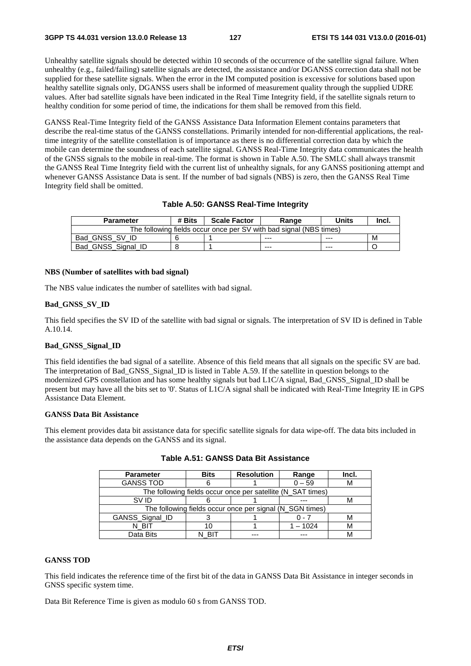Unhealthy satellite signals should be detected within 10 seconds of the occurrence of the satellite signal failure. When unhealthy (e.g., failed/failing) satellite signals are detected, the assistance and/or DGANSS correction data shall not be supplied for these satellite signals. When the error in the IM computed position is excessive for solutions based upon healthy satellite signals only, DGANSS users shall be informed of measurement quality through the supplied UDRE values. After bad satellite signals have been indicated in the Real Time Integrity field, if the satellite signals return to healthy condition for some period of time, the indications for them shall be removed from this field.

GANSS Real-Time Integrity field of the GANSS Assistance Data Information Element contains parameters that describe the real-time status of the GANSS constellations. Primarily intended for non-differential applications, the realtime integrity of the satellite constellation is of importance as there is no differential correction data by which the mobile can determine the soundness of each satellite signal. GANSS Real-Time Integrity data communicates the health of the GNSS signals to the mobile in real-time. The format is shown in Table A.50. The SMLC shall always transmit the GANSS Real Time Integrity field with the current list of unhealthy signals, for any GANSS positioning attempt and whenever GANSS Assistance Data is sent. If the number of bad signals (NBS) is zero, then the GANSS Real Time Integrity field shall be omitted.

## **Table A.50: GANSS Real-Time Integrity**

| <b>Parameter</b>                                                   | # Bits | <b>Scale Factor</b> | Range   | Units   | Incl. |
|--------------------------------------------------------------------|--------|---------------------|---------|---------|-------|
| The following fields occur once per SV with bad signal (NBS times) |        |                     |         |         |       |
| Bad_GNSS_SV_ID                                                     |        |                     | $- - -$ | $- - -$ | м     |
| Bad GNSS Signal ID                                                 |        |                     | $- - -$ | $- - -$ |       |

## **NBS (Number of satellites with bad signal)**

The NBS value indicates the number of satellites with bad signal.

#### **Bad\_GNSS\_SV\_ID**

This field specifies the SV ID of the satellite with bad signal or signals. The interpretation of SV ID is defined in Table A.10.14.

#### **Bad\_GNSS\_Signal\_ID**

This field identifies the bad signal of a satellite. Absence of this field means that all signals on the specific SV are bad. The interpretation of Bad\_GNSS\_Signal\_ID is listed in Table A.59. If the satellite in question belongs to the modernized GPS constellation and has some healthy signals but bad L1C/A signal, Bad\_GNSS\_Signal\_ID shall be present but may have all the bits set to '0'. Status of L1C/A signal shall be indicated with Real-Time Integrity IE in GPS Assistance Data Element.

## **GANSS Data Bit Assistance**

This element provides data bit assistance data for specific satellite signals for data wipe-off. The data bits included in the assistance data depends on the GANSS and its signal.

| <b>Parameter</b> | <b>Bits</b> | <b>Resolution</b>                                           | Range    | Incl. |
|------------------|-------------|-------------------------------------------------------------|----------|-------|
| <b>GANSS TOD</b> |             |                                                             | $0 - 59$ | М     |
|                  |             | The following fields occur once per satellite (N_SAT times) |          |       |
| SV ID            |             |                                                             |          | М     |
|                  |             | The following fields occur once per signal (N_SGN times)    |          |       |
| GANSS_Signal_ID  |             |                                                             |          | М     |
| N BIT            |             |                                                             | $-1024$  | М     |
| Data Bits        |             |                                                             |          | M     |

**Table A.51: GANSS Data Bit Assistance** 

## **GANSS TOD**

This field indicates the reference time of the first bit of the data in GANSS Data Bit Assistance in integer seconds in GNSS specific system time.

Data Bit Reference Time is given as modulo 60 s from GANSS TOD.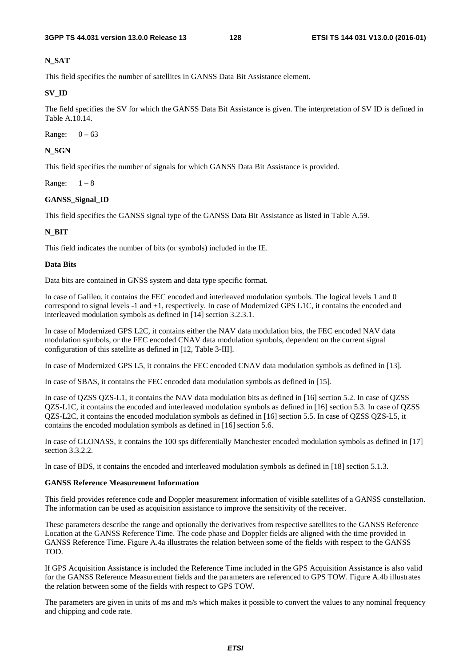# **N\_SAT**

This field specifies the number of satellites in GANSS Data Bit Assistance element.

# **SV\_ID**

The field specifies the SV for which the GANSS Data Bit Assistance is given. The interpretation of SV ID is defined in Table A.10.14.

Range:  $0 - 63$ 

# **N\_SGN**

This field specifies the number of signals for which GANSS Data Bit Assistance is provided.

Range:  $1-8$ 

# **GANSS\_Signal\_ID**

This field specifies the GANSS signal type of the GANSS Data Bit Assistance as listed in Table A.59.

# **N\_BIT**

This field indicates the number of bits (or symbols) included in the IE.

## **Data Bits**

Data bits are contained in GNSS system and data type specific format.

In case of Galileo, it contains the FEC encoded and interleaved modulation symbols. The logical levels 1 and 0 correspond to signal levels -1 and +1, respectively. In case of Modernized GPS L1C, it contains the encoded and interleaved modulation symbols as defined in [14] section 3.2.3.1.

In case of Modernized GPS L2C, it contains either the NAV data modulation bits, the FEC encoded NAV data modulation symbols, or the FEC encoded CNAV data modulation symbols, dependent on the current signal configuration of this satellite as defined in [12, Table 3-III].

In case of Modernized GPS L5, it contains the FEC encoded CNAV data modulation symbols as defined in [13].

In case of SBAS, it contains the FEC encoded data modulation symbols as defined in [15].

In case of QZSS QZS-L1, it contains the NAV data modulation bits as defined in [16] section 5.2. In case of QZSS QZS-L1C, it contains the encoded and interleaved modulation symbols as defined in [16] section 5.3. In case of QZSS QZS-L2C, it contains the encoded modulation symbols as defined in [16] section 5.5. In case of QZSS QZS-L5, it contains the encoded modulation symbols as defined in [16] section 5.6.

In case of GLONASS, it contains the 100 sps differentially Manchester encoded modulation symbols as defined in [17] section 3.3.2.2.

In case of BDS, it contains the encoded and interleaved modulation symbols as defined in [18] section 5.1.3.

## **GANSS Reference Measurement Information**

This field provides reference code and Doppler measurement information of visible satellites of a GANSS constellation. The information can be used as acquisition assistance to improve the sensitivity of the receiver.

These parameters describe the range and optionally the derivatives from respective satellites to the GANSS Reference Location at the GANSS Reference Time. The code phase and Doppler fields are aligned with the time provided in GANSS Reference Time. Figure A.4a illustrates the relation between some of the fields with respect to the GANSS TOD.

If GPS Acquisition Assistance is included the Reference Time included in the GPS Acquisition Assistance is also valid for the GANSS Reference Measurement fields and the parameters are referenced to GPS TOW. Figure A.4b illustrates the relation between some of the fields with respect to GPS TOW.

The parameters are given in units of ms and m/s which makes it possible to convert the values to any nominal frequency and chipping and code rate.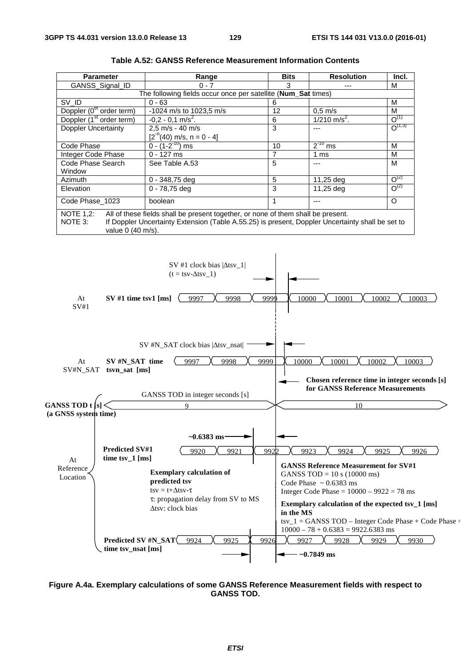| <b>Parameter</b>                                                                                                                                                                                                                         | Range                                                         | <b>Bits</b> | <b>Resolution</b>          | Incl.       |  |
|------------------------------------------------------------------------------------------------------------------------------------------------------------------------------------------------------------------------------------------|---------------------------------------------------------------|-------------|----------------------------|-------------|--|
| <b>GANSS Signal ID</b>                                                                                                                                                                                                                   | $0 - 7$                                                       | 3           |                            | м           |  |
|                                                                                                                                                                                                                                          | The following fields occur once per satellite (Num_Sat times) |             |                            |             |  |
| SV_ID                                                                                                                                                                                                                                    | $0 - 63$                                                      | 6           |                            | м           |  |
| Doppler $(0th$ order term)                                                                                                                                                                                                               | $-1024$ m/s to 1023,5 m/s                                     | 12          | $0.5$ m/s                  | М           |  |
| Doppler (1 <sup>st</sup> order term)                                                                                                                                                                                                     | $-0.2 - 0.1$ m/s <sup>2</sup> .                               | 6           | $1/210$ m/s <sup>2</sup> . | $O^{(1)}$   |  |
| <b>Doppler Uncertainty</b>                                                                                                                                                                                                               | 2,5 m/s - 40 m/s                                              | 3           |                            | $O^{(1,3)}$ |  |
|                                                                                                                                                                                                                                          | $[2-n(40)$ m/s, n = 0 - 4]                                    |             |                            |             |  |
| Code Phase                                                                                                                                                                                                                               | $0 - (1 - 2^{-10})$ ms                                        | 10          | $2^{-10}$ ms               | м           |  |
| Integer Code Phase                                                                                                                                                                                                                       | $0 - 127$ ms                                                  | 7           | 1 ms                       | М           |  |
| Code Phase Search                                                                                                                                                                                                                        | See Table A.53                                                | 5           |                            | М           |  |
| Window                                                                                                                                                                                                                                   |                                                               |             |                            |             |  |
| Azimuth                                                                                                                                                                                                                                  | $0 - 348,75$ deg                                              | 5           | 11,25 deg                  | $O^{(2)}$   |  |
| Elevation                                                                                                                                                                                                                                | $0 - 78,75$ deg                                               | 3           | 11,25 deg                  | $O^{(2)}$   |  |
| Code Phase 1023                                                                                                                                                                                                                          | boolean                                                       |             |                            | $\circ$     |  |
| <b>NOTE 1,2:</b><br>All of these fields shall be present together, or none of them shall be present.<br>If Doppler Uncertainty Extension (Table A.55.25) is present, Doppler Uncertainty shall be set to<br>NOTE 3:<br>value 0 (40 m/s). |                                                               |             |                            |             |  |

| <b>Table A.52: GANSS Reference Measurement Information Contents</b> |  |
|---------------------------------------------------------------------|--|
|---------------------------------------------------------------------|--|



**Figure A.4a. Exemplary calculations of some GANSS Reference Measurement fields with respect to GANSS TOD.**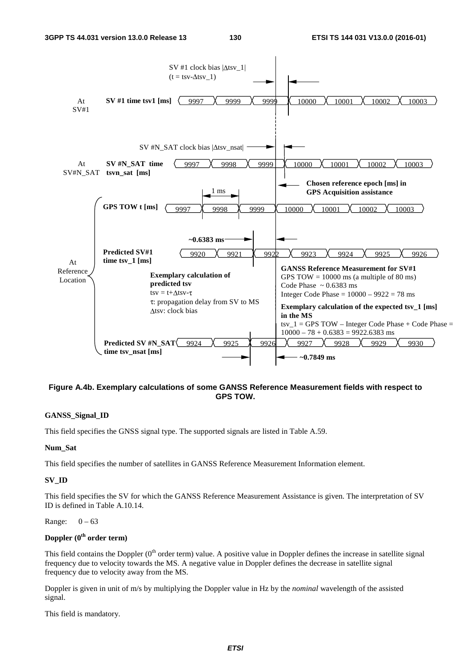

# **Figure A.4b. Exemplary calculations of some GANSS Reference Measurement fields with respect to GPS TOW.**

## **GANSS\_Signal\_ID**

This field specifies the GNSS signal type. The supported signals are listed in Table A.59.

## **Num\_Sat**

This field specifies the number of satellites in GANSS Reference Measurement Information element.

# **SV\_ID**

This field specifies the SV for which the GANSS Reference Measurement Assistance is given. The interpretation of SV ID is defined in Table A.10.14.

## Range:  $0 - 63$

# **Doppler (0th order term)**

This field contains the Doppler  $(0<sup>th</sup>$  order term) value. A positive value in Doppler defines the increase in satellite signal frequency due to velocity towards the MS. A negative value in Doppler defines the decrease in satellite signal frequency due to velocity away from the MS.

Doppler is given in unit of m/s by multiplying the Doppler value in Hz by the *nominal* wavelength of the assisted signal.

This field is mandatory.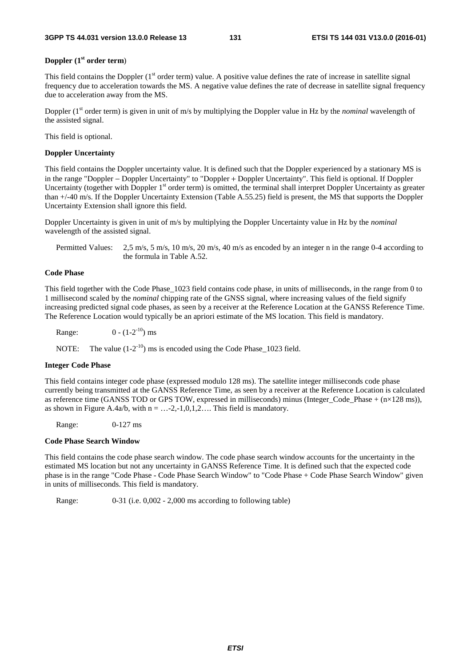## **Doppler (1st order term**)

This field contains the Doppler  $(1<sup>st</sup> order term)$  value. A positive value defines the rate of increase in satellite signal frequency due to acceleration towards the MS. A negative value defines the rate of decrease in satellite signal frequency due to acceleration away from the MS.

Doppler (1<sup>st</sup> order term) is given in unit of m/s by multiplying the Doppler value in Hz by the *nominal* wavelength of the assisted signal.

This field is optional.

#### **Doppler Uncertainty**

This field contains the Doppler uncertainty value. It is defined such that the Doppler experienced by a stationary MS is in the range "Doppler − Doppler Uncertainty" to "Doppler + Doppler Uncertainty". This field is optional. If Doppler Uncertainty (together with Doppler  $1<sup>st</sup>$  order term) is omitted, the terminal shall interpret Doppler Uncertainty as greater than +/-40 m/s. If the Doppler Uncertainty Extension (Table A.55.25) field is present, the MS that supports the Doppler Uncertainty Extension shall ignore this field.

Doppler Uncertainty is given in unit of m/s by multiplying the Doppler Uncertainty value in Hz by the *nominal* wavelength of the assisted signal.

Permitted Values: 2,5 m/s, 5 m/s, 10 m/s, 20 m/s, 40 m/s as encoded by an integer n in the range 0-4 according to the formula in Table A.52.

## **Code Phase**

This field together with the Code Phase\_1023 field contains code phase, in units of milliseconds, in the range from 0 to 1 millisecond scaled by the *nominal* chipping rate of the GNSS signal, where increasing values of the field signify increasing predicted signal code phases, as seen by a receiver at the Reference Location at the GANSS Reference Time. The Reference Location would typically be an apriori estimate of the MS location. This field is mandatory.

Range:  $0 - (1 - 2^{-10})$  ms

NOTE: The value  $(1-2^{-10})$  ms is encoded using the Code Phase 1023 field.

#### **Integer Code Phase**

This field contains integer code phase (expressed modulo 128 ms). The satellite integer milliseconds code phase currently being transmitted at the GANSS Reference Time, as seen by a receiver at the Reference Location is calculated as reference time (GANSS TOD or GPS TOW, expressed in milliseconds) minus (Integer\_Code\_Phase + (n×128 ms)), as shown in Figure A.4a/b, with  $n = ... -2, -1, 0, 1, 2, ...$  This field is mandatory.

Range: 0-127 ms

#### **Code Phase Search Window**

This field contains the code phase search window. The code phase search window accounts for the uncertainty in the estimated MS location but not any uncertainty in GANSS Reference Time. It is defined such that the expected code phase is in the range "Code Phase - Code Phase Search Window" to "Code Phase + Code Phase Search Window" given in units of milliseconds. This field is mandatory.

Range: 0-31 (i.e. 0,002 - 2,000 ms according to following table)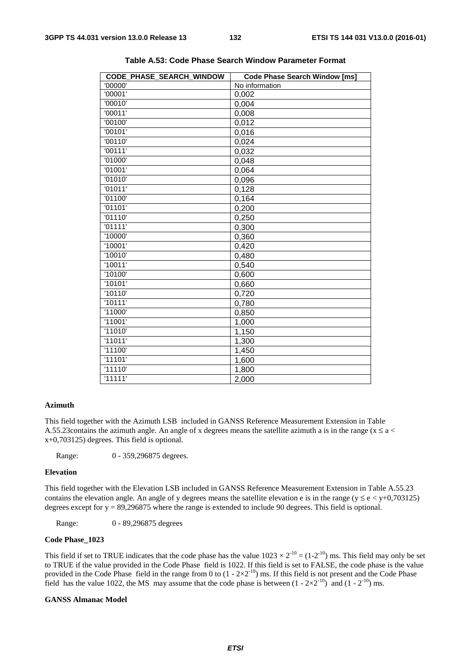| '00001'<br>0,002<br>'00010'<br>0,004<br>'00011'<br>0,008<br>'00100'<br>0,012<br>'00101'<br>0,016<br>'00110'<br>0,024<br>'00111'<br>0,032<br>'01000'<br>0,048<br>'01001'<br>0,064<br>'01010'<br>0,096<br>'01011'<br>0,128<br>'01100'<br>0,164<br>'01101'<br>0,200<br>'01110'<br>0,250<br>'01111'<br>0,300<br>'10000'<br>0,360<br>'10001'<br>0,420<br>'10010'<br>0,480<br>'10011'<br>0,540<br>'10100'<br>0,600<br>'10101'<br>0,660<br>'10110'<br>0,720<br>'10111'<br>0,780<br>'11000'<br>0,850<br>'11001'<br>1,000<br>'11010'<br>1,150<br>'11011'<br>1,300<br>'11100'<br>1,450<br>'11101'<br>1,600<br>'11110'<br>1,800<br>'11111'<br>2,000 | CODE PHASE SEARCH WINDOW | <b>Code Phase Search Window [ms]</b> |
|------------------------------------------------------------------------------------------------------------------------------------------------------------------------------------------------------------------------------------------------------------------------------------------------------------------------------------------------------------------------------------------------------------------------------------------------------------------------------------------------------------------------------------------------------------------------------------------------------------------------------------------|--------------------------|--------------------------------------|
|                                                                                                                                                                                                                                                                                                                                                                                                                                                                                                                                                                                                                                          | '00000'                  | No information                       |
|                                                                                                                                                                                                                                                                                                                                                                                                                                                                                                                                                                                                                                          |                          |                                      |
|                                                                                                                                                                                                                                                                                                                                                                                                                                                                                                                                                                                                                                          |                          |                                      |
|                                                                                                                                                                                                                                                                                                                                                                                                                                                                                                                                                                                                                                          |                          |                                      |
|                                                                                                                                                                                                                                                                                                                                                                                                                                                                                                                                                                                                                                          |                          |                                      |
|                                                                                                                                                                                                                                                                                                                                                                                                                                                                                                                                                                                                                                          |                          |                                      |
|                                                                                                                                                                                                                                                                                                                                                                                                                                                                                                                                                                                                                                          |                          |                                      |
|                                                                                                                                                                                                                                                                                                                                                                                                                                                                                                                                                                                                                                          |                          |                                      |
|                                                                                                                                                                                                                                                                                                                                                                                                                                                                                                                                                                                                                                          |                          |                                      |
|                                                                                                                                                                                                                                                                                                                                                                                                                                                                                                                                                                                                                                          |                          |                                      |
|                                                                                                                                                                                                                                                                                                                                                                                                                                                                                                                                                                                                                                          |                          |                                      |
|                                                                                                                                                                                                                                                                                                                                                                                                                                                                                                                                                                                                                                          |                          |                                      |
|                                                                                                                                                                                                                                                                                                                                                                                                                                                                                                                                                                                                                                          |                          |                                      |
|                                                                                                                                                                                                                                                                                                                                                                                                                                                                                                                                                                                                                                          |                          |                                      |
|                                                                                                                                                                                                                                                                                                                                                                                                                                                                                                                                                                                                                                          |                          |                                      |
|                                                                                                                                                                                                                                                                                                                                                                                                                                                                                                                                                                                                                                          |                          |                                      |
|                                                                                                                                                                                                                                                                                                                                                                                                                                                                                                                                                                                                                                          |                          |                                      |
|                                                                                                                                                                                                                                                                                                                                                                                                                                                                                                                                                                                                                                          |                          |                                      |
|                                                                                                                                                                                                                                                                                                                                                                                                                                                                                                                                                                                                                                          |                          |                                      |
|                                                                                                                                                                                                                                                                                                                                                                                                                                                                                                                                                                                                                                          |                          |                                      |
|                                                                                                                                                                                                                                                                                                                                                                                                                                                                                                                                                                                                                                          |                          |                                      |
|                                                                                                                                                                                                                                                                                                                                                                                                                                                                                                                                                                                                                                          |                          |                                      |
|                                                                                                                                                                                                                                                                                                                                                                                                                                                                                                                                                                                                                                          |                          |                                      |
|                                                                                                                                                                                                                                                                                                                                                                                                                                                                                                                                                                                                                                          |                          |                                      |
|                                                                                                                                                                                                                                                                                                                                                                                                                                                                                                                                                                                                                                          |                          |                                      |
|                                                                                                                                                                                                                                                                                                                                                                                                                                                                                                                                                                                                                                          |                          |                                      |
|                                                                                                                                                                                                                                                                                                                                                                                                                                                                                                                                                                                                                                          |                          |                                      |
|                                                                                                                                                                                                                                                                                                                                                                                                                                                                                                                                                                                                                                          |                          |                                      |
|                                                                                                                                                                                                                                                                                                                                                                                                                                                                                                                                                                                                                                          |                          |                                      |
|                                                                                                                                                                                                                                                                                                                                                                                                                                                                                                                                                                                                                                          |                          |                                      |
|                                                                                                                                                                                                                                                                                                                                                                                                                                                                                                                                                                                                                                          |                          |                                      |
|                                                                                                                                                                                                                                                                                                                                                                                                                                                                                                                                                                                                                                          |                          |                                      |

**Table A.53: Code Phase Search Window Parameter Format** 

## **Azimuth**

This field together with the Azimuth LSB included in GANSS Reference Measurement Extension in Table A.55.23 contains the azimuth angle. An angle of x degrees means the satellite azimuth a is in the range ( $x \le a$  < x+0,703125) degrees. This field is optional.

Range: 0 - 359,296875 degrees.

#### **Elevation**

This field together with the Elevation LSB included in GANSS Reference Measurement Extension in Table A.55.23 contains the elevation angle. An angle of y degrees means the satellite elevation e is in the range ( $y \le e \lt y+0.703125$ ) degrees except for y = 89,296875 where the range is extended to include 90 degrees. This field is optional.

Range: 0 - 89,296875 degrees

## **Code Phase\_1023**

This field if set to TRUE indicates that the code phase has the value  $1023 \times 2^{-10} = (1-2^{-10})$  ms. This field may only be set to TRUE if the value provided in the Code Phase field is 1022. If this field is set to FALSE, the code phase is the value provided in the Code Phase field in the range from 0 to  $(1 - 2 \times 2^{-10})$  ms. If this field is not present and the Code Phase field has the value 1022, the MS may assume that the code phase is between  $(1 - 2 \times 2^{-10})$  and  $(1 - 2^{-10})$  ms.

#### **GANSS Almanac Model**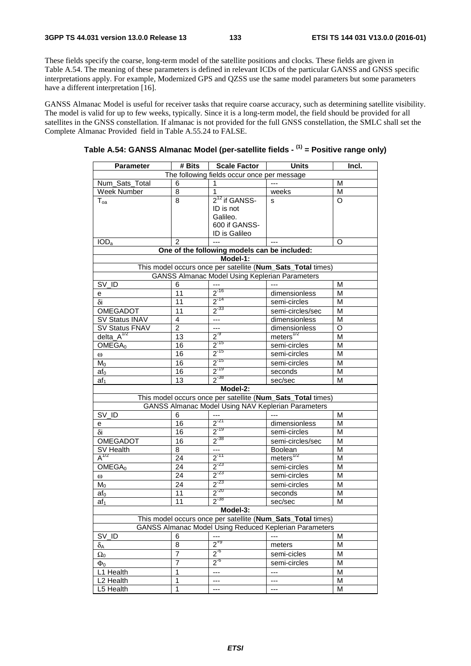These fields specify the coarse, long-term model of the satellite positions and clocks. These fields are given in Table A.54. The meaning of these parameters is defined in relevant ICDs of the particular GANSS and GNSS specific interpretations apply. For example, Modernized GPS and QZSS use the same model parameters but some parameters have a different interpretation [16].

GANSS Almanac Model is useful for receiver tasks that require coarse accuracy, such as determining satellite visibility. The model is valid for up to few weeks, typically. Since it is a long-term model, the field should be provided for all satellites in the GNSS constellation. If almanac is not provided for the full GNSS constellation, the SMLC shall set the Complete Almanac Provided field in Table A.55.24 to FALSE.

| Table A.54: GANSS Almanac Model (per-satellite fields - <sup>(1)</sup> = Positive range only) |  |  |
|-----------------------------------------------------------------------------------------------|--|--|
|-----------------------------------------------------------------------------------------------|--|--|

| The following fields occur once per message<br>Num_Sats_Total<br>6<br>м<br>1<br>Week Number<br>8<br>M<br>1<br>weeks<br>2 <sup>12</sup> if GANSS-<br>$\Omega$<br>8<br>$T_{oa}$<br>S<br>ID is not<br>Galileo.<br>600 if GANSS-<br>ID is Galileo<br>2<br>IOD <sub>a</sub><br>$---$<br>O<br>---<br>One of the following models can be included:<br>Model-1:<br>This model occurs once per satellite (Num_Sats_Total times)<br><b>GANSS Almanac Model Using Keplerian Parameters</b><br>SV_ID<br>6<br>м<br>$2^{-16}$<br>11<br>dimensionless<br>М<br>e<br>$2^{-14}$<br>$\overline{11}$<br>δi<br>M<br>semi-circles<br>$2^{-33}$<br>OMEGADOT<br>11<br>semi-circles/sec<br>М<br>SV Status INAV<br>$\overline{\phantom{a}}$<br>4<br>dimensionless<br>M<br>SV Status FNAV<br>$\overline{2}$<br>O<br>44<br>dimensionless<br>meters $^{1/2}$<br>delta_ $A^{1/2}$<br>$2^{9}$<br>13<br>М<br>$2^{-15}$<br>OMEGA <sub>0</sub><br>16<br>M<br>semi-circles<br>$2^{-15}$<br>16<br>semi-circles<br>M<br>$\omega$<br>$2^{-15}$<br>16<br>semi-circles<br>М<br>$M_0$<br>$2^{-19}$<br>16<br>M<br>af <sub>0</sub><br>seconds<br>$2^{-38}$<br>13<br>M<br>$af_1$<br>sec/sec<br>Model-2:<br>This model occurs once per satellite (Num_Sats_Total times)<br>GANSS Almanac Model Using NAV Keplerian Parameters<br>SV_ID<br>6<br>м<br>$2^{-21}$<br>M<br>16<br>dimensionless<br>e<br>$2^{-19}$<br>δi<br>16<br>semi-circles<br>M<br>$2^{-38}$<br>OMEGADOT<br>semi-circles/sec<br>16<br>М<br>SV Health<br>M<br>8<br>---<br><b>Boolean</b><br>$2^{-11}$<br>$\mathsf{A}^{1/2}$<br>meters $^{1/2}$<br>24<br>M<br>$2^{-23}$<br>OMEGA <sub>0</sub><br>24<br>М<br>semi-circles<br>$2^{-23}$<br>24<br>M<br>semi-circles<br>$\omega$<br>$2^{-23}$<br>$\overline{24}$<br>M <sub>0</sub><br>semi-circles<br>M<br>$2^{-20}$<br>11<br>seconds<br>$af_0$<br>М<br>$2^{-38}$<br>11<br>M<br>af <sub>1</sub><br>sec/sec<br>Model-3:<br>This model occurs once per satellite (Num_Sats_Total times)<br>GANSS Almanac Model Using Reduced Keplerian Parameters<br>SV_ID<br>6<br>---<br>M<br>---<br>$2^{+9}$<br>8<br>M<br>$\delta_{\mathsf{A}}$<br>meters<br>$2^{6}$<br>7<br>M<br>semi-cicles<br>$\Omega_0$<br>$\overline{7}$<br>$2^{6}$<br>M<br>semi-circles<br>$\Phi_0$<br>1<br>L1 Health<br>---<br>M<br>---<br>L2 Health<br>1<br>м<br>---<br>---<br>M<br>L5 Health<br>1<br>---<br>--- | <b>Parameter</b> | # Bits | <b>Scale Factor</b> | Units | Incl. |  |
|------------------------------------------------------------------------------------------------------------------------------------------------------------------------------------------------------------------------------------------------------------------------------------------------------------------------------------------------------------------------------------------------------------------------------------------------------------------------------------------------------------------------------------------------------------------------------------------------------------------------------------------------------------------------------------------------------------------------------------------------------------------------------------------------------------------------------------------------------------------------------------------------------------------------------------------------------------------------------------------------------------------------------------------------------------------------------------------------------------------------------------------------------------------------------------------------------------------------------------------------------------------------------------------------------------------------------------------------------------------------------------------------------------------------------------------------------------------------------------------------------------------------------------------------------------------------------------------------------------------------------------------------------------------------------------------------------------------------------------------------------------------------------------------------------------------------------------------------------------------------------------------------------------------------------------------------------------------------------------------------------------------------------------------------------------------------------------------------------------------------------------------------------------------------------------------------------------------------------------------------------------------------------------------------------------------------------------|------------------|--------|---------------------|-------|-------|--|
|                                                                                                                                                                                                                                                                                                                                                                                                                                                                                                                                                                                                                                                                                                                                                                                                                                                                                                                                                                                                                                                                                                                                                                                                                                                                                                                                                                                                                                                                                                                                                                                                                                                                                                                                                                                                                                                                                                                                                                                                                                                                                                                                                                                                                                                                                                                                    |                  |        |                     |       |       |  |
|                                                                                                                                                                                                                                                                                                                                                                                                                                                                                                                                                                                                                                                                                                                                                                                                                                                                                                                                                                                                                                                                                                                                                                                                                                                                                                                                                                                                                                                                                                                                                                                                                                                                                                                                                                                                                                                                                                                                                                                                                                                                                                                                                                                                                                                                                                                                    |                  |        |                     |       |       |  |
|                                                                                                                                                                                                                                                                                                                                                                                                                                                                                                                                                                                                                                                                                                                                                                                                                                                                                                                                                                                                                                                                                                                                                                                                                                                                                                                                                                                                                                                                                                                                                                                                                                                                                                                                                                                                                                                                                                                                                                                                                                                                                                                                                                                                                                                                                                                                    |                  |        |                     |       |       |  |
|                                                                                                                                                                                                                                                                                                                                                                                                                                                                                                                                                                                                                                                                                                                                                                                                                                                                                                                                                                                                                                                                                                                                                                                                                                                                                                                                                                                                                                                                                                                                                                                                                                                                                                                                                                                                                                                                                                                                                                                                                                                                                                                                                                                                                                                                                                                                    |                  |        |                     |       |       |  |
|                                                                                                                                                                                                                                                                                                                                                                                                                                                                                                                                                                                                                                                                                                                                                                                                                                                                                                                                                                                                                                                                                                                                                                                                                                                                                                                                                                                                                                                                                                                                                                                                                                                                                                                                                                                                                                                                                                                                                                                                                                                                                                                                                                                                                                                                                                                                    |                  |        |                     |       |       |  |
|                                                                                                                                                                                                                                                                                                                                                                                                                                                                                                                                                                                                                                                                                                                                                                                                                                                                                                                                                                                                                                                                                                                                                                                                                                                                                                                                                                                                                                                                                                                                                                                                                                                                                                                                                                                                                                                                                                                                                                                                                                                                                                                                                                                                                                                                                                                                    |                  |        |                     |       |       |  |
|                                                                                                                                                                                                                                                                                                                                                                                                                                                                                                                                                                                                                                                                                                                                                                                                                                                                                                                                                                                                                                                                                                                                                                                                                                                                                                                                                                                                                                                                                                                                                                                                                                                                                                                                                                                                                                                                                                                                                                                                                                                                                                                                                                                                                                                                                                                                    |                  |        |                     |       |       |  |
|                                                                                                                                                                                                                                                                                                                                                                                                                                                                                                                                                                                                                                                                                                                                                                                                                                                                                                                                                                                                                                                                                                                                                                                                                                                                                                                                                                                                                                                                                                                                                                                                                                                                                                                                                                                                                                                                                                                                                                                                                                                                                                                                                                                                                                                                                                                                    |                  |        |                     |       |       |  |
|                                                                                                                                                                                                                                                                                                                                                                                                                                                                                                                                                                                                                                                                                                                                                                                                                                                                                                                                                                                                                                                                                                                                                                                                                                                                                                                                                                                                                                                                                                                                                                                                                                                                                                                                                                                                                                                                                                                                                                                                                                                                                                                                                                                                                                                                                                                                    |                  |        |                     |       |       |  |
|                                                                                                                                                                                                                                                                                                                                                                                                                                                                                                                                                                                                                                                                                                                                                                                                                                                                                                                                                                                                                                                                                                                                                                                                                                                                                                                                                                                                                                                                                                                                                                                                                                                                                                                                                                                                                                                                                                                                                                                                                                                                                                                                                                                                                                                                                                                                    |                  |        |                     |       |       |  |
|                                                                                                                                                                                                                                                                                                                                                                                                                                                                                                                                                                                                                                                                                                                                                                                                                                                                                                                                                                                                                                                                                                                                                                                                                                                                                                                                                                                                                                                                                                                                                                                                                                                                                                                                                                                                                                                                                                                                                                                                                                                                                                                                                                                                                                                                                                                                    |                  |        |                     |       |       |  |
|                                                                                                                                                                                                                                                                                                                                                                                                                                                                                                                                                                                                                                                                                                                                                                                                                                                                                                                                                                                                                                                                                                                                                                                                                                                                                                                                                                                                                                                                                                                                                                                                                                                                                                                                                                                                                                                                                                                                                                                                                                                                                                                                                                                                                                                                                                                                    |                  |        |                     |       |       |  |
|                                                                                                                                                                                                                                                                                                                                                                                                                                                                                                                                                                                                                                                                                                                                                                                                                                                                                                                                                                                                                                                                                                                                                                                                                                                                                                                                                                                                                                                                                                                                                                                                                                                                                                                                                                                                                                                                                                                                                                                                                                                                                                                                                                                                                                                                                                                                    |                  |        |                     |       |       |  |
|                                                                                                                                                                                                                                                                                                                                                                                                                                                                                                                                                                                                                                                                                                                                                                                                                                                                                                                                                                                                                                                                                                                                                                                                                                                                                                                                                                                                                                                                                                                                                                                                                                                                                                                                                                                                                                                                                                                                                                                                                                                                                                                                                                                                                                                                                                                                    |                  |        |                     |       |       |  |
|                                                                                                                                                                                                                                                                                                                                                                                                                                                                                                                                                                                                                                                                                                                                                                                                                                                                                                                                                                                                                                                                                                                                                                                                                                                                                                                                                                                                                                                                                                                                                                                                                                                                                                                                                                                                                                                                                                                                                                                                                                                                                                                                                                                                                                                                                                                                    |                  |        |                     |       |       |  |
|                                                                                                                                                                                                                                                                                                                                                                                                                                                                                                                                                                                                                                                                                                                                                                                                                                                                                                                                                                                                                                                                                                                                                                                                                                                                                                                                                                                                                                                                                                                                                                                                                                                                                                                                                                                                                                                                                                                                                                                                                                                                                                                                                                                                                                                                                                                                    |                  |        |                     |       |       |  |
|                                                                                                                                                                                                                                                                                                                                                                                                                                                                                                                                                                                                                                                                                                                                                                                                                                                                                                                                                                                                                                                                                                                                                                                                                                                                                                                                                                                                                                                                                                                                                                                                                                                                                                                                                                                                                                                                                                                                                                                                                                                                                                                                                                                                                                                                                                                                    |                  |        |                     |       |       |  |
|                                                                                                                                                                                                                                                                                                                                                                                                                                                                                                                                                                                                                                                                                                                                                                                                                                                                                                                                                                                                                                                                                                                                                                                                                                                                                                                                                                                                                                                                                                                                                                                                                                                                                                                                                                                                                                                                                                                                                                                                                                                                                                                                                                                                                                                                                                                                    |                  |        |                     |       |       |  |
|                                                                                                                                                                                                                                                                                                                                                                                                                                                                                                                                                                                                                                                                                                                                                                                                                                                                                                                                                                                                                                                                                                                                                                                                                                                                                                                                                                                                                                                                                                                                                                                                                                                                                                                                                                                                                                                                                                                                                                                                                                                                                                                                                                                                                                                                                                                                    |                  |        |                     |       |       |  |
|                                                                                                                                                                                                                                                                                                                                                                                                                                                                                                                                                                                                                                                                                                                                                                                                                                                                                                                                                                                                                                                                                                                                                                                                                                                                                                                                                                                                                                                                                                                                                                                                                                                                                                                                                                                                                                                                                                                                                                                                                                                                                                                                                                                                                                                                                                                                    |                  |        |                     |       |       |  |
|                                                                                                                                                                                                                                                                                                                                                                                                                                                                                                                                                                                                                                                                                                                                                                                                                                                                                                                                                                                                                                                                                                                                                                                                                                                                                                                                                                                                                                                                                                                                                                                                                                                                                                                                                                                                                                                                                                                                                                                                                                                                                                                                                                                                                                                                                                                                    |                  |        |                     |       |       |  |
|                                                                                                                                                                                                                                                                                                                                                                                                                                                                                                                                                                                                                                                                                                                                                                                                                                                                                                                                                                                                                                                                                                                                                                                                                                                                                                                                                                                                                                                                                                                                                                                                                                                                                                                                                                                                                                                                                                                                                                                                                                                                                                                                                                                                                                                                                                                                    |                  |        |                     |       |       |  |
|                                                                                                                                                                                                                                                                                                                                                                                                                                                                                                                                                                                                                                                                                                                                                                                                                                                                                                                                                                                                                                                                                                                                                                                                                                                                                                                                                                                                                                                                                                                                                                                                                                                                                                                                                                                                                                                                                                                                                                                                                                                                                                                                                                                                                                                                                                                                    |                  |        |                     |       |       |  |
|                                                                                                                                                                                                                                                                                                                                                                                                                                                                                                                                                                                                                                                                                                                                                                                                                                                                                                                                                                                                                                                                                                                                                                                                                                                                                                                                                                                                                                                                                                                                                                                                                                                                                                                                                                                                                                                                                                                                                                                                                                                                                                                                                                                                                                                                                                                                    |                  |        |                     |       |       |  |
|                                                                                                                                                                                                                                                                                                                                                                                                                                                                                                                                                                                                                                                                                                                                                                                                                                                                                                                                                                                                                                                                                                                                                                                                                                                                                                                                                                                                                                                                                                                                                                                                                                                                                                                                                                                                                                                                                                                                                                                                                                                                                                                                                                                                                                                                                                                                    |                  |        |                     |       |       |  |
|                                                                                                                                                                                                                                                                                                                                                                                                                                                                                                                                                                                                                                                                                                                                                                                                                                                                                                                                                                                                                                                                                                                                                                                                                                                                                                                                                                                                                                                                                                                                                                                                                                                                                                                                                                                                                                                                                                                                                                                                                                                                                                                                                                                                                                                                                                                                    |                  |        |                     |       |       |  |
|                                                                                                                                                                                                                                                                                                                                                                                                                                                                                                                                                                                                                                                                                                                                                                                                                                                                                                                                                                                                                                                                                                                                                                                                                                                                                                                                                                                                                                                                                                                                                                                                                                                                                                                                                                                                                                                                                                                                                                                                                                                                                                                                                                                                                                                                                                                                    |                  |        |                     |       |       |  |
|                                                                                                                                                                                                                                                                                                                                                                                                                                                                                                                                                                                                                                                                                                                                                                                                                                                                                                                                                                                                                                                                                                                                                                                                                                                                                                                                                                                                                                                                                                                                                                                                                                                                                                                                                                                                                                                                                                                                                                                                                                                                                                                                                                                                                                                                                                                                    |                  |        |                     |       |       |  |
|                                                                                                                                                                                                                                                                                                                                                                                                                                                                                                                                                                                                                                                                                                                                                                                                                                                                                                                                                                                                                                                                                                                                                                                                                                                                                                                                                                                                                                                                                                                                                                                                                                                                                                                                                                                                                                                                                                                                                                                                                                                                                                                                                                                                                                                                                                                                    |                  |        |                     |       |       |  |
|                                                                                                                                                                                                                                                                                                                                                                                                                                                                                                                                                                                                                                                                                                                                                                                                                                                                                                                                                                                                                                                                                                                                                                                                                                                                                                                                                                                                                                                                                                                                                                                                                                                                                                                                                                                                                                                                                                                                                                                                                                                                                                                                                                                                                                                                                                                                    |                  |        |                     |       |       |  |
|                                                                                                                                                                                                                                                                                                                                                                                                                                                                                                                                                                                                                                                                                                                                                                                                                                                                                                                                                                                                                                                                                                                                                                                                                                                                                                                                                                                                                                                                                                                                                                                                                                                                                                                                                                                                                                                                                                                                                                                                                                                                                                                                                                                                                                                                                                                                    |                  |        |                     |       |       |  |
|                                                                                                                                                                                                                                                                                                                                                                                                                                                                                                                                                                                                                                                                                                                                                                                                                                                                                                                                                                                                                                                                                                                                                                                                                                                                                                                                                                                                                                                                                                                                                                                                                                                                                                                                                                                                                                                                                                                                                                                                                                                                                                                                                                                                                                                                                                                                    |                  |        |                     |       |       |  |
|                                                                                                                                                                                                                                                                                                                                                                                                                                                                                                                                                                                                                                                                                                                                                                                                                                                                                                                                                                                                                                                                                                                                                                                                                                                                                                                                                                                                                                                                                                                                                                                                                                                                                                                                                                                                                                                                                                                                                                                                                                                                                                                                                                                                                                                                                                                                    |                  |        |                     |       |       |  |
|                                                                                                                                                                                                                                                                                                                                                                                                                                                                                                                                                                                                                                                                                                                                                                                                                                                                                                                                                                                                                                                                                                                                                                                                                                                                                                                                                                                                                                                                                                                                                                                                                                                                                                                                                                                                                                                                                                                                                                                                                                                                                                                                                                                                                                                                                                                                    |                  |        |                     |       |       |  |
|                                                                                                                                                                                                                                                                                                                                                                                                                                                                                                                                                                                                                                                                                                                                                                                                                                                                                                                                                                                                                                                                                                                                                                                                                                                                                                                                                                                                                                                                                                                                                                                                                                                                                                                                                                                                                                                                                                                                                                                                                                                                                                                                                                                                                                                                                                                                    |                  |        |                     |       |       |  |
|                                                                                                                                                                                                                                                                                                                                                                                                                                                                                                                                                                                                                                                                                                                                                                                                                                                                                                                                                                                                                                                                                                                                                                                                                                                                                                                                                                                                                                                                                                                                                                                                                                                                                                                                                                                                                                                                                                                                                                                                                                                                                                                                                                                                                                                                                                                                    |                  |        |                     |       |       |  |
|                                                                                                                                                                                                                                                                                                                                                                                                                                                                                                                                                                                                                                                                                                                                                                                                                                                                                                                                                                                                                                                                                                                                                                                                                                                                                                                                                                                                                                                                                                                                                                                                                                                                                                                                                                                                                                                                                                                                                                                                                                                                                                                                                                                                                                                                                                                                    |                  |        |                     |       |       |  |
|                                                                                                                                                                                                                                                                                                                                                                                                                                                                                                                                                                                                                                                                                                                                                                                                                                                                                                                                                                                                                                                                                                                                                                                                                                                                                                                                                                                                                                                                                                                                                                                                                                                                                                                                                                                                                                                                                                                                                                                                                                                                                                                                                                                                                                                                                                                                    |                  |        |                     |       |       |  |
|                                                                                                                                                                                                                                                                                                                                                                                                                                                                                                                                                                                                                                                                                                                                                                                                                                                                                                                                                                                                                                                                                                                                                                                                                                                                                                                                                                                                                                                                                                                                                                                                                                                                                                                                                                                                                                                                                                                                                                                                                                                                                                                                                                                                                                                                                                                                    |                  |        |                     |       |       |  |
|                                                                                                                                                                                                                                                                                                                                                                                                                                                                                                                                                                                                                                                                                                                                                                                                                                                                                                                                                                                                                                                                                                                                                                                                                                                                                                                                                                                                                                                                                                                                                                                                                                                                                                                                                                                                                                                                                                                                                                                                                                                                                                                                                                                                                                                                                                                                    |                  |        |                     |       |       |  |
|                                                                                                                                                                                                                                                                                                                                                                                                                                                                                                                                                                                                                                                                                                                                                                                                                                                                                                                                                                                                                                                                                                                                                                                                                                                                                                                                                                                                                                                                                                                                                                                                                                                                                                                                                                                                                                                                                                                                                                                                                                                                                                                                                                                                                                                                                                                                    |                  |        |                     |       |       |  |
|                                                                                                                                                                                                                                                                                                                                                                                                                                                                                                                                                                                                                                                                                                                                                                                                                                                                                                                                                                                                                                                                                                                                                                                                                                                                                                                                                                                                                                                                                                                                                                                                                                                                                                                                                                                                                                                                                                                                                                                                                                                                                                                                                                                                                                                                                                                                    |                  |        |                     |       |       |  |
|                                                                                                                                                                                                                                                                                                                                                                                                                                                                                                                                                                                                                                                                                                                                                                                                                                                                                                                                                                                                                                                                                                                                                                                                                                                                                                                                                                                                                                                                                                                                                                                                                                                                                                                                                                                                                                                                                                                                                                                                                                                                                                                                                                                                                                                                                                                                    |                  |        |                     |       |       |  |
|                                                                                                                                                                                                                                                                                                                                                                                                                                                                                                                                                                                                                                                                                                                                                                                                                                                                                                                                                                                                                                                                                                                                                                                                                                                                                                                                                                                                                                                                                                                                                                                                                                                                                                                                                                                                                                                                                                                                                                                                                                                                                                                                                                                                                                                                                                                                    |                  |        |                     |       |       |  |
|                                                                                                                                                                                                                                                                                                                                                                                                                                                                                                                                                                                                                                                                                                                                                                                                                                                                                                                                                                                                                                                                                                                                                                                                                                                                                                                                                                                                                                                                                                                                                                                                                                                                                                                                                                                                                                                                                                                                                                                                                                                                                                                                                                                                                                                                                                                                    |                  |        |                     |       |       |  |
|                                                                                                                                                                                                                                                                                                                                                                                                                                                                                                                                                                                                                                                                                                                                                                                                                                                                                                                                                                                                                                                                                                                                                                                                                                                                                                                                                                                                                                                                                                                                                                                                                                                                                                                                                                                                                                                                                                                                                                                                                                                                                                                                                                                                                                                                                                                                    |                  |        |                     |       |       |  |
|                                                                                                                                                                                                                                                                                                                                                                                                                                                                                                                                                                                                                                                                                                                                                                                                                                                                                                                                                                                                                                                                                                                                                                                                                                                                                                                                                                                                                                                                                                                                                                                                                                                                                                                                                                                                                                                                                                                                                                                                                                                                                                                                                                                                                                                                                                                                    |                  |        |                     |       |       |  |
|                                                                                                                                                                                                                                                                                                                                                                                                                                                                                                                                                                                                                                                                                                                                                                                                                                                                                                                                                                                                                                                                                                                                                                                                                                                                                                                                                                                                                                                                                                                                                                                                                                                                                                                                                                                                                                                                                                                                                                                                                                                                                                                                                                                                                                                                                                                                    |                  |        |                     |       |       |  |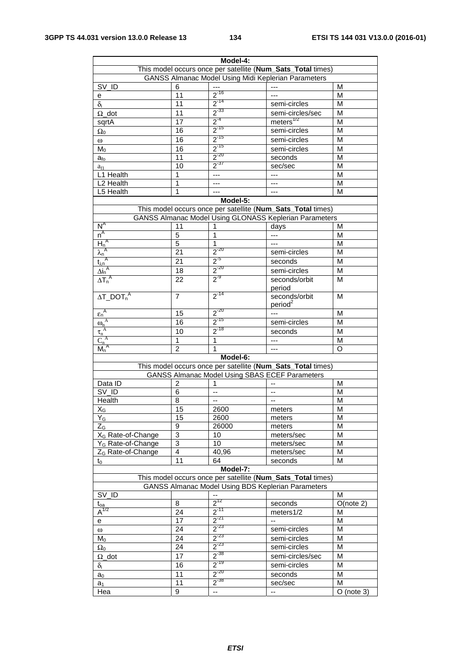|                                                                                   | Model-4:        |                          |                                                             |                         |  |  |
|-----------------------------------------------------------------------------------|-----------------|--------------------------|-------------------------------------------------------------|-------------------------|--|--|
|                                                                                   |                 |                          | This model occurs once per satellite (Num_Sats_Total times) |                         |  |  |
|                                                                                   |                 |                          | GANSS Almanac Model Using Midi Keplerian Parameters         |                         |  |  |
| SV_ID                                                                             | 6               |                          |                                                             | M                       |  |  |
|                                                                                   | 11              | $2^{-16}$                |                                                             | М                       |  |  |
| е                                                                                 | 11              | $2^{-14}$                |                                                             | M                       |  |  |
| $\delta_{i}$                                                                      |                 |                          | semi-circles                                                |                         |  |  |
| $\Omega$ _dot                                                                     | 11              | $2^{-33}$                | semi-circles/sec                                            | M                       |  |  |
| sqrtA                                                                             | 17              | $2^{-4}$                 | meters $^{1/2}$                                             | M                       |  |  |
| $\Omega_0$                                                                        | 16              | $2^{-15}$                | semi-circles                                                | М                       |  |  |
| $\omega$                                                                          | 16              | $2^{-15}$                | semi-circles                                                | М                       |  |  |
| $M_0$                                                                             | 16              | $2^{-15}$                | semi-circles                                                | M                       |  |  |
| a <sub>fo</sub>                                                                   | $\overline{11}$ | $2^{-20}$                | seconds                                                     | M                       |  |  |
| $a_{f1}$                                                                          | 10              | $2^{-37}$                | sec/sec                                                     | M                       |  |  |
| L1 Health                                                                         | 1               | ---                      | ---                                                         | M                       |  |  |
| L2 Health                                                                         | 1               | $---$                    | ---                                                         | M                       |  |  |
| L5 Health                                                                         | 1               | ---                      | ---                                                         | М                       |  |  |
|                                                                                   |                 | Model-5:                 |                                                             |                         |  |  |
|                                                                                   |                 |                          | This model occurs once per satellite (Num_Sats_Total times) |                         |  |  |
|                                                                                   |                 |                          | GANSS Almanac Model Using GLONASS Keplerian Parameters      |                         |  |  |
| $N^A$                                                                             | 11              | 1                        | days                                                        | M                       |  |  |
| $n^A$                                                                             | 5               | 1                        | ---                                                         | M                       |  |  |
| $H_n^A$                                                                           | $\overline{5}$  | 1                        | ---                                                         | M                       |  |  |
| $\lambda_n^A$                                                                     | 21              | $2^{-20}$                | semi-circles                                                | M                       |  |  |
|                                                                                   | $\overline{21}$ | $2^{5}$                  | seconds                                                     | M                       |  |  |
| $\frac{\frac{r_{\lambda n}}{t_{\lambda n}^A}}{\frac{\Delta i_n^A}{\Delta T_n^A}}$ | 18              | $2^{-20}$                |                                                             | М                       |  |  |
|                                                                                   |                 | $2^{-9}$                 | semi-circles                                                |                         |  |  |
|                                                                                   | 22              |                          | seconds/orbit<br>period                                     | M                       |  |  |
| $\Delta T$ _DOT <sub>n</sub> <sup>A</sup>                                         | $\overline{7}$  | $2^{-14}$                | seconds/orbit<br>period <sup>2</sup>                        | M                       |  |  |
| $\epsilon_n^A$                                                                    | 15              | $2^{-20}$                | $\overline{a}$                                              | м                       |  |  |
| $\omega_n^{\ A}$                                                                  | 16              | $2^{-15}$                | semi-circles                                                | M                       |  |  |
| $\tau_n^{\ A}$                                                                    | 10              | $2^{-18}$                | seconds                                                     | M                       |  |  |
| $C_n^A$                                                                           | 1               | $\mathbf{1}$             | ---                                                         | M                       |  |  |
| $M_n^A$                                                                           | $\overline{2}$  | 1                        | ---                                                         | O                       |  |  |
|                                                                                   |                 | Model-6:                 |                                                             |                         |  |  |
|                                                                                   |                 |                          | This model occurs once per satellite (Num_Sats_Total times) |                         |  |  |
|                                                                                   |                 |                          | <b>GANSS Almanac Model Using SBAS ECEF Parameters</b>       |                         |  |  |
| Data ID                                                                           | $\overline{2}$  | 1                        | $-$                                                         | M                       |  |  |
| SV_ID                                                                             | 6               |                          |                                                             | M                       |  |  |
| Health                                                                            | 8               | --                       | --                                                          | М                       |  |  |
|                                                                                   | $\overline{15}$ | 2600                     | --                                                          | $\overline{\mathsf{M}}$ |  |  |
| $\mathsf{X}_{\mathsf{G}}$                                                         | 15              |                          | meters                                                      | М                       |  |  |
| $Y_G$<br>$Z_{G}$                                                                  | 9               | 2600                     | meters                                                      |                         |  |  |
|                                                                                   |                 | 26000                    | meters                                                      | M                       |  |  |
| X <sub>G</sub> Rate-of-Change                                                     | 3               | 10                       | meters/sec                                                  | M                       |  |  |
| Y <sub>G</sub> Rate-of-Change                                                     | 3               | 10                       | meters/sec                                                  | M                       |  |  |
| $Z_G$ Rate-of-Change                                                              | 4               | 40,96                    | meters/sec                                                  | M                       |  |  |
| $t_0$                                                                             | 11              | 64                       | seconds                                                     | М                       |  |  |
|                                                                                   |                 | Model-7:                 |                                                             |                         |  |  |
|                                                                                   |                 |                          | This model occurs once per satellite (Num_Sats_Total times) |                         |  |  |
|                                                                                   |                 |                          | <b>GANSS Almanac Model Using BDS Keplerian Parameters</b>   |                         |  |  |
| SV_ID                                                                             |                 | $\overline{\phantom{a}}$ |                                                             | M                       |  |  |
| t <sub>oa</sub>                                                                   | 8               | $2^{12}$                 | seconds                                                     | O(note 2)               |  |  |
| $\overline{\underline{A}}^{\frac{3}{1/2}}$                                        | 24              | $2^{-11}$                | meters1/2                                                   | м                       |  |  |
| е                                                                                 | 17              | $2^{-21}$                | --                                                          | M                       |  |  |
| $\omega$                                                                          | 24              | $2^{-23}$                | semi-circles                                                | M                       |  |  |
| $M_0$                                                                             | 24              | $2^{-23}$                | semi-circles                                                | M                       |  |  |
| $\Omega_0$                                                                        | 24              | $2^{-23}$                | semi-circles                                                | M                       |  |  |
| $\Omega$ _dot                                                                     | 17              | $2^{-38}$                | semi-circles/sec                                            | M                       |  |  |
| $\delta_{\rm i}$                                                                  | 16              | $2^{-19}$                | semi-circles                                                | M                       |  |  |
| $a_0$                                                                             | 11              | $2^{-20}$                | seconds                                                     | M                       |  |  |
| a <sub>1</sub>                                                                    | 11              | $2^{-38}$                | sec/sec                                                     | M                       |  |  |
| Hea                                                                               | 9               | --                       | --                                                          | $O$ (note 3)            |  |  |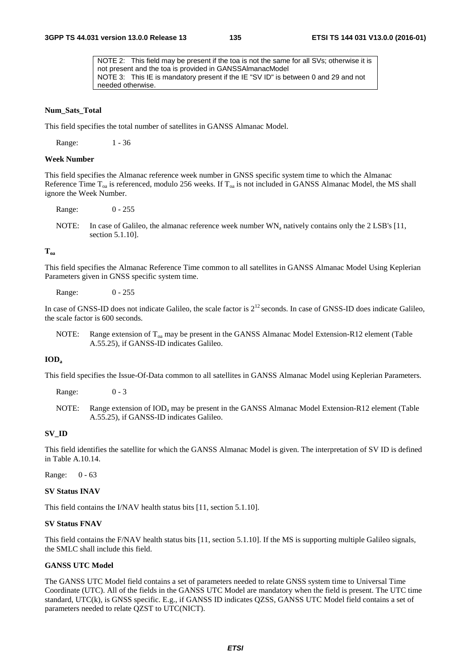NOTE 2: This field may be present if the toa is not the same for all SVs; otherwise it is not present and the toa is provided in GANSSAlmanacModel NOTE 3: This IE is mandatory present if the IE "SV ID" is between 0 and 29 and not needed otherwise.

#### **Num\_Sats\_Total**

This field specifies the total number of satellites in GANSS Almanac Model.

Range: 1 - 36

#### **Week Number**

This field specifies the Almanac reference week number in GNSS specific system time to which the Almanac Reference Time  $T_{oa}$  is referenced, modulo 256 weeks. If  $T_{oa}$  is not included in GANSS Almanac Model, the MS shall ignore the Week Number.

Range: 0 - 255

NOTE: In case of Galileo, the almanac reference week number  $WN_a$  natively contains only the 2 LSB's [11, section 5.1.10].

### $T_{\alpha a}$

This field specifies the Almanac Reference Time common to all satellites in GANSS Almanac Model Using Keplerian Parameters given in GNSS specific system time.

Range: 0 - 255

In case of GNSS-ID does not indicate Galileo, the scale factor is  $2^{12}$  seconds. In case of GNSS-ID does indicate Galileo. the scale factor is 600 seconds.

NOTE: Range extension of  $T_{oa}$  may be present in the GANSS Almanac Model Extension-R12 element (Table A.55.25), if GANSS-ID indicates Galileo.

## **IODa**

This field specifies the Issue-Of-Data common to all satellites in GANSS Almanac Model using Keplerian Parameters.

Range: 0 - 3

NOTE: Range extension of  $\text{IOD}_a$  may be present in the GANSS Almanac Model Extension-R12 element (Table A.55.25), if GANSS-ID indicates Galileo.

### **SV\_ID**

This field identifies the satellite for which the GANSS Almanac Model is given. The interpretation of SV ID is defined in Table A.10.14.

Range: 0 - 63

**SV Status INAV** 

This field contains the I/NAV health status bits [11, section 5.1.10].

#### **SV Status FNAV**

This field contains the F/NAV health status bits [11, section 5.1.10]. If the MS is supporting multiple Galileo signals, the SMLC shall include this field.

#### **GANSS UTC Model**

The GANSS UTC Model field contains a set of parameters needed to relate GNSS system time to Universal Time Coordinate (UTC). All of the fields in the GANSS UTC Model are mandatory when the field is present. The UTC time standard, UTC(k), is GNSS specific. E.g., if GANSS ID indicates QZSS, GANSS UTC Model field contains a set of parameters needed to relate QZST to UTC(NICT).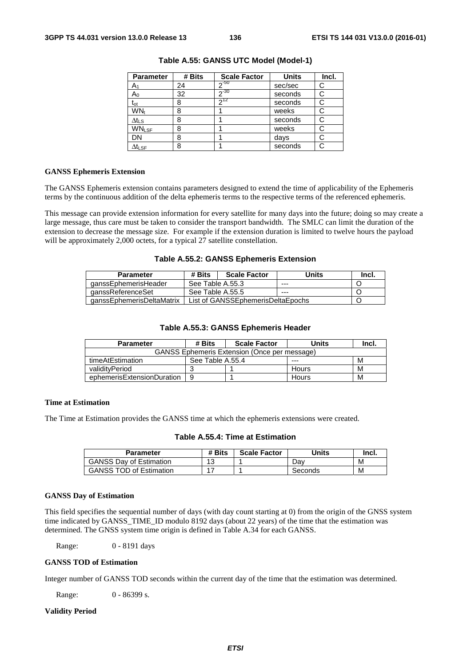| <b>Parameter</b>          | # Bits | <b>Scale Factor</b> | <b>Units</b> | Incl. |
|---------------------------|--------|---------------------|--------------|-------|
| A <sub>1</sub>            | 24     | $2^{-50}$           | sec/sec      | С     |
| $A_0$                     | 32     | $2 - 30$            | seconds      | C     |
| $t_{ot}$                  | 8      | $2^{12}$            | seconds      | С     |
| WN <sub>t</sub>           | 8      |                     | weeks        | С     |
| $\Delta t$ <sub>LS</sub>  | 8      |                     | seconds      | С     |
| <b>WNLSF</b>              | 8      |                     | weeks        |       |
| DN                        | 8      |                     | days         |       |
| $\Delta t_{\textsf{LSF}}$ | 8      |                     | seconds      |       |

**Table A.55: GANSS UTC Model (Model-1)** 

#### **GANSS Ephemeris Extension**

The GANSS Ephemeris extension contains parameters designed to extend the time of applicability of the Ephemeris terms by the continuous addition of the delta ephemeris terms to the respective terms of the referenced ephemeris.

This message can provide extension information for every satellite for many days into the future; doing so may create a large message, thus care must be taken to consider the transport bandwidth. The SMLC can limit the duration of the extension to decrease the message size. For example if the extension duration is limited to twelve hours the payload will be approximately 2,000 octets, for a typical 27 satellite constellation.

#### **Table A.55.2: GANSS Ephemeris Extension**

| <b>Parameter</b>          | # Bits<br><b>Scale Factor</b>     |  | Units | Incl. |
|---------------------------|-----------------------------------|--|-------|-------|
| qanssEphemerisHeader      | See Table A.55.3                  |  | ---   |       |
| ganssReferenceSet         | See Table A.55.5                  |  | $--$  |       |
| ganssEphemerisDeltaMatrix | List of GANSSEphemerisDeltaEpochs |  |       |       |

## **Table A.55.3: GANSS Ephemeris Header**

| <b>Parameter</b>                                    | # Bits<br><b>Scale Factor</b> |  | Units | Incl. |
|-----------------------------------------------------|-------------------------------|--|-------|-------|
| <b>GANSS Ephemeris Extension (Once per message)</b> |                               |  |       |       |
| timeAtEstimation                                    | See Table A.55.4              |  | ---   | м     |
| validityPeriod                                      |                               |  | Hours | м     |
| ephemerisExtensionDuration                          | 9                             |  | Hours | M     |

## **Time at Estimation**

The Time at Estimation provides the GANSS time at which the ephemeris extensions were created.

|  |  |  |  | Table A.55.4: Time at Estimation |
|--|--|--|--|----------------------------------|
|--|--|--|--|----------------------------------|

| Parameter                      | # Bits | <b>Scale Factor</b> | Units   | Incl. |
|--------------------------------|--------|---------------------|---------|-------|
| <b>GANSS Dav of Estimation</b> | 12     |                     | Dav     | М     |
| <b>GANSS TOD of Estimation</b> |        |                     | Seconds | M     |

#### **GANSS Day of Estimation**

This field specifies the sequential number of days (with day count starting at 0) from the origin of the GNSS system time indicated by GANSS\_TIME\_ID modulo 8192 days (about 22 years) of the time that the estimation was determined. The GNSS system time origin is defined in Table A.34 for each GANSS.

Range: 0 - 8191 days

#### **GANSS TOD of Estimation**

Integer number of GANSS TOD seconds within the current day of the time that the estimation was determined.

Range: 0 - 86399 s.

## **Validity Period**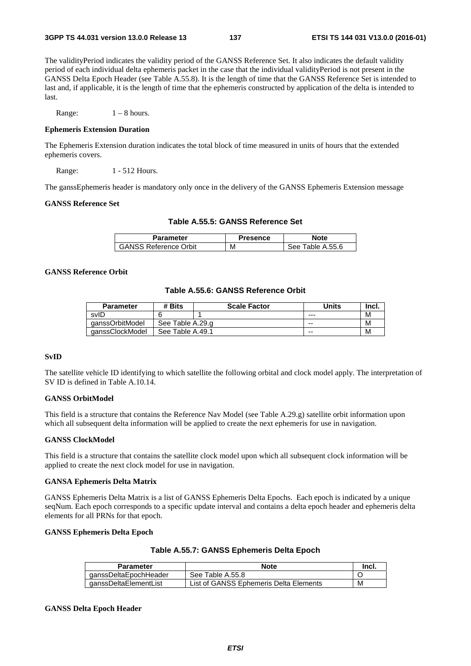The validityPeriod indicates the validity period of the GANSS Reference Set. It also indicates the default validity period of each individual delta ephemeris packet in the case that the individual validityPeriod is not present in the GANSS Delta Epoch Header (see Table A.55.8). It is the length of time that the GANSS Reference Set is intended to last and, if applicable, it is the length of time that the ephemeris constructed by application of the delta is intended to last.

Range:  $1 - 8$  hours.

### **Ephemeris Extension Duration**

The Ephemeris Extension duration indicates the total block of time measured in units of hours that the extended ephemeris covers.

Range: 1 - 512 Hours.

The ganssEphemeris header is mandatory only once in the delivery of the GANSS Ephemeris Extension message

### **GANSS Reference Set**

|  |  |  |  | Table A.55.5: GANSS Reference Set |  |
|--|--|--|--|-----------------------------------|--|
|--|--|--|--|-----------------------------------|--|

| <b>Parameter</b>             | Presence | lote                 |
|------------------------------|----------|----------------------|
| <b>GANSS Reference Orbit</b> | М        | Table A.55.6<br>See. |

## **GANSS Reference Orbit**

## **Table A.55.6: GANSS Reference Orbit**

| <b>Parameter</b> | # Bits           | <b>Scale Factor</b> | Units   | Inci. |
|------------------|------------------|---------------------|---------|-------|
| svID             |                  |                     | $- - -$ | M     |
| qanssOrbitModel  | See Table A.29.g |                     | $- -$   | M     |
| qanssClockModel  | See Table A.49.1 |                     | $- -$   | M     |

#### **SvID**

The satellite vehicle ID identifying to which satellite the following orbital and clock model apply. The interpretation of SV ID is defined in Table A.10.14.

## **GANSS OrbitModel**

This field is a structure that contains the Reference Nav Model (see Table A.29.g) satellite orbit information upon which all subsequent delta information will be applied to create the next ephemeris for use in navigation.

#### **GANSS ClockModel**

This field is a structure that contains the satellite clock model upon which all subsequent clock information will be applied to create the next clock model for use in navigation.

#### **GANSA Ephemeris Delta Matrix**

GANSS Ephemeris Delta Matrix is a list of GANSS Ephemeris Delta Epochs. Each epoch is indicated by a unique seqNum. Each epoch corresponds to a specific update interval and contains a delta epoch header and ephemeris delta elements for all PRNs for that epoch.

## **GANSS Ephemeris Delta Epoch**

| Table A.55.7: GANSS Ephemeris Delta Epoch |  |  |
|-------------------------------------------|--|--|
|-------------------------------------------|--|--|

| <b>Parameter</b>      | <b>Note</b>                            | Incl. |
|-----------------------|----------------------------------------|-------|
| qanssDeltaEpochHeader | See Table A.55.8                       |       |
| ganssDeltaElementList | List of GANSS Ephemeris Delta Elements | M     |

#### **GANSS Delta Epoch Header**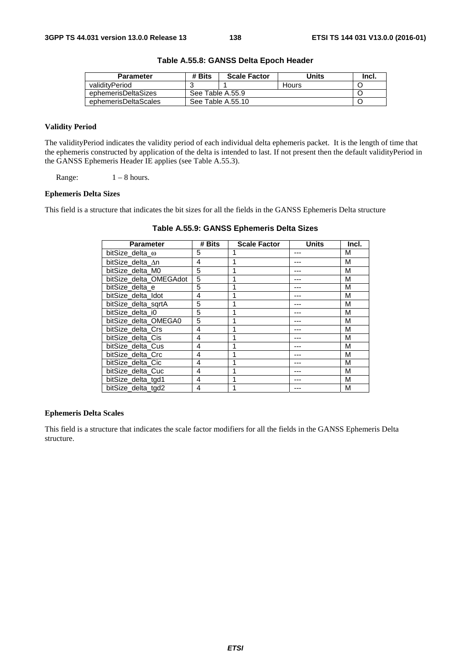| <b>Parameter</b>     | # Bits            | <b>Scale Factor</b> | Units | Incl. |
|----------------------|-------------------|---------------------|-------|-------|
| validityPeriod       |                   |                     | Hours |       |
| ephemerisDeltaSizes  | See Table A.55.9  |                     |       |       |
| ephemerisDeltaScales | See Table A.55.10 |                     |       |       |

# **Table A.55.8: GANSS Delta Epoch Header**

## **Validity Period**

The validityPeriod indicates the validity period of each individual delta ephemeris packet. It is the length of time that the ephemeris constructed by application of the delta is intended to last. If not present then the default validityPeriod in the GANSS Ephemeris Header IE applies (see Table A.55.3).

Range:  $1 - 8$  hours.

## **Ephemeris Delta Sizes**

This field is a structure that indicates the bit sizes for all the fields in the GANSS Ephemeris Delta structure

| <b>Parameter</b>       | # Bits | <b>Scale Factor</b> | <b>Units</b> | Incl. |
|------------------------|--------|---------------------|--------------|-------|
| bitSize delta $\omega$ | 5      |                     |              | M     |
| bitSize delta ∆n       | 4      |                     |              | М     |
| bitSize delta M0       | 5      |                     |              | М     |
| bitSize_delta_OMEGAdot | 5      |                     |              | M     |
| bitSize delta e        | 5      |                     |              | M     |
| bitSize delta Idot     | 4      |                     |              | M     |
| bitSize delta sgrtA    | 5      |                     |              | M     |
| bitSize delta i0       | 5      |                     | ---          | М     |
| bitSize_delta_OMEGA0   | 5      |                     |              | M     |
| bitSize_delta_Crs      | 4      |                     | ---          | M     |
| bitSize_delta_Cis      | 4      |                     |              | M     |
| bitSize delta Cus      | 4      |                     |              | M     |
| bitSize delta Crc      | 4      |                     |              | M     |
| bitSize delta Cic      | 4      |                     |              | М     |
| bitSize delta Cuc      | 4      |                     |              | M     |
| bitSize delta tgd1     | 4      | 4                   |              | M     |
| bitSize_delta_tgd2     | 4      |                     |              | М     |

**Table A.55.9: GANSS Ephemeris Delta Sizes** 

### **Ephemeris Delta Scales**

This field is a structure that indicates the scale factor modifiers for all the fields in the GANSS Ephemeris Delta structure.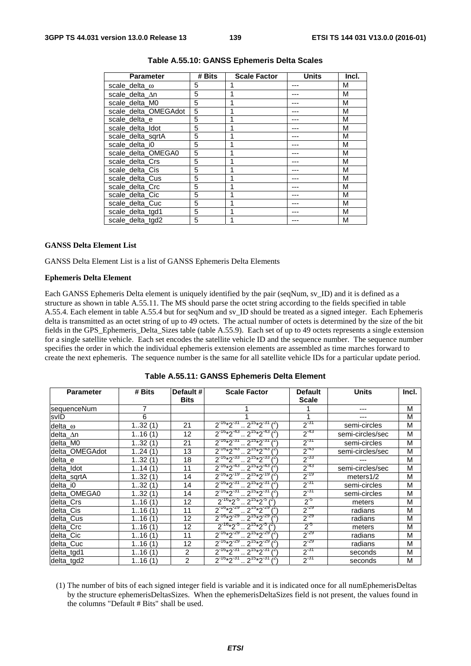| <b>Parameter</b>     | # Bits | <b>Scale Factor</b> | <b>Units</b> | Incl. |
|----------------------|--------|---------------------|--------------|-------|
| scale delta $\omega$ | 5      |                     |              | M     |
| scale delta An       | 5      |                     |              | М     |
| scale_delta_M0       | 5      |                     |              | М     |
| scale_delta_OMEGAdot | 5      |                     |              | M     |
| scale delta e        | 5      | 1                   |              | M     |
| scale delta Idot     | 5      | 1                   |              | M     |
| scale delta sgrtA    | 5      | 1                   |              | M     |
| scale delta i0       | 5      | 1                   |              | M     |
| scale_delta_OMEGA0   | 5      | 1                   |              | M     |
| scale_delta_Crs      | 5      | 1                   |              | M     |
| scale_delta_Cis      | 5      | 1                   |              | M     |
| scale_delta_Cus      | 5      |                     |              | M     |
| scale_delta_Crc      | 5      |                     |              | M     |
| scale_delta_Cic      | 5      |                     |              | M     |
| scale delta Cuc      | 5      |                     |              | M     |
| scale_delta_tgd1     | 5      | 1                   | ---          | M     |
| scale delta tgd2     | 5      | 1                   |              | M     |

### **Table A.55.10: GANSS Ephemeris Delta Scales**

#### **GANSS Delta Element List**

GANSS Delta Element List is a list of GANSS Ephemeris Delta Elements

#### **Ephemeris Delta Element**

Each GANSS Ephemeris Delta element is uniquely identified by the pair (seqNum, sv\_ID) and it is defined as a structure as shown in table A.55.11. The MS should parse the octet string according to the fields specified in table A.55.4. Each element in table A.55.4 but for seqNum and sv\_ID should be treated as a signed integer. Each Ephemeris delta is transmitted as an octet string of up to 49 octets. The actual number of octets is determined by the size of the bit fields in the GPS\_Ephemeris\_Delta\_Sizes table (table A.55.9). Each set of up to 49 octets represents a single extension for a single satellite vehicle. Each set encodes the satellite vehicle ID and the sequence number. The sequence number specifies the order in which the individual ephemeris extension elements are assembled as time marches forward to create the next ephemeris. The sequence number is the same for all satellite vehicle IDs for a particular update period.

| <b>Parameter</b> | # Bits   | Default #<br><b>Bits</b> | <b>Scale Factor</b>                                    | <b>Default</b><br>Scale | <b>Units</b>     | Incl. |
|------------------|----------|--------------------------|--------------------------------------------------------|-------------------------|------------------|-------|
| sequenceNum      | 7        |                          |                                                        |                         |                  | M     |
| svID             | 6        |                          |                                                        | 1                       |                  | M     |
| delta $\omega$   | 132(1)   | 21                       | $2^{-16*}2^{-31}$ $2^{15*}2^{-31}$ $(2)$               | $2^{-31}$               | semi-circles     | M     |
| delta_∆n         | 116(1)   | 12                       | $2^{-16*}2^{-43}$ , $2^{15*}2^{-43}$                   | $2^{-43}$               | semi-circles/sec | M     |
| delta M0         | 132(1)   | 21                       | $2^{-16*2^{31}}$ $2^{15*2^{31}}$                       | $2^{-31}$               | semi-circles     | M     |
| delta OMEGAdot   | 124(1)   | 13                       | $2^{16*2^{43}} \cdot 2^{15*2^{43}}$                    | $2^{-43}$               | semi-circles/sec | M     |
| delta e          | 132(1)   | 18                       | $2^{-16}*2^{-33}$ $2^{15}*2^{-33}$ $2^{15}$            | $2^{-33}$               |                  | M     |
| delta Idot       | 114(1)   | 11                       | $2^{-16*2^{-43}}$ , $2^{15*2^{-43}}$ $\binom{2}{1}$    | $2^{-43}$               | semi-circles/sec | M     |
| delta_sqrtA      | 132(1)   | 14                       | $2^{-16}*2^{-19}$ $2^{15}*2^{-19}$                     | $2^{-19}$               | meters $1/2$     | M     |
| delta_i0         | 132(1)   | 14                       | $2^{-16}*2^{-31}$ $2^{15}*2^{-31}$                     | $2^{31}$                | semi-circles     | M     |
| delta OMEGA0     | 132(1)   | 14                       | $2^{16*2^{31}} \cdot 2^{15*2^{31}}$                    | $2^{-31}$               | semi-circles     | M     |
| delta_Crs        | 116(1)   | 12                       | $2^{-16}*2^{-5}$ $2^{15}*2^{-5}$ $1^2$                 | $2^{5}$                 | meters           | M     |
| delta Cis        | 116(1)   | 11                       | $2^{-16}*2^{-29}$ , $2^{15}*2^{-29}$                   | $2^{-29}$               | radians          | M     |
| delta_Cus        | 116(1)   | $12 \overline{ }$        | $2^{-16*2^{-29}} \cdot 2^{15*2^{-29}}$                 | $2^{-29}$               | radians          | M     |
| delta_Crc        | 116(1)   | 12                       | $2^{-16}*2^{-5}$ $2^{15}*2^{-5}$ $1^{21}$              | $2^{-5}$                | meters           | M     |
| delta Cic        | 116(1)   | 11                       | $2^{-16*}2^{-29}$ , $2^{15*}2^{-29}$                   | $2^{-29}$               | radians          | M     |
| delta Cuc        | 1, 16(1) | $12 \overline{ }$        | $2^{-16*2^{-29}} \cdot 2^{15*2^{-29}}$                 | $2^{-29}$               | radians          | М     |
| delta_tgd1       | 116(1)   | $\overline{2}$           | 2 <sup>15</sup> *2 <sup>-31</sup><br>$2^{-16*}2^{-31}$ | $2^{31}$                | seconds          | M     |
| delta_tgd2       | 116(1)   | $\overline{2}$           | $2^{16*2^{31}} \cdot 2^{15*2^{31}}$                    | $2^{-31}$               | seconds          | M     |

|  | Table A.55.11: GANSS Ephemeris Delta Element |
|--|----------------------------------------------|
|--|----------------------------------------------|

(1) The number of bits of each signed integer field is variable and it is indicated once for all numEphemerisDeltas by the structure ephemerisDeltasSizes. When the ephemerisDeltaSizes field is not present, the values found in the columns "Default # Bits" shall be used.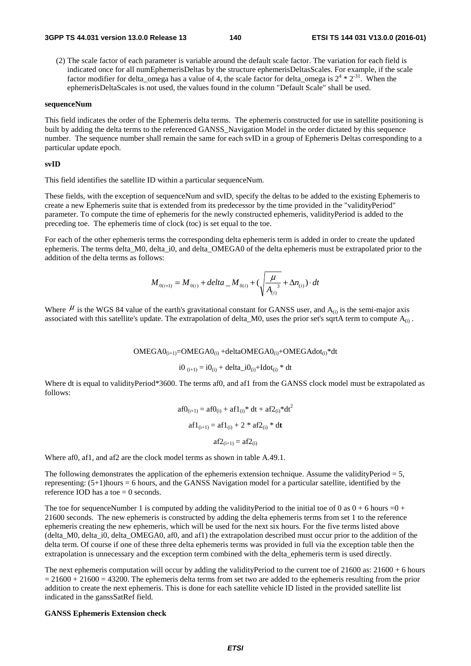(2) The scale factor of each parameter is variable around the default scale factor. The variation for each field is indicated once for all numEphemerisDeltas by the structure ephemerisDeltasScales. For example, if the scale factor modifier for delta\_omega has a value of 4, the scale factor for delta\_omega is  $2^4 * 2^{31}$ . When the ephemerisDeltaScales is not used, the values found in the column "Default Scale" shall be used.

#### **sequenceNum**

This field indicates the order of the Ephemeris delta terms. The ephemeris constructed for use in satellite positioning is built by adding the delta terms to the referenced GANSS\_Navigation Model in the order dictated by this sequence number. The sequence number shall remain the same for each svID in a group of Ephemeris Deltas corresponding to a particular update epoch.

#### **svID**

This field identifies the satellite ID within a particular sequenceNum.

These fields, with the exception of sequenceNum and svID, specify the deltas to be added to the existing Ephemeris to create a new Ephemeris suite that is extended from its predecessor by the time provided in the "validityPeriod" parameter. To compute the time of ephemeris for the newly constructed ephemeris, validityPeriod is added to the preceding toe. The ephemeris time of clock (toc) is set equal to the toe.

For each of the other ephemeris terms the corresponding delta ephemeris term is added in order to create the updated ephemeris. The terms delta M0, delta i0, and delta OMEGA0 of the delta ephemeris must be extrapolated prior to the addition of the delta terms as follows:

$$
M_{0(i+1)} = M_{0(i)} + delta \_M_{0(i)} + (\sqrt{\frac{\mu}{A_{(i)}}^3 + \Delta n_{(i)}}) \cdot dt
$$

Where  $\mu$  is the WGS 84 value of the earth's gravitational constant for GANSS user, and  $A_{(i)}$  is the semi-major axis associated with this satellite's update. The extrapolation of delta\_M0, uses the prior set's sqrtA term to compute  $A_{(i)}$ .

 $OMEGAO<sub>(i+1)</sub>=OMEGAO<sub>(i)</sub> +deltaOMEGAO<sub>(i)</sub>+OMEGAO<sub>(i)</sub> +dMAIGAA<sub>(i)</sub> *dt$ 

$$
i0_{(i+1)} = i0_{(i)} + delta_i 0_{(i)} + Idot_{(i)} * dt
$$

Where dt is equal to validityPeriod\*3600. The terms af0, and af1 from the GANSS clock model must be extrapolated as follows:

$$
af0_{(i+1)} = af0_{(i)} + af1_{(i)} * dt + af2_{(i)} * dt2
$$

$$
af1_{(i+1)} = af1_{(i)} + 2 * af2_{(i)} * dt
$$

$$
af2_{(i+1)} = af2_{(i)}
$$

Where af0, af1, and af2 are the clock model terms as shown in table A.49.1.

The following demonstrates the application of the ephemeris extension technique. Assume the validityPeriod  $= 5$ , representing: (5+1)hours = 6 hours, and the GANSS Navigation model for a particular satellite, identified by the reference IOD has a toe  $= 0$  seconds.

The toe for sequenceNumber 1 is computed by adding the validityPeriod to the initial toe of 0 as  $0 + 6$  hours =0 + 21600 seconds. The new ephemeris is constructed by adding the delta ephemeris terms from set 1 to the reference ephemeris creating the new ephemeris, which will be used for the next six hours. For the five terms listed above (delta\_M0, delta\_i0, delta\_OMEGA0, af0, and af1) the extrapolation described must occur prior to the addition of the delta term. Of course if one of these three delta ephemeris terms was provided in full via the exception table then the extrapolation is unnecessary and the exception term combined with the delta\_ephemeris term is used directly.

The next ephemeris computation will occur by adding the validityPeriod to the current toe of  $21600$  as:  $21600 + 6$  hours  $= 21600 + 21600 = 43200$ . The ephemeris delta terms from set two are added to the ephemeris resulting from the prior addition to create the next ephemeris. This is done for each satellite vehicle ID listed in the provided satellite list indicated in the ganssSatRef field.

#### **GANSS Ephemeris Extension check**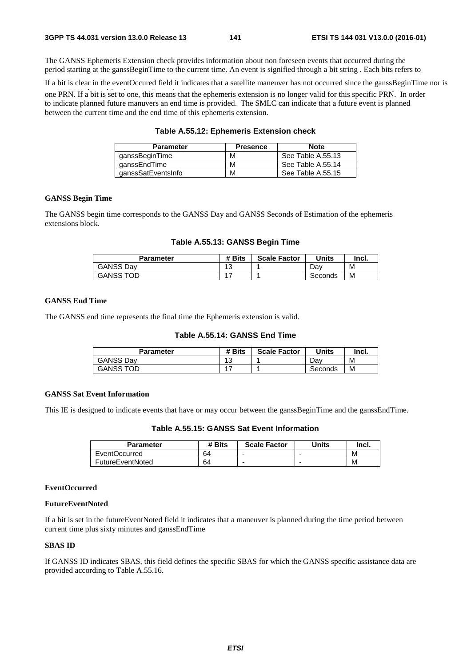The GANSS Ephemeris Extension check provides information about non foreseen events that occurred during the period starting at the ganssBeginTime to the current time. An event is signified through a bit string . Each bits refers to

If a bit is clear in the eventOccured field it indicates that a satellite maneuver has not occurred since the ganssBeginTime nor is

one PRN. If a bit is set to one, this means that the ephemeris extension is no longer valid for this specific PRN. In order to indicate planned future manuvers an end time is provided. The SMLC can indicate that a future event is planned between the current time and the end time of this ephemeris extension.

| Table A.55.12: Ephemeris Extension check |  |  |  |
|------------------------------------------|--|--|--|
|------------------------------------------|--|--|--|

| <b>Parameter</b>   | <b>Presence</b> | <b>Note</b>       |
|--------------------|-----------------|-------------------|
| qanssBeginTime     | м               | See Table A.55.13 |
| qanssEndTime       | М               | See Table A.55.14 |
| ganssSatEventsInfo | М               | See Table A.55.15 |

## **GANSS Begin Time**

The GANSS begin time corresponds to the GANSS Day and GANSS Seconds of Estimation of the ephemeris extensions block.

**Table A.55.13: GANSS Begin Time** 

| Parameter        | # Bits  | <b>Scale Factor</b> | Units   | Incl. |
|------------------|---------|---------------------|---------|-------|
| <b>GANSS Dav</b> | 10<br>ں |                     | Dav     | M     |
| GANSS TOD        |         |                     | Seconds | М     |

## **GANSS End Time**

The GANSS end time represents the final time the Ephemeris extension is valid.

# **Table A.55.14: GANSS End Time**

| Parameter        | # Bits      | <b>Scale Factor</b> | Units   | Incl. |
|------------------|-------------|---------------------|---------|-------|
| <b>GANSS Dav</b> | $\sim$<br>w |                     | Dav     | M     |
| <b>GANSS TOD</b> |             |                     | Seconds | M     |

## **GANSS Sat Event Information**

This IE is designed to indicate events that have or may occur between the ganssBeginTime and the ganssEndTime.

**Table A.55.15: GANSS Sat Event Information** 

| <b>Parameter</b> | # Bits | <b>Scale Factor</b> | Units | Incl. |
|------------------|--------|---------------------|-------|-------|
| EventOccurred    | 64     |                     |       | M     |
| FutureEventNoted | 64     |                     |       | М     |

## **EventOccurred**

#### **FutureEventNoted**

If a bit is set in the futureEventNoted field it indicates that a maneuver is planned during the time period between current time plus sixty minutes and ganssEndTime

## **SBAS ID**

If GANSS ID indicates SBAS, this field defines the specific SBAS for which the GANSS specific assistance data are provided according to Table A.55.16.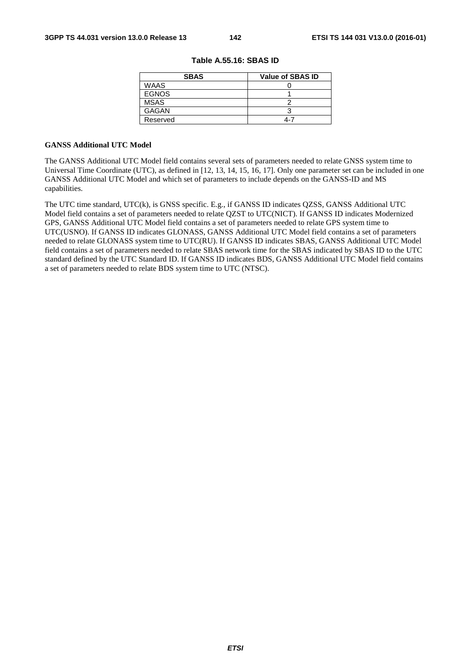| <b>SBAS</b>  | <b>Value of SBAS ID</b> |
|--------------|-------------------------|
| <b>WAAS</b>  |                         |
| <b>EGNOS</b> |                         |
| <b>MSAS</b>  |                         |
| <b>GAGAN</b> |                         |
| Reserved     | 4-7                     |

|  | Table A.55.16: SBAS ID |  |  |
|--|------------------------|--|--|
|--|------------------------|--|--|

#### **GANSS Additional UTC Model**

The GANSS Additional UTC Model field contains several sets of parameters needed to relate GNSS system time to Universal Time Coordinate (UTC), as defined in [12, 13, 14, 15, 16, 17]. Only one parameter set can be included in one GANSS Additional UTC Model and which set of parameters to include depends on the GANSS-ID and MS capabilities.

The UTC time standard, UTC(k), is GNSS specific. E.g., if GANSS ID indicates QZSS, GANSS Additional UTC Model field contains a set of parameters needed to relate QZST to UTC(NICT). If GANSS ID indicates Modernized GPS, GANSS Additional UTC Model field contains a set of parameters needed to relate GPS system time to UTC(USNO). If GANSS ID indicates GLONASS, GANSS Additional UTC Model field contains a set of parameters needed to relate GLONASS system time to UTC(RU). If GANSS ID indicates SBAS, GANSS Additional UTC Model field contains a set of parameters needed to relate SBAS network time for the SBAS indicated by SBAS ID to the UTC standard defined by the UTC Standard ID. If GANSS ID indicates BDS, GANSS Additional UTC Model field contains a set of parameters needed to relate BDS system time to UTC (NTSC).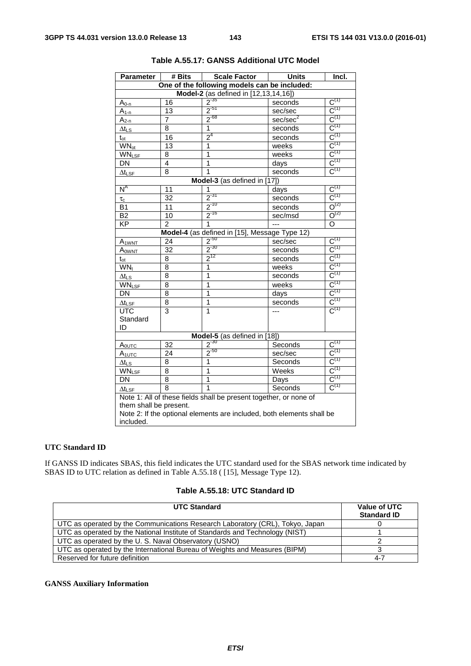| <b>Parameter</b>          | $\overline{\textbf{H}}$ Bits                                          | <b>Scale Factor</b>                                               | <b>Units</b>         | Incl.                                  |  |  |
|---------------------------|-----------------------------------------------------------------------|-------------------------------------------------------------------|----------------------|----------------------------------------|--|--|
|                           |                                                                       | One of the following models can be included:                      |                      |                                        |  |  |
|                           | Model-2 (as defined in [12,13,14,16])                                 |                                                                   |                      |                                        |  |  |
| $A_{0-n}$                 | 16                                                                    | $2^{-35}$                                                         | seconds              | $C^{(1)}$                              |  |  |
| $A_{1-n}$                 | 13                                                                    | $2^{51}$                                                          | sec/sec              | $C^{(1)}$                              |  |  |
| $A_{2-n}$                 | $\overline{7}$                                                        | $2^{68}$                                                          | sec/sec <sup>2</sup> | $C^{(1)}$                              |  |  |
| ∆t∟s                      | 8                                                                     | 1                                                                 | seconds              | $C^{(1)}$                              |  |  |
| $t_{\rm ot}$              | 16                                                                    | $2^4$                                                             | seconds              | $C^{(1)}$                              |  |  |
| <b>WN</b> <sub>ot</sub>   | 13                                                                    | 1                                                                 | weeks                | $C^{(1)}$                              |  |  |
| <b>WNLSF</b>              | 8                                                                     | 1                                                                 | weeks                | $C^{(1)}$                              |  |  |
| DN                        | 4                                                                     | 1                                                                 | days                 | $C^{(1)}$                              |  |  |
| $\Delta t_{\textsf{LSF}}$ | 8                                                                     | 1                                                                 | seconds              | $C^{(1)}$                              |  |  |
|                           |                                                                       | Model-3 (as defined in [17])                                      |                      |                                        |  |  |
| $N^A$                     | 11                                                                    | 1                                                                 | days                 | $\textsf{C}^{\textsf{(1)}}$            |  |  |
| $\tau_{\rm c}$            | 32                                                                    | $2^{-31}$                                                         | seconds              | $\overline{C^{(1)}}$                   |  |  |
| <b>B1</b>                 | 11                                                                    | $2^{-10}$                                                         | seconds              | $O^{(2)}$                              |  |  |
| B <sub>2</sub>            | 10                                                                    | $2^{-16}$                                                         | sec/msd              | $O^{(2)}$                              |  |  |
| $\overline{KP}$           | 2                                                                     | 1                                                                 | ---                  | O                                      |  |  |
|                           |                                                                       | Model-4 (as defined in [15], Message Type 12)                     |                      |                                        |  |  |
| A <sub>1WNT</sub>         | 24                                                                    | $2^{-50}$                                                         | sec/sec              | $C^{(1)}$                              |  |  |
| AOWNT                     | 32                                                                    | $2^{-30}$                                                         | seconds              | $C^{(1)}$                              |  |  |
| $t_{\text{ot}}$           | 8                                                                     | $2^{12}$                                                          | seconds              | $C^{(1)}$                              |  |  |
| $WN_t$                    | 8                                                                     | 1                                                                 | weeks                | $C^{(1)}$                              |  |  |
| $\Delta t_{LS}$           | 8                                                                     | 1                                                                 | seconds              | $C^{(1)}$                              |  |  |
| <b>WNLSF</b>              | 8                                                                     | 1                                                                 | weeks                | $\textsf{C}^{\textsf{(1)}}$            |  |  |
| DN                        | 8                                                                     | 1                                                                 | days                 | $C^{(1)}$                              |  |  |
| $\Delta t_{\textsf{LSF}}$ | 8                                                                     | 1                                                                 | seconds              | $C^{(1)}$                              |  |  |
| <b>UTC</b>                | 3                                                                     | 1                                                                 | ---                  | $\overline{C^{(1)}}$                   |  |  |
| Standard                  |                                                                       |                                                                   |                      |                                        |  |  |
| ID                        |                                                                       |                                                                   |                      |                                        |  |  |
|                           |                                                                       | Model-5 (as defined in [18])                                      |                      |                                        |  |  |
| $A_{\text{OUTC}}$         | 32                                                                    | $2^{-30}$                                                         | Seconds              | $\text{C}^{\scriptscriptstyle{(1)}}$   |  |  |
| $A_{1UTC}$                | 24                                                                    | $2^{50}$                                                          | sec/sec              | $C^{(1)}$                              |  |  |
| ∆t∟s                      | 8                                                                     | 1                                                                 | Seconds              | $C^{(1)}$                              |  |  |
| <b>WNLSF</b>              | 8                                                                     | 1                                                                 | Weeks                | $\textsf{C}^{\scriptscriptstyle{(1)}}$ |  |  |
| <b>DN</b>                 | 8                                                                     | 1                                                                 | Days                 | $C^{(1)}$                              |  |  |
| $\Delta t_{\textsf{LSF}}$ | 8                                                                     | $\overline{1}$                                                    | Seconds              | $C^{(1)}$                              |  |  |
|                           |                                                                       | Note 1: All of these fields shall be present together, or none of |                      |                                        |  |  |
| them shall be present.    |                                                                       |                                                                   |                      |                                        |  |  |
|                           | Note 2: If the optional elements are included, both elements shall be |                                                                   |                      |                                        |  |  |
| included.                 |                                                                       |                                                                   |                      |                                        |  |  |

# **Table A.55.17: GANSS Additional UTC Model**

# **UTC Standard ID**

If GANSS ID indicates SBAS, this field indicates the UTC standard used for the SBAS network time indicated by SBAS ID to UTC relation as defined in Table A.55.18 ( [15], Message Type 12).

# **Table A.55.18: UTC Standard ID**

| <b>UTC Standard</b>                                                           | Value of UTC<br><b>Standard ID</b> |
|-------------------------------------------------------------------------------|------------------------------------|
| UTC as operated by the Communications Research Laboratory (CRL), Tokyo, Japan |                                    |
| UTC as operated by the National Institute of Standards and Technology (NIST)  |                                    |
| UTC as operated by the U.S. Naval Observatory (USNO)                          |                                    |
| UTC as operated by the International Bureau of Weights and Measures (BIPM)    |                                    |
| Reserved for future definition                                                | 4-7                                |

# **GANSS Auxiliary Information**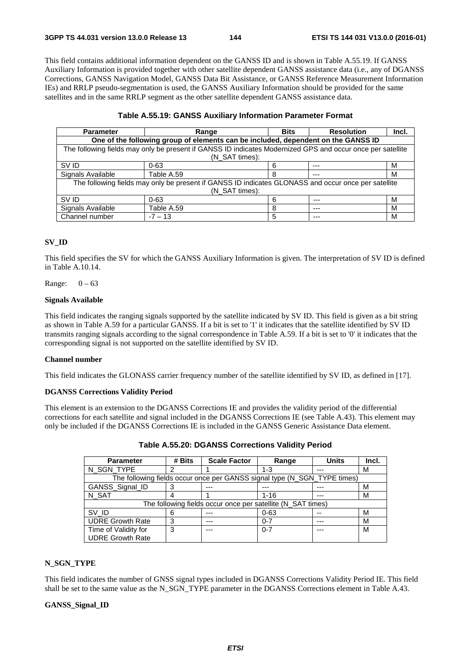This field contains additional information dependent on the GANSS ID and is shown in Table A.55.19. If GANSS Auxiliary Information is provided together with other satellite dependent GANSS assistance data (i.e., any of DGANSS Corrections, GANSS Navigation Model, GANSS Data Bit Assistance, or GANSS Reference Measurement Information IEs) and RRLP pseudo-segmentation is used, the GANSS Auxiliary Information should be provided for the same satellites and in the same RRLP segment as the other satellite dependent GANSS assistance data.

#### **Table A.55.19: GANSS Auxiliary Information Parameter Format**

| <b>Parameter</b>                                                                                           | Range          | <b>Bits</b> | <b>Resolution</b> | Incl. |  |  |  |  |
|------------------------------------------------------------------------------------------------------------|----------------|-------------|-------------------|-------|--|--|--|--|
| One of the following group of elements can be included, dependent on the GANSS ID                          |                |             |                   |       |  |  |  |  |
| The following fields may only be present if GANSS ID indicates Modernized GPS and occur once per satellite |                |             |                   |       |  |  |  |  |
|                                                                                                            | (N SAT times): |             |                   |       |  |  |  |  |
| SV ID                                                                                                      | $0 - 63$       | 6           | $- - -$           | м     |  |  |  |  |
| Signals Available                                                                                          | Table A.59     | 8           | ---               | м     |  |  |  |  |
| The following fields may only be present if GANSS ID indicates GLONASS and occur once per satellite        |                |             |                   |       |  |  |  |  |
|                                                                                                            | (N SAT times): |             |                   |       |  |  |  |  |
| SV ID                                                                                                      | $0 - 63$       | 6           | $--$              | M     |  |  |  |  |
| Signals Available                                                                                          | Table A.59     | 8           | ---               | м     |  |  |  |  |
| Channel number                                                                                             | $-7 - 13$      | 5           | ---               | м     |  |  |  |  |

#### **SV\_ID**

This field specifies the SV for which the GANSS Auxiliary Information is given. The interpretation of SV ID is defined in Table A.10.14.

Range:  $0 - 63$ 

#### **Signals Available**

This field indicates the ranging signals supported by the satellite indicated by SV ID. This field is given as a bit string as shown in Table A.59 for a particular GANSS. If a bit is set to '1' it indicates that the satellite identified by SV ID transmits ranging signals according to the signal correspondence in Table A.59. If a bit is set to '0' it indicates that the corresponding signal is not supported on the satellite identified by SV ID.

#### **Channel number**

This field indicates the GLONASS carrier frequency number of the satellite identified by SV ID, as defined in [17].

#### **DGANSS Corrections Validity Period**

This element is an extension to the DGANSS Corrections IE and provides the validity period of the differential corrections for each satellite and signal included in the DGANSS Corrections IE (see Table A.43). This element may only be included if the DGANSS Corrections IE is included in the GANSS Generic Assistance Data element.

| <b>Parameter</b>                                            | # Bits | <b>Scale Factor</b>                                                      | Range    | <b>Units</b> | Incl. |
|-------------------------------------------------------------|--------|--------------------------------------------------------------------------|----------|--------------|-------|
| N_SGN_TYPE                                                  | າ      |                                                                          | $1 - 3$  | ---          | М     |
|                                                             |        | The following fields occur once per GANSS signal type (N_SGN_TYPE times) |          |              |       |
| GANSS_Signal_ID                                             |        |                                                                          |          | ---          | М     |
| N SAT                                                       | 4      |                                                                          | $1 - 16$ | ---          | М     |
| The following fields occur once per satellite (N_SAT times) |        |                                                                          |          |              |       |
| SV ID                                                       | 6      |                                                                          | $0 - 63$ |              | М     |
| <b>UDRE Growth Rate</b>                                     | 3      |                                                                          | $0 - 7$  | ---          | М     |
| Time of Validity for                                        | 3      | ---                                                                      | $0 - 7$  | ---          | M     |
| <b>UDRE Growth Rate</b>                                     |        |                                                                          |          |              |       |

**Table A.55.20: DGANSS Corrections Validity Period** 

#### **N\_SGN\_TYPE**

This field indicates the number of GNSS signal types included in DGANSS Corrections Validity Period IE. This field shall be set to the same value as the N\_SGN\_TYPE parameter in the DGANSS Corrections element in Table A.43.

#### **GANSS\_Signal\_ID**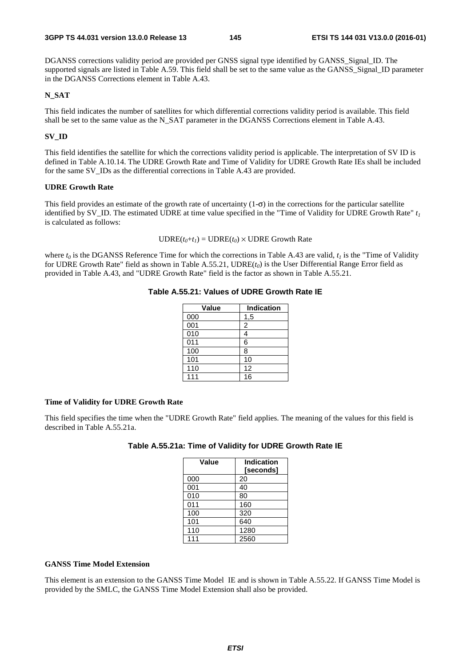DGANSS corrections validity period are provided per GNSS signal type identified by GANSS\_Signal\_ID. The supported signals are listed in Table A.59. This field shall be set to the same value as the GANSS\_Signal\_ID parameter in the DGANSS Corrections element in Table A.43.

#### **N\_SAT**

This field indicates the number of satellites for which differential corrections validity period is available. This field shall be set to the same value as the N\_SAT parameter in the DGANSS Corrections element in Table A.43.

#### **SV\_ID**

This field identifies the satellite for which the corrections validity period is applicable. The interpretation of SV ID is defined in Table A.10.14. The UDRE Growth Rate and Time of Validity for UDRE Growth Rate IEs shall be included for the same SV\_IDs as the differential corrections in Table A.43 are provided.

#### **UDRE Growth Rate**

This field provides an estimate of the growth rate of uncertainty  $(1-\sigma)$  in the corrections for the particular satellite identified by SV<sub>\_</sub>ID. The estimated UDRE at time value specified in the "Time of Validity for UDRE Growth Rate"  $t_1$ is calculated as follows:

 $\text{UDRE}(t_0+t_1) = \text{UDRE}(t_0) \times \text{UDRE}$  Growth Rate

where  $t_0$  is the DGANSS Reference Time for which the corrections in Table A.43 are valid,  $t_1$  is the "Time of Validity" for UDRE Growth Rate" field as shown in Table A.55.21, UDRE(*t0*) is the User Differential Range Error field as provided in Table A.43, and "UDRE Growth Rate" field is the factor as shown in Table A.55.21.

#### **Table A.55.21: Values of UDRE Growth Rate IE**

| <b>Value</b>     | <b>Indication</b> |
|------------------|-------------------|
| 000              | 1,5               |
| 001              | 2                 |
| 010              | 4                 |
| $\overline{011}$ | 6                 |
| 100              | 8                 |
| 101              | 10                |
| 110              | 12                |
| 111              | 16                |

#### **Time of Validity for UDRE Growth Rate**

This field specifies the time when the "UDRE Growth Rate" field applies. The meaning of the values for this field is described in Table A.55.21a.

| Table A.55.21a: Time of Validity for UDRE Growth Rate IE |
|----------------------------------------------------------|
|----------------------------------------------------------|

| Value | <b>Indication</b><br>[seconds] |
|-------|--------------------------------|
| 000   | 20                             |
| 001   | 40                             |
| 010   | 80                             |
| 011   | 160                            |
| 100   | 320                            |
| 101   | 640                            |
| 110   | 1280                           |
| 111   | 2560                           |

#### **GANSS Time Model Extension**

This element is an extension to the GANSS Time Model IE and is shown in Table A.55.22. If GANSS Time Model is provided by the SMLC, the GANSS Time Model Extension shall also be provided.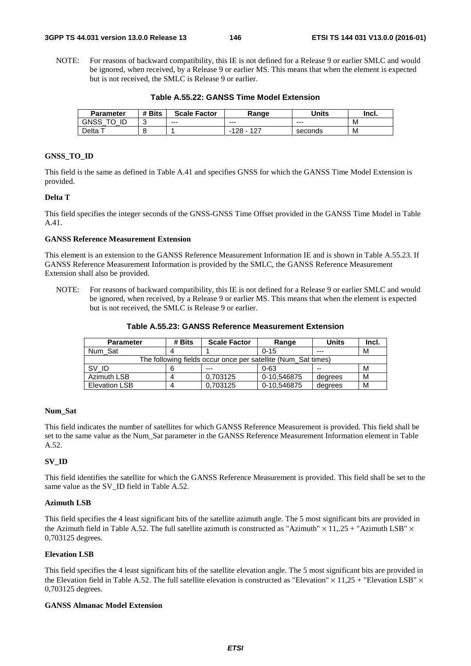NOTE: For reasons of backward compatibility, this IE is not defined for a Release 9 or earlier SMLC and would be ignored, when received, by a Release 9 or earlier MS. This means that when the element is expected but is not received, the SMLC is Release 9 or earlier.

**Table A.55.22: GANSS Time Model Extension** 

| <b>Parameter</b> | # Bits | <b>Scale Factor</b> | Range                | Units   | Incl. |
|------------------|--------|---------------------|----------------------|---------|-------|
| GNSS<br>ID<br>⇁⌒ | ັ      | $--$                | $- - -$              | $- - -$ | М     |
| Delta            |        |                     | 127<br>128<br>$\sim$ | seconds | М     |

#### **GNSS\_TO\_ID**

This field is the same as defined in Table A.41 and specifies GNSS for which the GANSS Time Model Extension is provided.

#### **Delta T**

This field specifies the integer seconds of the GNSS-GNSS Time Offset provided in the GANSS Time Model in Table A.41.

#### **GANSS Reference Measurement Extension**

This element is an extension to the GANSS Reference Measurement Information IE and is shown in Table A.55.23. If GANSS Reference Measurement Information is provided by the SMLC, the GANSS Reference Measurement Extension shall also be provided.

NOTE: For reasons of backward compatibility, this IE is not defined for a Release 9 or earlier SMLC and would be ignored, when received, by a Release 9 or earlier MS. This means that when the element is expected but is not received, the SMLC is Release 9 or earlier.

| Table A.55.23: GANSS Reference Measurement Extension |  |
|------------------------------------------------------|--|
|                                                      |  |

| <b>Parameter</b>                                              | # Bits | <b>Scale Factor</b> | Range       | <b>Units</b> | Incl. |
|---------------------------------------------------------------|--------|---------------------|-------------|--------------|-------|
| Num Sat                                                       |        |                     | $0 - 15$    | $---$        | м     |
| The following fields occur once per satellite (Num Sat times) |        |                     |             |              |       |
| SV ID                                                         |        | $- - -$             | 0-63        | --           | М     |
| Azimuth LSB                                                   |        | 0.703125            | 0-10.546875 | degrees      | м     |
| <b>Elevation LSB</b>                                          | Δ      | 0.703125            | 0-10.546875 | degrees      | М     |

#### **Num\_Sat**

This field indicates the number of satellites for which GANSS Reference Measurement is provided. This field shall be set to the same value as the Num\_Sat parameter in the GANSS Reference Measurement Information element in Table A.52.

#### **SV\_ID**

This field identifies the satellite for which the GANSS Reference Measurement is provided. This field shall be set to the same value as the SV\_ID field in Table A.52.

#### **Azimuth LSB**

This field specifies the 4 least significant bits of the satellite azimuth angle. The 5 most significant bits are provided in the Azimuth field in Table A.52. The full satellite azimuth is constructed as "Azimuth"  $\times$  11,.25 + "Azimuth LSB"  $\times$ 0,703125 degrees.

#### **Elevation LSB**

This field specifies the 4 least significant bits of the satellite elevation angle. The 5 most significant bits are provided in the Elevation field in Table A.52. The full satellite elevation is constructed as "Elevation"  $\times$  11,25 + "Elevation LSB"  $\times$ 0,703125 degrees.

#### **GANSS Almanac Model Extension**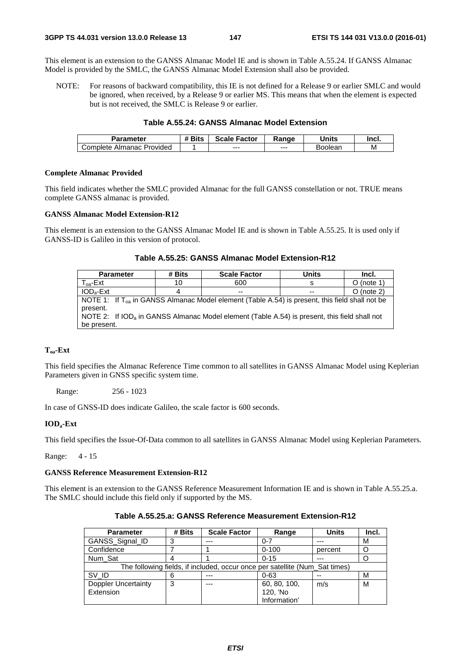This element is an extension to the GANSS Almanac Model IE and is shown in Table A.55.24. If GANSS Almanac Model is provided by the SMLC, the GANSS Almanac Model Extension shall also be provided.

NOTE: For reasons of backward compatibility, this IE is not defined for a Release 9 or earlier SMLC and would be ignored, when received, by a Release 9 or earlier MS. This means that when the element is expected but is not received, the SMLC is Release 9 or earlier.

#### **Table A.55.24: GANSS Almanac Model Extension**

| Parameter                           | <b>Bits</b><br><br>77 | Scale<br>Factor | Range | <b>Jnits</b> | Incl. |
|-------------------------------------|-----------------------|-----------------|-------|--------------|-------|
| Provided<br>. Almanac<br>' ompleteت |                       | $- - -$         | $--$  | 300lean      | M     |

#### **Complete Almanac Provided**

This field indicates whether the SMLC provided Almanac for the full GANSS constellation or not. TRUE means complete GANSS almanac is provided.

#### **GANSS Almanac Model Extension-R12**

This element is an extension to the GANSS Almanac Model IE and is shown in Table A.55.25. It is used only if GANSS-ID is Galileo in this version of protocol.

| Table A.55.25: GANSS Almanac Model Extension-R12 |  |  |
|--------------------------------------------------|--|--|
|--------------------------------------------------|--|--|

| <b>Parameter</b>                                                                                           | # Bits | <b>Scale Factor</b> | Units | Incl.        |  |  |  |
|------------------------------------------------------------------------------------------------------------|--------|---------------------|-------|--------------|--|--|--|
| $T_{0a}$ -Ext                                                                                              | 10     | 600                 | s     | $O$ (note 1) |  |  |  |
| $IODa-Ext$                                                                                                 |        | $-$                 | $-$   | $O$ (note 2) |  |  |  |
| NOTE 1: If $T_{\text{oa}}$ in GANSS Almanac Model element (Table A.54) is present, this field shall not be |        |                     |       |              |  |  |  |
| present.                                                                                                   |        |                     |       |              |  |  |  |
| NOTE 2: If IOD <sub>a</sub> in GANSS Almanac Model element (Table A.54) is present, this field shall not   |        |                     |       |              |  |  |  |
| be present.                                                                                                |        |                     |       |              |  |  |  |

#### **Toa-Ext**

This field specifies the Almanac Reference Time common to all satellites in GANSS Almanac Model using Keplerian Parameters given in GNSS specific system time.

Range: 256 - 1023

In case of GNSS-ID does indicate Galileo, the scale factor is 600 seconds.

#### **IODa-Ext**

This field specifies the Issue-Of-Data common to all satellites in GANSS Almanac Model using Keplerian Parameters.

Range: 4 - 15

#### **GANSS Reference Measurement Extension-R12**

This element is an extension to the GANSS Reference Measurement Information IE and is shown in Table A.55.25.a. The SMLC should include this field only if supported by the MS.

| <b>Parameter</b>           | # Bits | <b>Scale Factor</b>                                                         | Range        | <b>Units</b> | Incl. |
|----------------------------|--------|-----------------------------------------------------------------------------|--------------|--------------|-------|
| GANSS_Signal_ID            |        | $- - -$                                                                     | $0 - 7$      | $- - -$      | М     |
| Confidence                 |        |                                                                             | $0 - 100$    | percent      |       |
| Num Sat                    |        |                                                                             | $0 - 15$     | ---          |       |
|                            |        | The following fields, if included, occur once per satellite (Num_Sat times) |              |              |       |
| SV ID                      | 6      | $---$                                                                       | $0 - 63$     | $- -$        | М     |
| <b>Doppler Uncertainty</b> | 3      | $- - -$                                                                     | 60, 80, 100, | m/s          | М     |
| Extension                  |        |                                                                             | 120, 'No     |              |       |
|                            |        |                                                                             | Information' |              |       |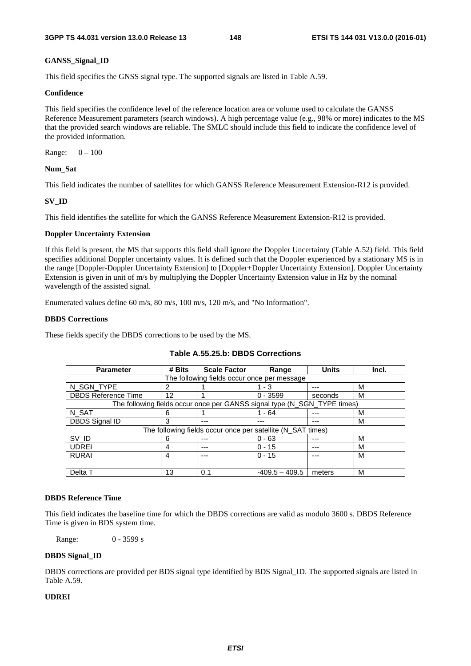#### **GANSS\_Signal\_ID**

This field specifies the GNSS signal type. The supported signals are listed in Table A.59.

#### **Confidence**

This field specifies the confidence level of the reference location area or volume used to calculate the GANSS Reference Measurement parameters (search windows). A high percentage value (e.g., 98% or more) indicates to the MS that the provided search windows are reliable. The SMLC should include this field to indicate the confidence level of the provided information.

Range: 0 – 100

#### **Num\_Sat**

This field indicates the number of satellites for which GANSS Reference Measurement Extension-R12 is provided.

#### **SV\_ID**

This field identifies the satellite for which the GANSS Reference Measurement Extension-R12 is provided.

#### **Doppler Uncertainty Extension**

If this field is present, the MS that supports this field shall ignore the Doppler Uncertainty (Table A.52) field. This field specifies additional Doppler uncertainty values. It is defined such that the Doppler experienced by a stationary MS is in the range [Doppler-Doppler Uncertainty Extension] to [Doppler+Doppler Uncertainty Extension]. Doppler Uncertainty Extension is given in unit of m/s by multiplying the Doppler Uncertainty Extension value in Hz by the nominal wavelength of the assisted signal.

Enumerated values define 60 m/s, 80 m/s, 100 m/s, 120 m/s, and "No Information".

#### **DBDS Corrections**

These fields specify the DBDS corrections to be used by the MS.

| <b>Parameter</b>                            | # Bits                                                      | <b>Scale Factor</b>                                                      | Range            | <b>Units</b> | Incl. |  |  |
|---------------------------------------------|-------------------------------------------------------------|--------------------------------------------------------------------------|------------------|--------------|-------|--|--|
| The following fields occur once per message |                                                             |                                                                          |                  |              |       |  |  |
| N_SGN_TYPE                                  | 2                                                           |                                                                          | - 3              |              | M     |  |  |
| <b>DBDS Reference Time</b>                  | 12                                                          |                                                                          | $0 - 3599$       | seconds      | м     |  |  |
|                                             |                                                             | The following fields occur once per GANSS signal type (N_SGN_TYPE times) |                  |              |       |  |  |
| N_SAT                                       | 6                                                           |                                                                          | - 64             |              | M     |  |  |
| <b>DBDS Signal ID</b>                       | 3                                                           | ---                                                                      | ---              |              | м     |  |  |
|                                             | The following fields occur once per satellite (N_SAT times) |                                                                          |                  |              |       |  |  |
| SV_ID                                       | 6                                                           | ---                                                                      | $0 - 63$         |              | м     |  |  |
| <b>UDREI</b>                                | 4                                                           | ---                                                                      | $0 - 15$         | $---$        | м     |  |  |
| <b>RURAI</b>                                | 4                                                           | ---                                                                      | $0 - 15$         |              | м     |  |  |
|                                             |                                                             |                                                                          |                  |              |       |  |  |
| Delta T                                     | 13                                                          | 0.1                                                                      | $-409.5 - 409.5$ | meters       | M     |  |  |

#### **Table A.55.25.b: DBDS Corrections**

#### **DBDS Reference Time**

This field indicates the baseline time for which the DBDS corrections are valid as modulo 3600 s. DBDS Reference Time is given in BDS system time.

Range: 0 - 3599 s

#### **DBDS Signal\_ID**

DBDS corrections are provided per BDS signal type identified by BDS Signal\_ID. The supported signals are listed in Table A.59.

#### **UDREI**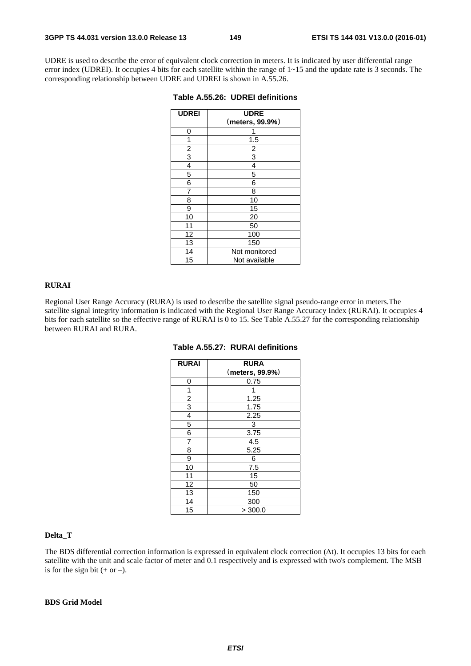UDRE is used to describe the error of equivalent clock correction in meters. It is indicated by user differential range error index (UDREI). It occupies 4 bits for each satellite within the range of 1~15 and the update rate is 3 seconds. The corresponding relationship between UDRE and UDREI is shown in A.55.26.

| <b>UDREI</b>   | <b>UDRE</b>     |
|----------------|-----------------|
|                | (meters, 99.9%) |
| 0              |                 |
| 1              | 1.5             |
| $\overline{c}$ | 2               |
| 3              | 3               |
| 4              | 4               |
| 5              | 5               |
| 6              | 6               |
| 7              | 8               |
| 8              | 10              |
| 9              | 15              |
| 10             | 20              |
| 11             | 50              |
| 12             | 100             |
| 13             | 150             |
| 14             | Not monitored   |
| 15             | Not available   |

**Table A.55.26: UDREI definitions** 

#### **RURAI**

Regional User Range Accuracy (RURA) is used to describe the satellite signal pseudo-range error in meters.The satellite signal integrity information is indicated with the Regional User Range Accuracy Index (RURAI). It occupies 4 bits for each satellite so the effective range of RURAI is 0 to 15. See Table A.55.27 for the corresponding relationship between RURAI and RURA.

| <b>RURAI</b>            | <b>RURA</b>     |
|-------------------------|-----------------|
|                         | (meters, 99.9%) |
| 0                       | 0.75            |
| 1                       |                 |
| $\overline{\mathbf{c}}$ | 1.25            |
| $\overline{3}$          | 1.75            |
| 4                       | 2.25            |
| 5                       | 3               |
| 6                       | 3.75            |
| 7                       | 4.5             |
| 8                       | 5.25            |
| 9                       | 6               |
| 10                      | 7.5             |
| 11                      | 15              |
| 12                      | 50              |
| 13                      | 150             |
| 14                      | 300             |
| 15                      | > 300.0         |

|  |  |  | Table A.55.27:  RURAI definitions |
|--|--|--|-----------------------------------|
|--|--|--|-----------------------------------|

#### **Delta\_T**

The BDS differential correction information is expressed in equivalent clock correction  $(\Delta t)$ . It occupies 13 bits for each satellite with the unit and scale factor of meter and 0.1 respectively and is expressed with two's complement. The MSB is for the sign bit  $(+ or -)$ .

#### **BDS Grid Model**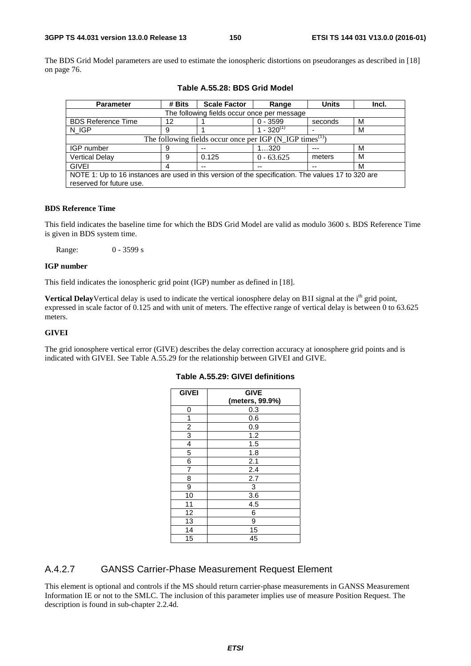The BDS Grid Model parameters are used to estimate the ionospheric distortions on pseudoranges as described in [18] on page 76.

| <b>Parameter</b>                                                                                   | # Bits                                                                          | <b>Scale Factor</b> | Range              | <b>Units</b> | Incl. |  |  |  |
|----------------------------------------------------------------------------------------------------|---------------------------------------------------------------------------------|---------------------|--------------------|--------------|-------|--|--|--|
|                                                                                                    | The following fields occur once per message                                     |                     |                    |              |       |  |  |  |
| <b>BDS Reference Time</b>                                                                          | 12                                                                              |                     | $0 - 3599$         | seconds      | м     |  |  |  |
| N IGP                                                                                              | 9                                                                               |                     | 1 - 320 $^{\circ}$ |              | M     |  |  |  |
|                                                                                                    | The following fields occur once per IGP $(N_{\text{I}}IGP \text{ times}^{(1)})$ |                     |                    |              |       |  |  |  |
| IGP number                                                                                         | 9                                                                               | --                  | 1320               | $- - -$      | M     |  |  |  |
| <b>Vertical Delay</b>                                                                              | 9                                                                               | 0.125               | $0 - 63.625$       | meters       | м     |  |  |  |
| <b>GIVEI</b>                                                                                       | 4                                                                               | --                  | $-$                | $- -$        | м     |  |  |  |
| NOTE 1: Up to 16 instances are used in this version of the specification. The values 17 to 320 are |                                                                                 |                     |                    |              |       |  |  |  |
| reserved for future use.                                                                           |                                                                                 |                     |                    |              |       |  |  |  |

**Table A.55.28: BDS Grid Model** 

#### **BDS Reference Time**

This field indicates the baseline time for which the BDS Grid Model are valid as modulo 3600 s. BDS Reference Time is given in BDS system time.

Range: 0 - 3599 s

#### **IGP number**

This field indicates the ionospheric grid point (IGP) number as defined in [18].

Vertical DelayVertical delay is used to indicate the vertical ionosphere delay on B1I signal at the i<sup>th</sup> grid point, expressed in scale factor of 0.125 and with unit of meters. The effective range of vertical delay is between 0 to 63.625 meters.

#### **GIVEI**

The grid ionosphere vertical error (GIVE) describes the delay correction accuracy at ionosphere grid points and is indicated with GIVEI. See Table A.55.29 for the relationship between GIVEI and GIVE.

| <b>GIVEI</b>            | <b>GIVE</b>     |
|-------------------------|-----------------|
|                         | (meters, 99.9%) |
| 0                       | 0.3             |
| 1                       | 0.6             |
| $\overline{\mathbf{c}}$ | 0.9             |
| 3                       | 1.2             |
| 4                       | 1.5             |
| 5                       | 1.8             |
| 6                       | 2.1             |
| 7                       | 2.4             |
| 8                       | 2.7             |
| 9                       | 3               |
| 10                      | 3.6             |
| 11                      | 4.5             |
| 12                      | 6               |
| 13                      | 9               |
| 14                      | 15              |
| 15                      | 45              |

#### **Table A.55.29: GIVEI definitions**

#### A.4.2.7 GANSS Carrier-Phase Measurement Request Element

This element is optional and controls if the MS should return carrier-phase measurements in GANSS Measurement Information IE or not to the SMLC. The inclusion of this parameter implies use of measure Position Request. The description is found in sub-chapter 2.2.4d.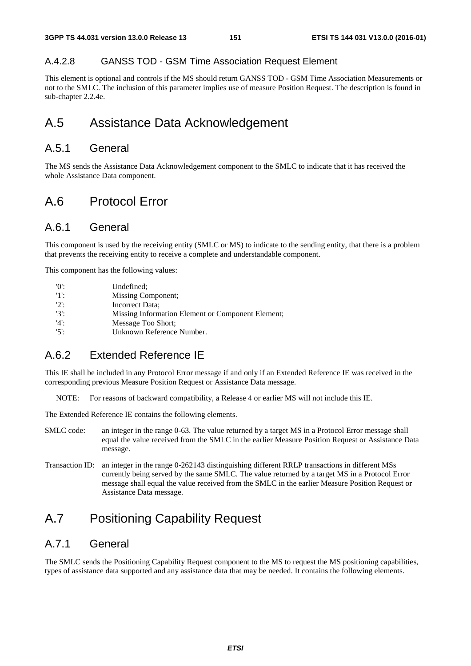#### A.4.2.8 GANSS TOD - GSM Time Association Request Element

This element is optional and controls if the MS should return GANSS TOD - GSM Time Association Measurements or not to the SMLC. The inclusion of this parameter implies use of measure Position Request. The description is found in sub-chapter 2.2.4e.

# A.5 Assistance Data Acknowledgement

# A.5.1 General

The MS sends the Assistance Data Acknowledgement component to the SMLC to indicate that it has received the whole Assistance Data component.

# A.6 Protocol Error

## A.6.1 General

This component is used by the receiving entity (SMLC or MS) to indicate to the sending entity, that there is a problem that prevents the receiving entity to receive a complete and understandable component.

This component has the following values:

| '0':    | Undefined:                                        |
|---------|---------------------------------------------------|
| -15     | Missing Component;                                |
| $2$ :   | Incorrect Data:                                   |
| $'3'$ : | Missing Information Element or Component Element; |
| $'4$ :  | Message Too Short:                                |
| $'5$ :  | Unknown Reference Number.                         |

# A.6.2 Extended Reference IE

This IE shall be included in any Protocol Error message if and only if an Extended Reference IE was received in the corresponding previous Measure Position Request or Assistance Data message.

NOTE: For reasons of backward compatibility, a Release 4 or earlier MS will not include this IE.

The Extended Reference IE contains the following elements.

- SMLC code: an integer in the range 0-63. The value returned by a target MS in a Protocol Error message shall equal the value received from the SMLC in the earlier Measure Position Request or Assistance Data message.
- Transaction ID: an integer in the range 0-262143 distinguishing different RRLP transactions in different MSs currently being served by the same SMLC. The value returned by a target MS in a Protocol Error message shall equal the value received from the SMLC in the earlier Measure Position Request or Assistance Data message.

# A.7 Positioning Capability Request

# A.7.1 General

The SMLC sends the Positioning Capability Request component to the MS to request the MS positioning capabilities, types of assistance data supported and any assistance data that may be needed. It contains the following elements.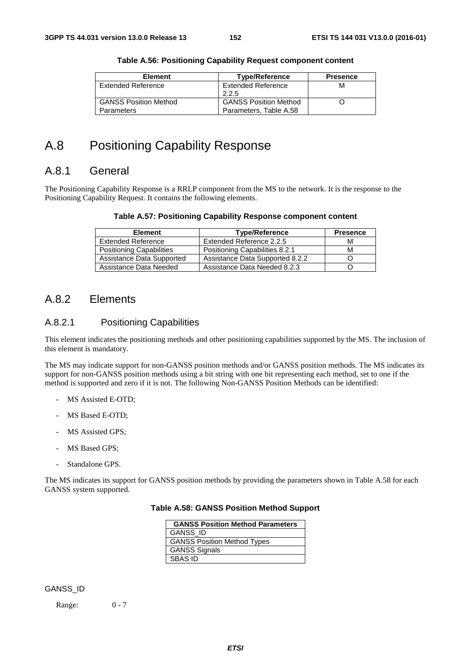| <b>Element</b>               | <b>Type/Reference</b>        | <b>Presence</b> |
|------------------------------|------------------------------|-----------------|
| Extended Reference           | <b>Extended Reference</b>    | м               |
|                              | 2.2.5                        |                 |
| <b>GANSS Position Method</b> | <b>GANSS Position Method</b> |                 |
| <b>Parameters</b>            | Parameters, Table A.58       |                 |

#### **Table A.56: Positioning Capability Request component content**

# A.8 Positioning Capability Response

# A.8.1 General

The Positioning Capability Response is a RRLP component from the MS to the network. It is the response to the Positioning Capability Request. It contains the following elements.

#### **Table A.57: Positioning Capability Response component content**

| <b>Element</b>            | <b>Type/Reference</b>           | <b>Presence</b> |
|---------------------------|---------------------------------|-----------------|
| <b>Extended Reference</b> | Extended Reference 2.2.5        | М               |
| Positioning Capabilities  | Positioning Capabilities 8.2.1  | м               |
| Assistance Data Supported | Assistance Data Supported 8.2.2 |                 |
| Assistance Data Needed    | Assistance Data Needed 8.2.3    |                 |

## A.8.2 Elements

#### A.8.2.1 Positioning Capabilities

This element indicates the positioning methods and other positioning capabilities supported by the MS. The inclusion of this element is mandatory.

The MS may indicate support for non-GANSS position methods and/or GANSS position methods. The MS indicates its support for non-GANSS position methods using a bit string with one bit representing each method, set to one if the method is supported and zero if it is not. The following Non-GANSS Position Methods can be identified:

- MS Assisted E-OTD;
- MS Based E-OTD:
- MS Assisted GPS;
- MS Based GPS;
- Standalone GPS.

The MS indicates its support for GANSS position methods by providing the parameters shown in Table A.58 for each GANSS system supported.

#### **GANSS Position Method Parameters** GANSS\_ID GANSS Position Method Types

# **Table A.58: GANSS Position Method Support**

GANSS Signals SBAS ID

Range: 0 - 7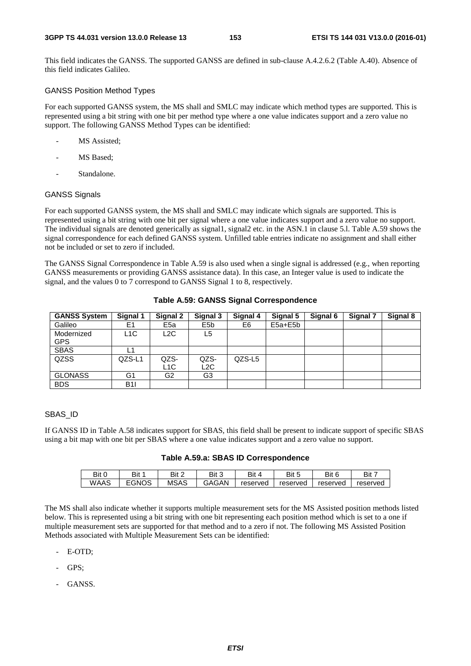This field indicates the GANSS. The supported GANSS are defined in sub-clause A.4.2.6.2 (Table A.40). Absence of this field indicates Galileo.

### GANSS Position Method Types

For each supported GANSS system, the MS shall and SMLC may indicate which method types are supported. This is represented using a bit string with one bit per method type where a one value indicates support and a zero value no support. The following GANSS Method Types can be identified:

- MS Assisted;
- MS Based:
- Standalone.

### GANSS Signals

For each supported GANSS system, the MS shall and SMLC may indicate which signals are supported. This is represented using a bit string with one bit per signal where a one value indicates support and a zero value no support. The individual signals are denoted generically as signal1, signal2 etc. in the ASN.1 in clause 5.l. Table A.59 shows the signal correspondence for each defined GANSS system. Unfilled table entries indicate no assignment and shall either not be included or set to zero if included.

The GANSS Signal Correspondence in Table A.59 is also used when a single signal is addressed (e.g., when reporting GANSS measurements or providing GANSS assistance data). In this case, an Integer value is used to indicate the signal, and the values 0 to 7 correspond to GANSS Signal 1 to 8, respectively.

| <b>GANSS System</b>      | Signal 1   | Signal 2                 | Signal 3         | Signal 4 | Signal 5    | Signal 6 | <b>Signal 7</b> | Signal 8 |
|--------------------------|------------|--------------------------|------------------|----------|-------------|----------|-----------------|----------|
| Galileo                  | E1         | E <sub>5a</sub>          | E <sub>5</sub> b | E6       | $E5a + E5b$ |          |                 |          |
| Modernized<br><b>GPS</b> | L1C        | L2C                      | L5               |          |             |          |                 |          |
| <b>SBAS</b>              |            |                          |                  |          |             |          |                 |          |
| QZSS                     | QZS-L1     | QZS-<br>L <sub>1</sub> C | QZS-<br>L2C      | QZS-L5   |             |          |                 |          |
| <b>GLONASS</b>           | G1         | G <sub>2</sub>           | G <sub>3</sub>   |          |             |          |                 |          |
| <b>BDS</b>               | <b>B1I</b> |                          |                  |          |             |          |                 |          |

### **Table A.59: GANSS Signal Correspondence**

#### SBAS\_ID

If GANSS ID in Table A.58 indicates support for SBAS, this field shall be present to indicate support of specific SBAS using a bit map with one bit per SBAS where a one value indicates support and a zero value no support.

#### **Table A.59.a: SBAS ID Correspondence**

| Bit C | Bit 1 | Bit 2       | Bit 3 | Bit      | Bit      | Bit 6    | Bit 7    |
|-------|-------|-------------|-------|----------|----------|----------|----------|
| WAAS  | EGNOS | <b>MSAS</b> | GAGAN | reserved | reserved | reserved | reserved |

The MS shall also indicate whether it supports multiple measurement sets for the MS Assisted position methods listed below. This is represented using a bit string with one bit representing each position method which is set to a one if multiple measurement sets are supported for that method and to a zero if not. The following MS Assisted Position Methods associated with Multiple Measurement Sets can be identified:

- E-OTD;
- GPS:
- GANSS.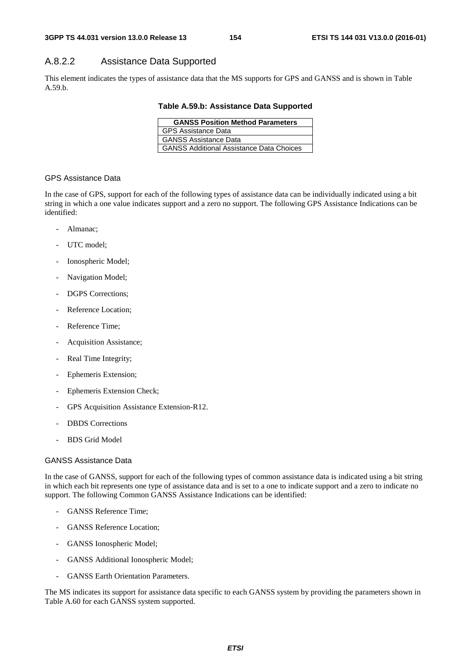# A.8.2.2 Assistance Data Supported

This element indicates the types of assistance data that the MS supports for GPS and GANSS and is shown in Table A.59.b.

**Table A.59.b: Assistance Data Supported** 

| <b>GANSS Position Method Parameters</b>         |  |  |  |  |
|-------------------------------------------------|--|--|--|--|
| <b>GPS Assistance Data</b>                      |  |  |  |  |
| GANSS Assistance Data                           |  |  |  |  |
| <b>GANSS Additional Assistance Data Choices</b> |  |  |  |  |

#### GPS Assistance Data

In the case of GPS, support for each of the following types of assistance data can be individually indicated using a bit string in which a one value indicates support and a zero no support. The following GPS Assistance Indications can be identified:

- Almanac:
- UTC model;
- Ionospheric Model;
- Navigation Model;
- DGPS Corrections:
- Reference Location:
- Reference Time;
- Acquisition Assistance;
- Real Time Integrity;
- Ephemeris Extension;
- Ephemeris Extension Check;
- GPS Acquisition Assistance Extension-R12.
- DBDS Corrections
- BDS Grid Model

#### GANSS Assistance Data

In the case of GANSS, support for each of the following types of common assistance data is indicated using a bit string in which each bit represents one type of assistance data and is set to a one to indicate support and a zero to indicate no support. The following Common GANSS Assistance Indications can be identified:

- GANSS Reference Time;
- GANSS Reference Location;
- GANSS Ionospheric Model;
- GANSS Additional Ionospheric Model;
- GANSS Earth Orientation Parameters.

The MS indicates its support for assistance data specific to each GANSS system by providing the parameters shown in Table A.60 for each GANSS system supported.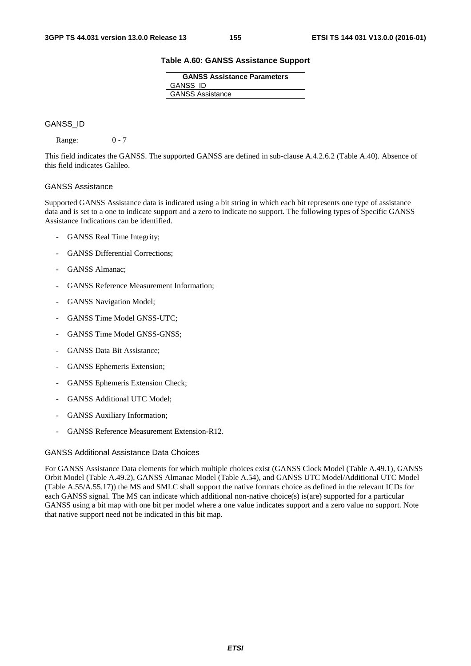#### **Table A.60: GANSS Assistance Support**

| <b>GANSS Assistance Parameters</b> |  |  |  |  |
|------------------------------------|--|--|--|--|
| <b>GANSS ID</b>                    |  |  |  |  |
| <b>GANSS Assistance</b>            |  |  |  |  |

#### GANSS\_ID

Range: 0 - 7

This field indicates the GANSS. The supported GANSS are defined in sub-clause A.4.2.6.2 (Table A.40). Absence of this field indicates Galileo.

#### GANSS Assistance

Supported GANSS Assistance data is indicated using a bit string in which each bit represents one type of assistance data and is set to a one to indicate support and a zero to indicate no support. The following types of Specific GANSS Assistance Indications can be identified.

- GANSS Real Time Integrity;
- GANSS Differential Corrections:
- GANSS Almanac;
- GANSS Reference Measurement Information;
- GANSS Navigation Model;
- GANSS Time Model GNSS-UTC;
- GANSS Time Model GNSS-GNSS;
- GANSS Data Bit Assistance:
- GANSS Ephemeris Extension;
- GANSS Ephemeris Extension Check;
- GANSS Additional UTC Model;
- GANSS Auxiliary Information;
- GANSS Reference Measurement Extension-R12.

#### GANSS Additional Assistance Data Choices

For GANSS Assistance Data elements for which multiple choices exist (GANSS Clock Model (Table A.49.1), GANSS Orbit Model (Table A.49.2), GANSS Almanac Model (Table A.54), and GANSS UTC Model/Additional UTC Model (Table A.55/A.55.17)) the MS and SMLC shall support the native formats choice as defined in the relevant ICDs for each GANSS signal. The MS can indicate which additional non-native choice(s) is(are) supported for a particular GANSS using a bit map with one bit per model where a one value indicates support and a zero value no support. Note that native support need not be indicated in this bit map.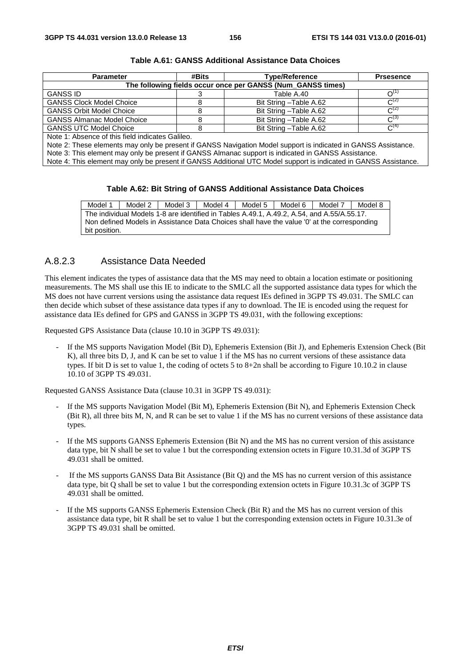| <b>Parameter</b>                                            | #Bits | <b>Type/Reference</b>   | <b>Prsesence</b>    |  |  |  |
|-------------------------------------------------------------|-------|-------------------------|---------------------|--|--|--|
| The following fields occur once per GANSS (Num_GANSS times) |       |                         |                     |  |  |  |
| <b>GANSS ID</b>                                             |       | Table A.40              | $\Omega^{(1)}$      |  |  |  |
| <b>GANSS Clock Model Choice</b>                             |       | Bit String - Table A.62 | $C^{(2)}$           |  |  |  |
| <b>GANSS Orbit Model Choice</b>                             |       | Bit String - Table A.62 | $C^{(2)}$           |  |  |  |
| <b>GANSS Almanac Model Choice</b>                           |       | Bit String - Table A.62 | $C^{(3)}$           |  |  |  |
| <b>GANSS UTC Model Choice</b>                               |       | Bit String - Table A.62 | $\mathcal{C}^{(4)}$ |  |  |  |
| Note 1: Absence of this field indicates Galileo             |       |                         |                     |  |  |  |

**Table A.61: GANSS Additional Assistance Data Choices** 

Note 1: Absence of this field indicates Galileo.

Note 2: These elements may only be present if GANSS Navigation Model support is indicated in GANSS Assistance.

Note 3: This element may only be present if GANSS Almanac support is indicated in GANSS Assistance.

Note 4: This element may only be present if GANSS Additional UTC Model support is indicated in GANSS Assistance.

#### **Table A.62: Bit String of GANSS Additional Assistance Data Choices**

| Model 1                                                                                     | Model 2                                                                                    | Model 3 | Model 4 | Model 5 | Model 6 | Model 7 | Model 8 |
|---------------------------------------------------------------------------------------------|--------------------------------------------------------------------------------------------|---------|---------|---------|---------|---------|---------|
|                                                                                             | The individual Models 1-8 are identified in Tables A.49.1, A.49.2, A.54, and A.55/A.55.17. |         |         |         |         |         |         |
| Non defined Models in Assistance Data Choices shall have the value '0' at the corresponding |                                                                                            |         |         |         |         |         |         |
| bit position.                                                                               |                                                                                            |         |         |         |         |         |         |

#### A.8.2.3 Assistance Data Needed

This element indicates the types of assistance data that the MS may need to obtain a location estimate or positioning measurements. The MS shall use this IE to indicate to the SMLC all the supported assistance data types for which the MS does not have current versions using the assistance data request IEs defined in 3GPP TS 49.031. The SMLC can then decide which subset of these assistance data types if any to download. The IE is encoded using the request for assistance data IEs defined for GPS and GANSS in 3GPP TS 49.031, with the following exceptions:

Requested GPS Assistance Data (clause 10.10 in 3GPP TS 49.031):

If the MS supports Navigation Model (Bit D), Ephemeris Extension (Bit J), and Ephemeris Extension Check (Bit K), all three bits D, J, and K can be set to value 1 if the MS has no current versions of these assistance data types. If bit D is set to value 1, the coding of octets 5 to 8+2n shall be according to Figure 10.10.2 in clause 10.10 of 3GPP TS 49.031.

Requested GANSS Assistance Data (clause 10.31 in 3GPP TS 49.031):

- If the MS supports Navigation Model (Bit M), Ephemeris Extension (Bit N), and Ephemeris Extension Check (Bit R), all three bits M, N, and R can be set to value 1 if the MS has no current versions of these assistance data types.
- If the MS supports GANSS Ephemeris Extension (Bit N) and the MS has no current version of this assistance data type, bit N shall be set to value 1 but the corresponding extension octets in Figure 10.31.3d of 3GPP TS 49.031 shall be omitted.
- If the MS supports GANSS Data Bit Assistance (Bit Q) and the MS has no current version of this assistance data type, bit Q shall be set to value 1 but the corresponding extension octets in Figure 10.31.3c of 3GPP TS 49.031 shall be omitted.
- If the MS supports GANSS Ephemeris Extension Check (Bit R) and the MS has no current version of this assistance data type, bit R shall be set to value 1 but the corresponding extension octets in Figure 10.31.3e of 3GPP TS 49.031 shall be omitted.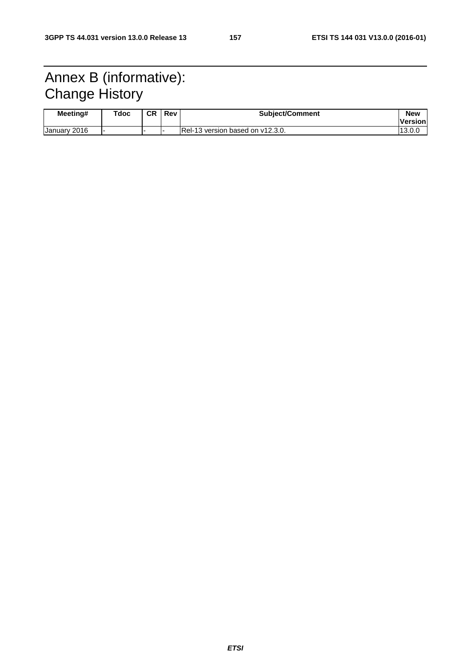# Annex B (informative): Change History

| Meeting#     | Tdoc | CR | I Rev | <b>Subject/Comment</b>           | <b>New</b>      |
|--------------|------|----|-------|----------------------------------|-----------------|
|              |      |    |       |                                  | <b>IVersion</b> |
| January 2016 |      |    |       | Rel-13 version based on v12.3.0. | $-13.0.$        |